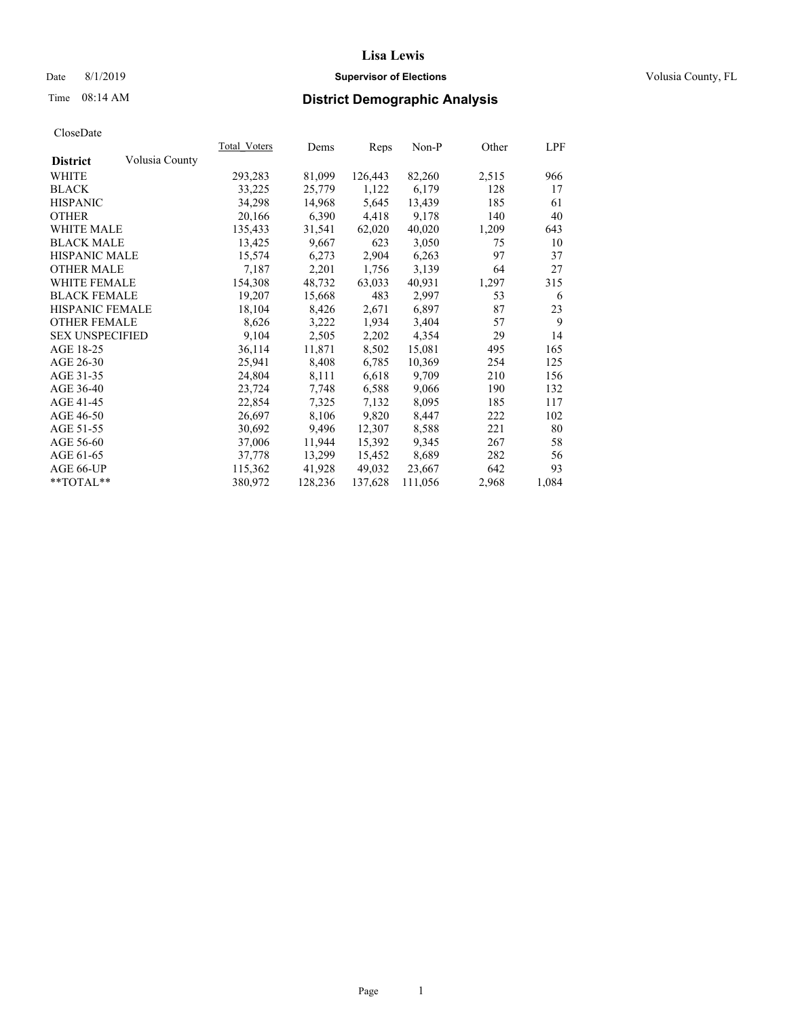#### Date 8/1/2019 **Supervisor of Elections Supervisor of Elections** Volusia County, FL

### Time 08:14 AM **District Demographic Analysis**

|                        |                | Total Voters | Dems    | Reps    | Non-P   | Other | LPF   |
|------------------------|----------------|--------------|---------|---------|---------|-------|-------|
| <b>District</b>        | Volusia County |              |         |         |         |       |       |
| WHITE                  |                | 293,283      | 81,099  | 126,443 | 82,260  | 2,515 | 966   |
| <b>BLACK</b>           |                | 33,225       | 25,779  | 1,122   | 6,179   | 128   | 17    |
| <b>HISPANIC</b>        |                | 34,298       | 14,968  | 5,645   | 13,439  | 185   | 61    |
| <b>OTHER</b>           |                | 20,166       | 6,390   | 4,418   | 9,178   | 140   | 40    |
| WHITE MALE             |                | 135,433      | 31,541  | 62,020  | 40,020  | 1,209 | 643   |
| <b>BLACK MALE</b>      |                | 13,425       | 9,667   | 623     | 3,050   | 75    | 10    |
| <b>HISPANIC MALE</b>   |                | 15,574       | 6,273   | 2,904   | 6,263   | 97    | 37    |
| <b>OTHER MALE</b>      |                | 7,187        | 2,201   | 1,756   | 3,139   | 64    | 27    |
| <b>WHITE FEMALE</b>    |                | 154,308      | 48,732  | 63,033  | 40,931  | 1,297 | 315   |
| <b>BLACK FEMALE</b>    |                | 19,207       | 15,668  | 483     | 2,997   | 53    | 6     |
| <b>HISPANIC FEMALE</b> |                | 18,104       | 8,426   | 2,671   | 6,897   | 87    | 23    |
| <b>OTHER FEMALE</b>    |                | 8,626        | 3,222   | 1,934   | 3,404   | 57    | 9     |
| <b>SEX UNSPECIFIED</b> |                | 9,104        | 2,505   | 2,202   | 4,354   | 29    | 14    |
| AGE 18-25              |                | 36,114       | 11,871  | 8,502   | 15,081  | 495   | 165   |
| AGE 26-30              |                | 25,941       | 8,408   | 6,785   | 10,369  | 254   | 125   |
| AGE 31-35              |                | 24,804       | 8,111   | 6,618   | 9,709   | 210   | 156   |
| AGE 36-40              |                | 23,724       | 7,748   | 6,588   | 9,066   | 190   | 132   |
| AGE 41-45              |                | 22,854       | 7,325   | 7,132   | 8,095   | 185   | 117   |
| AGE 46-50              |                | 26,697       | 8,106   | 9,820   | 8,447   | 222   | 102   |
| AGE 51-55              |                | 30,692       | 9,496   | 12,307  | 8,588   | 221   | 80    |
| AGE 56-60              |                | 37,006       | 11,944  | 15,392  | 9,345   | 267   | 58    |
| AGE 61-65              |                | 37,778       | 13,299  | 15,452  | 8,689   | 282   | 56    |
| AGE 66-UP              |                | 115,362      | 41,928  | 49,032  | 23,667  | 642   | 93    |
| $*$ $TOTAL**$          |                | 380,972      | 128,236 | 137,628 | 111,056 | 2,968 | 1,084 |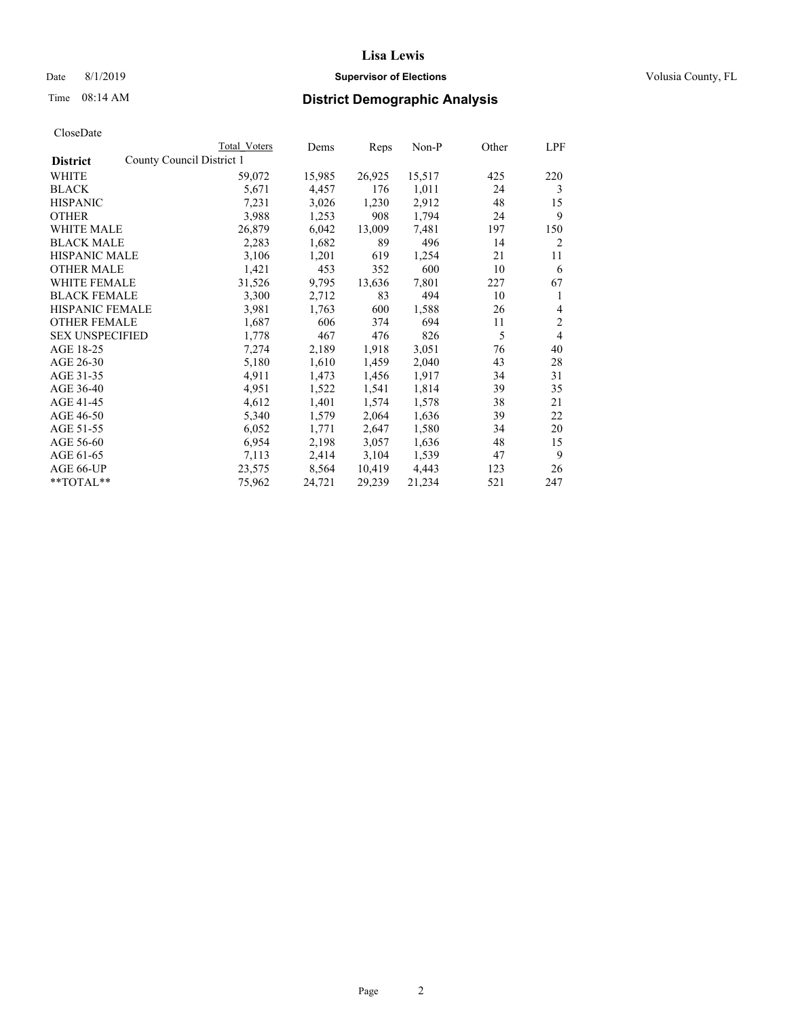### Date 8/1/2019 **Supervisor of Elections Supervisor of Elections** Volusia County, FL

| CloseDate |
|-----------|
|-----------|

|                                              | Total Voters | Dems   | Reps   | Non-P  | Other | LPF            |
|----------------------------------------------|--------------|--------|--------|--------|-------|----------------|
| County Council District 1<br><b>District</b> |              |        |        |        |       |                |
| WHITE                                        | 59,072       | 15,985 | 26,925 | 15,517 | 425   | 220            |
| <b>BLACK</b>                                 | 5,671        | 4,457  | 176    | 1,011  | 24    | 3              |
| <b>HISPANIC</b>                              | 7,231        | 3,026  | 1,230  | 2,912  | 48    | 15             |
| <b>OTHER</b>                                 | 3,988        | 1,253  | 908    | 1,794  | 24    | 9              |
| <b>WHITE MALE</b>                            | 26,879       | 6,042  | 13,009 | 7,481  | 197   | 150            |
| <b>BLACK MALE</b>                            | 2,283        | 1,682  | 89     | 496    | 14    | $\overline{2}$ |
| <b>HISPANIC MALE</b>                         | 3,106        | 1,201  | 619    | 1,254  | 21    | 11             |
| <b>OTHER MALE</b>                            | 1,421        | 453    | 352    | 600    | 10    | 6              |
| <b>WHITE FEMALE</b>                          | 31,526       | 9,795  | 13,636 | 7,801  | 227   | 67             |
| <b>BLACK FEMALE</b>                          | 3,300        | 2,712  | 83     | 494    | 10    | 1              |
| <b>HISPANIC FEMALE</b>                       | 3,981        | 1,763  | 600    | 1,588  | 26    | 4              |
| <b>OTHER FEMALE</b>                          | 1,687        | 606    | 374    | 694    | 11    | $\overline{2}$ |
| <b>SEX UNSPECIFIED</b>                       | 1,778        | 467    | 476    | 826    | 5     | $\overline{4}$ |
| AGE 18-25                                    | 7,274        | 2,189  | 1,918  | 3,051  | 76    | 40             |
| AGE 26-30                                    | 5,180        | 1,610  | 1,459  | 2,040  | 43    | 28             |
| AGE 31-35                                    | 4,911        | 1,473  | 1,456  | 1,917  | 34    | 31             |
| AGE 36-40                                    | 4,951        | 1,522  | 1,541  | 1,814  | 39    | 35             |
| AGE 41-45                                    | 4,612        | 1,401  | 1,574  | 1,578  | 38    | 21             |
| AGE 46-50                                    | 5,340        | 1,579  | 2,064  | 1,636  | 39    | 22             |
| AGE 51-55                                    | 6,052        | 1,771  | 2,647  | 1,580  | 34    | 20             |
| AGE 56-60                                    | 6,954        | 2,198  | 3,057  | 1,636  | 48    | 15             |
| AGE 61-65                                    | 7,113        | 2,414  | 3,104  | 1,539  | 47    | 9              |
| AGE 66-UP                                    | 23,575       | 8,564  | 10,419 | 4,443  | 123   | 26             |
| **TOTAL**                                    | 75,962       | 24,721 | 29,239 | 21,234 | 521   | 247            |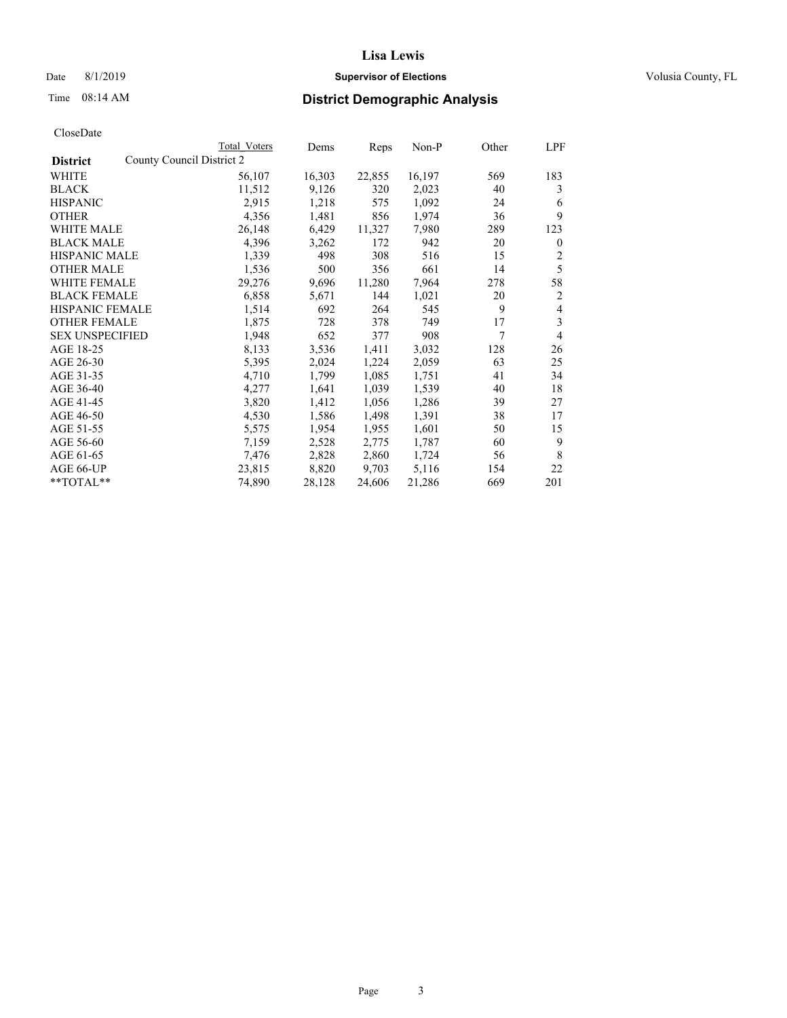#### Date 8/1/2019 **Supervisor of Elections Supervisor of Elections** Volusia County, FL

| CloseDate |
|-----------|
|-----------|

|                                              | Total Voters | Dems   | Reps   | $Non-P$ | Other | LPF            |
|----------------------------------------------|--------------|--------|--------|---------|-------|----------------|
| County Council District 2<br><b>District</b> |              |        |        |         |       |                |
| WHITE                                        | 56,107       | 16,303 | 22,855 | 16,197  | 569   | 183            |
| <b>BLACK</b>                                 | 11,512       | 9,126  | 320    | 2,023   | 40    | 3              |
| <b>HISPANIC</b>                              | 2,915        | 1,218  | 575    | 1,092   | 24    | 6              |
| <b>OTHER</b>                                 | 4,356        | 1,481  | 856    | 1,974   | 36    | 9              |
| WHITE MALE                                   | 26,148       | 6,429  | 11,327 | 7,980   | 289   | 123            |
| <b>BLACK MALE</b>                            | 4,396        | 3,262  | 172    | 942     | 20    | $\mathbf{0}$   |
| <b>HISPANIC MALE</b>                         | 1,339        | 498    | 308    | 516     | 15    | 2              |
| <b>OTHER MALE</b>                            | 1,536        | 500    | 356    | 661     | 14    | 5              |
| <b>WHITE FEMALE</b>                          | 29,276       | 9,696  | 11,280 | 7,964   | 278   | 58             |
| <b>BLACK FEMALE</b>                          | 6,858        | 5,671  | 144    | 1,021   | 20    | 2              |
| <b>HISPANIC FEMALE</b>                       | 1,514        | 692    | 264    | 545     | 9     | $\overline{4}$ |
| <b>OTHER FEMALE</b>                          | 1,875        | 728    | 378    | 749     | 17    | 3              |
| <b>SEX UNSPECIFIED</b>                       | 1,948        | 652    | 377    | 908     | 7     | 4              |
| AGE 18-25                                    | 8,133        | 3,536  | 1,411  | 3,032   | 128   | 26             |
| AGE 26-30                                    | 5,395        | 2,024  | 1,224  | 2,059   | 63    | 25             |
| AGE 31-35                                    | 4,710        | 1,799  | 1,085  | 1,751   | 41    | 34             |
| AGE 36-40                                    | 4,277        | 1,641  | 1,039  | 1,539   | 40    | 18             |
| AGE 41-45                                    | 3,820        | 1,412  | 1,056  | 1,286   | 39    | 27             |
| AGE 46-50                                    | 4,530        | 1,586  | 1,498  | 1,391   | 38    | 17             |
| AGE 51-55                                    | 5,575        | 1,954  | 1,955  | 1,601   | 50    | 15             |
| AGE 56-60                                    | 7,159        | 2,528  | 2,775  | 1,787   | 60    | 9              |
| AGE 61-65                                    | 7,476        | 2,828  | 2,860  | 1,724   | 56    | 8              |
| AGE 66-UP                                    | 23,815       | 8,820  | 9,703  | 5,116   | 154   | 22             |
| $*$ $TOTAL**$                                | 74,890       | 28,128 | 24,606 | 21,286  | 669   | 201            |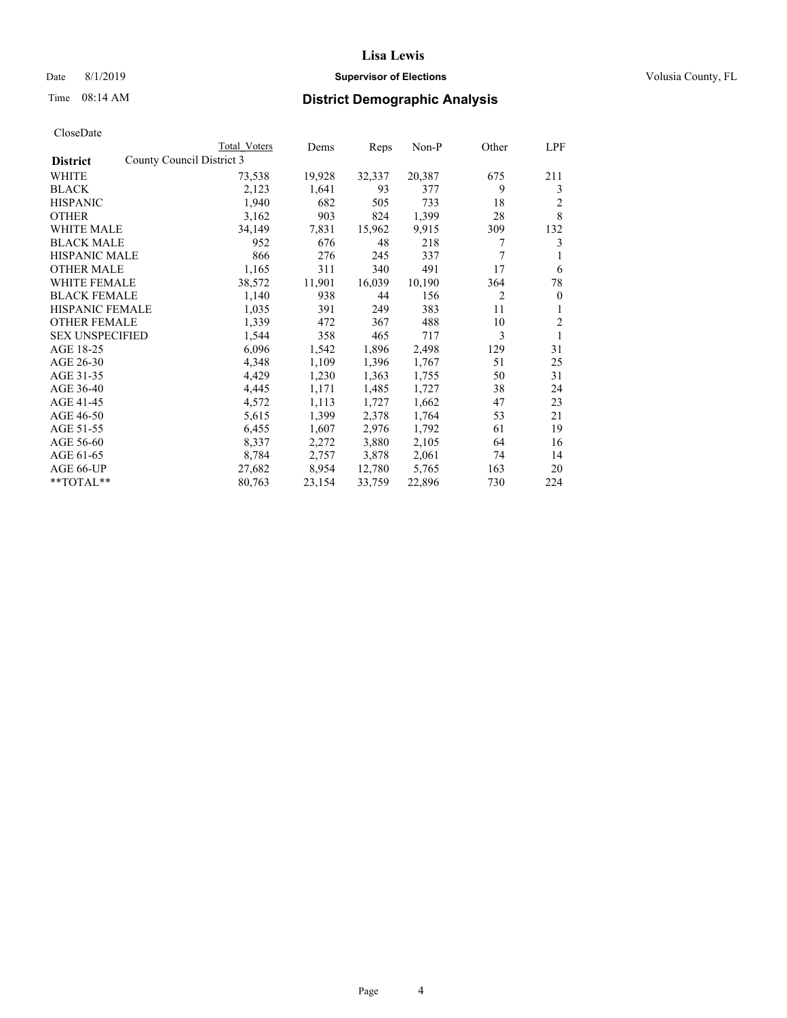#### Date 8/1/2019 **Supervisor of Elections Supervisor of Elections** Volusia County, FL

| CloseDate |
|-----------|
|-----------|

|                                              | Total Voters | Dems   | Reps   | Non-P  | Other          | LPF        |
|----------------------------------------------|--------------|--------|--------|--------|----------------|------------|
| County Council District 3<br><b>District</b> |              |        |        |        |                |            |
| WHITE                                        | 73,538       | 19,928 | 32,337 | 20,387 | 675            | 211        |
| <b>BLACK</b>                                 | 2,123        | 1,641  | 93     | 377    | 9              | 3          |
| <b>HISPANIC</b>                              | 1,940        | 682    | 505    | 733    | 18             | 2          |
| <b>OTHER</b>                                 | 3,162        | 903    | 824    | 1,399  | 28             | 8          |
| <b>WHITE MALE</b>                            | 34,149       | 7,831  | 15,962 | 9,915  | 309            | 132        |
| <b>BLACK MALE</b>                            | 952          | 676    | 48     | 218    | 7              | 3          |
| <b>HISPANIC MALE</b>                         | 866          | 276    | 245    | 337    | 7              | 1          |
| <b>OTHER MALE</b>                            | 1,165        | 311    | 340    | 491    | 17             | 6          |
| <b>WHITE FEMALE</b>                          | 38,572       | 11,901 | 16,039 | 10,190 | 364            | 78         |
| <b>BLACK FEMALE</b>                          | 1,140        | 938    | 44     | 156    | $\overline{c}$ | $\theta$   |
| <b>HISPANIC FEMALE</b>                       | 1,035        | 391    | 249    | 383    | 11             | 1          |
| <b>OTHER FEMALE</b>                          | 1,339        | 472    | 367    | 488    | 10             | $\sqrt{2}$ |
| <b>SEX UNSPECIFIED</b>                       | 1,544        | 358    | 465    | 717    | 3              | 1          |
| AGE 18-25                                    | 6,096        | 1,542  | 1,896  | 2,498  | 129            | 31         |
| AGE 26-30                                    | 4,348        | 1,109  | 1,396  | 1,767  | 51             | 25         |
| AGE 31-35                                    | 4,429        | 1,230  | 1,363  | 1,755  | 50             | 31         |
| AGE 36-40                                    | 4,445        | 1,171  | 1,485  | 1,727  | 38             | 24         |
| AGE 41-45                                    | 4,572        | 1,113  | 1,727  | 1,662  | 47             | 23         |
| AGE 46-50                                    | 5,615        | 1,399  | 2,378  | 1,764  | 53             | 21         |
| AGE 51-55                                    | 6,455        | 1,607  | 2,976  | 1,792  | 61             | 19         |
| AGE 56-60                                    | 8,337        | 2,272  | 3,880  | 2,105  | 64             | 16         |
| AGE 61-65                                    | 8,784        | 2,757  | 3,878  | 2,061  | 74             | 14         |
| AGE 66-UP                                    | 27,682       | 8,954  | 12,780 | 5,765  | 163            | 20         |
| $*$ $TOTAL**$                                | 80,763       | 23,154 | 33,759 | 22,896 | 730            | 224        |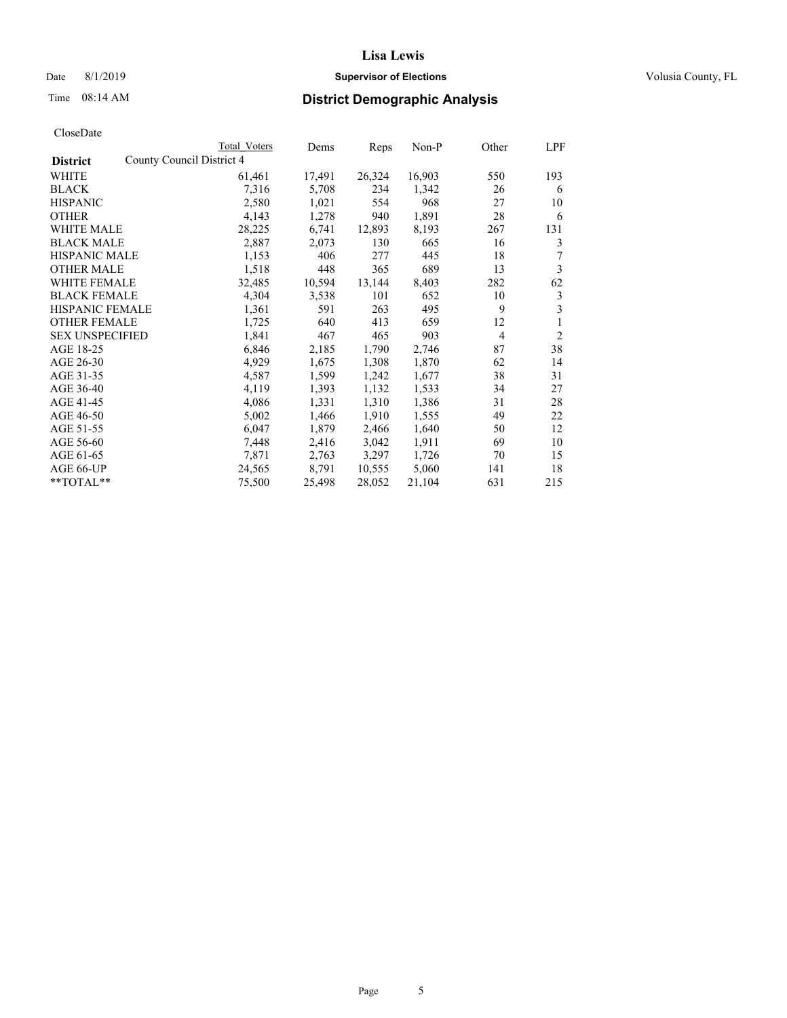Date 8/1/2019 **Supervisor of Elections Supervisor of Elections** Volusia County, FL

| CloseDate |
|-----------|
|-----------|

|                        | Total Voters              | Dems   | Reps   | Non-P  | Other          | LPF            |
|------------------------|---------------------------|--------|--------|--------|----------------|----------------|
| <b>District</b>        | County Council District 4 |        |        |        |                |                |
| WHITE                  | 61,461                    | 17,491 | 26,324 | 16,903 | 550            | 193            |
| <b>BLACK</b>           | 7,316                     | 5,708  | 234    | 1,342  | 26             | 6              |
| <b>HISPANIC</b>        | 2,580                     | 1,021  | 554    | 968    | 27             | 10             |
| <b>OTHER</b>           | 4,143                     | 1,278  | 940    | 1,891  | 28             | 6              |
| WHITE MALE             | 28,225                    | 6,741  | 12,893 | 8,193  | 267            | 131            |
| <b>BLACK MALE</b>      | 2,887                     | 2,073  | 130    | 665    | 16             | 3              |
| <b>HISPANIC MALE</b>   | 1,153                     | 406    | 277    | 445    | 18             | 7              |
| <b>OTHER MALE</b>      | 1,518                     | 448    | 365    | 689    | 13             | 3              |
| <b>WHITE FEMALE</b>    | 32,485                    | 10,594 | 13,144 | 8,403  | 282            | 62             |
| <b>BLACK FEMALE</b>    | 4,304                     | 3,538  | 101    | 652    | 10             | 3              |
| <b>HISPANIC FEMALE</b> | 1,361                     | 591    | 263    | 495    | 9              | 3              |
| <b>OTHER FEMALE</b>    | 1,725                     | 640    | 413    | 659    | 12             | 1              |
| <b>SEX UNSPECIFIED</b> | 1,841                     | 467    | 465    | 903    | $\overline{4}$ | $\overline{2}$ |
| AGE 18-25              | 6,846                     | 2,185  | 1,790  | 2,746  | 87             | 38             |
| AGE 26-30              | 4,929                     | 1,675  | 1,308  | 1,870  | 62             | 14             |
| AGE 31-35              | 4,587                     | 1,599  | 1,242  | 1,677  | 38             | 31             |
| AGE 36-40              | 4,119                     | 1,393  | 1,132  | 1,533  | 34             | 27             |
| AGE 41-45              | 4,086                     | 1,331  | 1,310  | 1,386  | 31             | 28             |
| AGE 46-50              | 5,002                     | 1,466  | 1,910  | 1,555  | 49             | 22             |
| AGE 51-55              | 6,047                     | 1,879  | 2,466  | 1,640  | 50             | 12             |
| AGE 56-60              | 7,448                     | 2,416  | 3,042  | 1,911  | 69             | 10             |
| AGE 61-65              | 7,871                     | 2,763  | 3,297  | 1,726  | 70             | 15             |
| AGE 66-UP              | 24,565                    | 8,791  | 10,555 | 5,060  | 141            | 18             |
| **TOTAL**              | 75,500                    | 25,498 | 28,052 | 21,104 | 631            | 215            |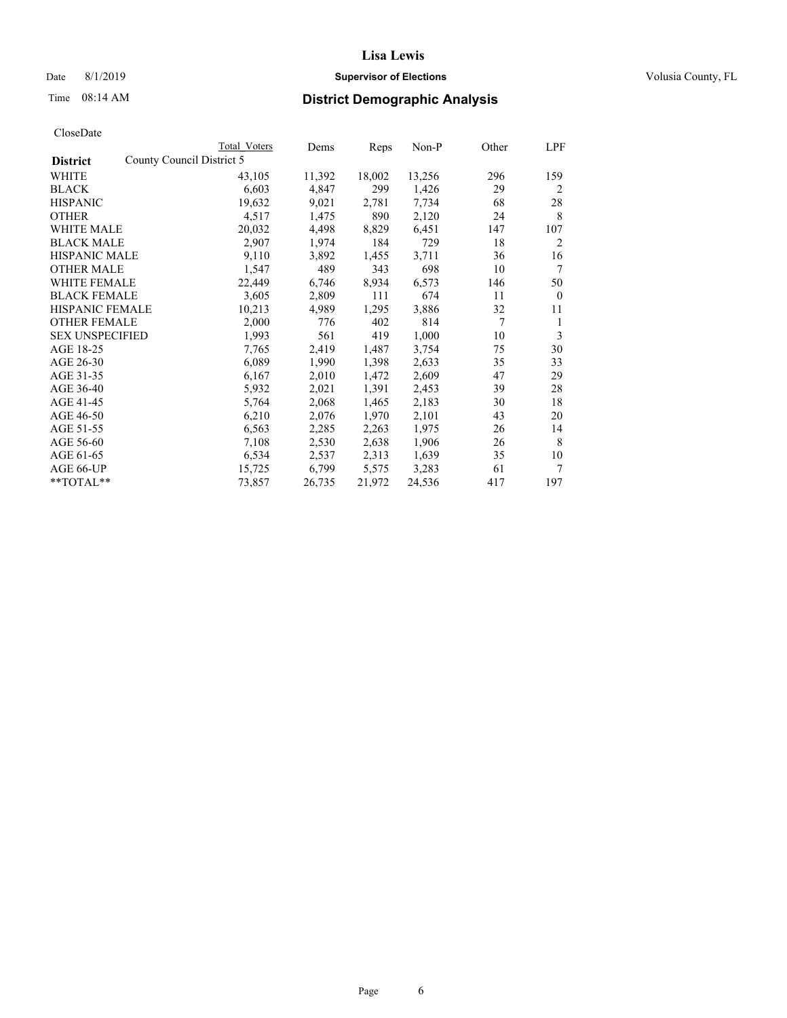### Date 8/1/2019 **Supervisor of Elections Supervisor of Elections** Volusia County, FL

|                        | Total Voters              | Dems   | Reps   | Non-P  | Other  | LPF            |
|------------------------|---------------------------|--------|--------|--------|--------|----------------|
| <b>District</b>        | County Council District 5 |        |        |        |        |                |
| WHITE                  | 43,105                    | 11,392 | 18,002 | 13,256 | 296    | 159            |
| <b>BLACK</b>           | 6,603                     | 4,847  | 299    | 1,426  | 29     | 2              |
| <b>HISPANIC</b>        | 19,632                    | 9,021  | 2,781  | 7,734  | 68     | 28             |
| <b>OTHER</b>           | 4,517                     | 1,475  | 890    | 2,120  | 24     | 8              |
| <b>WHITE MALE</b>      | 20,032                    | 4,498  | 8,829  | 6,451  | 147    | 107            |
| <b>BLACK MALE</b>      | 2,907                     | 1,974  | 184    | 729    | 18     | $\overline{2}$ |
| <b>HISPANIC MALE</b>   | 9,110                     | 3,892  | 1,455  | 3,711  | 36     | 16             |
| <b>OTHER MALE</b>      | 1,547                     | 489    | 343    | 698    | 10     | 7              |
| <b>WHITE FEMALE</b>    | 22,449                    | 6,746  | 8,934  | 6,573  | 146    | 50             |
| <b>BLACK FEMALE</b>    | 3,605                     | 2,809  | 111    | 674    | 11     | $\mathbf{0}$   |
| <b>HISPANIC FEMALE</b> | 10,213                    | 4,989  | 1,295  | 3,886  | 32     | 11             |
| <b>OTHER FEMALE</b>    | 2,000                     | 776    | 402    | 814    | $\tau$ | 1              |
| <b>SEX UNSPECIFIED</b> | 1,993                     | 561    | 419    | 1,000  | 10     | 3              |
| AGE 18-25              | 7,765                     | 2,419  | 1,487  | 3,754  | 75     | 30             |
| AGE 26-30              | 6,089                     | 1,990  | 1,398  | 2,633  | 35     | 33             |
| AGE 31-35              | 6,167                     | 2,010  | 1,472  | 2,609  | 47     | 29             |
| AGE 36-40              | 5,932                     | 2,021  | 1,391  | 2,453  | 39     | 28             |
| AGE 41-45              | 5,764                     | 2,068  | 1,465  | 2,183  | 30     | 18             |
| AGE 46-50              | 6,210                     | 2,076  | 1,970  | 2,101  | 43     | 20             |
| AGE 51-55              | 6,563                     | 2,285  | 2,263  | 1,975  | 26     | 14             |
| AGE 56-60              | 7,108                     | 2,530  | 2,638  | 1,906  | 26     | 8              |
| AGE 61-65              | 6,534                     | 2,537  | 2,313  | 1,639  | 35     | 10             |
| AGE 66-UP              | 15,725                    | 6,799  | 5,575  | 3,283  | 61     | 7              |
| **TOTAL**              | 73,857                    | 26,735 | 21,972 | 24,536 | 417    | 197            |
|                        |                           |        |        |        |        |                |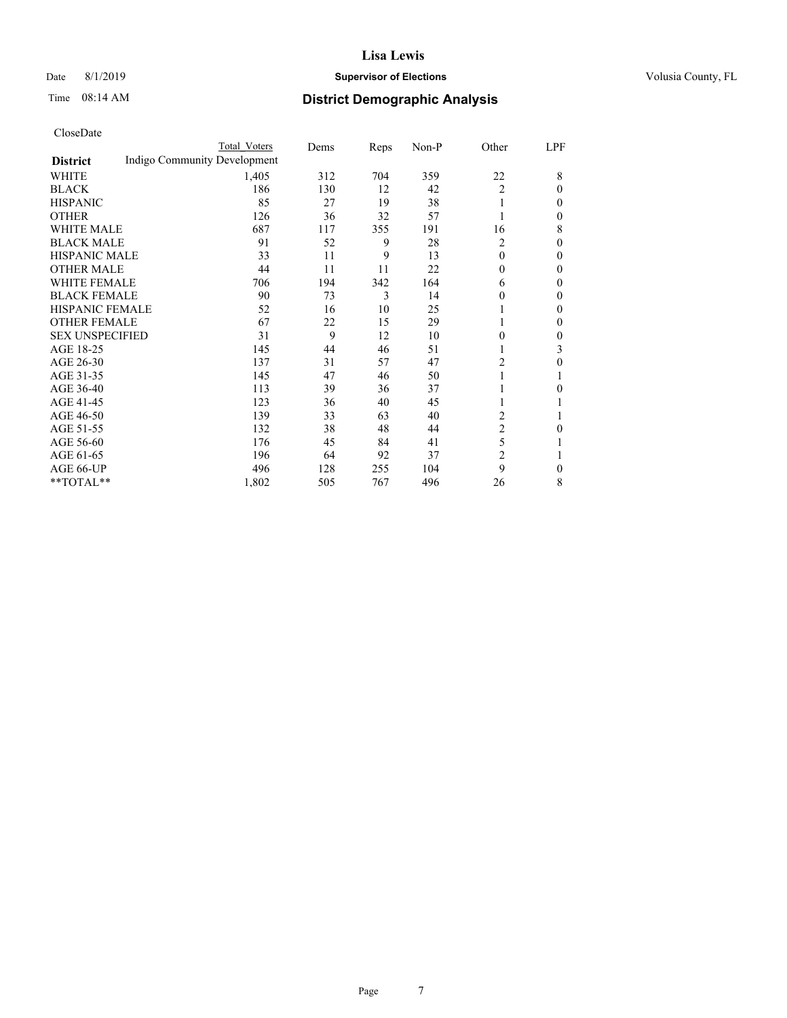### Date 8/1/2019 **Supervisor of Elections Supervisor of Elections** Volusia County, FL

### Time 08:14 AM **District Demographic Analysis**

|                        |                              | Total Voters | Dems | Reps | Non-P | Other          | LPF          |
|------------------------|------------------------------|--------------|------|------|-------|----------------|--------------|
| <b>District</b>        | Indigo Community Development |              |      |      |       |                |              |
| WHITE                  |                              | 1,405        | 312  | 704  | 359   | 22             | 8            |
| <b>BLACK</b>           |                              | 186          | 130  | 12   | 42    | $\overline{2}$ | $\Omega$     |
| <b>HISPANIC</b>        |                              | 85           | 27   | 19   | 38    |                | $\Omega$     |
| <b>OTHER</b>           |                              | 126          | 36   | 32   | 57    |                | 0            |
| <b>WHITE MALE</b>      |                              | 687          | 117  | 355  | 191   | 16             | 8            |
| <b>BLACK MALE</b>      |                              | 91           | 52   | 9    | 28    | $\overline{2}$ | $\Omega$     |
| <b>HISPANIC MALE</b>   |                              | 33           | 11   | 9    | 13    | $\theta$       | $\Omega$     |
| <b>OTHER MALE</b>      |                              | 44           | 11   | 11   | 22    | $\theta$       | $\mathbf{0}$ |
| <b>WHITE FEMALE</b>    |                              | 706          | 194  | 342  | 164   | 6              | 0            |
| <b>BLACK FEMALE</b>    |                              | 90           | 73   | 3    | 14    | 0              | $\Omega$     |
| HISPANIC FEMALE        |                              | 52           | 16   | 10   | 25    |                | $\Omega$     |
| <b>OTHER FEMALE</b>    |                              | 67           | 22   | 15   | 29    |                | $\Omega$     |
| <b>SEX UNSPECIFIED</b> |                              | 31           | 9    | 12   | 10    | 0              | 0            |
| AGE 18-25              |                              | 145          | 44   | 46   | 51    |                | 3            |
| AGE 26-30              |                              | 137          | 31   | 57   | 47    | 2              | $\theta$     |
| AGE 31-35              |                              | 145          | 47   | 46   | 50    |                |              |
| AGE 36-40              |                              | 113          | 39   | 36   | 37    |                | 0            |
| AGE 41-45              |                              | 123          | 36   | 40   | 45    |                |              |
| AGE 46-50              |                              | 139          | 33   | 63   | 40    | 2              |              |
| AGE 51-55              |                              | 132          | 38   | 48   | 44    | 2              | 0            |
| AGE 56-60              |                              | 176          | 45   | 84   | 41    | 5              |              |
| AGE 61-65              |                              | 196          | 64   | 92   | 37    | 2              |              |
| AGE 66-UP              |                              | 496          | 128  | 255  | 104   | 9              | 0            |
| **TOTAL**              |                              | 1,802        | 505  | 767  | 496   | 26             | 8            |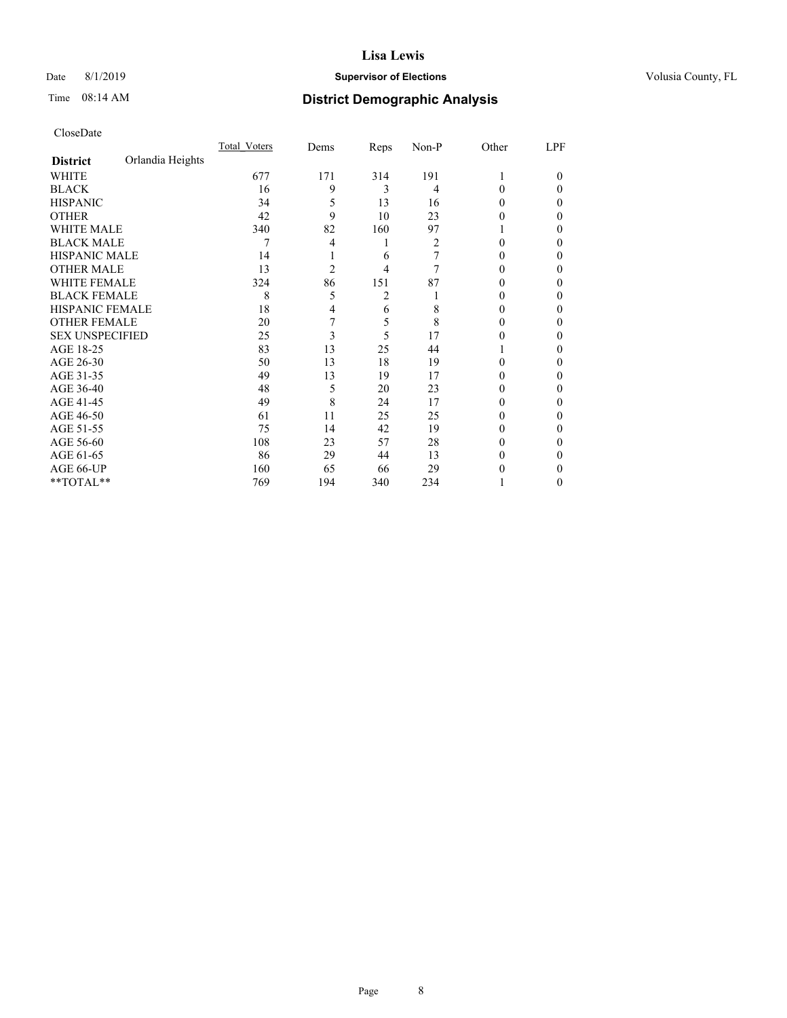#### Date 8/1/2019 **Supervisor of Elections Supervisor of Elections** Volusia County, FL

### Time 08:14 AM **District Demographic Analysis**

|                        |                  | Total Voters | Dems           | Reps | Non-P | Other | LPF    |
|------------------------|------------------|--------------|----------------|------|-------|-------|--------|
| <b>District</b>        | Orlandia Heights |              |                |      |       |       |        |
| WHITE                  |                  | 677          | 171            | 314  | 191   |       | $_{0}$ |
| <b>BLACK</b>           |                  | 16           | 9              | 3    | 4     | 0     | 0      |
| <b>HISPANIC</b>        |                  | 34           | 5              | 13   | 16    | 0     | 0      |
| <b>OTHER</b>           |                  | 42           | 9              | 10   | 23    | 0     | 0      |
| WHITE MALE             |                  | 340          | 82             | 160  | 97    |       | 0      |
| <b>BLACK MALE</b>      |                  | 7            | 4              | 1    | 2     | 0     | 0      |
| <b>HISPANIC MALE</b>   |                  | 14           |                | 6    | 7     | 0     | 0      |
| <b>OTHER MALE</b>      |                  | 13           | $\overline{2}$ | 4    | 7     | 0     | 0      |
| <b>WHITE FEMALE</b>    |                  | 324          | 86             | 151  | 87    |       | 0      |
| <b>BLACK FEMALE</b>    |                  | 8            | 5              | 2    |       | 0     | 0      |
| <b>HISPANIC FEMALE</b> |                  | 18           | 4              | 6    | 8     | 0     | 0      |
| <b>OTHER FEMALE</b>    |                  | 20           | 7              | 5    | 8     | 0     | 0      |
| <b>SEX UNSPECIFIED</b> |                  | 25           | 3              | 5    | 17    |       | 0      |
| AGE 18-25              |                  | 83           | 13             | 25   | 44    |       | 0      |
| AGE 26-30              |                  | 50           | 13             | 18   | 19    | 0     | 0      |
| AGE 31-35              |                  | 49           | 13             | 19   | 17    |       | 0      |
| AGE 36-40              |                  | 48           | 5              | 20   | 23    | 0     | 0      |
| AGE 41-45              |                  | 49           | 8              | 24   | 17    |       | 0      |
| AGE 46-50              |                  | 61           | 11             | 25   | 25    | 0     | 0      |
| AGE 51-55              |                  | 75           | 14             | 42   | 19    | 0     | 0      |
| AGE 56-60              |                  | 108          | 23             | 57   | 28    | 0     | 0      |
| AGE 61-65              |                  | 86           | 29             | 44   | 13    | 0     | 0      |
| AGE 66-UP              |                  | 160          | 65             | 66   | 29    |       | 0      |
| **TOTAL**              |                  | 769          | 194            | 340  | 234   |       | 0      |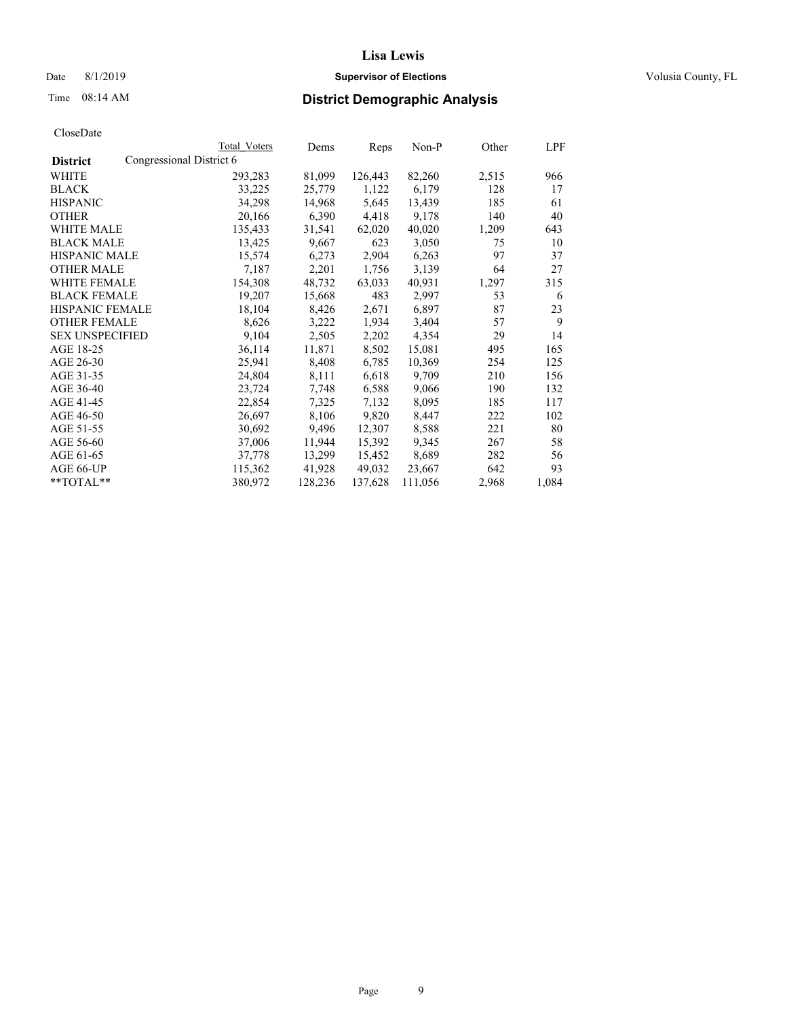### Date 8/1/2019 **Supervisor of Elections Supervisor of Elections** Volusia County, FL

### Time 08:14 AM **District Demographic Analysis**

|                        |                          | Total Voters | Dems    | Reps    | Non-P   | Other | LPF   |
|------------------------|--------------------------|--------------|---------|---------|---------|-------|-------|
| <b>District</b>        | Congressional District 6 |              |         |         |         |       |       |
| WHITE                  |                          | 293,283      | 81,099  | 126,443 | 82,260  | 2,515 | 966   |
| <b>BLACK</b>           |                          | 33,225       | 25,779  | 1,122   | 6,179   | 128   | 17    |
| <b>HISPANIC</b>        |                          | 34,298       | 14,968  | 5,645   | 13,439  | 185   | 61    |
| <b>OTHER</b>           |                          | 20,166       | 6,390   | 4,418   | 9,178   | 140   | 40    |
| WHITE MALE             |                          | 135,433      | 31,541  | 62,020  | 40,020  | 1,209 | 643   |
| <b>BLACK MALE</b>      |                          | 13,425       | 9,667   | 623     | 3,050   | 75    | 10    |
| <b>HISPANIC MALE</b>   |                          | 15,574       | 6,273   | 2,904   | 6,263   | 97    | 37    |
| <b>OTHER MALE</b>      |                          | 7,187        | 2,201   | 1,756   | 3,139   | 64    | 27    |
| <b>WHITE FEMALE</b>    |                          | 154,308      | 48,732  | 63,033  | 40,931  | 1,297 | 315   |
| <b>BLACK FEMALE</b>    |                          | 19,207       | 15,668  | 483     | 2,997   | 53    | 6     |
| <b>HISPANIC FEMALE</b> |                          | 18,104       | 8,426   | 2,671   | 6,897   | 87    | 23    |
| <b>OTHER FEMALE</b>    |                          | 8,626        | 3,222   | 1,934   | 3,404   | 57    | 9     |
| <b>SEX UNSPECIFIED</b> |                          | 9,104        | 2,505   | 2,202   | 4,354   | 29    | 14    |
| AGE 18-25              |                          | 36,114       | 11,871  | 8,502   | 15,081  | 495   | 165   |
| AGE 26-30              |                          | 25,941       | 8,408   | 6,785   | 10,369  | 254   | 125   |
| AGE 31-35              |                          | 24,804       | 8,111   | 6,618   | 9,709   | 210   | 156   |
| AGE 36-40              |                          | 23,724       | 7,748   | 6,588   | 9,066   | 190   | 132   |
| AGE 41-45              |                          | 22,854       | 7,325   | 7,132   | 8,095   | 185   | 117   |
| AGE 46-50              |                          | 26,697       | 8,106   | 9,820   | 8,447   | 222   | 102   |
| AGE 51-55              |                          | 30,692       | 9,496   | 12,307  | 8,588   | 221   | 80    |
| AGE 56-60              |                          | 37,006       | 11,944  | 15,392  | 9,345   | 267   | 58    |
| AGE 61-65              |                          | 37,778       | 13,299  | 15,452  | 8,689   | 282   | 56    |
| AGE 66-UP              |                          | 115,362      | 41,928  | 49,032  | 23,667  | 642   | 93    |
| $*$ TOTAL $*$          |                          | 380,972      | 128,236 | 137,628 | 111,056 | 2,968 | 1,084 |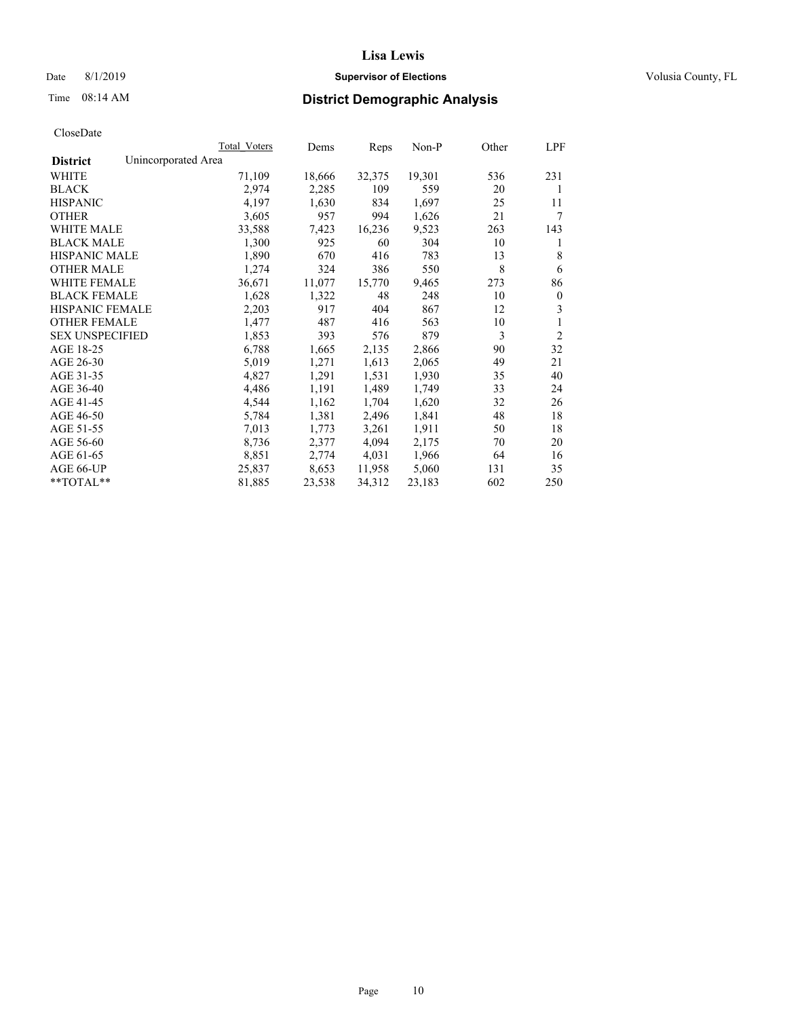#### Date 8/1/2019 **Supervisor of Elections Supervisor of Elections** Volusia County, FL

### Time 08:14 AM **District Demographic Analysis**

|                        | Total Voters        | Dems   | Reps   | Non-P  | Other | LPF            |
|------------------------|---------------------|--------|--------|--------|-------|----------------|
| <b>District</b>        | Unincorporated Area |        |        |        |       |                |
| WHITE                  | 71,109              | 18,666 | 32,375 | 19,301 | 536   | 231            |
| <b>BLACK</b>           | 2,974               | 2,285  | 109    | 559    | 20    | 1              |
| <b>HISPANIC</b>        | 4,197               | 1,630  | 834    | 1,697  | 25    | 11             |
| <b>OTHER</b>           | 3,605               | 957    | 994    | 1,626  | 21    | 7              |
| WHITE MALE             | 33,588              | 7,423  | 16,236 | 9,523  | 263   | 143            |
| <b>BLACK MALE</b>      | 1,300               | 925    | 60     | 304    | 10    | 1              |
| <b>HISPANIC MALE</b>   | 1,890               | 670    | 416    | 783    | 13    | 8              |
| <b>OTHER MALE</b>      | 1,274               | 324    | 386    | 550    | 8     | 6              |
| WHITE FEMALE           | 36,671              | 11,077 | 15,770 | 9,465  | 273   | 86             |
| <b>BLACK FEMALE</b>    | 1,628               | 1,322  | 48     | 248    | 10    | $\mathbf{0}$   |
| <b>HISPANIC FEMALE</b> | 2,203               | 917    | 404    | 867    | 12    | 3              |
| <b>OTHER FEMALE</b>    | 1,477               | 487    | 416    | 563    | 10    | 1              |
| <b>SEX UNSPECIFIED</b> | 1,853               | 393    | 576    | 879    | 3     | $\overline{2}$ |
| AGE 18-25              | 6,788               | 1,665  | 2,135  | 2,866  | 90    | 32             |
| AGE 26-30              | 5,019               | 1,271  | 1,613  | 2,065  | 49    | 21             |
| AGE 31-35              | 4,827               | 1,291  | 1,531  | 1,930  | 35    | 40             |
| AGE 36-40              | 4,486               | 1,191  | 1,489  | 1,749  | 33    | 24             |
| AGE 41-45              | 4,544               | 1,162  | 1,704  | 1,620  | 32    | 26             |
| AGE 46-50              | 5,784               | 1,381  | 2,496  | 1,841  | 48    | 18             |
| AGE 51-55              | 7,013               | 1,773  | 3,261  | 1,911  | 50    | 18             |
| AGE 56-60              | 8,736               | 2,377  | 4,094  | 2,175  | 70    | 20             |
| AGE 61-65              | 8,851               | 2,774  | 4,031  | 1,966  | 64    | 16             |
| AGE 66-UP              | 25,837              | 8,653  | 11,958 | 5,060  | 131   | 35             |
| $*$ $TOTAL**$          | 81,885              | 23,538 | 34,312 | 23,183 | 602   | 250            |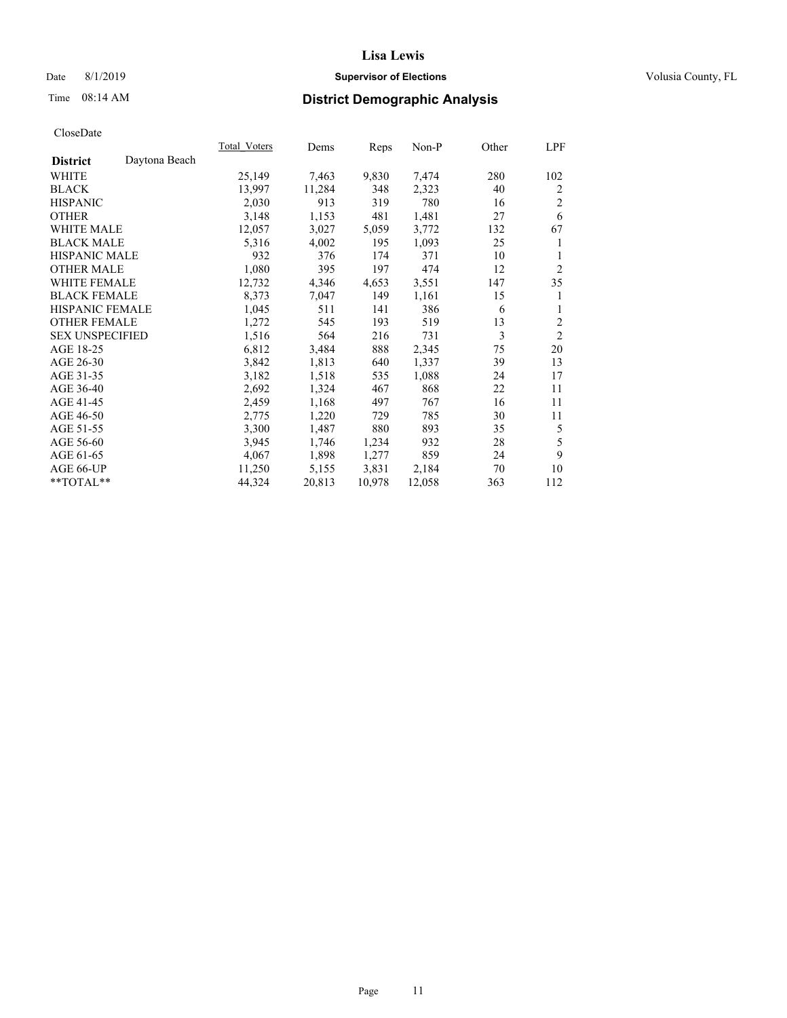### Date 8/1/2019 **Supervisor of Elections Supervisor of Elections** Volusia County, FL

### Time 08:14 AM **District Demographic Analysis**

|                        |               | Total Voters | Dems   | Reps   | Non-P  | Other | LPF            |
|------------------------|---------------|--------------|--------|--------|--------|-------|----------------|
| <b>District</b>        | Daytona Beach |              |        |        |        |       |                |
| WHITE                  |               | 25,149       | 7,463  | 9,830  | 7,474  | 280   | 102            |
| <b>BLACK</b>           |               | 13,997       | 11,284 | 348    | 2,323  | 40    | 2              |
| <b>HISPANIC</b>        |               | 2,030        | 913    | 319    | 780    | 16    | 2              |
| <b>OTHER</b>           |               | 3,148        | 1,153  | 481    | 1,481  | 27    | 6              |
| <b>WHITE MALE</b>      |               | 12,057       | 3,027  | 5,059  | 3,772  | 132   | 67             |
| <b>BLACK MALE</b>      |               | 5,316        | 4,002  | 195    | 1,093  | 25    | 1              |
| <b>HISPANIC MALE</b>   |               | 932          | 376    | 174    | 371    | 10    | 1              |
| <b>OTHER MALE</b>      |               | 1,080        | 395    | 197    | 474    | 12    | $\overline{2}$ |
| <b>WHITE FEMALE</b>    |               | 12,732       | 4,346  | 4,653  | 3,551  | 147   | 35             |
| <b>BLACK FEMALE</b>    |               | 8,373        | 7,047  | 149    | 1,161  | 15    | 1              |
| <b>HISPANIC FEMALE</b> |               | 1,045        | 511    | 141    | 386    | 6     | 1              |
| <b>OTHER FEMALE</b>    |               | 1,272        | 545    | 193    | 519    | 13    | $\overline{c}$ |
| <b>SEX UNSPECIFIED</b> |               | 1,516        | 564    | 216    | 731    | 3     | $\overline{2}$ |
| AGE 18-25              |               | 6,812        | 3,484  | 888    | 2,345  | 75    | 20             |
| AGE 26-30              |               | 3,842        | 1,813  | 640    | 1,337  | 39    | 13             |
| AGE 31-35              |               | 3,182        | 1,518  | 535    | 1,088  | 24    | 17             |
| AGE 36-40              |               | 2,692        | 1,324  | 467    | 868    | 22    | 11             |
| AGE 41-45              |               | 2,459        | 1,168  | 497    | 767    | 16    | 11             |
| AGE 46-50              |               | 2,775        | 1,220  | 729    | 785    | 30    | 11             |
| AGE 51-55              |               | 3,300        | 1,487  | 880    | 893    | 35    | 5              |
| AGE 56-60              |               | 3,945        | 1,746  | 1,234  | 932    | 28    | 5              |
| AGE 61-65              |               | 4,067        | 1,898  | 1,277  | 859    | 24    | 9              |
| AGE 66-UP              |               | 11,250       | 5,155  | 3,831  | 2,184  | 70    | 10             |
| $*$ TOTAL $*$          |               | 44,324       | 20,813 | 10,978 | 12,058 | 363   | 112            |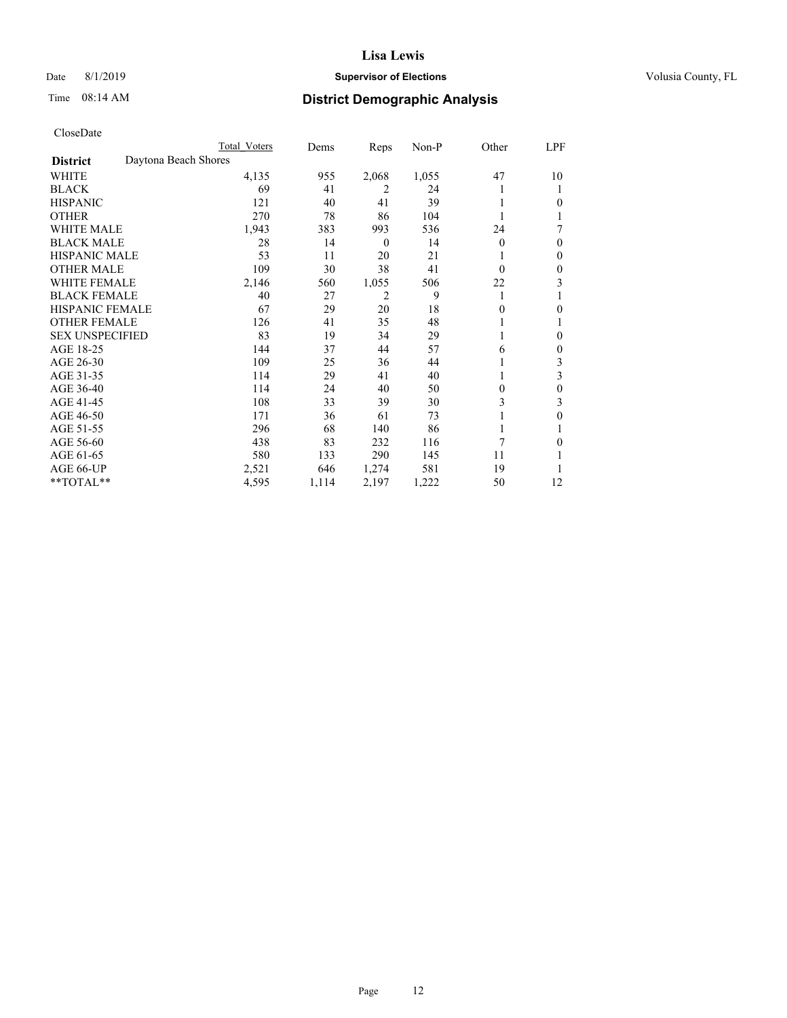### Date 8/1/2019 **Supervisor of Elections Supervisor of Elections** Volusia County, FL

### Time 08:14 AM **District Demographic Analysis**

|                                         | Total Voters | Dems  | Reps     | $Non-P$ | Other    | <b>LPF</b> |
|-----------------------------------------|--------------|-------|----------|---------|----------|------------|
| Daytona Beach Shores<br><b>District</b> |              |       |          |         |          |            |
| WHITE                                   | 4,135        | 955   | 2,068    | 1,055   | 47       | 10         |
| <b>BLACK</b>                            | 69           | 41    | 2        | 24      |          | 1          |
| <b>HISPANIC</b>                         | 121          | 40    | 41       | 39      |          | 0          |
| <b>OTHER</b>                            | 270          | 78    | 86       | 104     |          |            |
| <b>WHITE MALE</b>                       | 1,943        | 383   | 993      | 536     | 24       | 7          |
| <b>BLACK MALE</b>                       | 28           | 14    | $\theta$ | 14      | $\Omega$ | 0          |
| <b>HISPANIC MALE</b>                    | 53           | 11    | 20       | 21      |          | 0          |
| <b>OTHER MALE</b>                       | 109          | 30    | 38       | 41      | $\Omega$ | 0          |
| <b>WHITE FEMALE</b>                     | 2,146        | 560   | 1,055    | 506     | 22       | 3          |
| <b>BLACK FEMALE</b>                     | 40           | 27    | 2        | 9       | 1        |            |
| <b>HISPANIC FEMALE</b>                  | 67           | 29    | 20       | 18      | 0        | 0          |
| <b>OTHER FEMALE</b>                     | 126          | 41    | 35       | 48      |          |            |
| <b>SEX UNSPECIFIED</b>                  | 83           | 19    | 34       | 29      |          | 0          |
| AGE 18-25                               | 144          | 37    | 44       | 57      | 6        | 0          |
| AGE 26-30                               | 109          | 25    | 36       | 44      |          | 3          |
| AGE 31-35                               | 114          | 29    | 41       | 40      |          | 3          |
| AGE 36-40                               | 114          | 24    | 40       | 50      | $\theta$ | 0          |
| AGE 41-45                               | 108          | 33    | 39       | 30      | 3        | 3          |
| AGE 46-50                               | 171          | 36    | 61       | 73      |          | 0          |
| AGE 51-55                               | 296          | 68    | 140      | 86      | 1        |            |
| AGE 56-60                               | 438          | 83    | 232      | 116     | 7        | 0          |
| AGE 61-65                               | 580          | 133   | 290      | 145     | 11       |            |
| AGE 66-UP                               | 2,521        | 646   | 1,274    | 581     | 19       |            |
| **TOTAL**                               | 4,595        | 1,114 | 2,197    | 1,222   | 50       | 12         |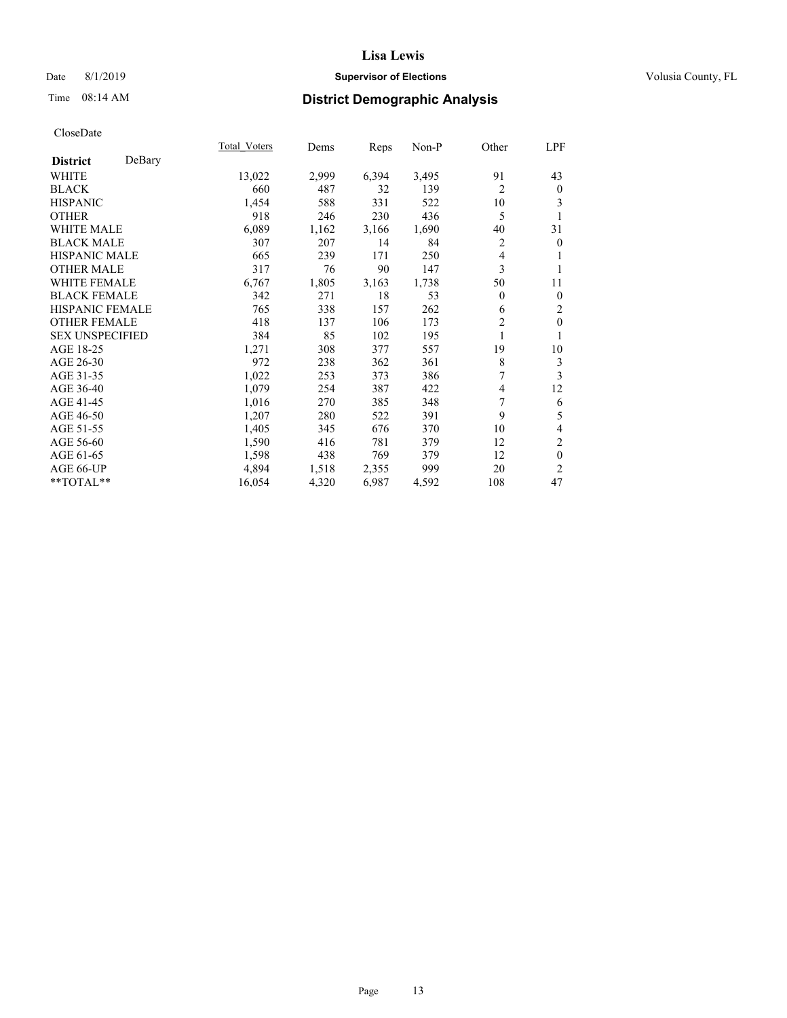### Date 8/1/2019 **Supervisor of Elections Supervisor of Elections** Volusia County, FL

### Time 08:14 AM **District Demographic Analysis**

|                        |        | Total Voters | Dems  | Reps  | Non-P | Other          | LPF              |
|------------------------|--------|--------------|-------|-------|-------|----------------|------------------|
| <b>District</b>        | DeBary |              |       |       |       |                |                  |
| WHITE                  |        | 13,022       | 2,999 | 6,394 | 3,495 | 91             | 43               |
| <b>BLACK</b>           |        | 660          | 487   | 32    | 139   | $\overline{2}$ | $\bf{0}$         |
| <b>HISPANIC</b>        |        | 1,454        | 588   | 331   | 522   | 10             | 3                |
| <b>OTHER</b>           |        | 918          | 246   | 230   | 436   | 5              | 1                |
| WHITE MALE             |        | 6,089        | 1,162 | 3,166 | 1,690 | 40             | 31               |
| <b>BLACK MALE</b>      |        | 307          | 207   | 14    | 84    | 2              | $\theta$         |
| <b>HISPANIC MALE</b>   |        | 665          | 239   | 171   | 250   | 4              | 1                |
| <b>OTHER MALE</b>      |        | 317          | 76    | 90    | 147   | 3              | 1                |
| <b>WHITE FEMALE</b>    |        | 6,767        | 1,805 | 3,163 | 1,738 | 50             | 11               |
| <b>BLACK FEMALE</b>    |        | 342          | 271   | 18    | 53    | $\overline{0}$ | $\boldsymbol{0}$ |
| <b>HISPANIC FEMALE</b> |        | 765          | 338   | 157   | 262   | 6              | $\overline{2}$   |
| <b>OTHER FEMALE</b>    |        | 418          | 137   | 106   | 173   | $\overline{c}$ | $\mathbf{0}$     |
| <b>SEX UNSPECIFIED</b> |        | 384          | 85    | 102   | 195   | 1              | 1                |
| AGE 18-25              |        | 1,271        | 308   | 377   | 557   | 19             | 10               |
| AGE 26-30              |        | 972          | 238   | 362   | 361   | 8              | 3                |
| AGE 31-35              |        | 1,022        | 253   | 373   | 386   | 7              | 3                |
| AGE 36-40              |        | 1,079        | 254   | 387   | 422   | 4              | 12               |
| AGE 41-45              |        | 1,016        | 270   | 385   | 348   | 7              | 6                |
| AGE 46-50              |        | 1,207        | 280   | 522   | 391   | 9              | 5                |
| AGE 51-55              |        | 1,405        | 345   | 676   | 370   | 10             | $\overline{4}$   |
| AGE 56-60              |        | 1,590        | 416   | 781   | 379   | 12             | $\mathfrak{2}$   |
| AGE 61-65              |        | 1,598        | 438   | 769   | 379   | 12             | $\mathbf{0}$     |
| AGE 66-UP              |        | 4,894        | 1,518 | 2,355 | 999   | 20             | $\overline{2}$   |
| **TOTAL**              |        | 16,054       | 4,320 | 6,987 | 4,592 | 108            | 47               |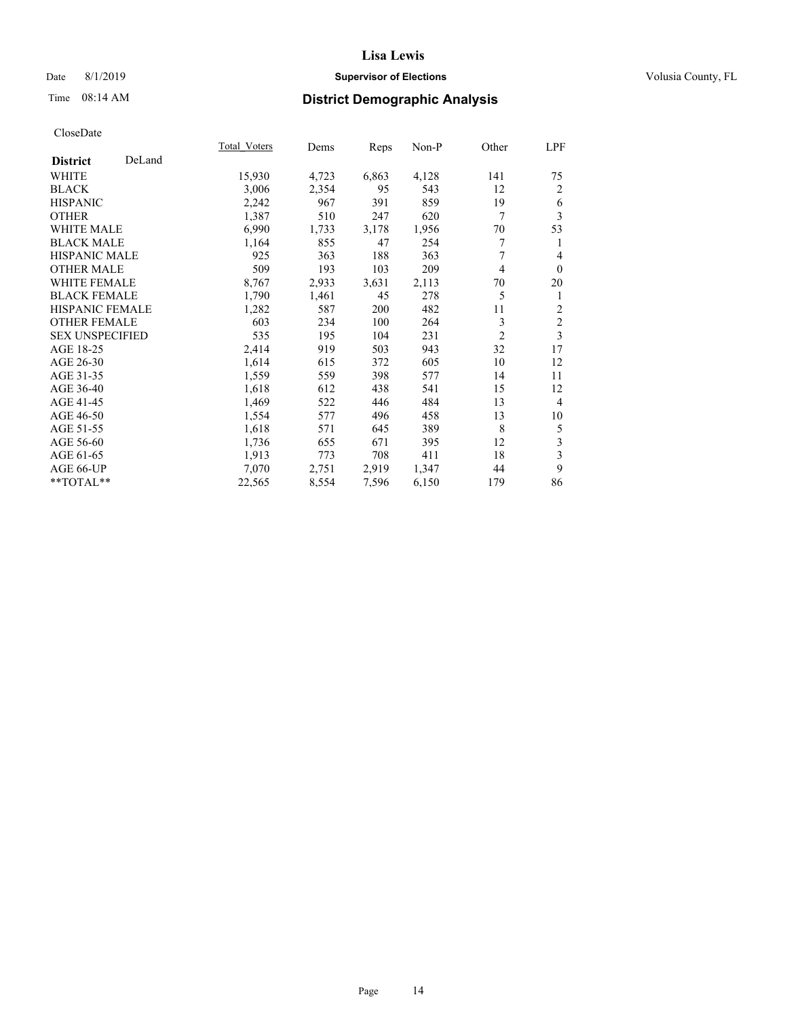### Date 8/1/2019 **Supervisor of Elections Supervisor of Elections** Volusia County, FL

### Time 08:14 AM **District Demographic Analysis**

|                        |        | Total Voters | Dems  | Reps  | Non-P | Other          | LPF            |
|------------------------|--------|--------------|-------|-------|-------|----------------|----------------|
| <b>District</b>        | DeLand |              |       |       |       |                |                |
| WHITE                  |        | 15,930       | 4,723 | 6,863 | 4,128 | 141            | 75             |
| <b>BLACK</b>           |        | 3,006        | 2,354 | 95    | 543   | 12             | $\overline{2}$ |
| <b>HISPANIC</b>        |        | 2,242        | 967   | 391   | 859   | 19             | 6              |
| <b>OTHER</b>           |        | 1,387        | 510   | 247   | 620   | 7              | 3              |
| <b>WHITE MALE</b>      |        | 6,990        | 1,733 | 3,178 | 1,956 | 70             | 53             |
| <b>BLACK MALE</b>      |        | 1,164        | 855   | 47    | 254   | 7              | 1              |
| <b>HISPANIC MALE</b>   |        | 925          | 363   | 188   | 363   | 7              | 4              |
| <b>OTHER MALE</b>      |        | 509          | 193   | 103   | 209   | 4              | $\mathbf{0}$   |
| <b>WHITE FEMALE</b>    |        | 8,767        | 2,933 | 3,631 | 2,113 | 70             | 20             |
| <b>BLACK FEMALE</b>    |        | 1,790        | 1,461 | 45    | 278   | 5              | 1              |
| <b>HISPANIC FEMALE</b> |        | 1,282        | 587   | 200   | 482   | 11             | $\overline{2}$ |
| <b>OTHER FEMALE</b>    |        | 603          | 234   | 100   | 264   | 3              | $\mathfrak{2}$ |
| <b>SEX UNSPECIFIED</b> |        | 535          | 195   | 104   | 231   | $\overline{2}$ | 3              |
| AGE 18-25              |        | 2,414        | 919   | 503   | 943   | 32             | 17             |
| AGE 26-30              |        | 1,614        | 615   | 372   | 605   | 10             | 12             |
| AGE 31-35              |        | 1,559        | 559   | 398   | 577   | 14             | 11             |
| AGE 36-40              |        | 1,618        | 612   | 438   | 541   | 15             | 12             |
| AGE 41-45              |        | 1,469        | 522   | 446   | 484   | 13             | $\overline{4}$ |
| AGE 46-50              |        | 1,554        | 577   | 496   | 458   | 13             | 10             |
| AGE 51-55              |        | 1,618        | 571   | 645   | 389   | 8              | 5              |
| AGE 56-60              |        | 1,736        | 655   | 671   | 395   | 12             | 3              |
| AGE 61-65              |        | 1,913        | 773   | 708   | 411   | 18             | 3              |
| AGE 66-UP              |        | 7,070        | 2,751 | 2,919 | 1,347 | 44             | 9              |
| **TOTAL**              |        | 22,565       | 8,554 | 7,596 | 6,150 | 179            | 86             |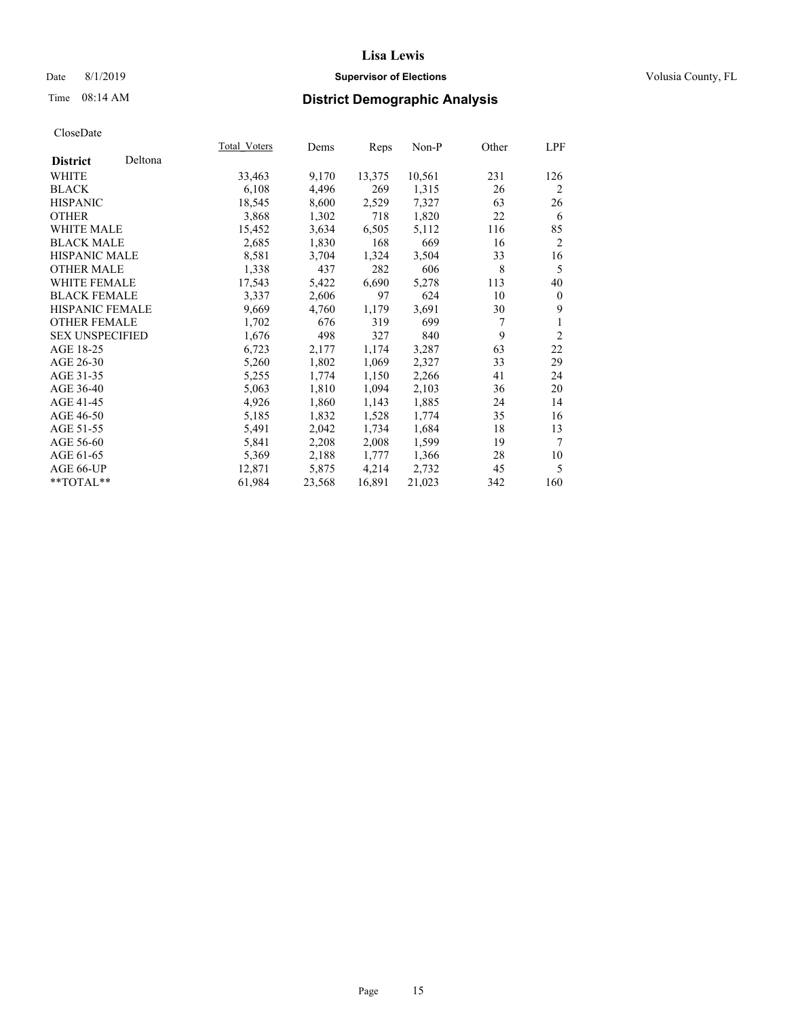### Date 8/1/2019 **Supervisor of Elections Supervisor of Elections** Volusia County, FL

### Time 08:14 AM **District Demographic Analysis**

|                        |         | Total Voters | Dems   | Reps   | Non-P  | Other | LPF            |
|------------------------|---------|--------------|--------|--------|--------|-------|----------------|
| <b>District</b>        | Deltona |              |        |        |        |       |                |
| WHITE                  |         | 33,463       | 9,170  | 13,375 | 10,561 | 231   | 126            |
| <b>BLACK</b>           |         | 6,108        | 4,496  | 269    | 1,315  | 26    | 2              |
| <b>HISPANIC</b>        |         | 18,545       | 8,600  | 2,529  | 7,327  | 63    | 26             |
| <b>OTHER</b>           |         | 3,868        | 1,302  | 718    | 1,820  | 22    | 6              |
| WHITE MALE             |         | 15,452       | 3,634  | 6,505  | 5,112  | 116   | 85             |
| <b>BLACK MALE</b>      |         | 2,685        | 1,830  | 168    | 669    | 16    | $\overline{2}$ |
| <b>HISPANIC MALE</b>   |         | 8,581        | 3,704  | 1,324  | 3,504  | 33    | 16             |
| <b>OTHER MALE</b>      |         | 1,338        | 437    | 282    | 606    | 8     | 5              |
| WHITE FEMALE           |         | 17,543       | 5,422  | 6,690  | 5,278  | 113   | 40             |
| <b>BLACK FEMALE</b>    |         | 3,337        | 2,606  | 97     | 624    | 10    | $\theta$       |
| HISPANIC FEMALE        |         | 9,669        | 4,760  | 1,179  | 3,691  | 30    | 9              |
| <b>OTHER FEMALE</b>    |         | 1,702        | 676    | 319    | 699    | 7     | 1              |
| <b>SEX UNSPECIFIED</b> |         | 1,676        | 498    | 327    | 840    | 9     | $\overline{2}$ |
| AGE 18-25              |         | 6,723        | 2,177  | 1,174  | 3,287  | 63    | 22             |
| AGE 26-30              |         | 5,260        | 1,802  | 1,069  | 2,327  | 33    | 29             |
| AGE 31-35              |         | 5,255        | 1,774  | 1,150  | 2,266  | 41    | 24             |
| AGE 36-40              |         | 5,063        | 1,810  | 1,094  | 2,103  | 36    | 20             |
| AGE 41-45              |         | 4,926        | 1,860  | 1,143  | 1,885  | 24    | 14             |
| AGE 46-50              |         | 5,185        | 1,832  | 1,528  | 1,774  | 35    | 16             |
| AGE 51-55              |         | 5,491        | 2,042  | 1,734  | 1,684  | 18    | 13             |
| AGE 56-60              |         | 5,841        | 2,208  | 2,008  | 1,599  | 19    | 7              |
| AGE 61-65              |         | 5,369        | 2,188  | 1,777  | 1,366  | 28    | 10             |
| AGE 66-UP              |         | 12,871       | 5,875  | 4,214  | 2,732  | 45    | 5              |
| $*$ $TOTAL**$          |         | 61,984       | 23,568 | 16,891 | 21,023 | 342   | 160            |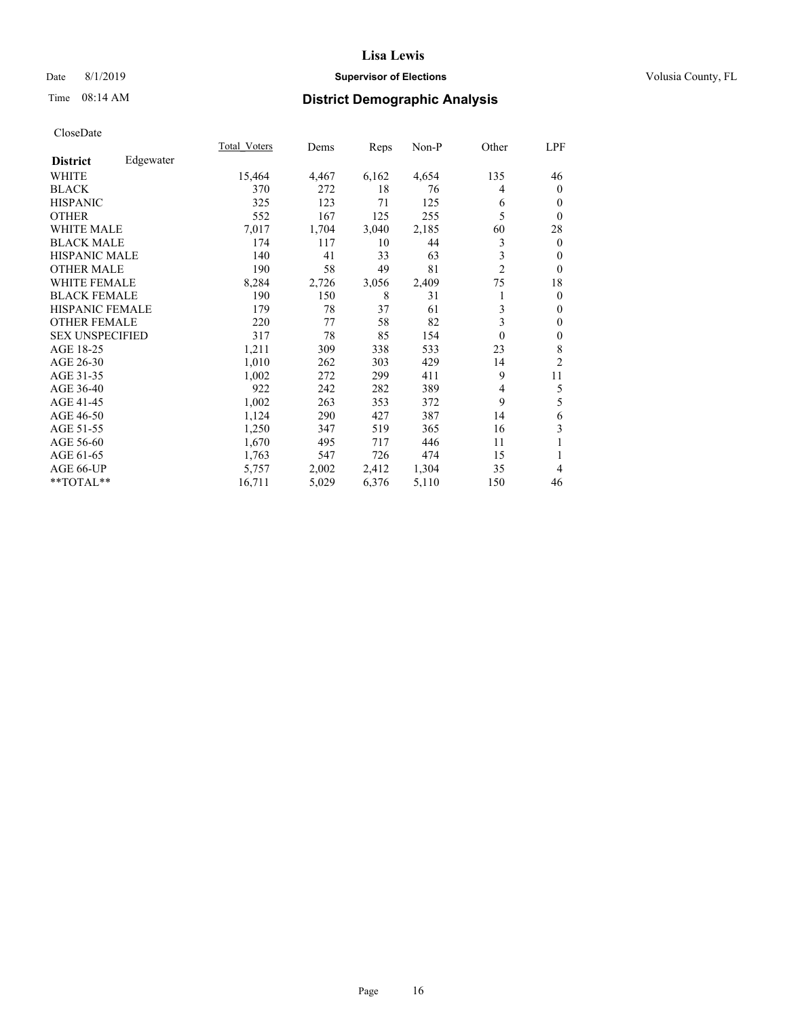### Date 8/1/2019 **Supervisor of Elections Supervisor of Elections** Volusia County, FL

### Time 08:14 AM **District Demographic Analysis**

|                        |           | Total Voters | Dems  | Reps  | Non-P | Other          | LPF            |
|------------------------|-----------|--------------|-------|-------|-------|----------------|----------------|
| <b>District</b>        | Edgewater |              |       |       |       |                |                |
| WHITE                  |           | 15,464       | 4,467 | 6,162 | 4,654 | 135            | 46             |
| <b>BLACK</b>           |           | 370          | 272   | 18    | 76    | 4              | $\mathbf{0}$   |
| <b>HISPANIC</b>        |           | 325          | 123   | 71    | 125   | 6              | $\mathbf{0}$   |
| <b>OTHER</b>           |           | 552          | 167   | 125   | 255   | 5              | $\theta$       |
| <b>WHITE MALE</b>      |           | 7,017        | 1,704 | 3,040 | 2,185 | 60             | 28             |
| <b>BLACK MALE</b>      |           | 174          | 117   | 10    | 44    | 3              | $\mathbf{0}$   |
| <b>HISPANIC MALE</b>   |           | 140          | 41    | 33    | 63    | 3              | $\theta$       |
| <b>OTHER MALE</b>      |           | 190          | 58    | 49    | 81    | $\overline{2}$ | $\theta$       |
| <b>WHITE FEMALE</b>    |           | 8,284        | 2,726 | 3,056 | 2,409 | 75             | 18             |
| <b>BLACK FEMALE</b>    |           | 190          | 150   | 8     | 31    | 1              | $\mathbf{0}$   |
| <b>HISPANIC FEMALE</b> |           | 179          | 78    | 37    | 61    | 3              | $\mathbf{0}$   |
| <b>OTHER FEMALE</b>    |           | 220          | 77    | 58    | 82    | 3              | $\theta$       |
| <b>SEX UNSPECIFIED</b> |           | 317          | 78    | 85    | 154   | $\theta$       | $\mathbf{0}$   |
| AGE 18-25              |           | 1,211        | 309   | 338   | 533   | 23             | 8              |
| AGE 26-30              |           | 1,010        | 262   | 303   | 429   | 14             | $\overline{2}$ |
| AGE 31-35              |           | 1,002        | 272   | 299   | 411   | 9              | 11             |
| AGE 36-40              |           | 922          | 242   | 282   | 389   | 4              | 5              |
| AGE 41-45              |           | 1,002        | 263   | 353   | 372   | 9              | 5              |
| AGE 46-50              |           | 1,124        | 290   | 427   | 387   | 14             | 6              |
| AGE 51-55              |           | 1,250        | 347   | 519   | 365   | 16             | 3              |
| AGE 56-60              |           | 1,670        | 495   | 717   | 446   | 11             | 1              |
| AGE 61-65              |           | 1,763        | 547   | 726   | 474   | 15             | 1              |
| AGE 66-UP              |           | 5,757        | 2,002 | 2,412 | 1,304 | 35             | 4              |
| **TOTAL**              |           | 16,711       | 5,029 | 6,376 | 5,110 | 150            | 46             |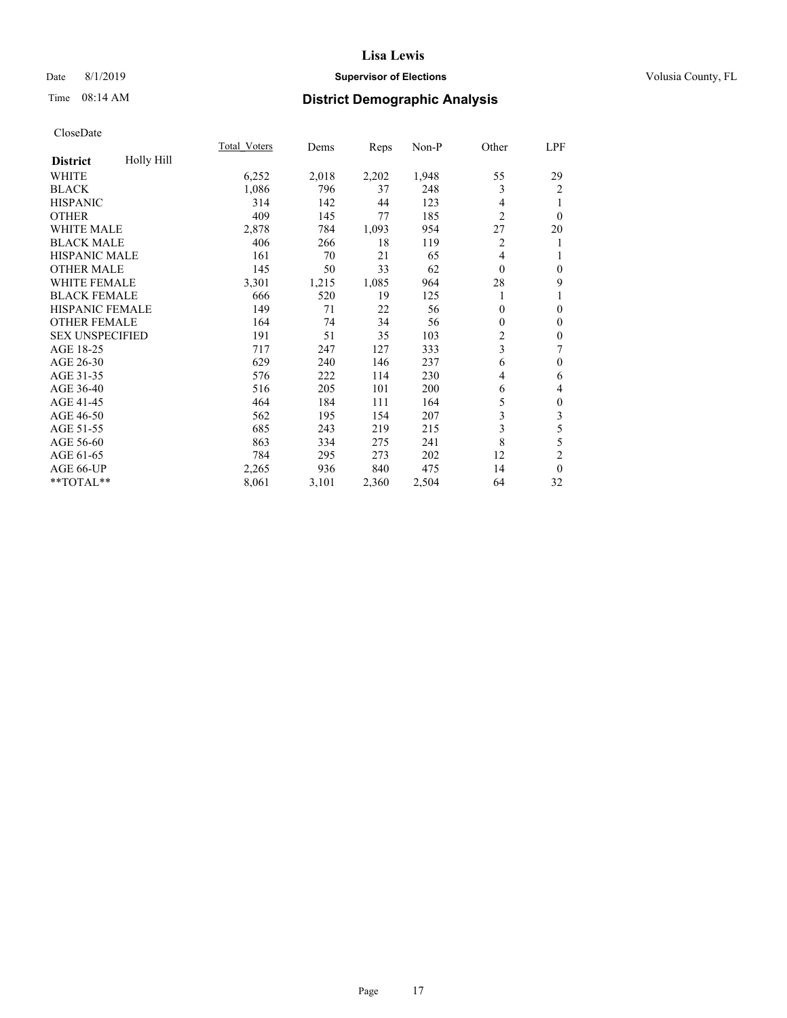### Date 8/1/2019 **Supervisor of Elections Supervisor of Elections** Volusia County, FL

### Time 08:14 AM **District Demographic Analysis**

|                        |            | Total Voters | Dems  | Reps  | Non-P | Other          | LPF              |
|------------------------|------------|--------------|-------|-------|-------|----------------|------------------|
| <b>District</b>        | Holly Hill |              |       |       |       |                |                  |
| WHITE                  |            | 6,252        | 2,018 | 2,202 | 1,948 | 55             | 29               |
| <b>BLACK</b>           |            | 1,086        | 796   | 37    | 248   | 3              | 2                |
| <b>HISPANIC</b>        |            | 314          | 142   | 44    | 123   | $\overline{4}$ | 1                |
| <b>OTHER</b>           |            | 409          | 145   | 77    | 185   | $\overline{2}$ | $\theta$         |
| WHITE MALE             |            | 2,878        | 784   | 1,093 | 954   | 27             | 20               |
| <b>BLACK MALE</b>      |            | 406          | 266   | 18    | 119   | 2              | 1                |
| HISPANIC MALE          |            | 161          | 70    | 21    | 65    | 4              | 1                |
| <b>OTHER MALE</b>      |            | 145          | 50    | 33    | 62    | $\theta$       | $\theta$         |
| WHITE FEMALE           |            | 3,301        | 1,215 | 1,085 | 964   | 28             | 9                |
| <b>BLACK FEMALE</b>    |            | 666          | 520   | 19    | 125   |                | 1                |
| <b>HISPANIC FEMALE</b> |            | 149          | 71    | 22    | 56    | $\theta$       | $\mathbf{0}$     |
| <b>OTHER FEMALE</b>    |            | 164          | 74    | 34    | 56    | 0              | $\mathbf{0}$     |
| <b>SEX UNSPECIFIED</b> |            | 191          | 51    | 35    | 103   | 2              | $\mathbf{0}$     |
| AGE 18-25              |            | 717          | 247   | 127   | 333   | 3              | 7                |
| AGE 26-30              |            | 629          | 240   | 146   | 237   | 6              | $\mathbf{0}$     |
| AGE 31-35              |            | 576          | 222   | 114   | 230   | 4              | 6                |
| AGE 36-40              |            | 516          | 205   | 101   | 200   | 6              | 4                |
| AGE 41-45              |            | 464          | 184   | 111   | 164   | 5              | $\boldsymbol{0}$ |
| AGE 46-50              |            | 562          | 195   | 154   | 207   | 3              | 3                |
| AGE 51-55              |            | 685          | 243   | 219   | 215   | 3              | 5                |
| AGE 56-60              |            | 863          | 334   | 275   | 241   | 8              | 5                |
| AGE 61-65              |            | 784          | 295   | 273   | 202   | 12             | $\overline{2}$   |
| AGE 66-UP              |            | 2,265        | 936   | 840   | 475   | 14             | $\theta$         |
| **TOTAL**              |            | 8,061        | 3,101 | 2,360 | 2,504 | 64             | 32               |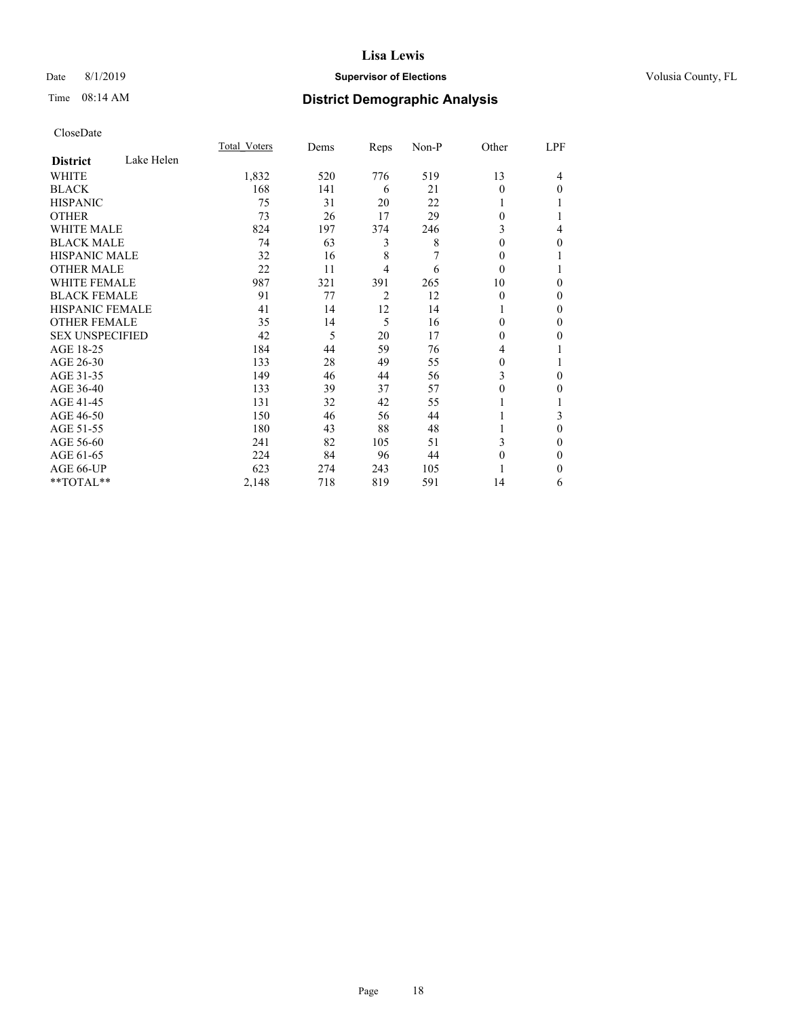### Date 8/1/2019 **Supervisor of Elections Supervisor of Elections** Volusia County, FL

### Time 08:14 AM **District Demographic Analysis**

|                        |            | Total Voters | Dems | Reps           | Non-P | Other    | LPF |
|------------------------|------------|--------------|------|----------------|-------|----------|-----|
| <b>District</b>        | Lake Helen |              |      |                |       |          |     |
| WHITE                  |            | 1,832        | 520  | 776            | 519   | 13       | 4   |
| <b>BLACK</b>           |            | 168          | 141  | 6              | 21    | 0        | 0   |
| <b>HISPANIC</b>        |            | 75           | 31   | 20             | 22    |          |     |
| <b>OTHER</b>           |            | 73           | 26   | 17             | 29    | 0        |     |
| WHITE MALE             |            | 824          | 197  | 374            | 246   | 3        | 4   |
| <b>BLACK MALE</b>      |            | 74           | 63   | 3              | 8     | 0        | 0   |
| <b>HISPANIC MALE</b>   |            | 32           | 16   | 8              | 7     | 0        |     |
| <b>OTHER MALE</b>      |            | 22           | 11   | 4              | 6     | $\theta$ |     |
| <b>WHITE FEMALE</b>    |            | 987          | 321  | 391            | 265   | 10       | 0   |
| <b>BLACK FEMALE</b>    |            | 91           | 77   | $\overline{2}$ | 12    | $\theta$ | 0   |
| <b>HISPANIC FEMALE</b> |            | 41           | 14   | 12             | 14    |          | 0   |
| <b>OTHER FEMALE</b>    |            | 35           | 14   | 5              | 16    | 0        | 0   |
| <b>SEX UNSPECIFIED</b> |            | 42           | 5    | 20             | 17    | 0        | 0   |
| AGE 18-25              |            | 184          | 44   | 59             | 76    | 4        |     |
| AGE 26-30              |            | 133          | 28   | 49             | 55    | 0        |     |
| AGE 31-35              |            | 149          | 46   | 44             | 56    | 3        | 0   |
| AGE 36-40              |            | 133          | 39   | 37             | 57    | 0        | 0   |
| AGE 41-45              |            | 131          | 32   | 42             | 55    |          |     |
| AGE 46-50              |            | 150          | 46   | 56             | 44    |          | 3   |
| AGE 51-55              |            | 180          | 43   | 88             | 48    |          | 0   |
| AGE 56-60              |            | 241          | 82   | 105            | 51    | 3        | 0   |
| AGE 61-65              |            | 224          | 84   | 96             | 44    | 0        | 0   |
| AGE 66-UP              |            | 623          | 274  | 243            | 105   |          | 0   |
| **TOTAL**              |            | 2,148        | 718  | 819            | 591   | 14       | 6   |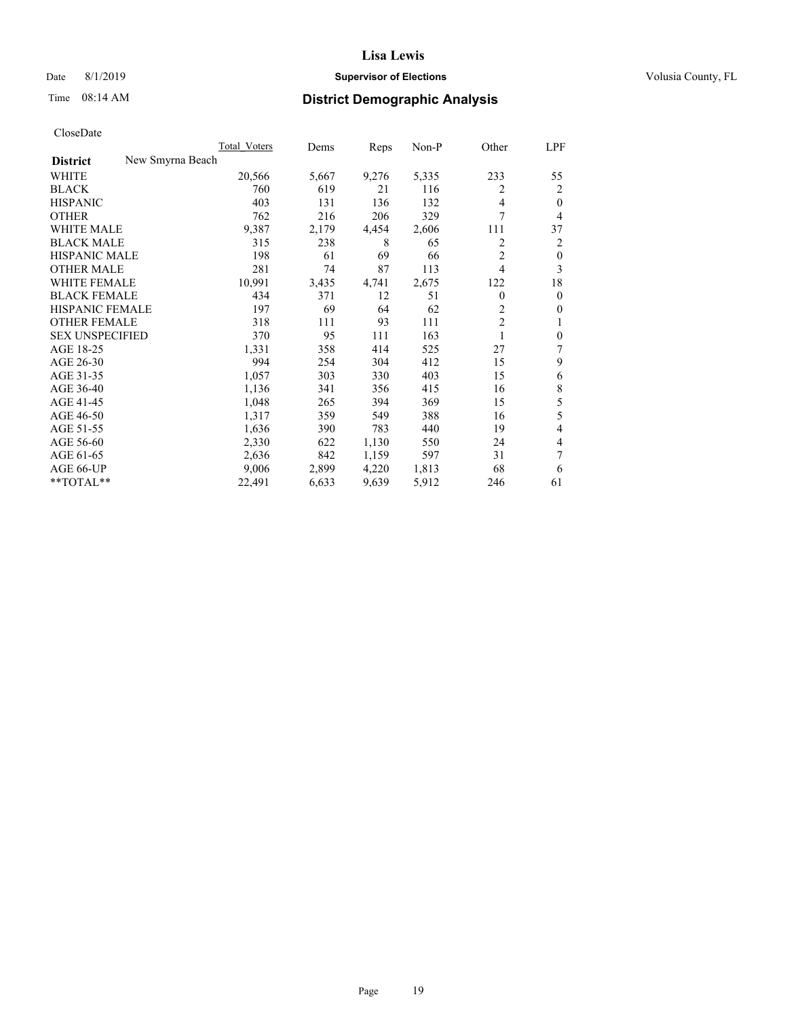### Date 8/1/2019 **Supervisor of Elections Supervisor of Elections** Volusia County, FL

### Time 08:14 AM **District Demographic Analysis**

|                                     | Total Voters | Dems  | Reps  | Non-P | Other          | LPF          |
|-------------------------------------|--------------|-------|-------|-------|----------------|--------------|
| New Smyrna Beach<br><b>District</b> |              |       |       |       |                |              |
| WHITE                               | 20,566       | 5,667 | 9,276 | 5,335 | 233            | 55           |
| <b>BLACK</b>                        | 760          | 619   | 21    | 116   | 2              | 2            |
| <b>HISPANIC</b>                     | 403          | 131   | 136   | 132   | $\overline{4}$ | $\theta$     |
| <b>OTHER</b>                        | 762          | 216   | 206   | 329   | 7              | 4            |
| <b>WHITE MALE</b>                   | 9,387        | 2,179 | 4,454 | 2,606 | 111            | 37           |
| <b>BLACK MALE</b>                   | 315          | 238   | 8     | 65    | 2              | 2            |
| <b>HISPANIC MALE</b>                | 198          | 61    | 69    | 66    | $\overline{2}$ | $\theta$     |
| <b>OTHER MALE</b>                   | 281          | 74    | 87    | 113   | $\overline{4}$ | 3            |
| <b>WHITE FEMALE</b>                 | 10,991       | 3,435 | 4,741 | 2,675 | 122            | 18           |
| <b>BLACK FEMALE</b>                 | 434          | 371   | 12    | 51    | $\theta$       | $\mathbf{0}$ |
| <b>HISPANIC FEMALE</b>              | 197          | 69    | 64    | 62    | 2              | $\mathbf{0}$ |
| <b>OTHER FEMALE</b>                 | 318          | 111   | 93    | 111   | $\overline{2}$ | 1            |
| <b>SEX UNSPECIFIED</b>              | 370          | 95    | 111   | 163   | 1              | $\mathbf{0}$ |
| AGE 18-25                           | 1,331        | 358   | 414   | 525   | 27             | 7            |
| AGE 26-30                           | 994          | 254   | 304   | 412   | 15             | 9            |
| AGE 31-35                           | 1,057        | 303   | 330   | 403   | 15             | 6            |
| AGE 36-40                           | 1,136        | 341   | 356   | 415   | 16             | 8            |
| AGE 41-45                           | 1,048        | 265   | 394   | 369   | 15             | 5            |
| AGE 46-50                           | 1,317        | 359   | 549   | 388   | 16             | 5            |
| AGE 51-55                           | 1,636        | 390   | 783   | 440   | 19             | 4            |
| AGE 56-60                           | 2,330        | 622   | 1,130 | 550   | 24             | 4            |
| AGE 61-65                           | 2,636        | 842   | 1,159 | 597   | 31             | 7            |
| AGE 66-UP                           | 9,006        | 2,899 | 4,220 | 1,813 | 68             | 6            |
| **TOTAL**                           | 22,491       | 6,633 | 9,639 | 5,912 | 246            | 61           |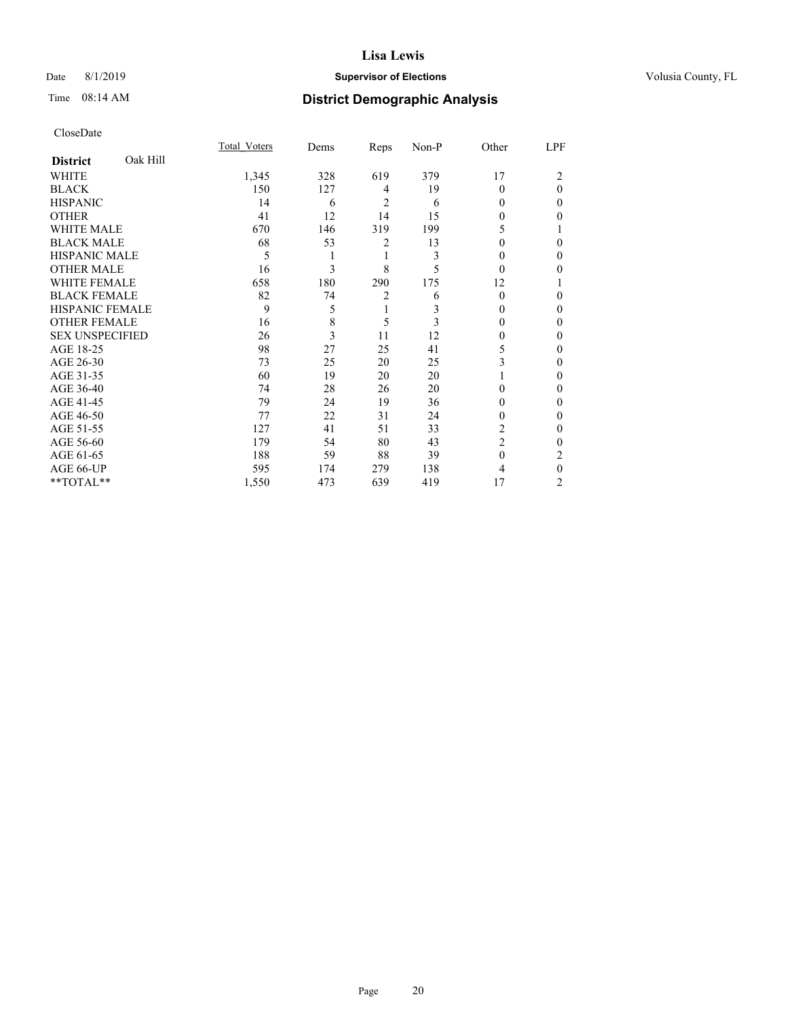### Date 8/1/2019 **Supervisor of Elections Supervisor of Elections** Volusia County, FL

### Time 08:14 AM **District Demographic Analysis**

|                        |          | Total Voters | Dems | Reps           | Non-P | Other          | LPF      |
|------------------------|----------|--------------|------|----------------|-------|----------------|----------|
| <b>District</b>        | Oak Hill |              |      |                |       |                |          |
| WHITE                  |          | 1,345        | 328  | 619            | 379   | 17             | 2        |
| <b>BLACK</b>           |          | 150          | 127  | 4              | 19    | $\Omega$       | $\Omega$ |
| <b>HISPANIC</b>        |          | 14           | 6    | 2              | 6     | 0              | 0        |
| <b>OTHER</b>           |          | 41           | 12   | 14             | 15    | 0              | 0        |
| WHITE MALE             |          | 670          | 146  | 319            | 199   | 5              |          |
| <b>BLACK MALE</b>      |          | 68           | 53   | 2              | 13    | 0              | 0        |
| <b>HISPANIC MALE</b>   |          | 5            |      | 1              | 3     | 0              | 0        |
| <b>OTHER MALE</b>      |          | 16           | 3    | 8              | 5     | $\Omega$       | 0        |
| WHITE FEMALE           |          | 658          | 180  | 290            | 175   | 12             |          |
| <b>BLACK FEMALE</b>    |          | 82           | 74   | $\overline{2}$ | 6     | $\theta$       | 0        |
| <b>HISPANIC FEMALE</b> |          | 9            | 5    | 1              | 3     | 0              | 0        |
| <b>OTHER FEMALE</b>    |          | 16           | 8    | 5              | 3     | 0              | 0        |
| <b>SEX UNSPECIFIED</b> |          | 26           | 3    | 11             | 12    | 0              | 0        |
| AGE 18-25              |          | 98           | 27   | 25             | 41    | 5              | 0        |
| AGE 26-30              |          | 73           | 25   | 20             | 25    | 3              | 0        |
| AGE 31-35              |          | 60           | 19   | 20             | 20    |                | 0        |
| AGE 36-40              |          | 74           | 28   | 26             | 20    | $\Omega$       | 0        |
| AGE 41-45              |          | 79           | 24   | 19             | 36    | 0              | 0        |
| AGE 46-50              |          | 77           | 22   | 31             | 24    | 0              | 0        |
| AGE 51-55              |          | 127          | 41   | 51             | 33    | 2              | 0        |
| AGE 56-60              |          | 179          | 54   | 80             | 43    | $\overline{2}$ | 0        |
| AGE 61-65              |          | 188          | 59   | 88             | 39    | $\theta$       | 2        |
| AGE 66-UP              |          | 595          | 174  | 279            | 138   | 4              | $\theta$ |
| **TOTAL**              |          | 1,550        | 473  | 639            | 419   | 17             | 2        |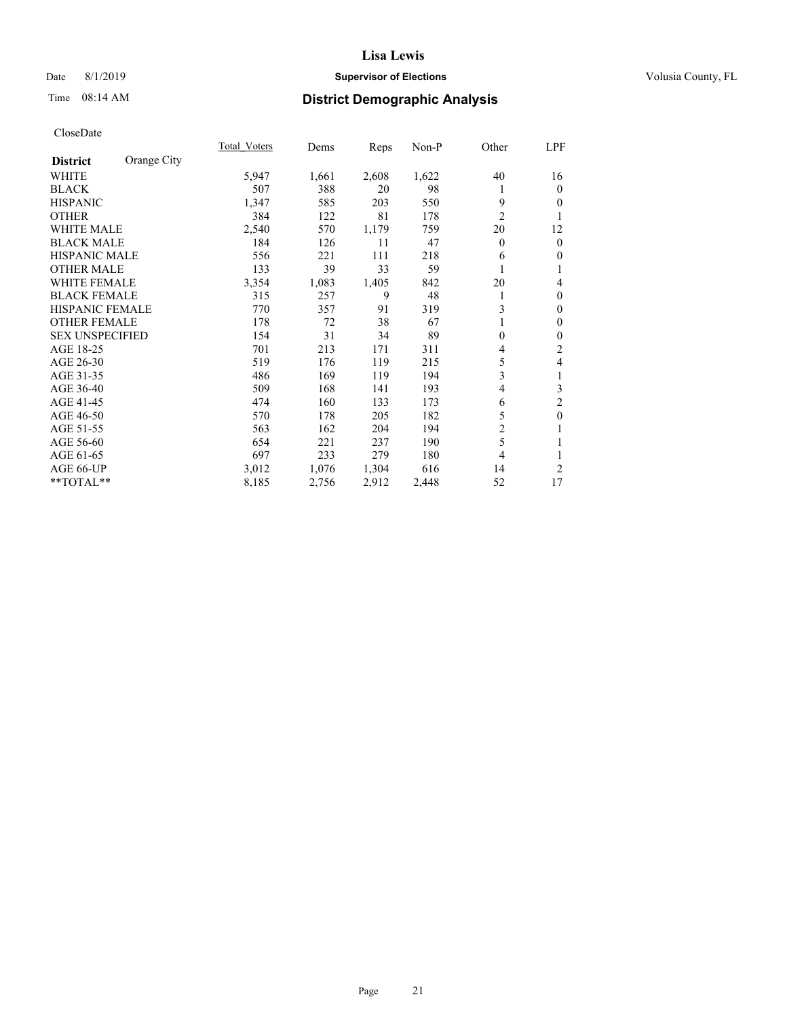### Date 8/1/2019 **Supervisor of Elections Supervisor of Elections** Volusia County, FL

### Time 08:14 AM **District Demographic Analysis**

|                        |             | Total Voters | Dems  | Reps  | Non-P | Other          | LPF            |
|------------------------|-------------|--------------|-------|-------|-------|----------------|----------------|
| <b>District</b>        | Orange City |              |       |       |       |                |                |
| WHITE                  |             | 5,947        | 1,661 | 2,608 | 1,622 | 40             | 16             |
| <b>BLACK</b>           |             | 507          | 388   | 20    | 98    |                | $\mathbf{0}$   |
| <b>HISPANIC</b>        |             | 1,347        | 585   | 203   | 550   | 9              | $\mathbf{0}$   |
| <b>OTHER</b>           |             | 384          | 122   | 81    | 178   | $\overline{2}$ | 1              |
| <b>WHITE MALE</b>      |             | 2,540        | 570   | 1,179 | 759   | 20             | 12             |
| <b>BLACK MALE</b>      |             | 184          | 126   | 11    | 47    | $\theta$       | $\mathbf{0}$   |
| <b>HISPANIC MALE</b>   |             | 556          | 221   | 111   | 218   | 6              | $\mathbf{0}$   |
| <b>OTHER MALE</b>      |             | 133          | 39    | 33    | 59    |                | 1              |
| <b>WHITE FEMALE</b>    |             | 3,354        | 1,083 | 1,405 | 842   | 20             | $\overline{4}$ |
| <b>BLACK FEMALE</b>    |             | 315          | 257   | 9     | 48    |                | $\mathbf{0}$   |
| <b>HISPANIC FEMALE</b> |             | 770          | 357   | 91    | 319   | 3              | $\mathbf{0}$   |
| <b>OTHER FEMALE</b>    |             | 178          | 72    | 38    | 67    |                | $\mathbf{0}$   |
| <b>SEX UNSPECIFIED</b> |             | 154          | 31    | 34    | 89    | $\theta$       | $\mathbf{0}$   |
| AGE 18-25              |             | 701          | 213   | 171   | 311   | 4              | 2              |
| AGE 26-30              |             | 519          | 176   | 119   | 215   | 5              | 4              |
| AGE 31-35              |             | 486          | 169   | 119   | 194   | 3              | 1              |
| AGE 36-40              |             | 509          | 168   | 141   | 193   | 4              | 3              |
| AGE 41-45              |             | 474          | 160   | 133   | 173   | 6              | 2              |
| AGE 46-50              |             | 570          | 178   | 205   | 182   | 5              | $\mathbf{0}$   |
| AGE 51-55              |             | 563          | 162   | 204   | 194   | 2              | 1              |
| AGE 56-60              |             | 654          | 221   | 237   | 190   | 5              | 1              |
| AGE 61-65              |             | 697          | 233   | 279   | 180   | 4              | 1              |
| AGE 66-UP              |             | 3,012        | 1,076 | 1,304 | 616   | 14             | 2              |
| **TOTAL**              |             | 8,185        | 2,756 | 2,912 | 2,448 | 52             | 17             |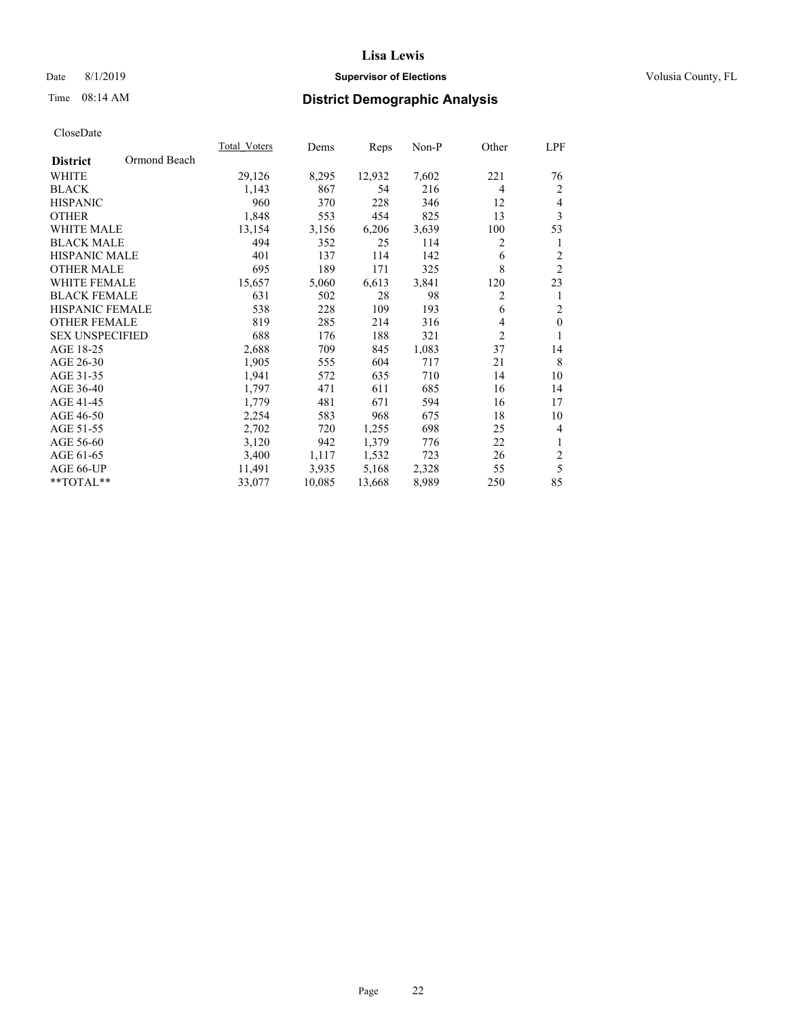### Date 8/1/2019 **Supervisor of Elections Supervisor of Elections** Volusia County, FL

### Time 08:14 AM **District Demographic Analysis**

|                        |              | Total Voters | Dems   | Reps   | Non-P | Other          | LPF            |
|------------------------|--------------|--------------|--------|--------|-------|----------------|----------------|
| <b>District</b>        | Ormond Beach |              |        |        |       |                |                |
| WHITE                  |              | 29,126       | 8,295  | 12,932 | 7,602 | 221            | 76             |
| <b>BLACK</b>           |              | 1,143        | 867    | 54     | 216   | 4              | 2              |
| <b>HISPANIC</b>        |              | 960          | 370    | 228    | 346   | 12             | 4              |
| <b>OTHER</b>           |              | 1,848        | 553    | 454    | 825   | 13             | 3              |
| <b>WHITE MALE</b>      |              | 13,154       | 3,156  | 6,206  | 3,639 | 100            | 53             |
| <b>BLACK MALE</b>      |              | 494          | 352    | 25     | 114   | 2              | 1              |
| <b>HISPANIC MALE</b>   |              | 401          | 137    | 114    | 142   | 6              | $\overline{c}$ |
| <b>OTHER MALE</b>      |              | 695          | 189    | 171    | 325   | 8              | $\overline{2}$ |
| <b>WHITE FEMALE</b>    |              | 15,657       | 5,060  | 6,613  | 3,841 | 120            | 23             |
| <b>BLACK FEMALE</b>    |              | 631          | 502    | 28     | 98    | 2              | 1              |
| <b>HISPANIC FEMALE</b> |              | 538          | 228    | 109    | 193   | 6              | $\overline{2}$ |
| <b>OTHER FEMALE</b>    |              | 819          | 285    | 214    | 316   | 4              | $\mathbf{0}$   |
| <b>SEX UNSPECIFIED</b> |              | 688          | 176    | 188    | 321   | $\overline{2}$ | 1              |
| AGE 18-25              |              | 2,688        | 709    | 845    | 1,083 | 37             | 14             |
| AGE 26-30              |              | 1,905        | 555    | 604    | 717   | 21             | 8              |
| AGE 31-35              |              | 1,941        | 572    | 635    | 710   | 14             | 10             |
| AGE 36-40              |              | 1,797        | 471    | 611    | 685   | 16             | 14             |
| AGE 41-45              |              | 1,779        | 481    | 671    | 594   | 16             | 17             |
| AGE 46-50              |              | 2,254        | 583    | 968    | 675   | 18             | 10             |
| AGE 51-55              |              | 2,702        | 720    | 1,255  | 698   | 25             | 4              |
| AGE 56-60              |              | 3,120        | 942    | 1,379  | 776   | 22             | $\mathbf{1}$   |
| AGE 61-65              |              | 3,400        | 1,117  | 1,532  | 723   | 26             | $\sqrt{2}$     |
| AGE 66-UP              |              | 11,491       | 3,935  | 5,168  | 2,328 | 55             | 5              |
| **TOTAL**              |              | 33,077       | 10,085 | 13,668 | 8,989 | 250            | 85             |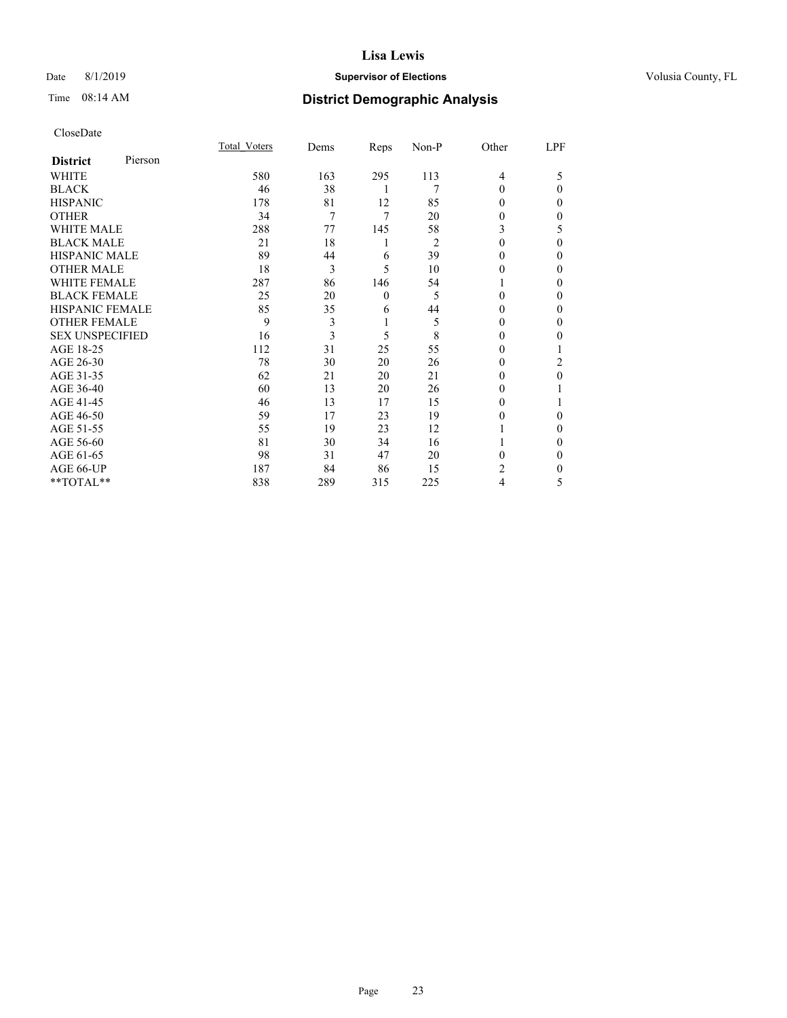### Date 8/1/2019 **Supervisor of Elections Supervisor of Elections** Volusia County, FL

### Time 08:14 AM **District Demographic Analysis**

|                        |         | Total Voters | Dems | Reps     | Non-P | Other  | LPF |
|------------------------|---------|--------------|------|----------|-------|--------|-----|
| <b>District</b>        | Pierson |              |      |          |       |        |     |
| WHITE                  |         | 580          | 163  | 295      | 113   | 4      | 5   |
| <b>BLACK</b>           |         | 46           | 38   | 1        | 7     | 0      | 0   |
| <b>HISPANIC</b>        |         | 178          | 81   | 12       | 85    | 0      | 0   |
| <b>OTHER</b>           |         | 34           | 7    | 7        | 20    | 0      | 0   |
| <b>WHITE MALE</b>      |         | 288          | 77   | 145      | 58    | 3      | 5   |
| <b>BLACK MALE</b>      |         | 21           | 18   | 1        | 2     | 0      | 0   |
| <b>HISPANIC MALE</b>   |         | 89           | 44   | 6        | 39    | 0      | 0   |
| <b>OTHER MALE</b>      |         | 18           | 3    | 5        | 10    | $_{0}$ | 0   |
| <b>WHITE FEMALE</b>    |         | 287          | 86   | 146      | 54    |        | 0   |
| <b>BLACK FEMALE</b>    |         | 25           | 20   | $\theta$ | 5     | 0      | 0   |
| <b>HISPANIC FEMALE</b> |         | 85           | 35   | 6        | 44    | 0      | 0   |
| <b>OTHER FEMALE</b>    |         | 9            | 3    | 1        | 5     | 0      | 0   |
| <b>SEX UNSPECIFIED</b> |         | 16           | 3    | 5        | 8     | $_{0}$ | 0   |
| AGE 18-25              |         | 112          | 31   | 25       | 55    | 0      |     |
| AGE 26-30              |         | 78           | 30   | 20       | 26    | $_{0}$ | 2   |
| AGE 31-35              |         | 62           | 21   | 20       | 21    | 0      | 0   |
| AGE 36-40              |         | 60           | 13   | 20       | 26    | 0      |     |
| AGE 41-45              |         | 46           | 13   | 17       | 15    | 0      |     |
| AGE 46-50              |         | 59           | 17   | 23       | 19    | 0      | 0   |
| AGE 51-55              |         | 55           | 19   | 23       | 12    |        | 0   |
| AGE 56-60              |         | 81           | 30   | 34       | 16    |        | 0   |
| AGE 61-65              |         | 98           | 31   | 47       | 20    | 0      | 0   |
| AGE 66-UP              |         | 187          | 84   | 86       | 15    | 2      | 0   |
| **TOTAL**              |         | 838          | 289  | 315      | 225   | 4      | 5   |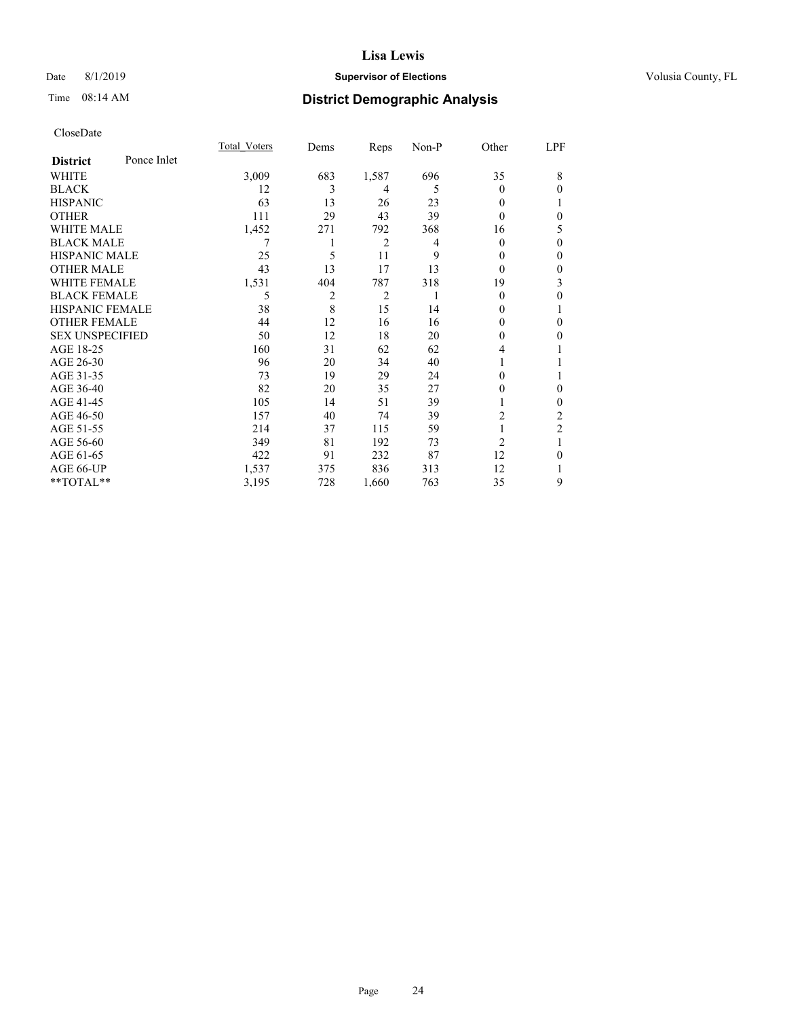### Date 8/1/2019 **Supervisor of Elections Supervisor of Elections** Volusia County, FL

### Time 08:14 AM **District Demographic Analysis**

|                        |             | Total Voters | Dems | Reps           | Non-P | Other          | LPF            |
|------------------------|-------------|--------------|------|----------------|-------|----------------|----------------|
| <b>District</b>        | Ponce Inlet |              |      |                |       |                |                |
| WHITE                  |             | 3,009        | 683  | 1,587          | 696   | 35             | 8              |
| <b>BLACK</b>           |             | 12           | 3    | 4              | 5     | $\theta$       | $\theta$       |
| <b>HISPANIC</b>        |             | 63           | 13   | 26             | 23    | 0              |                |
| <b>OTHER</b>           |             | 111          | 29   | 43             | 39    | 0              | $\theta$       |
| <b>WHITE MALE</b>      |             | 1,452        | 271  | 792            | 368   | 16             | 5              |
| <b>BLACK MALE</b>      |             | 7            |      | 2              | 4     | 0              | $\mathbf{0}$   |
| <b>HISPANIC MALE</b>   |             | 25           | 5    | 11             | 9     | $_{0}$         | $\mathbf{0}$   |
| <b>OTHER MALE</b>      |             | 43           | 13   | 17             | 13    | $\theta$       | $\mathbf{0}$   |
| <b>WHITE FEMALE</b>    |             | 1,531        | 404  | 787            | 318   | 19             | 3              |
| <b>BLACK FEMALE</b>    |             | 5            | 2    | $\overline{2}$ |       | $\theta$       | $\theta$       |
| <b>HISPANIC FEMALE</b> |             | 38           | 8    | 15             | 14    | $_{0}$         | 1              |
| <b>OTHER FEMALE</b>    |             | 44           | 12   | 16             | 16    | 0              | $\theta$       |
| <b>SEX UNSPECIFIED</b> |             | 50           | 12   | 18             | 20    | 0              | $\theta$       |
| AGE 18-25              |             | 160          | 31   | 62             | 62    | 4              | 1              |
| AGE 26-30              |             | 96           | 20   | 34             | 40    |                | 1              |
| AGE 31-35              |             | 73           | 19   | 29             | 24    | 0              | 1              |
| AGE 36-40              |             | 82           | 20   | 35             | 27    | 0              | $\mathbf{0}$   |
| AGE 41-45              |             | 105          | 14   | 51             | 39    |                | $\mathbf{0}$   |
| AGE 46-50              |             | 157          | 40   | 74             | 39    | 2              | 2              |
| AGE 51-55              |             | 214          | 37   | 115            | 59    |                | $\overline{c}$ |
| AGE 56-60              |             | 349          | 81   | 192            | 73    | $\overline{2}$ |                |
| AGE 61-65              |             | 422          | 91   | 232            | 87    | 12             | $\theta$       |
| AGE 66-UP              |             | 1,537        | 375  | 836            | 313   | 12             | 1              |
| **TOTAL**              |             | 3,195        | 728  | 1,660          | 763   | 35             | 9              |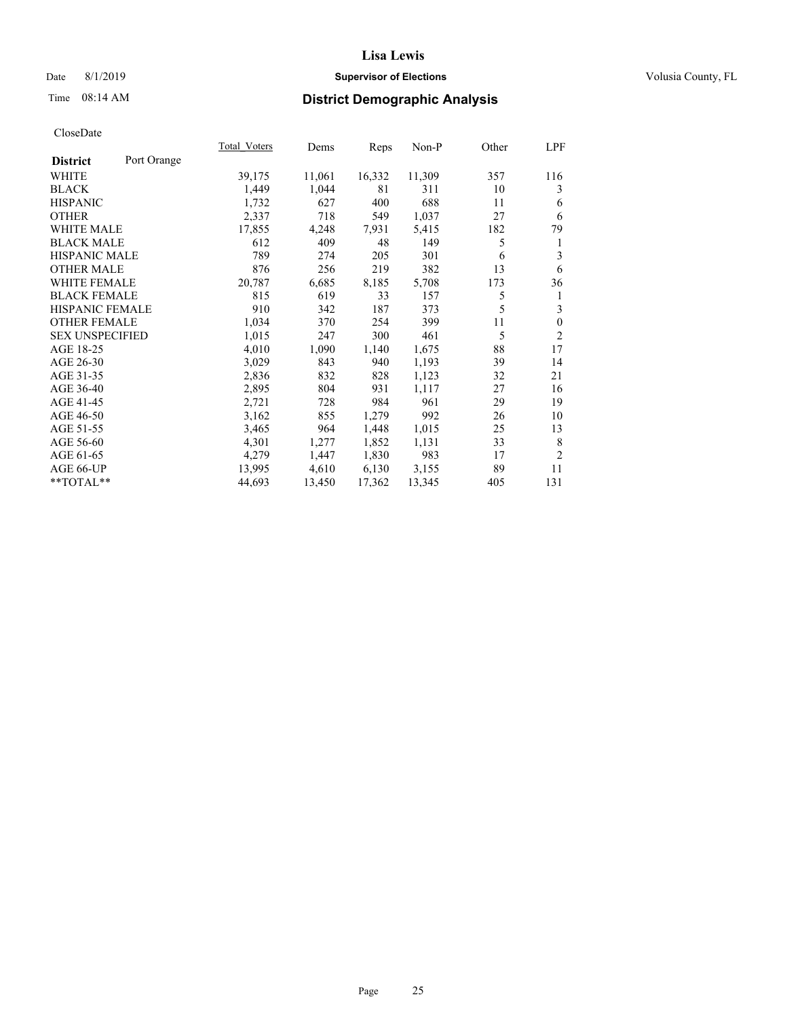### Date 8/1/2019 **Supervisor of Elections Supervisor of Elections** Volusia County, FL

### Time 08:14 AM **District Demographic Analysis**

|                        |             | Total Voters | Dems   | Reps   | Non-P  | Other | LPF            |
|------------------------|-------------|--------------|--------|--------|--------|-------|----------------|
| <b>District</b>        | Port Orange |              |        |        |        |       |                |
| WHITE                  |             | 39,175       | 11,061 | 16,332 | 11,309 | 357   | 116            |
| <b>BLACK</b>           |             | 1,449        | 1,044  | 81     | 311    | 10    | 3              |
| <b>HISPANIC</b>        |             | 1,732        | 627    | 400    | 688    | 11    | 6              |
| <b>OTHER</b>           |             | 2,337        | 718    | 549    | 1,037  | 27    | 6              |
| WHITE MALE             |             | 17,855       | 4,248  | 7,931  | 5,415  | 182   | 79             |
| <b>BLACK MALE</b>      |             | 612          | 409    | 48     | 149    | 5     | 1              |
| <b>HISPANIC MALE</b>   |             | 789          | 274    | 205    | 301    | 6     | 3              |
| <b>OTHER MALE</b>      |             | 876          | 256    | 219    | 382    | 13    | 6              |
| <b>WHITE FEMALE</b>    |             | 20,787       | 6,685  | 8,185  | 5,708  | 173   | 36             |
| <b>BLACK FEMALE</b>    |             | 815          | 619    | 33     | 157    | 5     | 1              |
| HISPANIC FEMALE        |             | 910          | 342    | 187    | 373    | 5     | 3              |
| <b>OTHER FEMALE</b>    |             | 1,034        | 370    | 254    | 399    | 11    | $\theta$       |
| <b>SEX UNSPECIFIED</b> |             | 1,015        | 247    | 300    | 461    | 5     | $\overline{2}$ |
| AGE 18-25              |             | 4,010        | 1,090  | 1,140  | 1,675  | 88    | 17             |
| AGE 26-30              |             | 3,029        | 843    | 940    | 1,193  | 39    | 14             |
| AGE 31-35              |             | 2,836        | 832    | 828    | 1,123  | 32    | 21             |
| AGE 36-40              |             | 2,895        | 804    | 931    | 1,117  | 27    | 16             |
| AGE 41-45              |             | 2,721        | 728    | 984    | 961    | 29    | 19             |
| AGE 46-50              |             | 3,162        | 855    | 1,279  | 992    | 26    | 10             |
| AGE 51-55              |             | 3,465        | 964    | 1,448  | 1,015  | 25    | 13             |
| AGE 56-60              |             | 4,301        | 1,277  | 1,852  | 1,131  | 33    | 8              |
| AGE 61-65              |             | 4,279        | 1,447  | 1,830  | 983    | 17    | $\overline{2}$ |
| AGE 66-UP              |             | 13,995       | 4,610  | 6,130  | 3,155  | 89    | 11             |
| $*$ TOTAL $*$          |             | 44,693       | 13,450 | 17,362 | 13,345 | 405   | 131            |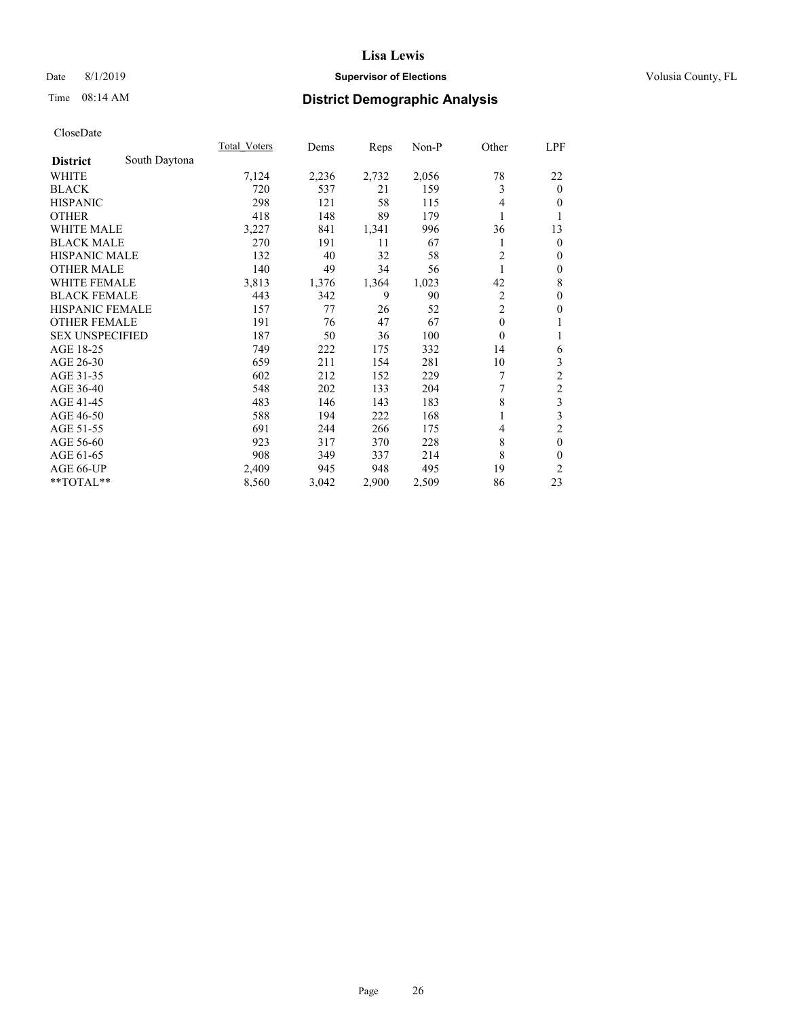### Date 8/1/2019 **Supervisor of Elections Supervisor of Elections** Volusia County, FL

### Time 08:14 AM **District Demographic Analysis**

|                        |               | Total Voters | Dems  | Reps  | Non-P | Other          | LPF              |
|------------------------|---------------|--------------|-------|-------|-------|----------------|------------------|
| <b>District</b>        | South Daytona |              |       |       |       |                |                  |
| WHITE                  |               | 7,124        | 2,236 | 2,732 | 2,056 | 78             | 22               |
| <b>BLACK</b>           |               | 720          | 537   | 21    | 159   | 3              | $\mathbf{0}$     |
| <b>HISPANIC</b>        |               | 298          | 121   | 58    | 115   | 4              | $\overline{0}$   |
| <b>OTHER</b>           |               | 418          | 148   | 89    | 179   |                | 1                |
| WHITE MALE             |               | 3,227        | 841   | 1,341 | 996   | 36             | 13               |
| <b>BLACK MALE</b>      |               | 270          | 191   | 11    | 67    |                | $\mathbf{0}$     |
| <b>HISPANIC MALE</b>   |               | 132          | 40    | 32    | 58    | $\overline{c}$ | $\theta$         |
| <b>OTHER MALE</b>      |               | 140          | 49    | 34    | 56    | 1              | $\boldsymbol{0}$ |
| <b>WHITE FEMALE</b>    |               | 3,813        | 1,376 | 1,364 | 1,023 | 42             | 8                |
| <b>BLACK FEMALE</b>    |               | 443          | 342   | 9     | 90    | 2              | $\mathbf{0}$     |
| <b>HISPANIC FEMALE</b> |               | 157          | 77    | 26    | 52    | $\overline{2}$ | $\mathbf{0}$     |
| <b>OTHER FEMALE</b>    |               | 191          | 76    | 47    | 67    | $\mathbf{0}$   | 1                |
| <b>SEX UNSPECIFIED</b> |               | 187          | 50    | 36    | 100   | $\theta$       | 1                |
| AGE 18-25              |               | 749          | 222   | 175   | 332   | 14             | 6                |
| AGE 26-30              |               | 659          | 211   | 154   | 281   | 10             | 3                |
| AGE 31-35              |               | 602          | 212   | 152   | 229   | 7              | $\overline{c}$   |
| AGE 36-40              |               | 548          | 202   | 133   | 204   | 7              | $\overline{c}$   |
| AGE 41-45              |               | 483          | 146   | 143   | 183   | 8              | 3                |
| AGE 46-50              |               | 588          | 194   | 222   | 168   |                | 3                |
| AGE 51-55              |               | 691          | 244   | 266   | 175   | 4              | $\overline{c}$   |
| AGE 56-60              |               | 923          | 317   | 370   | 228   | 8              | $\mathbf{0}$     |
| AGE 61-65              |               | 908          | 349   | 337   | 214   | 8              | $\theta$         |
| AGE 66-UP              |               | 2,409        | 945   | 948   | 495   | 19             | 2                |
| **TOTAL**              |               | 8,560        | 3,042 | 2,900 | 2,509 | 86             | 23               |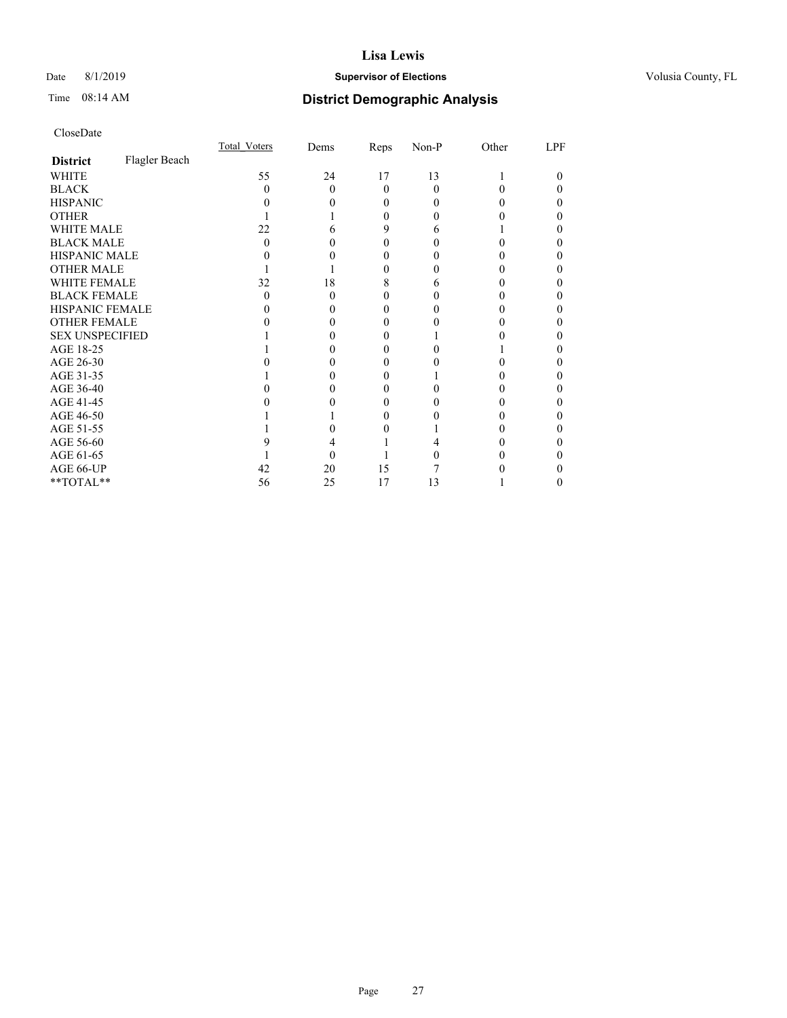### Date 8/1/2019 **Supervisor of Elections Supervisor of Elections** Volusia County, FL

### Time 08:14 AM **District Demographic Analysis**

|                        |               | Total Voters | Dems | Reps     | Non-P    | Other | LPF |
|------------------------|---------------|--------------|------|----------|----------|-------|-----|
| <b>District</b>        | Flagler Beach |              |      |          |          |       |     |
| WHITE                  |               | 55           | 24   | 17       | 13       |       | 0   |
| <b>BLACK</b>           |               | 0            | 0    | $\Omega$ | $\Omega$ |       |     |
| <b>HISPANIC</b>        |               |              |      | 0        | 0        |       |     |
| <b>OTHER</b>           |               |              |      | 0        | 0        |       |     |
| WHITE MALE             |               | 22           |      | 9        | 6        |       |     |
| <b>BLACK MALE</b>      |               | 0            |      | 0        |          |       |     |
| <b>HISPANIC MALE</b>   |               |              |      | $\theta$ |          |       |     |
| <b>OTHER MALE</b>      |               |              |      | $_{0}$   |          |       | 0   |
| WHITE FEMALE           |               | 32           | 18   | 8        | 6        |       |     |
| <b>BLACK FEMALE</b>    |               | $\theta$     | 0    | 0        | 0        |       |     |
| <b>HISPANIC FEMALE</b> |               |              |      | 0        |          |       |     |
| <b>OTHER FEMALE</b>    |               |              |      | 0        |          |       |     |
| <b>SEX UNSPECIFIED</b> |               |              |      |          |          |       |     |
| AGE 18-25              |               |              |      | 0        |          |       |     |
| AGE 26-30              |               |              |      | $_{0}$   |          |       |     |
| AGE 31-35              |               |              |      |          |          |       |     |
| AGE 36-40              |               |              |      | 0        |          |       |     |
| AGE 41-45              |               |              |      | $\theta$ |          |       |     |
| AGE 46-50              |               |              |      | 0        |          |       | 0   |
| AGE 51-55              |               |              |      |          |          |       |     |
| AGE 56-60              |               |              |      |          |          |       |     |
| AGE 61-65              |               |              |      |          |          |       |     |
| AGE 66-UP              |               | 42           | 20   | 15       |          |       |     |
| **TOTAL**              |               | 56           | 25   | 17       | 13       |       | 0   |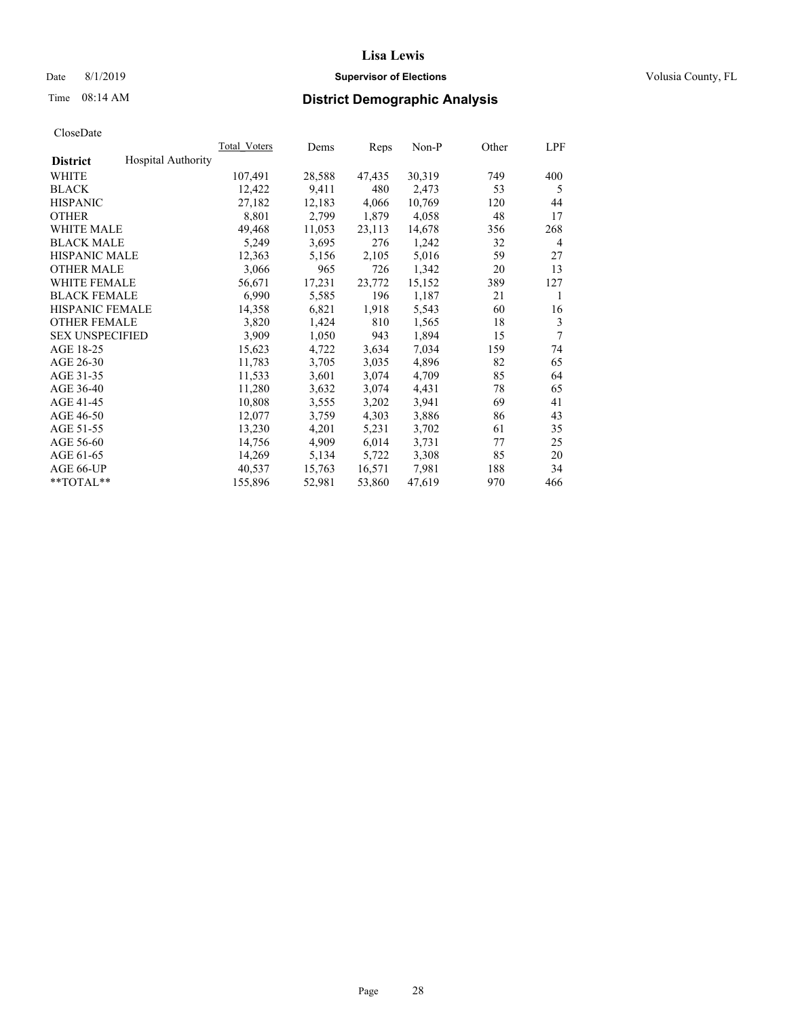### Date 8/1/2019 **Supervisor of Elections Supervisor of Elections** Volusia County, FL

### Time 08:14 AM **District Demographic Analysis**

|                                              | Total Voters | Dems   | Reps   | $Non-P$ | Other | LPF |
|----------------------------------------------|--------------|--------|--------|---------|-------|-----|
| <b>Hospital Authority</b><br><b>District</b> |              |        |        |         |       |     |
| WHITE                                        | 107,491      | 28,588 | 47,435 | 30,319  | 749   | 400 |
| <b>BLACK</b>                                 | 12,422       | 9,411  | 480    | 2,473   | 53    | 5   |
| <b>HISPANIC</b>                              | 27,182       | 12,183 | 4,066  | 10,769  | 120   | 44  |
| <b>OTHER</b>                                 | 8,801        | 2,799  | 1,879  | 4,058   | 48    | 17  |
| WHITE MALE                                   | 49,468       | 11,053 | 23,113 | 14,678  | 356   | 268 |
| <b>BLACK MALE</b>                            | 5,249        | 3,695  | 276    | 1,242   | 32    | 4   |
| <b>HISPANIC MALE</b>                         | 12,363       | 5,156  | 2,105  | 5,016   | 59    | 27  |
| <b>OTHER MALE</b>                            | 3,066        | 965    | 726    | 1,342   | 20    | 13  |
| <b>WHITE FEMALE</b>                          | 56,671       | 17,231 | 23,772 | 15,152  | 389   | 127 |
| <b>BLACK FEMALE</b>                          | 6,990        | 5,585  | 196    | 1,187   | 21    | 1   |
| HISPANIC FEMALE                              | 14,358       | 6,821  | 1,918  | 5,543   | 60    | 16  |
| <b>OTHER FEMALE</b>                          | 3,820        | 1,424  | 810    | 1,565   | 18    | 3   |
| <b>SEX UNSPECIFIED</b>                       | 3,909        | 1,050  | 943    | 1,894   | 15    | 7   |
| AGE 18-25                                    | 15,623       | 4,722  | 3,634  | 7,034   | 159   | 74  |
| AGE 26-30                                    | 11,783       | 3,705  | 3,035  | 4,896   | 82    | 65  |
| AGE 31-35                                    | 11,533       | 3,601  | 3,074  | 4,709   | 85    | 64  |
| AGE 36-40                                    | 11,280       | 3,632  | 3,074  | 4,431   | 78    | 65  |
| AGE 41-45                                    | 10,808       | 3,555  | 3,202  | 3,941   | 69    | 41  |
| AGE 46-50                                    | 12,077       | 3,759  | 4,303  | 3,886   | 86    | 43  |
| AGE 51-55                                    | 13,230       | 4,201  | 5,231  | 3,702   | 61    | 35  |
| AGE 56-60                                    | 14,756       | 4,909  | 6,014  | 3,731   | 77    | 25  |
| AGE 61-65                                    | 14,269       | 5,134  | 5,722  | 3,308   | 85    | 20  |
| AGE 66-UP                                    | 40,537       | 15,763 | 16,571 | 7,981   | 188   | 34  |
| $*$ $TOTAL**$                                | 155,896      | 52,981 | 53,860 | 47,619  | 970   | 466 |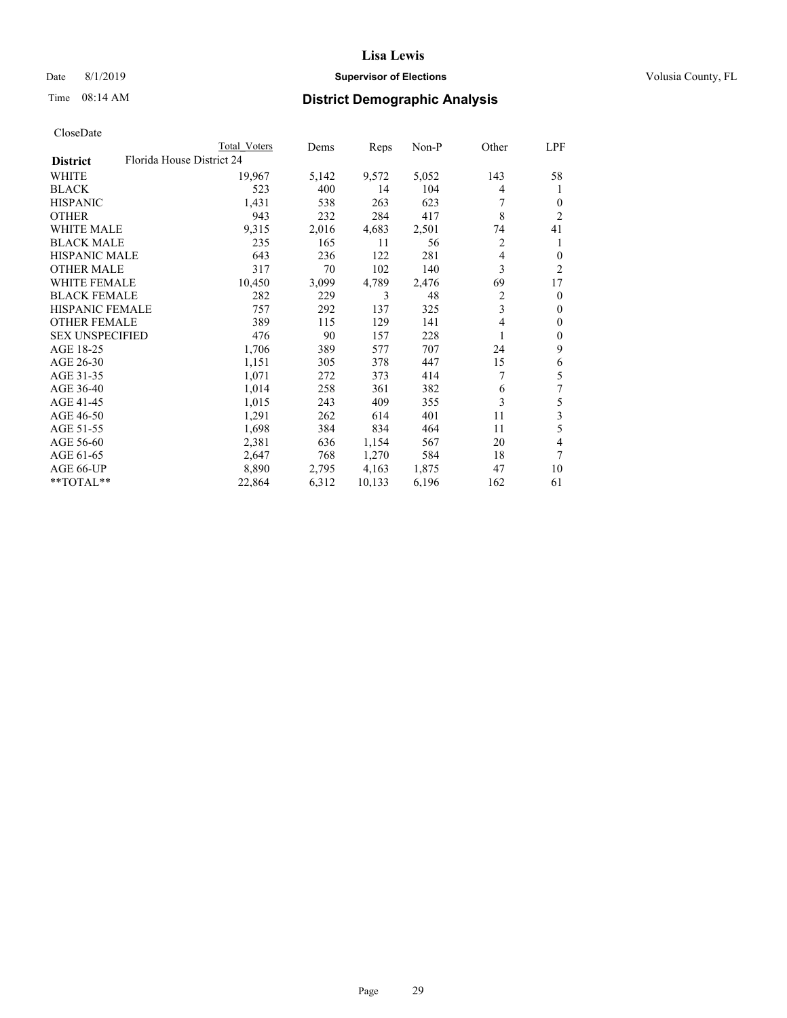### Date 8/1/2019 **Supervisor of Elections Supervisor of Elections** Volusia County, FL

| CloseDate |
|-----------|
|-----------|

|                                              | Total Voters | Dems  | Reps   | Non-P | Other | LPF            |
|----------------------------------------------|--------------|-------|--------|-------|-------|----------------|
| Florida House District 24<br><b>District</b> |              |       |        |       |       |                |
| WHITE                                        | 19,967       | 5,142 | 9,572  | 5,052 | 143   | 58             |
| <b>BLACK</b>                                 | 523          | 400   | 14     | 104   | 4     | 1              |
| <b>HISPANIC</b>                              | 1,431        | 538   | 263    | 623   | 7     | $\Omega$       |
| <b>OTHER</b>                                 | 943          | 232   | 284    | 417   | 8     | $\overline{2}$ |
| <b>WHITE MALE</b>                            | 9,315        | 2,016 | 4,683  | 2,501 | 74    | 41             |
| <b>BLACK MALE</b>                            | 235          | 165   | 11     | 56    | 2     | 1              |
| <b>HISPANIC MALE</b>                         | 643          | 236   | 122    | 281   | 4     | $\Omega$       |
| <b>OTHER MALE</b>                            | 317          | 70    | 102    | 140   | 3     | 2              |
| <b>WHITE FEMALE</b>                          | 10,450       | 3,099 | 4,789  | 2,476 | 69    | 17             |
| <b>BLACK FEMALE</b>                          | 282          | 229   | 3      | 48    | 2     | 0              |
| HISPANIC FEMALE                              | 757          | 292   | 137    | 325   | 3     | 0              |
| <b>OTHER FEMALE</b>                          | 389          | 115   | 129    | 141   | 4     | 0              |
| <b>SEX UNSPECIFIED</b>                       | 476          | 90    | 157    | 228   | 1     | 0              |
| AGE 18-25                                    | 1,706        | 389   | 577    | 707   | 24    | 9              |
| AGE 26-30                                    | 1,151        | 305   | 378    | 447   | 15    | 6              |
| AGE 31-35                                    | 1,071        | 272   | 373    | 414   | 7     | 5              |
| AGE 36-40                                    | 1,014        | 258   | 361    | 382   | 6     | 7              |
| AGE 41-45                                    | 1,015        | 243   | 409    | 355   | 3     | 5              |
| AGE 46-50                                    | 1,291        | 262   | 614    | 401   | 11    | 3              |
| AGE 51-55                                    | 1,698        | 384   | 834    | 464   | 11    | 5              |
| AGE 56-60                                    | 2,381        | 636   | 1,154  | 567   | 20    | 4              |
| AGE 61-65                                    | 2,647        | 768   | 1,270  | 584   | 18    | 7              |
| AGE 66-UP                                    | 8,890        | 2,795 | 4,163  | 1,875 | 47    | 10             |
| **TOTAL**                                    | 22,864       | 6,312 | 10,133 | 6,196 | 162   | 61             |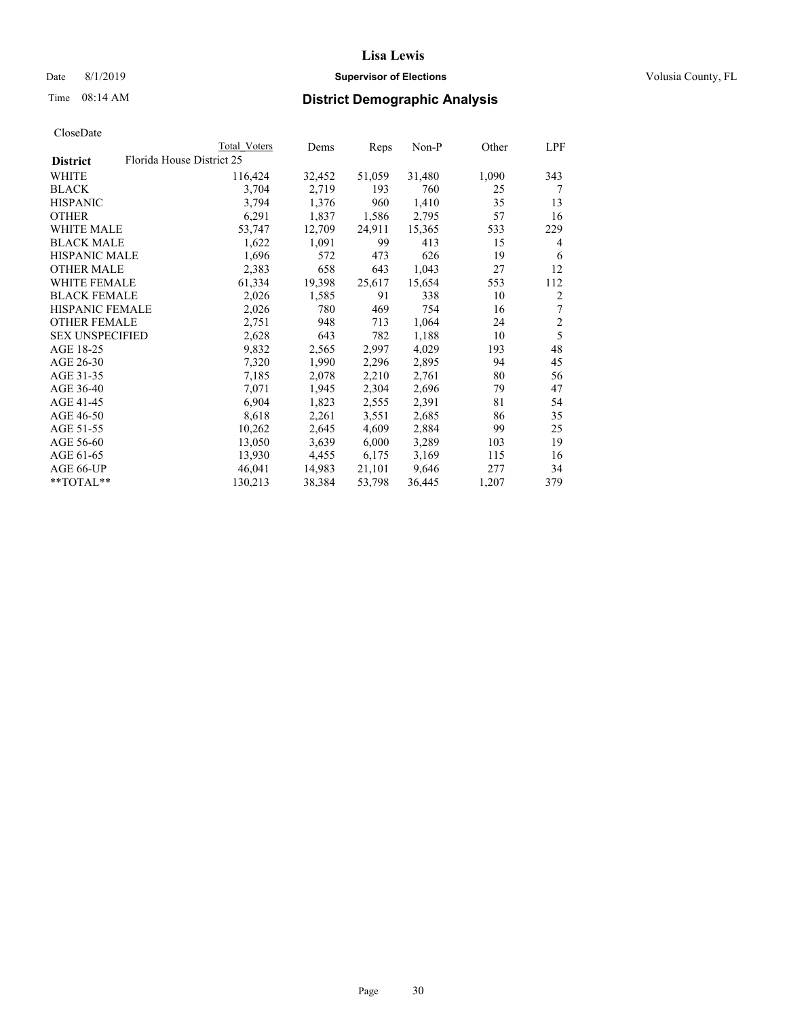### Date 8/1/2019 **Supervisor of Elections Supervisor of Elections** Volusia County, FL

| CloseDate |
|-----------|
|-----------|

|                        | Total Voters              | Dems   | Reps   | Non-P  | Other | LPF          |
|------------------------|---------------------------|--------|--------|--------|-------|--------------|
| <b>District</b>        | Florida House District 25 |        |        |        |       |              |
| WHITE                  | 116,424                   | 32,452 | 51,059 | 31,480 | 1,090 | 343          |
| BLACK                  | 3,704                     | 2,719  | 193    | 760    | 25    | 7            |
| <b>HISPANIC</b>        | 3,794                     | 1,376  | 960    | 1,410  | 35    | 13           |
| OTHER                  | 6,291                     | 1,837  | 1,586  | 2,795  | 57    | 16           |
| WHITE MALE             | 53,747                    | 12,709 | 24,911 | 15,365 | 533   | 229          |
| <b>BLACK MALE</b>      | 1,622                     | 1,091  | 99     | 413    | 15    | 4            |
| HISPANIC MALE          | 1,696                     | 572    | 473    | 626    | 19    | 6            |
| <b>OTHER MALE</b>      | 2,383                     | 658    | 643    | 1,043  | 27    | 12           |
| <b>WHITE FEMALE</b>    | 61,334                    | 19,398 | 25,617 | 15,654 | 553   | 112          |
| <b>BLACK FEMALE</b>    | 2,026                     | 1,585  | 91     | 338    | 10    | 2            |
| <b>HISPANIC FEMALE</b> | 2,026                     | 780    | 469    | 754    | 16    | 7            |
| <b>OTHER FEMALE</b>    | 2,751                     | 948    | 713    | 1,064  | 24    | $\mathbf{2}$ |
| <b>SEX UNSPECIFIED</b> | 2,628                     | 643    | 782    | 1,188  | 10    | 5            |
| AGE 18-25              | 9,832                     | 2,565  | 2,997  | 4,029  | 193   | 48           |
| AGE 26-30              | 7,320                     | 1,990  | 2,296  | 2,895  | 94    | 45           |
| AGE 31-35              | 7,185                     | 2,078  | 2,210  | 2,761  | 80    | 56           |
| AGE 36-40              | 7,071                     | 1,945  | 2,304  | 2,696  | 79    | 47           |
| AGE 41-45              | 6,904                     | 1,823  | 2,555  | 2,391  | 81    | 54           |
| AGE 46-50              | 8,618                     | 2,261  | 3,551  | 2,685  | 86    | 35           |
| AGE 51-55              | 10,262                    | 2,645  | 4,609  | 2,884  | 99    | 25           |
| AGE 56-60              | 13,050                    | 3,639  | 6,000  | 3,289  | 103   | 19           |
| AGE 61-65              | 13,930                    | 4,455  | 6,175  | 3,169  | 115   | 16           |
| AGE 66-UP              | 46,041                    | 14,983 | 21,101 | 9,646  | 277   | 34           |
| **TOTAL**              | 130,213                   | 38,384 | 53,798 | 36,445 | 1,207 | 379          |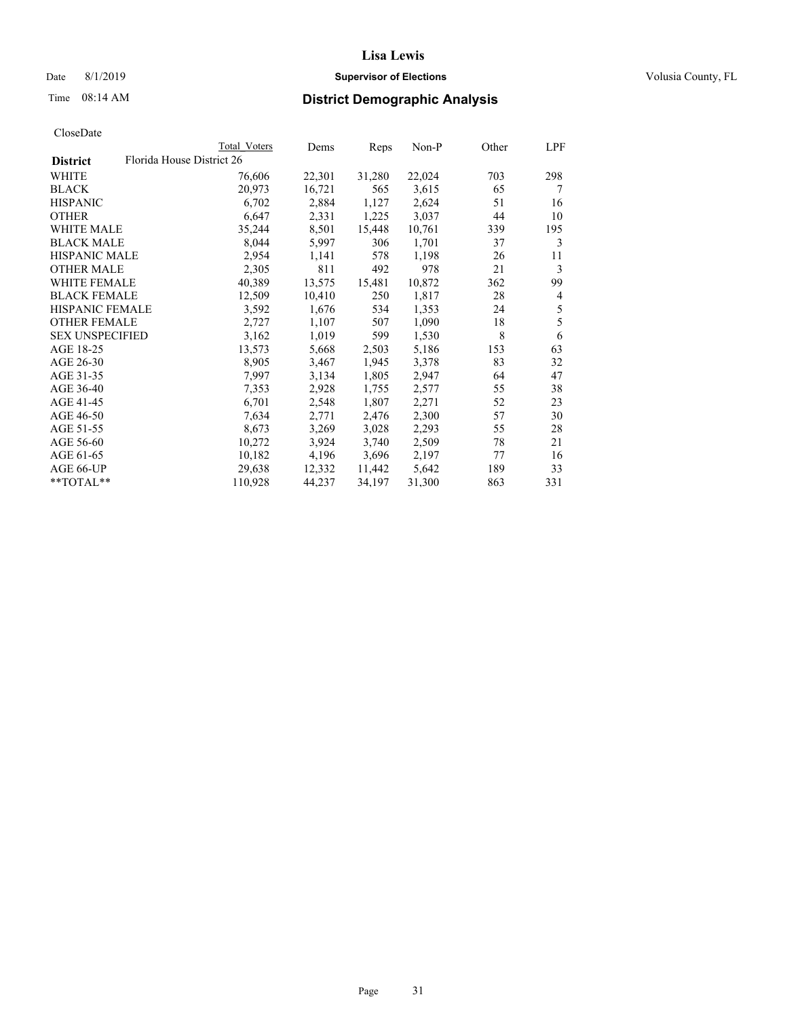### Date 8/1/2019 **Supervisor of Elections Supervisor of Elections** Volusia County, FL

|                                              | Total Voters | Dems   | Reps   | Non-P  | Other | LPF |
|----------------------------------------------|--------------|--------|--------|--------|-------|-----|
| Florida House District 26<br><b>District</b> |              |        |        |        |       |     |
| WHITE                                        | 76,606       | 22,301 | 31,280 | 22,024 | 703   | 298 |
| <b>BLACK</b>                                 | 20,973       | 16,721 | 565    | 3,615  | 65    | 7   |
| <b>HISPANIC</b>                              | 6,702        | 2,884  | 1,127  | 2,624  | 51    | 16  |
| <b>OTHER</b>                                 | 6,647        | 2,331  | 1,225  | 3,037  | 44    | 10  |
| WHITE MALE                                   | 35,244       | 8,501  | 15,448 | 10,761 | 339   | 195 |
| <b>BLACK MALE</b>                            | 8,044        | 5,997  | 306    | 1,701  | 37    | 3   |
| <b>HISPANIC MALE</b>                         | 2,954        | 1,141  | 578    | 1,198  | 26    | 11  |
| <b>OTHER MALE</b>                            | 2,305        | 811    | 492    | 978    | 21    | 3   |
| WHITE FEMALE                                 | 40,389       | 13,575 | 15,481 | 10,872 | 362   | 99  |
| <b>BLACK FEMALE</b>                          | 12,509       | 10,410 | 250    | 1,817  | 28    | 4   |
| <b>HISPANIC FEMALE</b>                       | 3,592        | 1,676  | 534    | 1,353  | 24    | 5   |
| <b>OTHER FEMALE</b>                          | 2,727        | 1,107  | 507    | 1,090  | 18    | 5   |
| <b>SEX UNSPECIFIED</b>                       | 3,162        | 1,019  | 599    | 1,530  | 8     | 6   |
| AGE 18-25                                    | 13,573       | 5,668  | 2,503  | 5,186  | 153   | 63  |
| AGE 26-30                                    | 8,905        | 3,467  | 1,945  | 3,378  | 83    | 32  |
| AGE 31-35                                    | 7,997        | 3,134  | 1,805  | 2,947  | 64    | 47  |
| AGE 36-40                                    | 7,353        | 2,928  | 1,755  | 2,577  | 55    | 38  |
| AGE 41-45                                    | 6,701        | 2,548  | 1,807  | 2,271  | 52    | 23  |
| AGE 46-50                                    | 7,634        | 2,771  | 2,476  | 2,300  | 57    | 30  |
| AGE 51-55                                    | 8,673        | 3,269  | 3,028  | 2,293  | 55    | 28  |
| AGE 56-60                                    | 10,272       | 3,924  | 3,740  | 2,509  | 78    | 21  |
| AGE 61-65                                    | 10,182       | 4,196  | 3,696  | 2,197  | 77    | 16  |
| AGE 66-UP                                    | 29,638       | 12,332 | 11,442 | 5,642  | 189   | 33  |
| **TOTAL**                                    | 110,928      | 44,237 | 34,197 | 31,300 | 863   | 331 |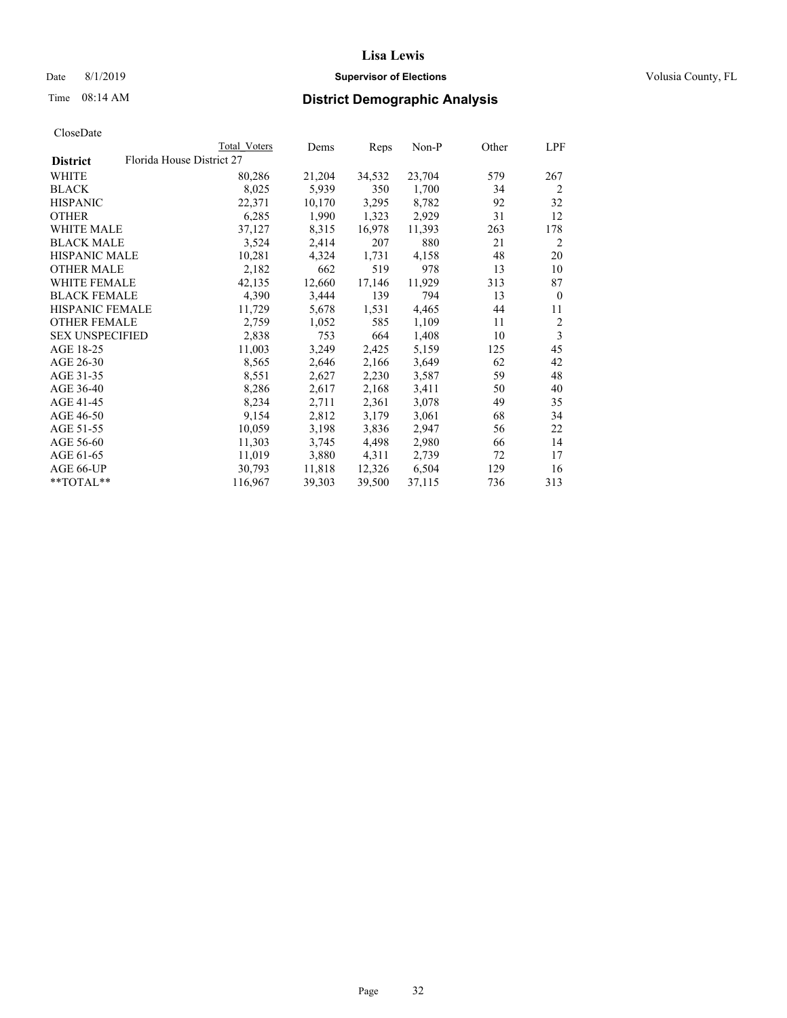### Date 8/1/2019 **Supervisor of Elections Supervisor of Elections** Volusia County, FL

|                        |                           | Total Voters | Dems   | Reps   | Non-P  | Other | LPF            |
|------------------------|---------------------------|--------------|--------|--------|--------|-------|----------------|
| <b>District</b>        | Florida House District 27 |              |        |        |        |       |                |
| WHITE                  |                           | 80,286       | 21,204 | 34,532 | 23,704 | 579   | 267            |
| BLACK                  |                           | 8,025        | 5,939  | 350    | 1,700  | 34    | $\overline{2}$ |
| <b>HISPANIC</b>        |                           | 22,371       | 10,170 | 3,295  | 8,782  | 92    | 32             |
| OTHER                  |                           | 6,285        | 1,990  | 1,323  | 2,929  | 31    | 12             |
| WHITE MALE             |                           | 37,127       | 8,315  | 16,978 | 11,393 | 263   | 178            |
| <b>BLACK MALE</b>      |                           | 3,524        | 2,414  | 207    | 880    | 21    | 2              |
| <b>HISPANIC MALE</b>   |                           | 10,281       | 4,324  | 1,731  | 4,158  | 48    | 20             |
| OTHER MALE             |                           | 2,182        | 662    | 519    | 978    | 13    | 10             |
| WHITE FEMALE           |                           | 42,135       | 12,660 | 17,146 | 11,929 | 313   | 87             |
| <b>BLACK FEMALE</b>    |                           | 4,390        | 3,444  | 139    | 794    | 13    | $\mathbf{0}$   |
| HISPANIC FEMALE        |                           | 11,729       | 5,678  | 1,531  | 4,465  | 44    | 11             |
| <b>OTHER FEMALE</b>    |                           | 2,759        | 1,052  | 585    | 1,109  | 11    | $\overline{2}$ |
| <b>SEX UNSPECIFIED</b> |                           | 2,838        | 753    | 664    | 1,408  | 10    | $\mathfrak{Z}$ |
| AGE 18-25              |                           | 11,003       | 3,249  | 2,425  | 5,159  | 125   | 45             |
| AGE 26-30              |                           | 8,565        | 2,646  | 2,166  | 3,649  | 62    | 42             |
| AGE 31-35              |                           | 8,551        | 2,627  | 2,230  | 3,587  | 59    | 48             |
| AGE 36-40              |                           | 8,286        | 2,617  | 2,168  | 3,411  | 50    | 40             |
| AGE 41-45              |                           | 8,234        | 2,711  | 2,361  | 3,078  | 49    | 35             |
| AGE 46-50              |                           | 9,154        | 2,812  | 3,179  | 3,061  | 68    | 34             |
| AGE 51-55              |                           | 10,059       | 3,198  | 3,836  | 2,947  | 56    | 22             |
| AGE 56-60              |                           | 11,303       | 3,745  | 4,498  | 2,980  | 66    | 14             |
| AGE 61-65              |                           | 11,019       | 3,880  | 4,311  | 2,739  | 72    | 17             |
| AGE 66-UP              |                           | 30,793       | 11,818 | 12,326 | 6,504  | 129   | 16             |
| **TOTAL**              |                           | 116,967      | 39,303 | 39,500 | 37,115 | 736   | 313            |
|                        |                           |              |        |        |        |       |                |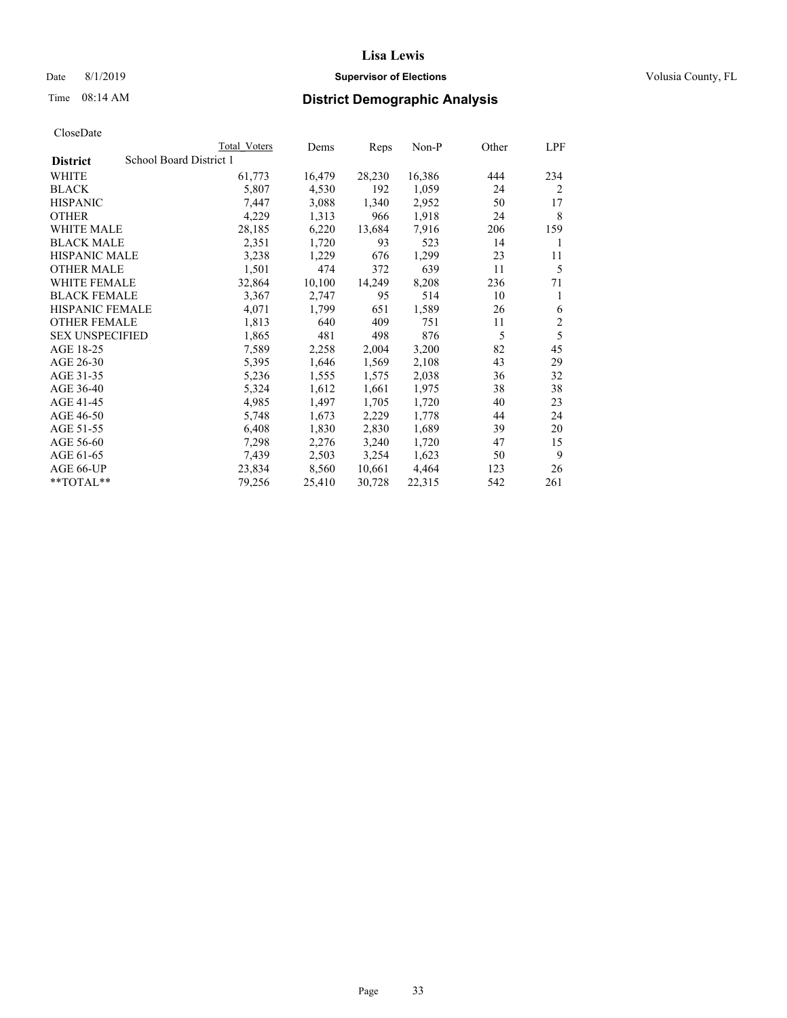### Date 8/1/2019 **Supervisor of Elections Supervisor of Elections** Volusia County, FL

### Time 08:14 AM **District Demographic Analysis**

|                        | Total Voters            | Dems   | Reps   | Non-P  | Other | LPF            |
|------------------------|-------------------------|--------|--------|--------|-------|----------------|
| <b>District</b>        | School Board District 1 |        |        |        |       |                |
| WHITE                  | 61,773                  | 16,479 | 28,230 | 16,386 | 444   | 234            |
| <b>BLACK</b>           | 5,807                   | 4,530  | 192    | 1,059  | 24    | 2              |
| <b>HISPANIC</b>        | 7,447                   | 3,088  | 1,340  | 2,952  | 50    | 17             |
| <b>OTHER</b>           | 4,229                   | 1,313  | 966    | 1,918  | 24    | 8              |
| WHITE MALE             | 28,185                  | 6,220  | 13,684 | 7,916  | 206   | 159            |
| <b>BLACK MALE</b>      | 2,351                   | 1,720  | 93     | 523    | 14    | 1              |
| <b>HISPANIC MALE</b>   | 3,238                   | 1,229  | 676    | 1,299  | 23    | 11             |
| <b>OTHER MALE</b>      | 1,501                   | 474    | 372    | 639    | 11    | 5              |
| WHITE FEMALE           | 32,864                  | 10,100 | 14,249 | 8,208  | 236   | 71             |
| <b>BLACK FEMALE</b>    | 3,367                   | 2,747  | 95     | 514    | 10    | 1              |
| <b>HISPANIC FEMALE</b> | 4,071                   | 1,799  | 651    | 1,589  | 26    | 6              |
| <b>OTHER FEMALE</b>    | 1,813                   | 640    | 409    | 751    | 11    | $\overline{2}$ |
| <b>SEX UNSPECIFIED</b> | 1,865                   | 481    | 498    | 876    | 5     | 5              |
| AGE 18-25              | 7,589                   | 2,258  | 2,004  | 3,200  | 82    | 45             |
| AGE 26-30              | 5,395                   | 1,646  | 1,569  | 2,108  | 43    | 29             |
| AGE 31-35              | 5,236                   | 1,555  | 1,575  | 2,038  | 36    | 32             |
| AGE 36-40              | 5,324                   | 1,612  | 1,661  | 1,975  | 38    | 38             |
| AGE 41-45              | 4,985                   | 1,497  | 1,705  | 1,720  | 40    | 23             |
| AGE 46-50              | 5,748                   | 1,673  | 2,229  | 1,778  | 44    | 24             |
| AGE 51-55              | 6,408                   | 1,830  | 2,830  | 1,689  | 39    | 20             |
| AGE 56-60              | 7,298                   | 2,276  | 3,240  | 1,720  | 47    | 15             |
| AGE 61-65              | 7,439                   | 2,503  | 3,254  | 1,623  | 50    | 9              |
| AGE 66-UP              | 23,834                  | 8,560  | 10,661 | 4,464  | 123   | 26             |
| $*$ $TOTAL**$          | 79,256                  | 25,410 | 30,728 | 22,315 | 542   | 261            |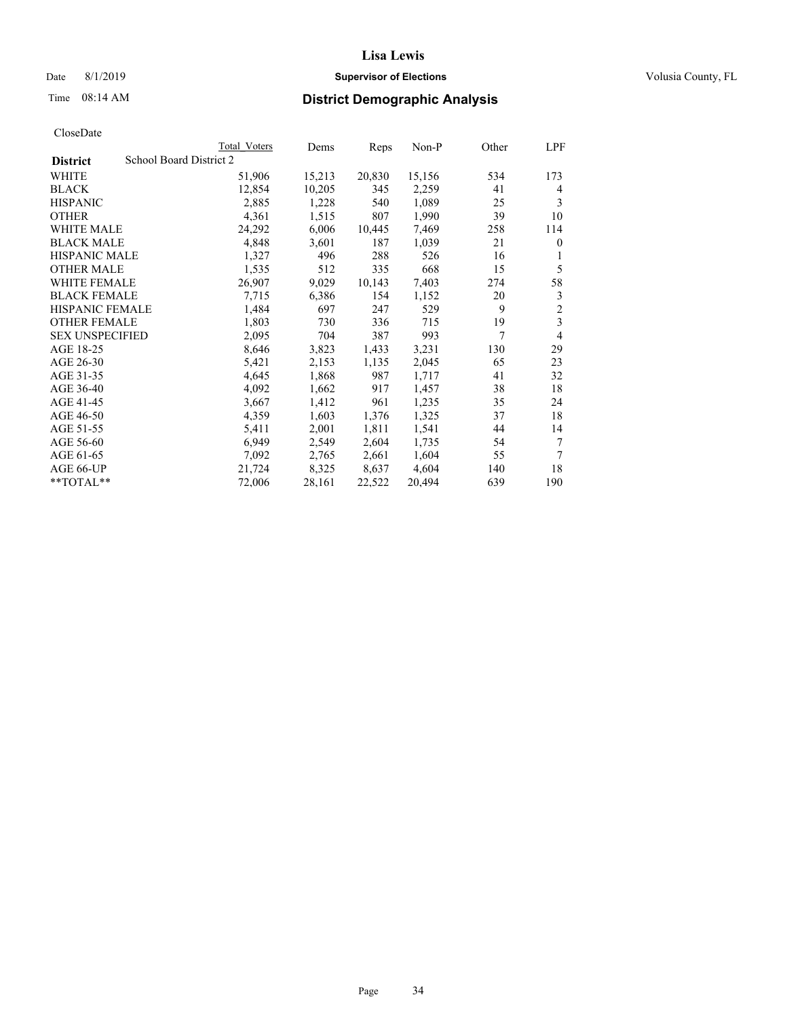### Date 8/1/2019 **Supervisor of Elections Supervisor of Elections** Volusia County, FL

### Time 08:14 AM **District Demographic Analysis**

|                        | Total Voters            | Dems   | Reps   | Non-P  | Other | LPF            |
|------------------------|-------------------------|--------|--------|--------|-------|----------------|
| <b>District</b>        | School Board District 2 |        |        |        |       |                |
| WHITE                  | 51,906                  | 15,213 | 20,830 | 15,156 | 534   | 173            |
| <b>BLACK</b>           | 12,854                  | 10,205 | 345    | 2,259  | 41    | 4              |
| <b>HISPANIC</b>        | 2,885                   | 1,228  | 540    | 1,089  | 25    | 3              |
| <b>OTHER</b>           | 4,361                   | 1,515  | 807    | 1,990  | 39    | 10             |
| WHITE MALE             | 24,292                  | 6,006  | 10,445 | 7,469  | 258   | 114            |
| <b>BLACK MALE</b>      | 4,848                   | 3,601  | 187    | 1,039  | 21    | $\theta$       |
| <b>HISPANIC MALE</b>   | 1,327                   | 496    | 288    | 526    | 16    | 1              |
| <b>OTHER MALE</b>      | 1,535                   | 512    | 335    | 668    | 15    | 5              |
| WHITE FEMALE           | 26,907                  | 9,029  | 10,143 | 7,403  | 274   | 58             |
| <b>BLACK FEMALE</b>    | 7,715                   | 6,386  | 154    | 1,152  | 20    | 3              |
| <b>HISPANIC FEMALE</b> | 1,484                   | 697    | 247    | 529    | 9     | $\overline{2}$ |
| <b>OTHER FEMALE</b>    | 1,803                   | 730    | 336    | 715    | 19    | 3              |
| <b>SEX UNSPECIFIED</b> | 2,095                   | 704    | 387    | 993    | 7     | 4              |
| AGE 18-25              | 8,646                   | 3,823  | 1,433  | 3,231  | 130   | 29             |
| AGE 26-30              | 5,421                   | 2,153  | 1,135  | 2,045  | 65    | 23             |
| AGE 31-35              | 4,645                   | 1,868  | 987    | 1,717  | 41    | 32             |
| AGE 36-40              | 4,092                   | 1,662  | 917    | 1,457  | 38    | 18             |
| AGE 41-45              | 3,667                   | 1,412  | 961    | 1,235  | 35    | 24             |
| AGE 46-50              | 4,359                   | 1,603  | 1,376  | 1,325  | 37    | 18             |
| AGE 51-55              | 5,411                   | 2,001  | 1,811  | 1,541  | 44    | 14             |
| AGE 56-60              | 6,949                   | 2,549  | 2,604  | 1,735  | 54    | 7              |
| AGE 61-65              | 7,092                   | 2,765  | 2,661  | 1,604  | 55    | 7              |
| AGE 66-UP              | 21,724                  | 8,325  | 8,637  | 4,604  | 140   | 18             |
| $*$ $TOTAL**$          | 72,006                  | 28,161 | 22,522 | 20,494 | 639   | 190            |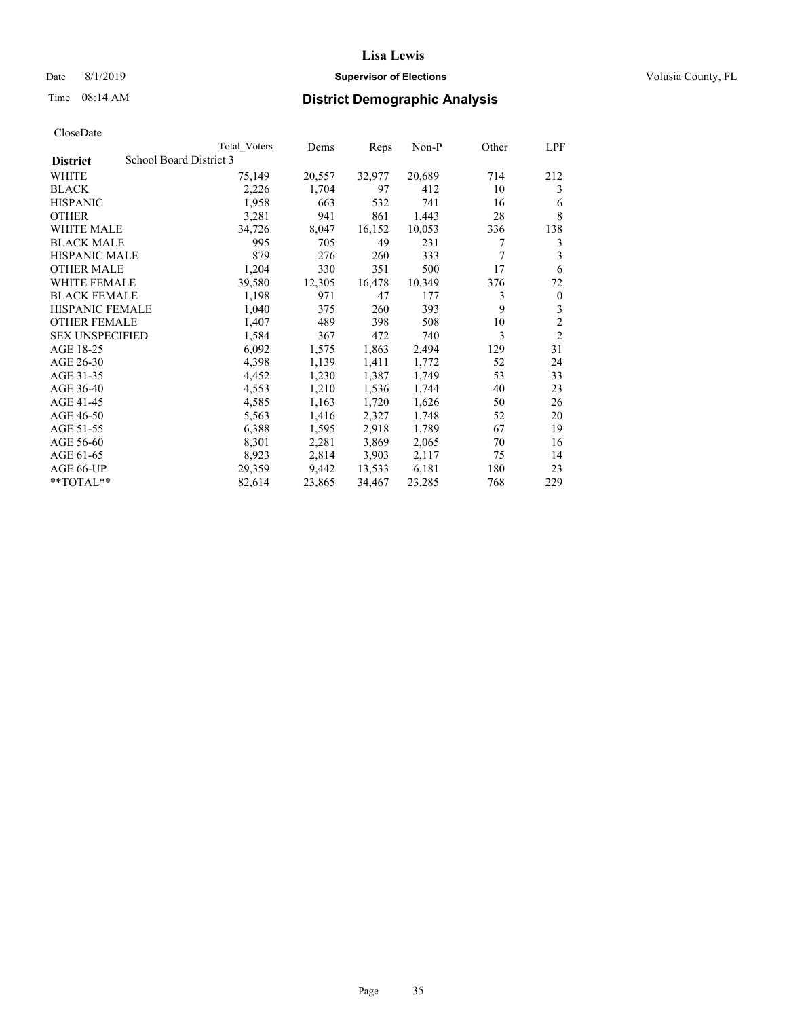### Date 8/1/2019 **Supervisor of Elections Supervisor of Elections** Volusia County, FL

### Time 08:14 AM **District Demographic Analysis**

|                        | Total Voters            | Dems   | Reps   | Non-P  | Other | LPF            |
|------------------------|-------------------------|--------|--------|--------|-------|----------------|
| <b>District</b>        | School Board District 3 |        |        |        |       |                |
| WHITE                  | 75,149                  | 20,557 | 32,977 | 20,689 | 714   | 212            |
| <b>BLACK</b>           | 2,226                   | 1,704  | 97     | 412    | 10    | 3              |
| <b>HISPANIC</b>        | 1,958                   | 663    | 532    | 741    | 16    | 6              |
| <b>OTHER</b>           | 3,281                   | 941    | 861    | 1,443  | 28    | 8              |
| WHITE MALE             | 34,726                  | 8,047  | 16,152 | 10,053 | 336   | 138            |
| <b>BLACK MALE</b>      | 995                     | 705    | 49     | 231    | 7     | 3              |
| <b>HISPANIC MALE</b>   | 879                     | 276    | 260    | 333    | 7     | 3              |
| <b>OTHER MALE</b>      | 1,204                   | 330    | 351    | 500    | 17    | 6              |
| <b>WHITE FEMALE</b>    | 39,580                  | 12,305 | 16,478 | 10,349 | 376   | 72             |
| <b>BLACK FEMALE</b>    | 1,198                   | 971    | 47     | 177    | 3     | $\mathbf{0}$   |
| <b>HISPANIC FEMALE</b> | 1,040                   | 375    | 260    | 393    | 9     | 3              |
| <b>OTHER FEMALE</b>    | 1,407                   | 489    | 398    | 508    | 10    | $\overline{c}$ |
| <b>SEX UNSPECIFIED</b> | 1,584                   | 367    | 472    | 740    | 3     | $\overline{2}$ |
| AGE 18-25              | 6,092                   | 1,575  | 1,863  | 2,494  | 129   | 31             |
| AGE 26-30              | 4,398                   | 1,139  | 1,411  | 1,772  | 52    | 24             |
| AGE 31-35              | 4,452                   | 1,230  | 1,387  | 1,749  | 53    | 33             |
| AGE 36-40              | 4,553                   | 1,210  | 1,536  | 1,744  | 40    | 23             |
| AGE 41-45              | 4,585                   | 1,163  | 1,720  | 1,626  | 50    | 26             |
| AGE 46-50              | 5,563                   | 1,416  | 2,327  | 1,748  | 52    | 20             |
| AGE 51-55              | 6,388                   | 1,595  | 2,918  | 1,789  | 67    | 19             |
| AGE 56-60              | 8,301                   | 2,281  | 3,869  | 2,065  | 70    | 16             |
| AGE 61-65              | 8,923                   | 2,814  | 3,903  | 2,117  | 75    | 14             |
| AGE 66-UP              | 29,359                  | 9,442  | 13,533 | 6,181  | 180   | 23             |
| $*$ TOTAL $*$          | 82,614                  | 23,865 | 34,467 | 23,285 | 768   | 229            |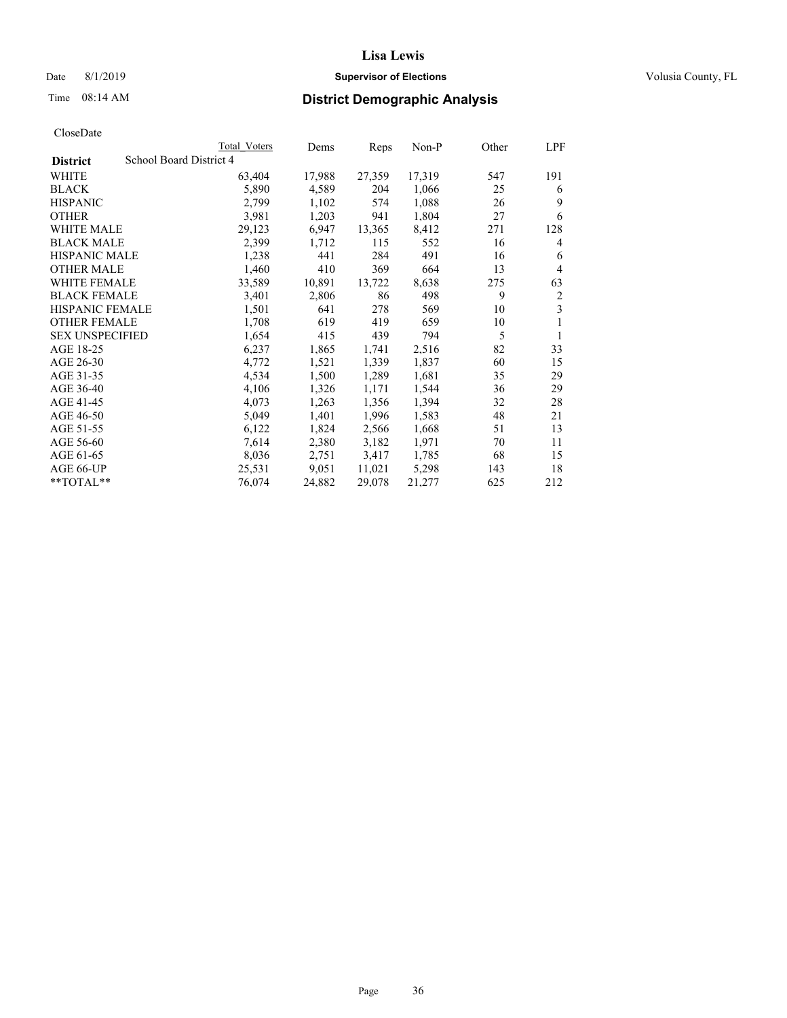### Date 8/1/2019 **Supervisor of Elections Supervisor of Elections** Volusia County, FL

### Time 08:14 AM **District Demographic Analysis**

|                        |                         | Total Voters | Dems   | Reps   | Non-P  | Other | LPF            |
|------------------------|-------------------------|--------------|--------|--------|--------|-------|----------------|
| <b>District</b>        | School Board District 4 |              |        |        |        |       |                |
| WHITE                  |                         | 63,404       | 17,988 | 27,359 | 17,319 | 547   | 191            |
| <b>BLACK</b>           |                         | 5,890        | 4,589  | 204    | 1,066  | 25    | 6              |
| <b>HISPANIC</b>        |                         | 2,799        | 1,102  | 574    | 1,088  | 26    | 9              |
| <b>OTHER</b>           |                         | 3,981        | 1,203  | 941    | 1,804  | 27    | 6              |
| WHITE MALE             |                         | 29,123       | 6,947  | 13,365 | 8,412  | 271   | 128            |
| <b>BLACK MALE</b>      |                         | 2,399        | 1,712  | 115    | 552    | 16    | 4              |
| <b>HISPANIC MALE</b>   |                         | 1,238        | 441    | 284    | 491    | 16    | 6              |
| <b>OTHER MALE</b>      |                         | 1,460        | 410    | 369    | 664    | 13    | 4              |
| <b>WHITE FEMALE</b>    |                         | 33,589       | 10,891 | 13,722 | 8,638  | 275   | 63             |
| <b>BLACK FEMALE</b>    |                         | 3,401        | 2,806  | 86     | 498    | 9     | $\overline{2}$ |
| <b>HISPANIC FEMALE</b> |                         | 1,501        | 641    | 278    | 569    | 10    | 3              |
| <b>OTHER FEMALE</b>    |                         | 1,708        | 619    | 419    | 659    | 10    | 1              |
| <b>SEX UNSPECIFIED</b> |                         | 1,654        | 415    | 439    | 794    | 5     | 1              |
| AGE 18-25              |                         | 6,237        | 1,865  | 1,741  | 2,516  | 82    | 33             |
| AGE 26-30              |                         | 4,772        | 1,521  | 1,339  | 1,837  | 60    | 15             |
| AGE 31-35              |                         | 4,534        | 1,500  | 1,289  | 1,681  | 35    | 29             |
| AGE 36-40              |                         | 4,106        | 1,326  | 1,171  | 1,544  | 36    | 29             |
| AGE 41-45              |                         | 4,073        | 1,263  | 1,356  | 1,394  | 32    | 28             |
| AGE 46-50              |                         | 5,049        | 1,401  | 1,996  | 1,583  | 48    | 21             |
| AGE 51-55              |                         | 6,122        | 1,824  | 2,566  | 1,668  | 51    | 13             |
| AGE 56-60              |                         | 7,614        | 2,380  | 3,182  | 1,971  | 70    | 11             |
| AGE 61-65              |                         | 8,036        | 2,751  | 3,417  | 1,785  | 68    | 15             |
| AGE 66-UP              |                         | 25,531       | 9,051  | 11,021 | 5,298  | 143   | 18             |
| $*$ $TOTAL**$          |                         | 76,074       | 24,882 | 29,078 | 21,277 | 625   | 212            |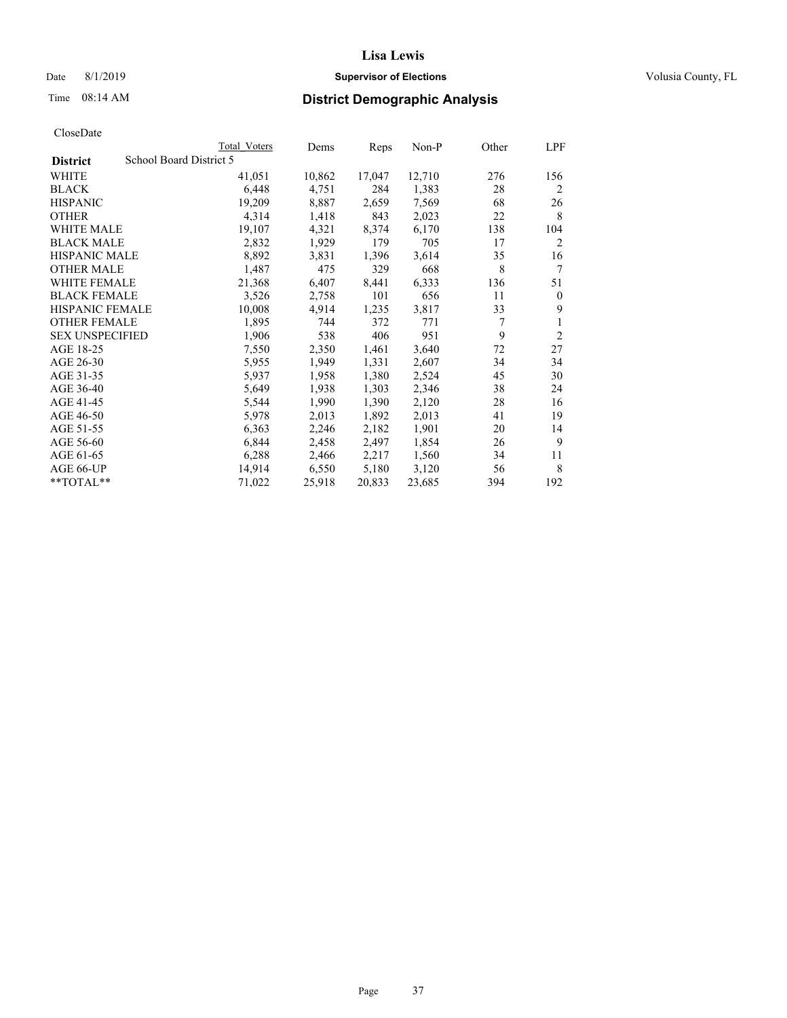## Date 8/1/2019 **Supervisor of Elections Supervisor of Elections** Volusia County, FL

# Time 08:14 AM **District Demographic Analysis**

|                        |                         | Total Voters | Dems   | Reps   | Non-P  | Other | LPF            |
|------------------------|-------------------------|--------------|--------|--------|--------|-------|----------------|
| <b>District</b>        | School Board District 5 |              |        |        |        |       |                |
| WHITE                  |                         | 41,051       | 10,862 | 17,047 | 12,710 | 276   | 156            |
| <b>BLACK</b>           |                         | 6,448        | 4,751  | 284    | 1,383  | 28    | 2              |
| <b>HISPANIC</b>        |                         | 19,209       | 8,887  | 2,659  | 7,569  | 68    | 26             |
| <b>OTHER</b>           |                         | 4,314        | 1,418  | 843    | 2,023  | 22    | 8              |
| <b>WHITE MALE</b>      |                         | 19,107       | 4,321  | 8,374  | 6,170  | 138   | 104            |
| <b>BLACK MALE</b>      |                         | 2,832        | 1,929  | 179    | 705    | 17    | 2              |
| <b>HISPANIC MALE</b>   |                         | 8,892        | 3,831  | 1,396  | 3,614  | 35    | 16             |
| <b>OTHER MALE</b>      |                         | 1,487        | 475    | 329    | 668    | 8     | 7              |
| WHITE FEMALE           |                         | 21,368       | 6,407  | 8,441  | 6,333  | 136   | 51             |
| <b>BLACK FEMALE</b>    |                         | 3,526        | 2,758  | 101    | 656    | 11    | $\theta$       |
| <b>HISPANIC FEMALE</b> |                         | 10,008       | 4,914  | 1,235  | 3,817  | 33    | 9              |
| <b>OTHER FEMALE</b>    |                         | 1,895        | 744    | 372    | 771    | 7     | 1              |
| <b>SEX UNSPECIFIED</b> |                         | 1,906        | 538    | 406    | 951    | 9     | $\overline{2}$ |
| AGE 18-25              |                         | 7,550        | 2,350  | 1,461  | 3,640  | 72    | 27             |
| AGE 26-30              |                         | 5,955        | 1,949  | 1,331  | 2,607  | 34    | 34             |
| AGE 31-35              |                         | 5,937        | 1,958  | 1,380  | 2,524  | 45    | 30             |
| AGE 36-40              |                         | 5,649        | 1,938  | 1,303  | 2,346  | 38    | 24             |
| AGE 41-45              |                         | 5,544        | 1,990  | 1,390  | 2,120  | 28    | 16             |
| AGE 46-50              |                         | 5,978        | 2,013  | 1,892  | 2,013  | 41    | 19             |
| AGE 51-55              |                         | 6,363        | 2,246  | 2,182  | 1,901  | 20    | 14             |
| AGE 56-60              |                         | 6,844        | 2,458  | 2,497  | 1,854  | 26    | 9              |
| AGE 61-65              |                         | 6,288        | 2,466  | 2,217  | 1,560  | 34    | 11             |
| AGE 66-UP              |                         | 14,914       | 6,550  | 5,180  | 3,120  | 56    | 8              |
| $*$ TOTAL $*$          |                         | 71,022       | 25,918 | 20,833 | 23,685 | 394   | 192            |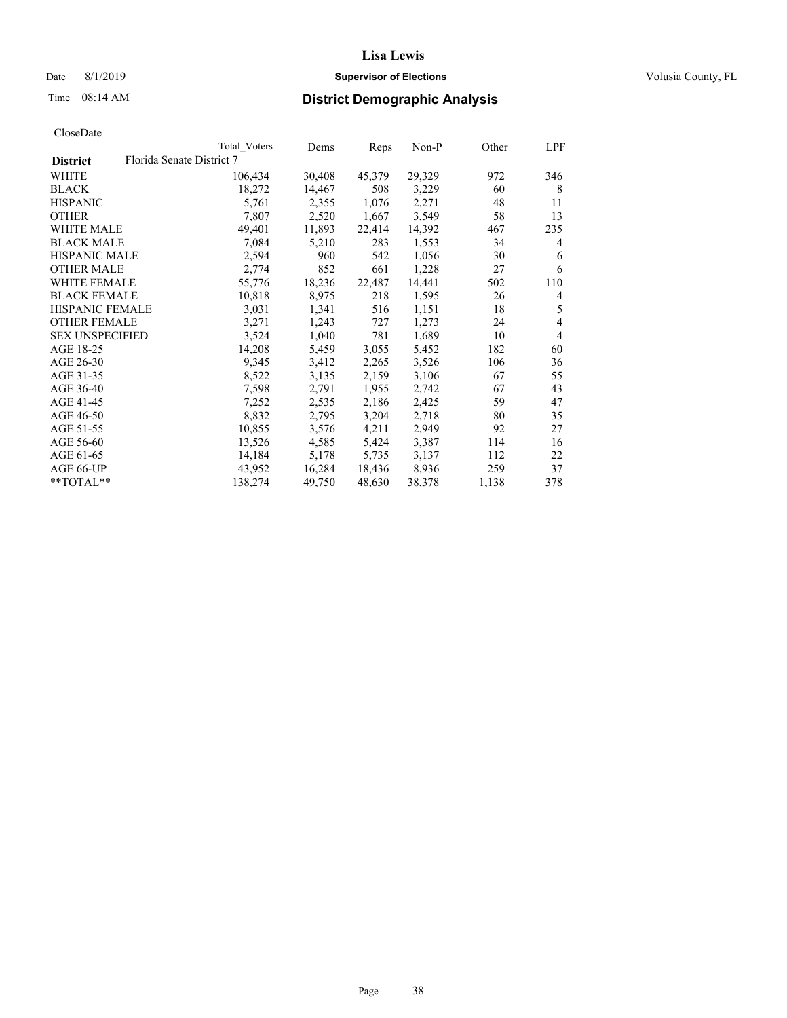## Date 8/1/2019 **Supervisor of Elections Supervisor of Elections** Volusia County, FL

# Time 08:14 AM **District Demographic Analysis**

| Total Voters              | Dems   | Reps   | $Non-P$ |       | LPF            |
|---------------------------|--------|--------|---------|-------|----------------|
| Florida Senate District 7 |        |        |         |       |                |
| 106,434                   | 30,408 | 45,379 | 29,329  | 972   | 346            |
| 18,272                    | 14,467 | 508    | 3,229   | 60    | 8              |
| 5,761                     | 2,355  | 1,076  | 2,271   | 48    | 11             |
| 7,807                     | 2,520  | 1,667  | 3,549   | 58    | 13             |
| 49,401                    | 11,893 | 22,414 | 14,392  | 467   | 235            |
| 7,084                     | 5,210  | 283    | 1,553   | 34    | 4              |
| 2,594                     | 960    | 542    | 1,056   | 30    | 6              |
| 2,774                     | 852    | 661    | 1,228   | 27    | 6              |
| 55,776                    | 18,236 | 22,487 | 14,441  | 502   | 110            |
| 10,818                    | 8,975  | 218    | 1,595   | 26    | 4              |
| 3,031                     | 1,341  | 516    | 1,151   | 18    | 5              |
| 3,271                     | 1,243  | 727    | 1,273   | 24    | $\overline{4}$ |
| 3,524                     | 1,040  | 781    | 1,689   | 10    | $\overline{4}$ |
| 14,208                    | 5,459  | 3,055  | 5,452   | 182   | 60             |
| 9,345                     | 3,412  | 2,265  | 3,526   | 106   | 36             |
| 8,522                     | 3,135  | 2,159  | 3,106   | 67    | 55             |
| 7,598                     | 2,791  | 1,955  | 2,742   | 67    | 43             |
| 7,252                     | 2,535  | 2,186  | 2,425   | 59    | 47             |
| 8,832                     | 2,795  | 3,204  | 2,718   | 80    | 35             |
| 10,855                    | 3,576  | 4,211  | 2,949   | 92    | 27             |
| 13,526                    | 4,585  | 5,424  | 3,387   | 114   | 16             |
| 14,184                    | 5,178  | 5,735  | 3,137   | 112   | 22             |
| 43,952                    | 16,284 | 18,436 | 8,936   | 259   | 37             |
| 138,274                   | 49,750 | 48,630 | 38,378  | 1,138 | 378            |
|                           |        |        |         |       | Other          |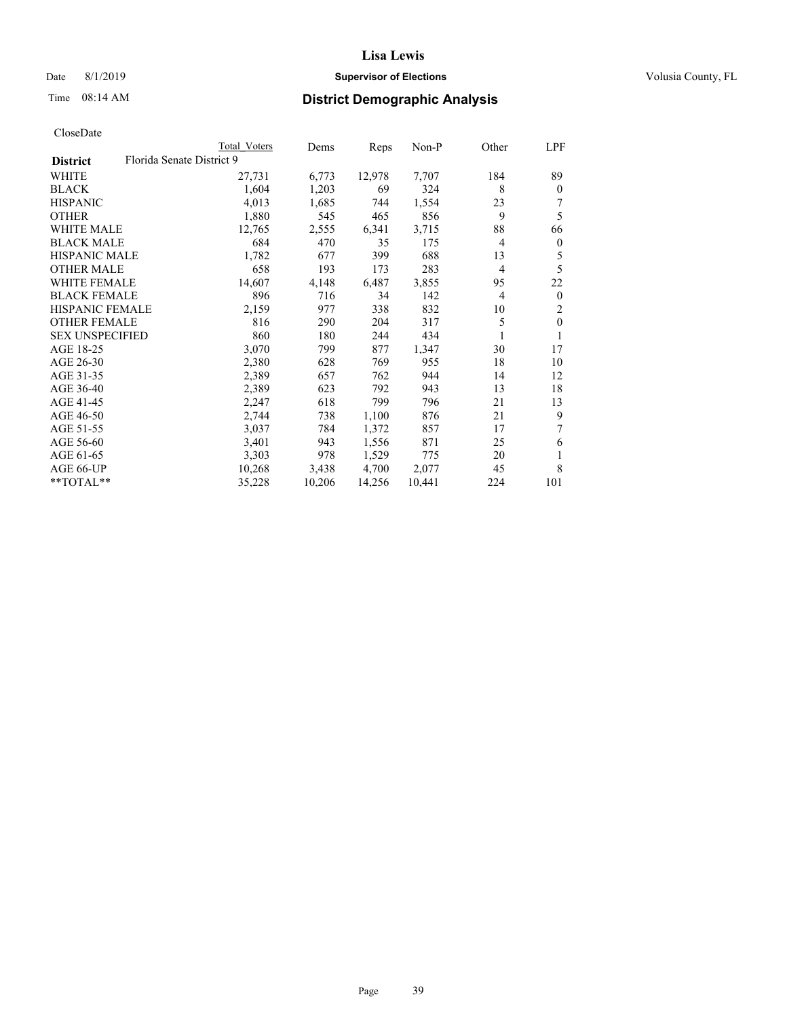## Date 8/1/2019 **Supervisor of Elections Supervisor of Elections** Volusia County, FL

# Time 08:14 AM **District Demographic Analysis**

|                                              | Total Voters | Dems   | Reps   | $Non-P$ | Other          | LPF            |
|----------------------------------------------|--------------|--------|--------|---------|----------------|----------------|
| Florida Senate District 9<br><b>District</b> |              |        |        |         |                |                |
| WHITE                                        | 27,731       | 6,773  | 12,978 | 7,707   | 184            | 89             |
| <b>BLACK</b>                                 | 1,604        | 1,203  | 69     | 324     | 8              | $\theta$       |
| <b>HISPANIC</b>                              | 4,013        | 1,685  | 744    | 1,554   | 23             | 7              |
| <b>OTHER</b>                                 | 1,880        | 545    | 465    | 856     | 9              | 5              |
| <b>WHITE MALE</b>                            | 12,765       | 2,555  | 6,341  | 3,715   | 88             | 66             |
| <b>BLACK MALE</b>                            | 684          | 470    | 35     | 175     | 4              | $\mathbf{0}$   |
| <b>HISPANIC MALE</b>                         | 1,782        | 677    | 399    | 688     | 13             | 5              |
| <b>OTHER MALE</b>                            | 658          | 193    | 173    | 283     | $\overline{4}$ | 5              |
| WHITE FEMALE                                 | 14,607       | 4,148  | 6,487  | 3,855   | 95             | 22             |
| <b>BLACK FEMALE</b>                          | 896          | 716    | 34     | 142     | $\overline{4}$ | $\mathbf{0}$   |
| HISPANIC FEMALE                              | 2,159        | 977    | 338    | 832     | 10             | $\overline{2}$ |
| <b>OTHER FEMALE</b>                          | 816          | 290    | 204    | 317     | 5              | $\theta$       |
| <b>SEX UNSPECIFIED</b>                       | 860          | 180    | 244    | 434     |                |                |
| AGE 18-25                                    | 3,070        | 799    | 877    | 1,347   | 30             | 17             |
| AGE 26-30                                    | 2,380        | 628    | 769    | 955     | 18             | 10             |
| AGE 31-35                                    | 2,389        | 657    | 762    | 944     | 14             | 12             |
| AGE 36-40                                    | 2,389        | 623    | 792    | 943     | 13             | 18             |
| AGE 41-45                                    | 2,247        | 618    | 799    | 796     | 21             | 13             |
| AGE 46-50                                    | 2,744        | 738    | 1,100  | 876     | 21             | 9              |
| AGE 51-55                                    | 3,037        | 784    | 1,372  | 857     | 17             |                |
| AGE 56-60                                    | 3,401        | 943    | 1,556  | 871     | 25             | 6              |
| AGE 61-65                                    | 3,303        | 978    | 1,529  | 775     | 20             |                |
| AGE 66-UP                                    | 10,268       | 3,438  | 4,700  | 2,077   | 45             | 8              |
| **TOTAL**                                    | 35,228       | 10,206 | 14,256 | 10,441  | 224            | 101            |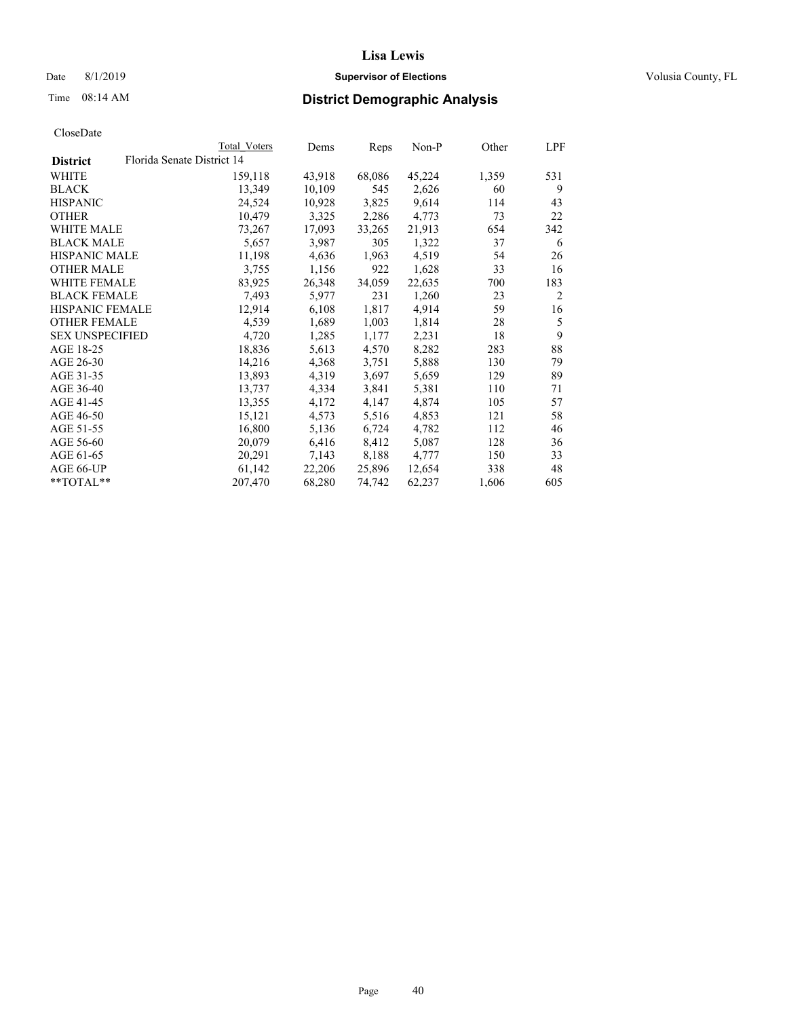## Date 8/1/2019 **Supervisor of Elections Supervisor of Elections** Volusia County, FL

|                        | Total Voters               | Dems   | Reps   | $Non-P$ | Other | LPF |
|------------------------|----------------------------|--------|--------|---------|-------|-----|
| <b>District</b>        | Florida Senate District 14 |        |        |         |       |     |
| WHITE                  | 159,118                    | 43,918 | 68,086 | 45,224  | 1,359 | 531 |
| BLACK                  | 13,349                     | 10,109 | 545    | 2,626   | 60    | 9   |
| HISPANIC               | 24,524                     | 10,928 | 3,825  | 9,614   | 114   | 43  |
| OTHER                  | 10,479                     | 3,325  | 2,286  | 4,773   | 73    | 22  |
| WHITE MALE             | 73,267                     | 17,093 | 33,265 | 21,913  | 654   | 342 |
| BLACK MALE             | 5,657                      | 3,987  | 305    | 1,322   | 37    | 6   |
| HISPANIC MALE          | 11,198                     | 4,636  | 1,963  | 4,519   | 54    | 26  |
| <b>OTHER MALE</b>      | 3,755                      | 1,156  | 922    | 1,628   | 33    | 16  |
| WHITE FEMALE           | 83,925                     | 26,348 | 34,059 | 22,635  | 700   | 183 |
| BLACK FEMALE           | 7,493                      | 5,977  | 231    | 1,260   | 23    | 2   |
| HISPANIC FEMALE        | 12,914                     | 6,108  | 1,817  | 4,914   | 59    | 16  |
| OTHER FEMALE           | 4,539                      | 1,689  | 1,003  | 1,814   | 28    | 5   |
| <b>SEX UNSPECIFIED</b> | 4,720                      | 1,285  | 1,177  | 2,231   | 18    | 9   |
| AGE 18-25              | 18,836                     | 5,613  | 4,570  | 8,282   | 283   | 88  |
| AGE 26-30              | 14,216                     | 4,368  | 3,751  | 5,888   | 130   | 79  |
| AGE 31-35              | 13,893                     | 4,319  | 3,697  | 5,659   | 129   | 89  |
| AGE 36-40              | 13,737                     | 4,334  | 3,841  | 5,381   | 110   | 71  |
| AGE 41-45              | 13,355                     | 4,172  | 4,147  | 4,874   | 105   | 57  |
| AGE 46-50              | 15,121                     | 4,573  | 5,516  | 4,853   | 121   | 58  |
| AGE 51-55              | 16,800                     | 5,136  | 6,724  | 4,782   | 112   | 46  |
| AGE 56-60              | 20,079                     | 6,416  | 8,412  | 5,087   | 128   | 36  |
| AGE 61-65              | 20,291                     | 7,143  | 8,188  | 4,777   | 150   | 33  |
| AGE 66-UP              | 61,142                     | 22,206 | 25,896 | 12,654  | 338   | 48  |
| **TOTAL**              | 207,470                    | 68,280 | 74,742 | 62,237  | 1,606 | 605 |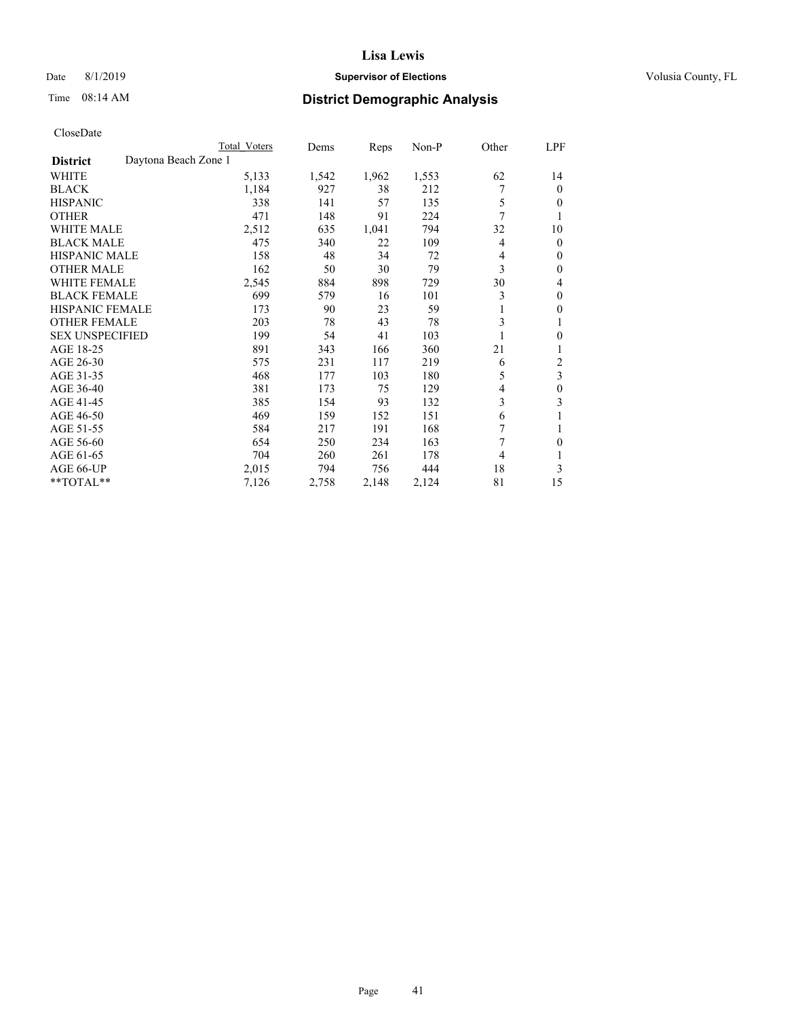## Date 8/1/2019 **Supervisor of Elections Supervisor of Elections** Volusia County, FL

# Time 08:14 AM **District Demographic Analysis**

| Total Voters         | Dems  | Reps  |       |                | LPF              |
|----------------------|-------|-------|-------|----------------|------------------|
| Daytona Beach Zone 1 |       |       |       |                |                  |
| 5,133                | 1,542 | 1,962 | 1,553 | 62             | 14               |
| 1,184                | 927   | 38    | 212   |                | $\theta$         |
| 338                  | 141   | 57    | 135   | 5              | $\theta$         |
| 471                  | 148   | 91    | 224   | 7              |                  |
| 2,512                | 635   | 1,041 | 794   | 32             | 10               |
| 475                  | 340   | 22    | 109   | $\overline{4}$ | $\theta$         |
| 158                  | 48    | 34    | 72    | 4              | $\mathbf{0}$     |
| 162                  | 50    | 30    | 79    | 3              | $\theta$         |
| 2,545                | 884   | 898   | 729   | 30             | 4                |
| 699                  | 579   | 16    | 101   | 3              | $\theta$         |
| 173                  | 90    | 23    | 59    | 1              | $\mathbf{0}$     |
| 203                  | 78    | 43    | 78    | 3              | 1                |
| 199                  | 54    | 41    | 103   |                | $\theta$         |
| 891                  | 343   | 166   | 360   | 21             |                  |
| 575                  | 231   | 117   | 219   | 6              | $\overline{c}$   |
| 468                  | 177   | 103   | 180   | 5              | 3                |
| 381                  | 173   | 75    | 129   | $\overline{4}$ | $\theta$         |
| 385                  | 154   | 93    | 132   | 3              | 3                |
| 469                  | 159   | 152   | 151   | 6              |                  |
| 584                  | 217   | 191   | 168   | 7              |                  |
| 654                  | 250   | 234   | 163   | 7              | $\theta$         |
| 704                  | 260   | 261   | 178   | 4              |                  |
| 2,015                | 794   | 756   | 444   | 18             | 3                |
| 7,126                | 2,758 | 2,148 | 2,124 | 81             | 15               |
|                      |       |       |       |                | Other<br>$Non-P$ |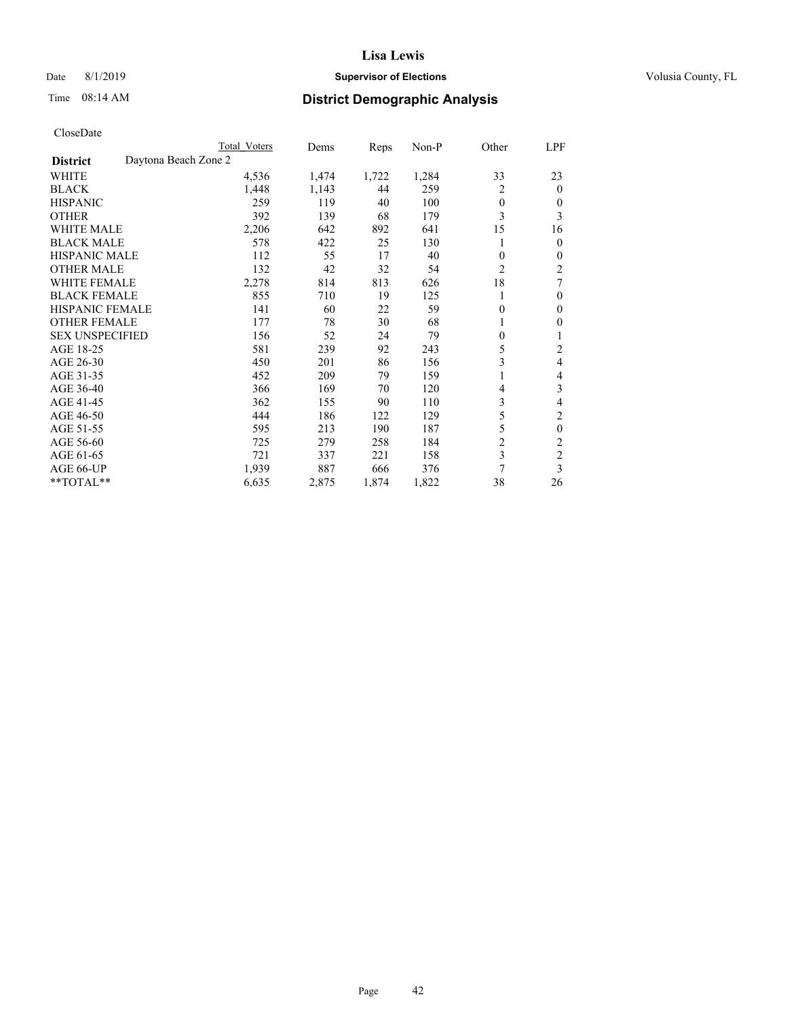## Date 8/1/2019 **Supervisor of Elections Supervisor of Elections** Volusia County, FL

# Time 08:14 AM **District Demographic Analysis**

|                                         | Total Voters | Dems  | Reps  | $Non-P$ | Other          | LPF            |
|-----------------------------------------|--------------|-------|-------|---------|----------------|----------------|
| Daytona Beach Zone 2<br><b>District</b> |              |       |       |         |                |                |
| WHITE                                   | 4,536        | 1,474 | 1,722 | 1,284   | 33             | 23             |
| <b>BLACK</b>                            | 1,448        | 1,143 | 44    | 259     | 2              | $\theta$       |
| <b>HISPANIC</b>                         | 259          | 119   | 40    | 100     | $\theta$       | 0              |
| <b>OTHER</b>                            | 392          | 139   | 68    | 179     | 3              | 3              |
| <b>WHITE MALE</b>                       | 2,206        | 642   | 892   | 641     | 15             | 16             |
| <b>BLACK MALE</b>                       | 578          | 422   | 25    | 130     |                | $\overline{0}$ |
| HISPANIC MALE                           | 112          | 55    | 17    | 40      | 0              | $\mathbf{0}$   |
| <b>OTHER MALE</b>                       | 132          | 42    | 32    | 54      | $\overline{c}$ | 2              |
| <b>WHITE FEMALE</b>                     | 2,278        | 814   | 813   | 626     | 18             | 7              |
| <b>BLACK FEMALE</b>                     | 855          | 710   | 19    | 125     | 1              | $\theta$       |
| <b>HISPANIC FEMALE</b>                  | 141          | 60    | 22    | 59      | $\mathbf{0}$   | $\theta$       |
| <b>OTHER FEMALE</b>                     | 177          | 78    | 30    | 68      | 1              | 0              |
| <b>SEX UNSPECIFIED</b>                  | 156          | 52    | 24    | 79      | $\theta$       | 1              |
| AGE 18-25                               | 581          | 239   | 92    | 243     | 5              | $\overline{c}$ |
| AGE 26-30                               | 450          | 201   | 86    | 156     | 3              | 4              |
| AGE 31-35                               | 452          | 209   | 79    | 159     | 1              | 4              |
| AGE 36-40                               | 366          | 169   | 70    | 120     | 4              | 3              |
| AGE 41-45                               | 362          | 155   | 90    | 110     | 3              | 4              |
| AGE 46-50                               | 444          | 186   | 122   | 129     | 5              | $\overline{c}$ |
| AGE 51-55                               | 595          | 213   | 190   | 187     | 5              | $\theta$       |
| AGE 56-60                               | 725          | 279   | 258   | 184     | $\overline{c}$ | $\overline{c}$ |
| AGE 61-65                               | 721          | 337   | 221   | 158     | 3              | $\overline{c}$ |
| AGE 66-UP                               | 1,939        | 887   | 666   | 376     | 7              | 3              |
| $*$ TOTAL $*$                           | 6,635        | 2,875 | 1,874 | 1,822   | 38             | 26             |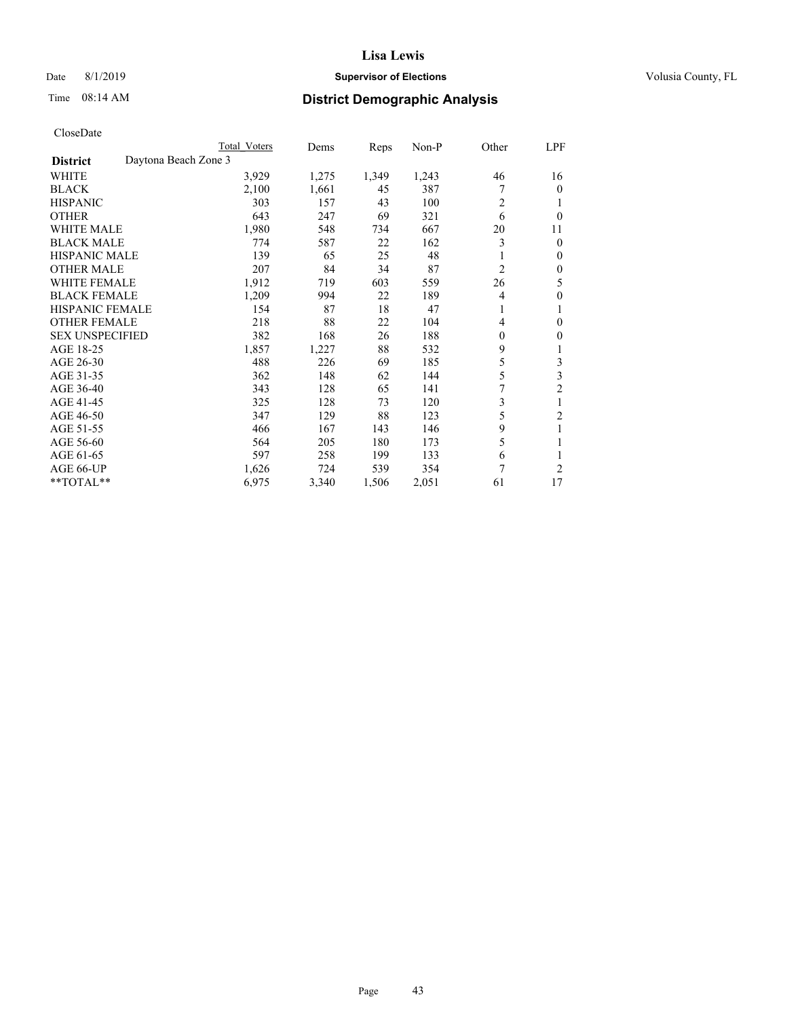## Date 8/1/2019 **Supervisor of Elections Supervisor of Elections** Volusia County, FL

# Time 08:14 AM **District Demographic Analysis**

|                        |                      | Total Voters | Dems  | Reps  | Non-P | Other | LPF            |
|------------------------|----------------------|--------------|-------|-------|-------|-------|----------------|
| <b>District</b>        | Daytona Beach Zone 3 |              |       |       |       |       |                |
| WHITE                  |                      | 3,929        | 1,275 | 1,349 | 1,243 | 46    | 16             |
| <b>BLACK</b>           |                      | 2,100        | 1,661 | 45    | 387   |       | $\mathbf{0}$   |
| <b>HISPANIC</b>        |                      | 303          | 157   | 43    | 100   | 2     | 1              |
| <b>OTHER</b>           |                      | 643          | 247   | 69    | 321   | 6     | $\theta$       |
| <b>WHITE MALE</b>      |                      | 1,980        | 548   | 734   | 667   | 20    | 11             |
| <b>BLACK MALE</b>      |                      | 774          | 587   | 22    | 162   | 3     | $\theta$       |
| <b>HISPANIC MALE</b>   |                      | 139          | 65    | 25    | 48    |       | $\mathbf{0}$   |
| <b>OTHER MALE</b>      |                      | 207          | 84    | 34    | 87    | 2     | $\mathbf{0}$   |
| WHITE FEMALE           |                      | 1,912        | 719   | 603   | 559   | 26    | 5              |
| <b>BLACK FEMALE</b>    |                      | 1,209        | 994   | 22    | 189   | 4     | 0              |
| <b>HISPANIC FEMALE</b> |                      | 154          | 87    | 18    | 47    | 1     | 1              |
| <b>OTHER FEMALE</b>    |                      | 218          | 88    | 22    | 104   | 4     | 0              |
| <b>SEX UNSPECIFIED</b> |                      | 382          | 168   | 26    | 188   | 0     | 0              |
| AGE 18-25              |                      | 1,857        | 1,227 | 88    | 532   | 9     | 1              |
| AGE 26-30              |                      | 488          | 226   | 69    | 185   | 5     | 3              |
| AGE 31-35              |                      | 362          | 148   | 62    | 144   | 5     | 3              |
| AGE 36-40              |                      | 343          | 128   | 65    | 141   |       | $\overline{c}$ |
| AGE 41-45              |                      | 325          | 128   | 73    | 120   | 3     | 1              |
| AGE 46-50              |                      | 347          | 129   | 88    | 123   | 5     | 2              |
| AGE 51-55              |                      | 466          | 167   | 143   | 146   | 9     | 1              |
| AGE 56-60              |                      | 564          | 205   | 180   | 173   | 5     |                |
| AGE 61-65              |                      | 597          | 258   | 199   | 133   | 6     | 1              |
| AGE 66-UP              |                      | 1,626        | 724   | 539   | 354   | 7     | $\overline{2}$ |
| $*$ TOTAL $*$          |                      | 6,975        | 3,340 | 1,506 | 2,051 | 61    | 17             |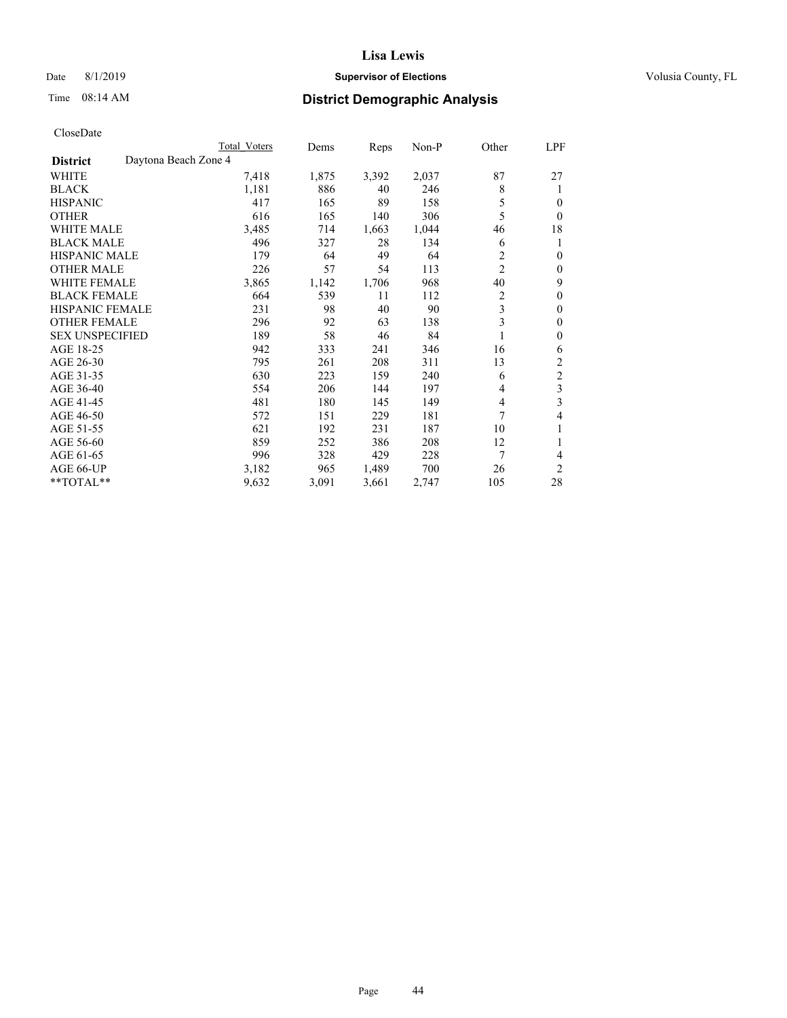## Date 8/1/2019 **Supervisor of Elections Supervisor of Elections** Volusia County, FL

# Time 08:14 AM **District Demographic Analysis**

|                                         | Total Voters | Dems  | Reps  | $Non-P$ | Other          | LPF            |
|-----------------------------------------|--------------|-------|-------|---------|----------------|----------------|
| Daytona Beach Zone 4<br><b>District</b> |              |       |       |         |                |                |
| WHITE                                   | 7,418        | 1,875 | 3,392 | 2,037   | 87             | 27             |
| <b>BLACK</b>                            | 1,181        | 886   | 40    | 246     | 8              | 1              |
| <b>HISPANIC</b>                         | 417          | 165   | 89    | 158     | 5              | 0              |
| <b>OTHER</b>                            | 616          | 165   | 140   | 306     | 5              | $\theta$       |
| <b>WHITE MALE</b>                       | 3,485        | 714   | 1,663 | 1,044   | 46             | 18             |
| <b>BLACK MALE</b>                       | 496          | 327   | 28    | 134     | 6              | 1              |
| <b>HISPANIC MALE</b>                    | 179          | 64    | 49    | 64      | 2              | $\theta$       |
| <b>OTHER MALE</b>                       | 226          | 57    | 54    | 113     | $\overline{c}$ | $\theta$       |
| <b>WHITE FEMALE</b>                     | 3,865        | 1,142 | 1,706 | 968     | 40             | 9              |
| <b>BLACK FEMALE</b>                     | 664          | 539   | 11    | 112     | $\overline{2}$ | $\theta$       |
| <b>HISPANIC FEMALE</b>                  | 231          | 98    | 40    | 90      | 3              | $\theta$       |
| <b>OTHER FEMALE</b>                     | 296          | 92    | 63    | 138     | 3              | $\mathbf{0}$   |
| <b>SEX UNSPECIFIED</b>                  | 189          | 58    | 46    | 84      |                | $\theta$       |
| AGE 18-25                               | 942          | 333   | 241   | 346     | 16             | 6              |
| AGE 26-30                               | 795          | 261   | 208   | 311     | 13             | 2              |
| AGE 31-35                               | 630          | 223   | 159   | 240     | 6              | $\overline{2}$ |
| AGE 36-40                               | 554          | 206   | 144   | 197     | 4              | 3              |
| AGE 41-45                               | 481          | 180   | 145   | 149     | 4              | 3              |
| AGE 46-50                               | 572          | 151   | 229   | 181     | 7              | 4              |
| AGE 51-55                               | 621          | 192   | 231   | 187     | 10             | 1              |
| AGE 56-60                               | 859          | 252   | 386   | 208     | 12             | 1              |
| AGE 61-65                               | 996          | 328   | 429   | 228     | 7              | 4              |
| AGE 66-UP                               | 3,182        | 965   | 1,489 | 700     | 26             | $\overline{2}$ |
| $*$ TOTAL $*$                           | 9,632        | 3,091 | 3,661 | 2,747   | 105            | 28             |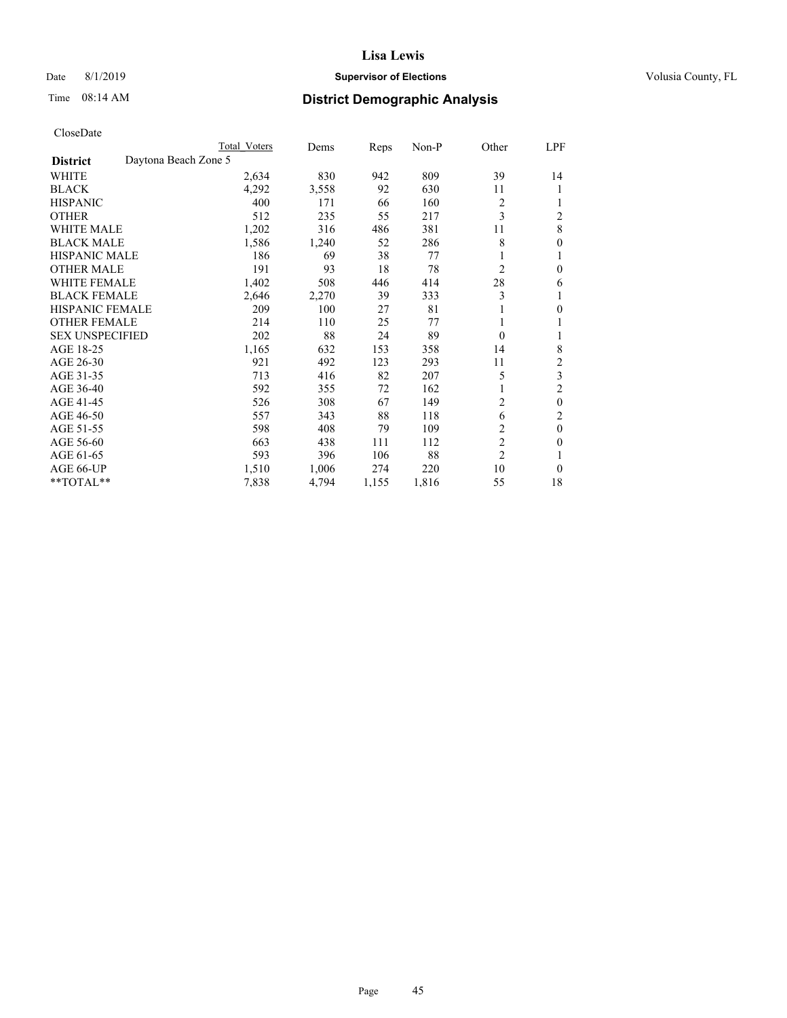## Date 8/1/2019 **Supervisor of Elections Supervisor of Elections** Volusia County, FL

# Time 08:14 AM **District Demographic Analysis**

|                                         | Total Voters | Dems  | Reps  | $Non-P$ | Other          | LPF            |
|-----------------------------------------|--------------|-------|-------|---------|----------------|----------------|
| Daytona Beach Zone 5<br><b>District</b> |              |       |       |         |                |                |
| WHITE                                   | 2,634        | 830   | 942   | 809     | 39             | 14             |
| <b>BLACK</b>                            | 4,292        | 3,558 | 92    | 630     | 11             | 1              |
| <b>HISPANIC</b>                         | 400          | 171   | 66    | 160     | $\overline{c}$ |                |
| <b>OTHER</b>                            | 512          | 235   | 55    | 217     | 3              | 2              |
| <b>WHITE MALE</b>                       | 1,202        | 316   | 486   | 381     | 11             | 8              |
| <b>BLACK MALE</b>                       | 1,586        | 1,240 | 52    | 286     | 8              | 0              |
| <b>HISPANIC MALE</b>                    | 186          | 69    | 38    | 77      |                |                |
| <b>OTHER MALE</b>                       | 191          | 93    | 18    | 78      | $\overline{c}$ | 0              |
| WHITE FEMALE                            | 1,402        | 508   | 446   | 414     | 28             | 6              |
| <b>BLACK FEMALE</b>                     | 2,646        | 2,270 | 39    | 333     | 3              |                |
| <b>HISPANIC FEMALE</b>                  | 209          | 100   | 27    | 81      |                | 0              |
| <b>OTHER FEMALE</b>                     | 214          | 110   | 25    | 77      |                |                |
| <b>SEX UNSPECIFIED</b>                  | 202          | 88    | 24    | 89      | $\theta$       | 1              |
| AGE 18-25                               | 1,165        | 632   | 153   | 358     | 14             | 8              |
| AGE 26-30                               | 921          | 492   | 123   | 293     | 11             | 2              |
| AGE 31-35                               | 713          | 416   | 82    | 207     | 5              | 3              |
| AGE 36-40                               | 592          | 355   | 72    | 162     |                | $\overline{2}$ |
| AGE 41-45                               | 526          | 308   | 67    | 149     | 2              | $\theta$       |
| AGE 46-50                               | 557          | 343   | 88    | 118     | 6              | 2              |
| AGE 51-55                               | 598          | 408   | 79    | 109     | 2              | $\theta$       |
| AGE 56-60                               | 663          | 438   | 111   | 112     | $\overline{c}$ | 0              |
| AGE 61-65                               | 593          | 396   | 106   | 88      | $\overline{2}$ |                |
| AGE 66-UP                               | 1,510        | 1,006 | 274   | 220     | 10             | 0              |
| $*$ TOTAL $*$                           | 7,838        | 4,794 | 1,155 | 1,816   | 55             | 18             |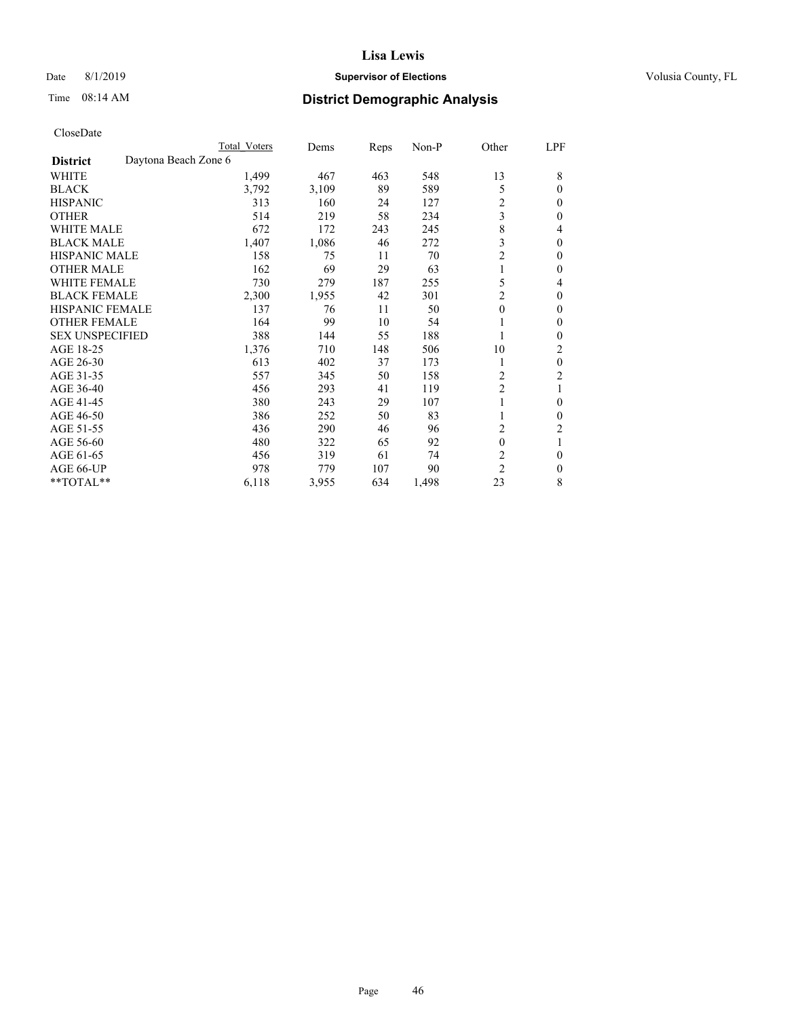## Date 8/1/2019 **Supervisor of Elections Supervisor of Elections** Volusia County, FL

|                                         | Total Voters | Dems  | Reps | Non-P | Other          | LPF      |
|-----------------------------------------|--------------|-------|------|-------|----------------|----------|
| Daytona Beach Zone 6<br><b>District</b> |              |       |      |       |                |          |
| WHITE                                   | 1,499        | 467   | 463  | 548   | 13             | 8        |
| <b>BLACK</b>                            | 3,792        | 3,109 | 89   | 589   | 5              | $\theta$ |
| <b>HISPANIC</b>                         | 313          | 160   | 24   | 127   | $\overline{c}$ | $\theta$ |
| <b>OTHER</b>                            | 514          | 219   | 58   | 234   | 3              | 0        |
| <b>WHITE MALE</b>                       | 672          | 172   | 243  | 245   | 8              | 4        |
| <b>BLACK MALE</b>                       | 1,407        | 1,086 | 46   | 272   | 3              | $\theta$ |
| <b>HISPANIC MALE</b>                    | 158          | 75    | 11   | 70    | $\overline{c}$ | $\theta$ |
| <b>OTHER MALE</b>                       | 162          | 69    | 29   | 63    |                | $\theta$ |
| <b>WHITE FEMALE</b>                     | 730          | 279   | 187  | 255   | 5              | 4        |
| <b>BLACK FEMALE</b>                     | 2,300        | 1,955 | 42   | 301   | 2              | $\Omega$ |
| <b>HISPANIC FEMALE</b>                  | 137          | 76    | 11   | 50    | $\theta$       | $\theta$ |
| <b>OTHER FEMALE</b>                     | 164          | 99    | 10   | 54    |                | $\theta$ |
| <b>SEX UNSPECIFIED</b>                  | 388          | 144   | 55   | 188   |                | $\theta$ |
| AGE 18-25                               | 1,376        | 710   | 148  | 506   | 10             | 2        |
| AGE 26-30                               | 613          | 402   | 37   | 173   | 1              | $\theta$ |
| AGE 31-35                               | 557          | 345   | 50   | 158   | 2              | 2        |
| AGE 36-40                               | 456          | 293   | 41   | 119   | $\overline{c}$ |          |
| AGE 41-45                               | 380          | 243   | 29   | 107   |                | $\theta$ |
| AGE 46-50                               | 386          | 252   | 50   | 83    |                | $\theta$ |
| AGE 51-55                               | 436          | 290   | 46   | 96    | $\overline{c}$ | 2        |
| AGE 56-60                               | 480          | 322   | 65   | 92    | $\theta$       |          |
| AGE 61-65                               | 456          | 319   | 61   | 74    | $\overline{c}$ | $\theta$ |
| AGE 66-UP                               | 978          | 779   | 107  | 90    | $\overline{c}$ | $\Omega$ |
| **TOTAL**                               | 6,118        | 3,955 | 634  | 1,498 | 23             | 8        |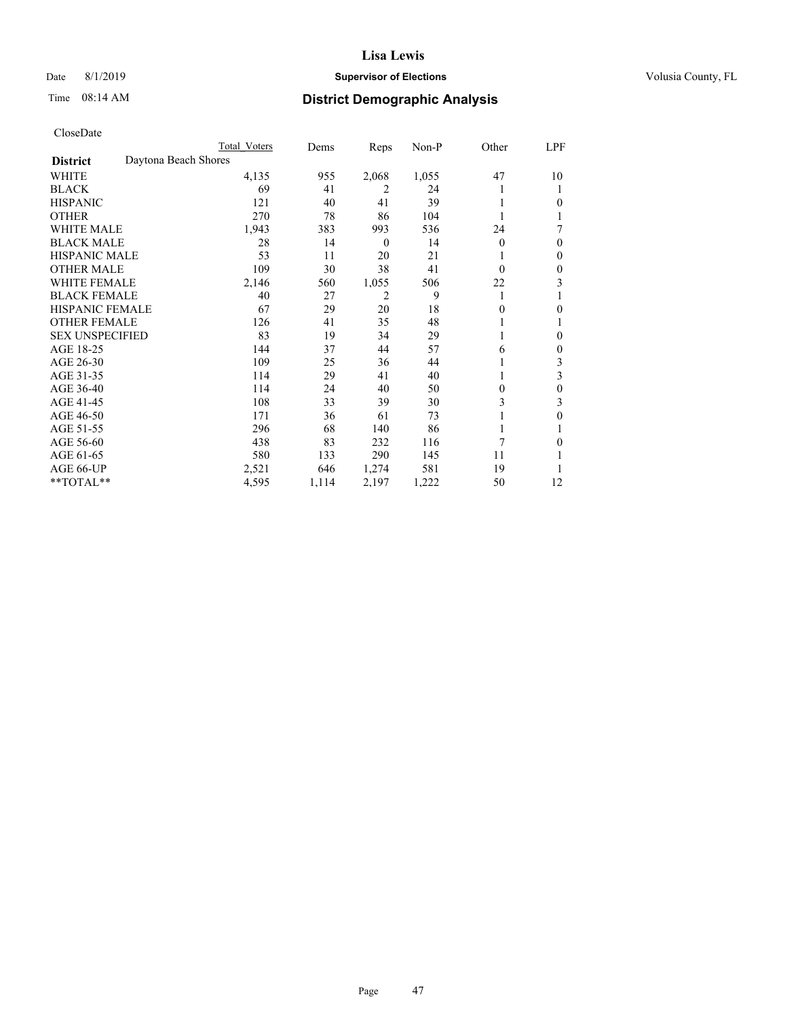## Date 8/1/2019 **Supervisor of Elections Supervisor of Elections** Volusia County, FL

# Time 08:14 AM **District Demographic Analysis**

|                        | Total Voters         |       | Dems  | Reps             | Non-P | Other    | LPF |
|------------------------|----------------------|-------|-------|------------------|-------|----------|-----|
| <b>District</b>        | Daytona Beach Shores |       |       |                  |       |          |     |
| WHITE                  |                      | 4,135 | 955   | 2,068            | 1,055 | 47       | 10  |
| <b>BLACK</b>           |                      | 69    | 41    | 2                | 24    |          |     |
| <b>HISPANIC</b>        |                      | 121   | 40    | 41               | 39    |          | 0   |
| <b>OTHER</b>           |                      | 270   | 78    | 86               | 104   |          |     |
| WHITE MALE             |                      | 1,943 | 383   | 993              | 536   | 24       | 7   |
| <b>BLACK MALE</b>      |                      | 28    | 14    | $\boldsymbol{0}$ | 14    | $\Omega$ | 0   |
| <b>HISPANIC MALE</b>   |                      | 53    | 11    | 20               | 21    |          | 0   |
| <b>OTHER MALE</b>      |                      | 109   | 30    | 38               | 41    | $\Omega$ | 0   |
| <b>WHITE FEMALE</b>    |                      | 2,146 | 560   | 1,055            | 506   | 22       | 3   |
| <b>BLACK FEMALE</b>    |                      | 40    | 27    | 2                | 9     | 1        |     |
| <b>HISPANIC FEMALE</b> |                      | 67    | 29    | 20               | 18    | 0        | 0   |
| <b>OTHER FEMALE</b>    |                      | 126   | 41    | 35               | 48    |          |     |
| <b>SEX UNSPECIFIED</b> |                      | 83    | 19    | 34               | 29    |          | 0   |
| AGE 18-25              |                      | 144   | 37    | 44               | 57    | 6        | 0   |
| AGE 26-30              |                      | 109   | 25    | 36               | 44    |          | 3   |
| AGE 31-35              |                      | 114   | 29    | 41               | 40    |          | 3   |
| AGE 36-40              |                      | 114   | 24    | 40               | 50    | 0        | 0   |
| AGE 41-45              |                      | 108   | 33    | 39               | 30    | 3        | 3   |
| AGE 46-50              |                      | 171   | 36    | 61               | 73    |          | 0   |
| AGE 51-55              |                      | 296   | 68    | 140              | 86    |          |     |
| AGE 56-60              |                      | 438   | 83    | 232              | 116   | 7        | 0   |
| AGE 61-65              |                      | 580   | 133   | 290              | 145   | 11       |     |
| AGE 66-UP              |                      | 2,521 | 646   | 1,274            | 581   | 19       |     |
| **TOTAL**              |                      | 4,595 | 1,114 | 2,197            | 1,222 | 50       | 12  |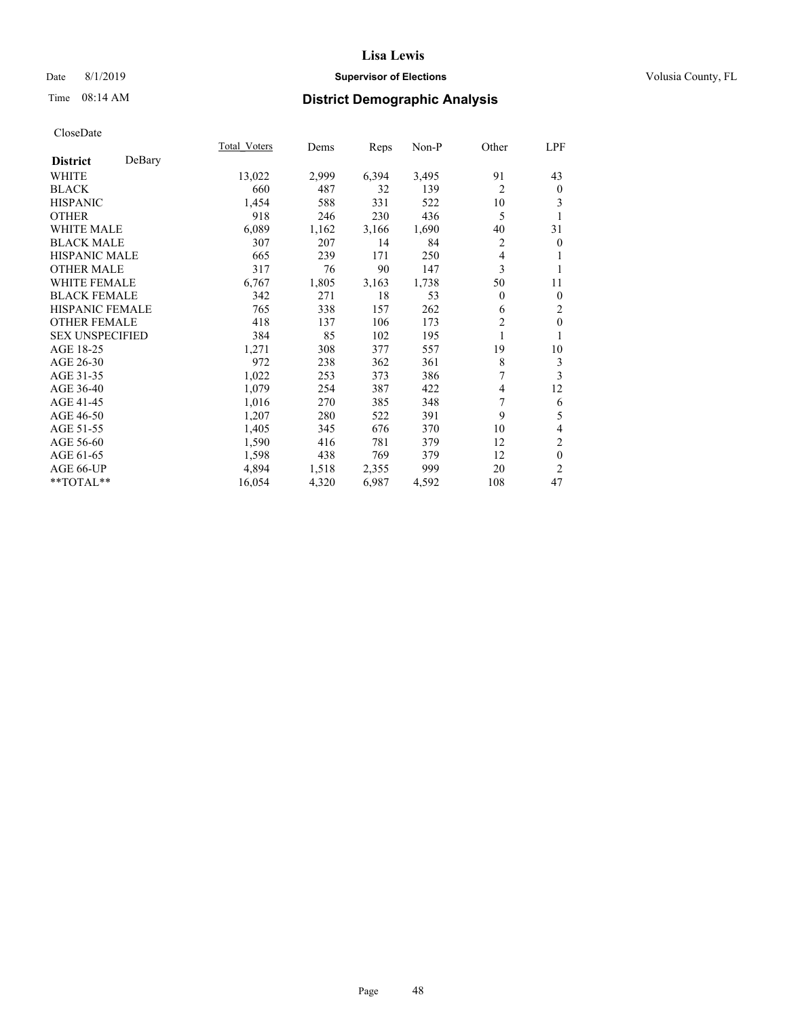## Date 8/1/2019 **Supervisor of Elections Supervisor of Elections** Volusia County, FL

# Time 08:14 AM **District Demographic Analysis**

|                        |        | Total Voters | Dems  | Reps  | Non-P | Other          | LPF              |
|------------------------|--------|--------------|-------|-------|-------|----------------|------------------|
| <b>District</b>        | DeBary |              |       |       |       |                |                  |
| WHITE                  |        | 13,022       | 2,999 | 6,394 | 3,495 | 91             | 43               |
| <b>BLACK</b>           |        | 660          | 487   | 32    | 139   | $\overline{2}$ | $\bf{0}$         |
| <b>HISPANIC</b>        |        | 1,454        | 588   | 331   | 522   | 10             | 3                |
| <b>OTHER</b>           |        | 918          | 246   | 230   | 436   | 5              |                  |
| <b>WHITE MALE</b>      |        | 6,089        | 1,162 | 3,166 | 1,690 | 40             | 31               |
| <b>BLACK MALE</b>      |        | 307          | 207   | 14    | 84    | $\overline{c}$ | $\mathbf{0}$     |
| <b>HISPANIC MALE</b>   |        | 665          | 239   | 171   | 250   | 4              | 1                |
| <b>OTHER MALE</b>      |        | 317          | 76    | 90    | 147   | 3              | 1                |
| <b>WHITE FEMALE</b>    |        | 6,767        | 1,805 | 3,163 | 1,738 | 50             | 11               |
| <b>BLACK FEMALE</b>    |        | 342          | 271   | 18    | 53    | $\overline{0}$ | $\boldsymbol{0}$ |
| <b>HISPANIC FEMALE</b> |        | 765          | 338   | 157   | 262   | 6              | $\overline{2}$   |
| <b>OTHER FEMALE</b>    |        | 418          | 137   | 106   | 173   | 2              | $\mathbf{0}$     |
| <b>SEX UNSPECIFIED</b> |        | 384          | 85    | 102   | 195   | 1              | 1                |
| AGE 18-25              |        | 1,271        | 308   | 377   | 557   | 19             | 10               |
| AGE 26-30              |        | 972          | 238   | 362   | 361   | 8              | 3                |
| AGE 31-35              |        | 1,022        | 253   | 373   | 386   | 7              | 3                |
| AGE 36-40              |        | 1,079        | 254   | 387   | 422   | 4              | 12               |
| AGE 41-45              |        | 1,016        | 270   | 385   | 348   | 7              | 6                |
| AGE 46-50              |        | 1,207        | 280   | 522   | 391   | 9              | 5                |
| AGE 51-55              |        | 1,405        | 345   | 676   | 370   | 10             | $\overline{4}$   |
| AGE 56-60              |        | 1,590        | 416   | 781   | 379   | 12             | $\mathfrak{2}$   |
| AGE 61-65              |        | 1,598        | 438   | 769   | 379   | 12             | $\mathbf{0}$     |
| AGE 66-UP              |        | 4,894        | 1,518 | 2,355 | 999   | 20             | $\overline{2}$   |
| **TOTAL**              |        | 16,054       | 4,320 | 6,987 | 4,592 | 108            | 47               |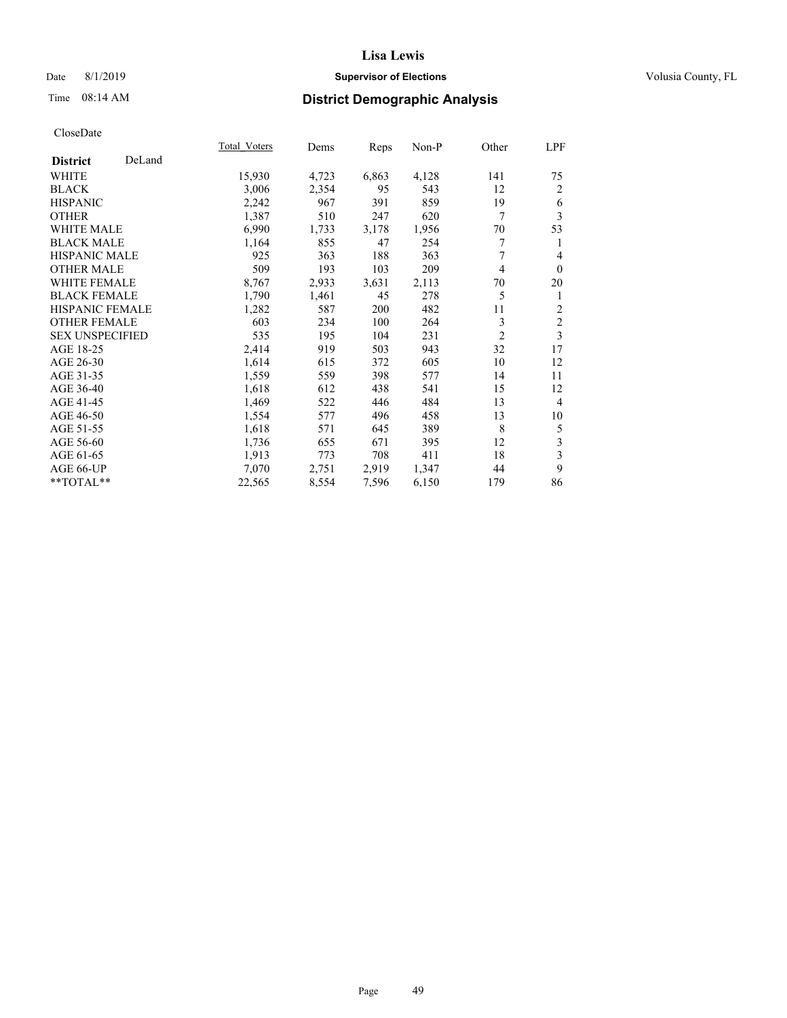## Date 8/1/2019 **Supervisor of Elections Supervisor of Elections** Volusia County, FL

# Time 08:14 AM **District Demographic Analysis**

|                        |        | Total Voters | Dems  | Reps  | Non-P | Other          | LPF            |
|------------------------|--------|--------------|-------|-------|-------|----------------|----------------|
| <b>District</b>        | DeLand |              |       |       |       |                |                |
| WHITE                  |        | 15,930       | 4,723 | 6,863 | 4,128 | 141            | 75             |
| <b>BLACK</b>           |        | 3,006        | 2,354 | 95    | 543   | 12             | $\overline{2}$ |
| <b>HISPANIC</b>        |        | 2,242        | 967   | 391   | 859   | 19             | 6              |
| <b>OTHER</b>           |        | 1,387        | 510   | 247   | 620   | 7              | 3              |
| <b>WHITE MALE</b>      |        | 6,990        | 1,733 | 3,178 | 1,956 | 70             | 53             |
| <b>BLACK MALE</b>      |        | 1,164        | 855   | 47    | 254   | 7              | 1              |
| <b>HISPANIC MALE</b>   |        | 925          | 363   | 188   | 363   | 7              | 4              |
| <b>OTHER MALE</b>      |        | 509          | 193   | 103   | 209   | 4              | $\mathbf{0}$   |
| <b>WHITE FEMALE</b>    |        | 8,767        | 2,933 | 3,631 | 2,113 | 70             | 20             |
| <b>BLACK FEMALE</b>    |        | 1,790        | 1,461 | 45    | 278   | 5              | 1              |
| <b>HISPANIC FEMALE</b> |        | 1,282        | 587   | 200   | 482   | 11             | $\overline{2}$ |
| <b>OTHER FEMALE</b>    |        | 603          | 234   | 100   | 264   | 3              | $\mathfrak{2}$ |
| <b>SEX UNSPECIFIED</b> |        | 535          | 195   | 104   | 231   | $\overline{2}$ | 3              |
| AGE 18-25              |        | 2,414        | 919   | 503   | 943   | 32             | 17             |
| AGE 26-30              |        | 1,614        | 615   | 372   | 605   | 10             | 12             |
| AGE 31-35              |        | 1,559        | 559   | 398   | 577   | 14             | 11             |
| AGE 36-40              |        | 1,618        | 612   | 438   | 541   | 15             | 12             |
| AGE 41-45              |        | 1,469        | 522   | 446   | 484   | 13             | $\overline{4}$ |
| AGE 46-50              |        | 1,554        | 577   | 496   | 458   | 13             | 10             |
| AGE 51-55              |        | 1,618        | 571   | 645   | 389   | 8              | 5              |
| AGE 56-60              |        | 1,736        | 655   | 671   | 395   | 12             | 3              |
| AGE 61-65              |        | 1,913        | 773   | 708   | 411   | 18             | 3              |
| AGE 66-UP              |        | 7,070        | 2,751 | 2,919 | 1,347 | 44             | 9              |
| **TOTAL**              |        | 22,565       | 8,554 | 7,596 | 6,150 | 179            | 86             |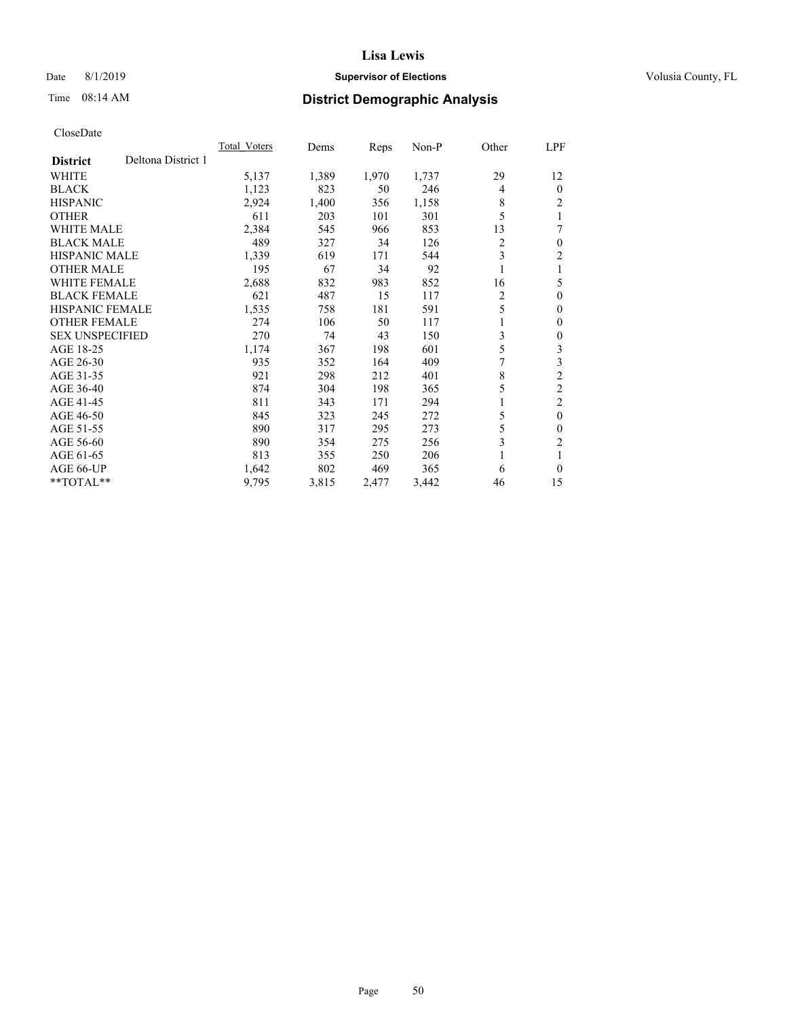## Date 8/1/2019 **Supervisor of Elections Supervisor of Elections** Volusia County, FL

# Time 08:14 AM **District Demographic Analysis**

|                                       | Total Voters | Dems  | Reps  | Non-P | Other          | <u>LPF</u>     |
|---------------------------------------|--------------|-------|-------|-------|----------------|----------------|
| Deltona District 1<br><b>District</b> |              |       |       |       |                |                |
| WHITE                                 | 5,137        | 1,389 | 1,970 | 1,737 | 29             | 12             |
| <b>BLACK</b>                          | 1,123        | 823   | 50    | 246   | $\overline{4}$ | $\theta$       |
| <b>HISPANIC</b>                       | 2,924        | 1,400 | 356   | 1,158 | 8              | $\overline{c}$ |
| <b>OTHER</b>                          | 611          | 203   | 101   | 301   | 5              |                |
| <b>WHITE MALE</b>                     | 2,384        | 545   | 966   | 853   | 13             | 7              |
| <b>BLACK MALE</b>                     | 489          | 327   | 34    | 126   | 2              | $\theta$       |
| <b>HISPANIC MALE</b>                  | 1,339        | 619   | 171   | 544   | 3              | 2              |
| <b>OTHER MALE</b>                     | 195          | 67    | 34    | 92    | 1              |                |
| WHITE FEMALE                          | 2,688        | 832   | 983   | 852   | 16             | 5              |
| <b>BLACK FEMALE</b>                   | 621          | 487   | 15    | 117   | 2              | $\theta$       |
| <b>HISPANIC FEMALE</b>                | 1,535        | 758   | 181   | 591   | 5              | $\mathbf{0}$   |
| <b>OTHER FEMALE</b>                   | 274          | 106   | 50    | 117   | 1              | $\Omega$       |
| <b>SEX UNSPECIFIED</b>                | 270          | 74    | 43    | 150   | 3              | 0              |
| AGE 18-25                             | 1,174        | 367   | 198   | 601   | 5              | 3              |
| AGE 26-30                             | 935          | 352   | 164   | 409   |                | 3              |
| AGE 31-35                             | 921          | 298   | 212   | 401   | 8              | $\overline{2}$ |
| AGE 36-40                             | 874          | 304   | 198   | 365   | 5              | $\overline{2}$ |
| AGE 41-45                             | 811          | 343   | 171   | 294   | 1              | 2              |
| AGE 46-50                             | 845          | 323   | 245   | 272   | 5              | $\theta$       |
| AGE 51-55                             | 890          | 317   | 295   | 273   | 5              | 0              |
| AGE 56-60                             | 890          | 354   | 275   | 256   | 3              | $\overline{c}$ |
| AGE 61-65                             | 813          | 355   | 250   | 206   | 1              |                |
| AGE 66-UP                             | 1,642        | 802   | 469   | 365   | 6              | $\theta$       |
| $*$ *TOTAL $*$ *                      | 9,795        | 3,815 | 2,477 | 3,442 | 46             | 15             |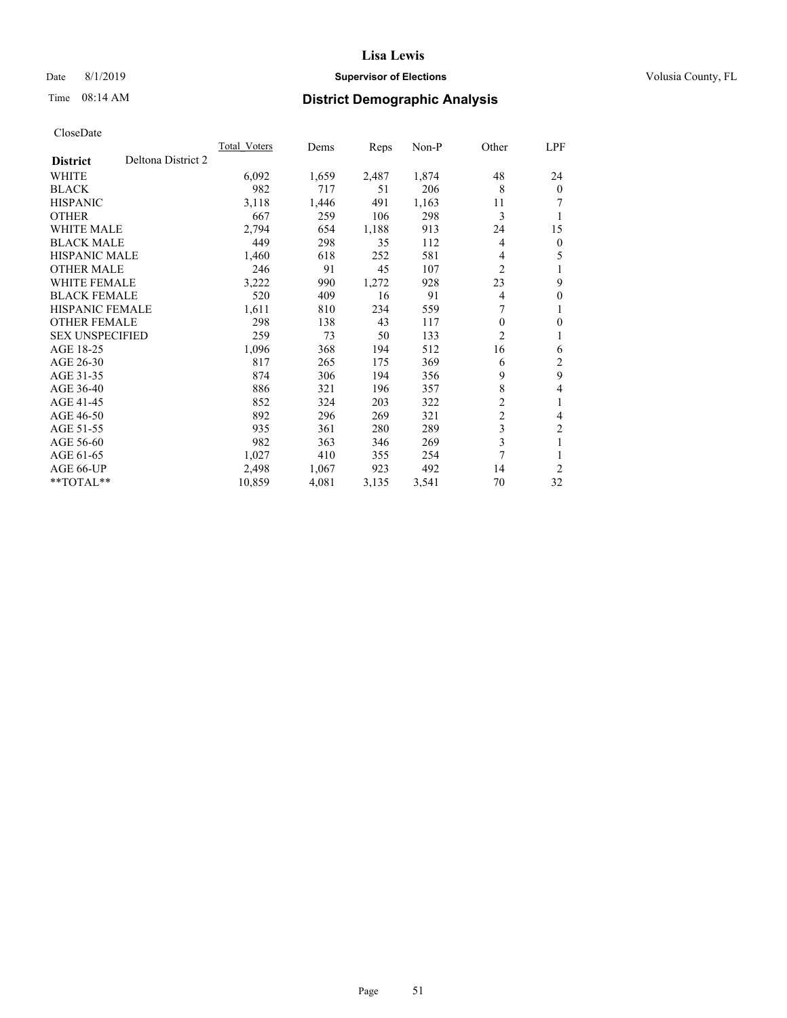# **Lisa Lewis** Date 8/1/2019 **Supervisor of Elections Supervisor of Elections** Volusia County, FL

# Time 08:14 AM **District Demographic Analysis**

|                                       | <b>Total Voters</b> | Dems  | Reps  | $Non-P$ | Other          | LPF            |
|---------------------------------------|---------------------|-------|-------|---------|----------------|----------------|
| Deltona District 2<br><b>District</b> |                     |       |       |         |                |                |
| <b>WHITE</b>                          | 6,092               | 1,659 | 2,487 | 1,874   | 48             | 24             |
| <b>BLACK</b>                          | 982                 | 717   | 51    | 206     | 8              | $\theta$       |
| <b>HISPANIC</b>                       | 3,118               | 1,446 | 491   | 1,163   | 11             | 7              |
| <b>OTHER</b>                          | 667                 | 259   | 106   | 298     | 3              | 1              |
| <b>WHITE MALE</b>                     | 2,794               | 654   | 1,188 | 913     | 24             | 15             |
| <b>BLACK MALE</b>                     | 449                 | 298   | 35    | 112     | 4              | $\mathbf{0}$   |
| HISPANIC MALE                         | 1,460               | 618   | 252   | 581     | 4              | 5              |
| <b>OTHER MALE</b>                     | 246                 | 91    | 45    | 107     | 2              | 1              |
| <b>WHITE FEMALE</b>                   | 3,222               | 990   | 1,272 | 928     | 23             | 9              |
| <b>BLACK FEMALE</b>                   | 520                 | 409   | 16    | 91      | 4              | $\theta$       |
| <b>HISPANIC FEMALE</b>                | 1,611               | 810   | 234   | 559     | 7              | 1              |
| <b>OTHER FEMALE</b>                   | 298                 | 138   | 43    | 117     | 0              | 0              |
| <b>SEX UNSPECIFIED</b>                | 259                 | 73    | 50    | 133     | 2              | 1              |
| AGE 18-25                             | 1,096               | 368   | 194   | 512     | 16             | 6              |
| AGE 26-30                             | 817                 | 265   | 175   | 369     | 6              | 2              |
| AGE 31-35                             | 874                 | 306   | 194   | 356     | 9              | 9              |
| AGE 36-40                             | 886                 | 321   | 196   | 357     | 8              | 4              |
| AGE 41-45                             | 852                 | 324   | 203   | 322     | $\overline{c}$ | 1              |
| AGE 46-50                             | 892                 | 296   | 269   | 321     | $\overline{c}$ | 4              |
| AGE 51-55                             | 935                 | 361   | 280   | 289     | 3              | $\overline{c}$ |
| AGE 56-60                             | 982                 | 363   | 346   | 269     | 3              | 1              |
| AGE 61-65                             | 1,027               | 410   | 355   | 254     | 7              |                |
| AGE 66-UP                             | 2,498               | 1,067 | 923   | 492     | 14             | $\overline{2}$ |
| $*$ TOTAL $*$                         | 10,859              | 4,081 | 3,135 | 3,541   | 70             | 32             |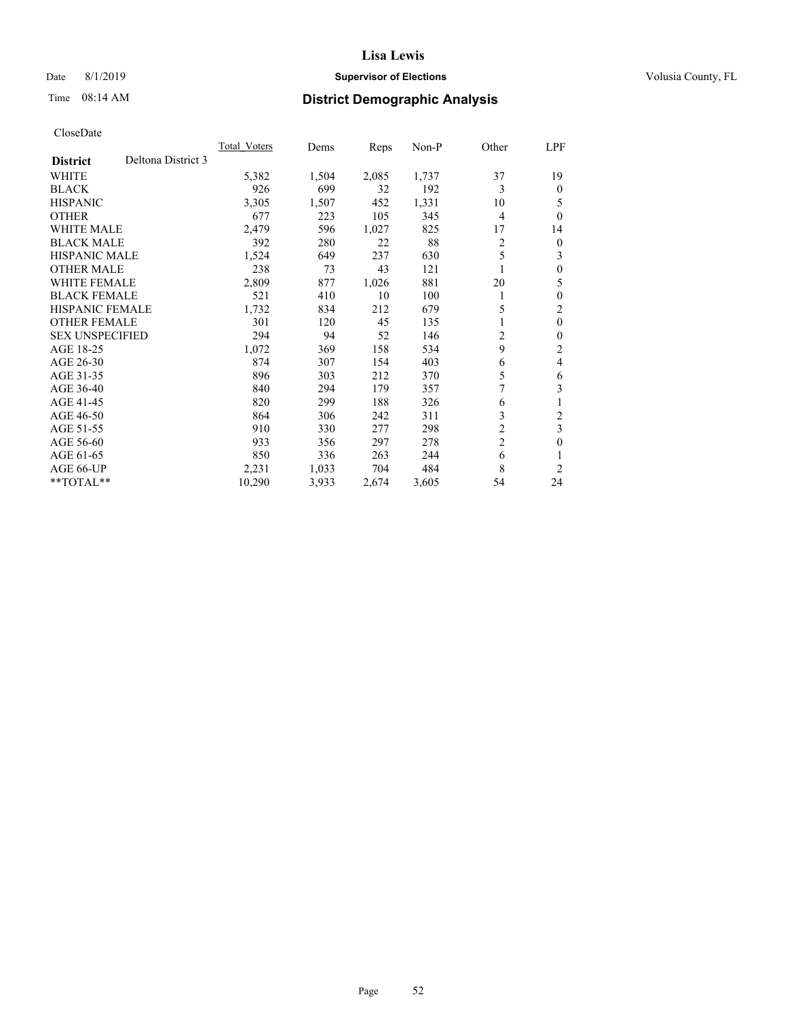## Date 8/1/2019 **Supervisor of Elections Supervisor of Elections** Volusia County, FL

# Time 08:14 AM **District Demographic Analysis**

|                        | Total Voters       | Dems  | Reps  | Non-P | Other          | LPF      |
|------------------------|--------------------|-------|-------|-------|----------------|----------|
| <b>District</b>        | Deltona District 3 |       |       |       |                |          |
| WHITE                  | 5,382              | 1,504 | 2,085 | 1,737 | 37             | 19       |
| <b>BLACK</b>           | 926                | 699   | 32    | 192   | 3              | 0        |
| <b>HISPANIC</b>        | 3,305              | 1,507 | 452   | 1,331 | 10             | 5        |
| <b>OTHER</b>           | 677                | 223   | 105   | 345   | 4              | $\Omega$ |
| <b>WHITE MALE</b>      | 2,479              | 596   | 1,027 | 825   | 17             | 14       |
| <b>BLACK MALE</b>      | 392                | 280   | 22    | 88    | 2              | 0        |
| HISPANIC MALE          | 1,524              | 649   | 237   | 630   | 5              | 3        |
| <b>OTHER MALE</b>      | 238                | 73    | 43    | 121   | 1              | 0        |
| <b>WHITE FEMALE</b>    | 2,809              | 877   | 1,026 | 881   | 20             | 5        |
| <b>BLACK FEMALE</b>    | 521                | 410   | 10    | 100   | 1              | 0        |
| <b>HISPANIC FEMALE</b> | 1,732              | 834   | 212   | 679   | 5              | 2        |
| <b>OTHER FEMALE</b>    | 301                | 120   | 45    | 135   | 1              | 0        |
| <b>SEX UNSPECIFIED</b> | 294                | 94    | 52    | 146   | 2              | 0        |
| AGE 18-25              | 1,072              | 369   | 158   | 534   | 9              | 2        |
| AGE 26-30              | 874                | 307   | 154   | 403   | 6              | 4        |
| AGE 31-35              | 896                | 303   | 212   | 370   | 5              | 6        |
| AGE 36-40              | 840                | 294   | 179   | 357   | 7              | 3        |
| AGE 41-45              | 820                | 299   | 188   | 326   | 6              | 1        |
| AGE 46-50              | 864                | 306   | 242   | 311   | 3              | 2        |
| AGE 51-55              | 910                | 330   | 277   | 298   | 2              | 3        |
| AGE 56-60              | 933                | 356   | 297   | 278   | $\overline{2}$ | 0        |
| AGE 61-65              | 850                | 336   | 263   | 244   | 6              |          |
| AGE 66-UP              | 2,231              | 1,033 | 704   | 484   | 8              | 2        |
| **TOTAL**              | 10,290             | 3,933 | 2,674 | 3,605 | 54             | 24       |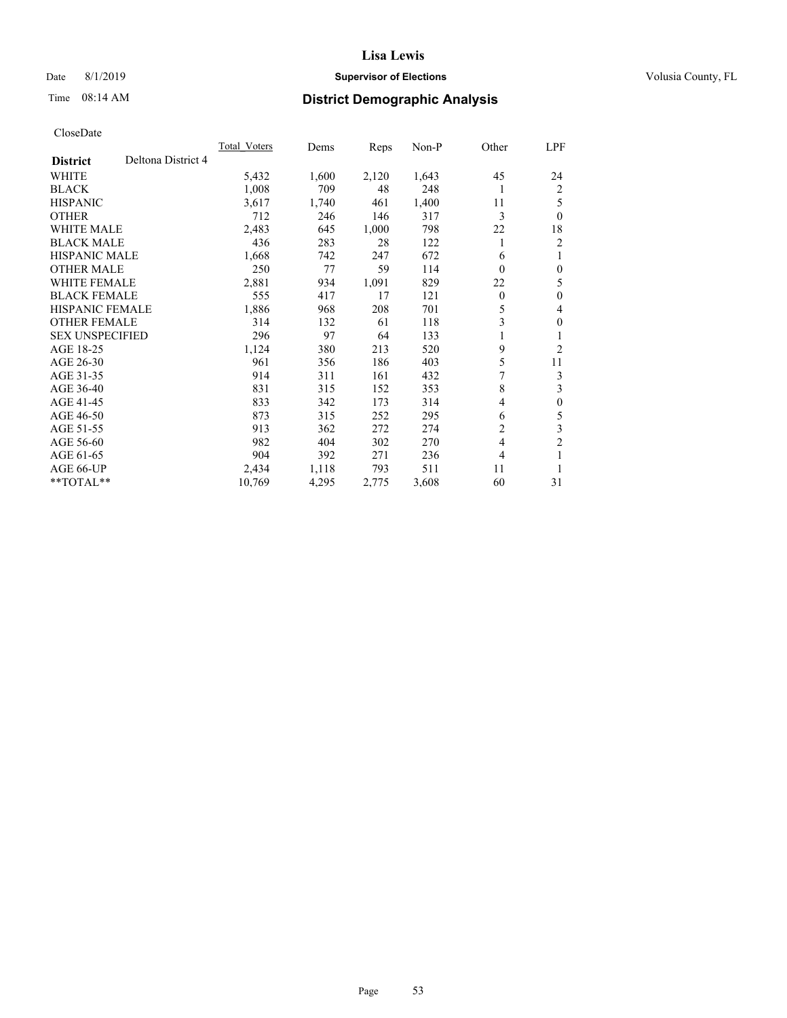## Date 8/1/2019 **Supervisor of Elections Supervisor of Elections** Volusia County, FL

# Time 08:14 AM **District Demographic Analysis**

|                        | <b>Total Voters</b> | Dems  | Reps  | $Non-P$ | Other          | LPF              |
|------------------------|---------------------|-------|-------|---------|----------------|------------------|
| <b>District</b>        | Deltona District 4  |       |       |         |                |                  |
| WHITE                  | 5,432               | 1,600 | 2,120 | 1,643   | 45             | 24               |
| <b>BLACK</b>           | 1,008               | 709   | 48    | 248     | 1              | 2                |
| <b>HISPANIC</b>        | 3,617               | 1,740 | 461   | 1,400   | 11             | 5                |
| <b>OTHER</b>           | 712                 | 246   | 146   | 317     | 3              | $\theta$         |
| WHITE MALE             | 2,483               | 645   | 1,000 | 798     | 22             | 18               |
| <b>BLACK MALE</b>      | 436                 | 283   | 28    | 122     | 1              | 2                |
| <b>HISPANIC MALE</b>   | 1,668               | 742   | 247   | 672     | 6              | 1                |
| <b>OTHER MALE</b>      | 250                 | 77    | 59    | 114     | $\Omega$       | $\mathbf{0}$     |
| <b>WHITE FEMALE</b>    | 2,881               | 934   | 1,091 | 829     | 22             | 5                |
| <b>BLACK FEMALE</b>    | 555                 | 417   | 17    | 121     | $\theta$       | $\mathbf{0}$     |
| <b>HISPANIC FEMALE</b> | 1,886               | 968   | 208   | 701     | 5              | 4                |
| <b>OTHER FEMALE</b>    | 314                 | 132   | 61    | 118     | 3              | $\mathbf{0}$     |
| <b>SEX UNSPECIFIED</b> | 296                 | 97    | 64    | 133     |                | 1                |
| AGE 18-25              | 1,124               | 380   | 213   | 520     | 9              | 2                |
| AGE 26-30              | 961                 | 356   | 186   | 403     | 5              | 11               |
| AGE 31-35              | 914                 | 311   | 161   | 432     | 7              | 3                |
| AGE 36-40              | 831                 | 315   | 152   | 353     | 8              | 3                |
| AGE 41-45              | 833                 | 342   | 173   | 314     | 4              | $\boldsymbol{0}$ |
| AGE 46-50              | 873                 | 315   | 252   | 295     | 6              | 5                |
| AGE 51-55              | 913                 | 362   | 272   | 274     | $\overline{2}$ | 3                |
| AGE 56-60              | 982                 | 404   | 302   | 270     | $\overline{4}$ | $\overline{c}$   |
| AGE 61-65              | 904                 | 392   | 271   | 236     | 4              | 1                |
| AGE 66-UP              | 2,434               | 1,118 | 793   | 511     | 11             | 1                |
| **TOTAL**              | 10,769              | 4,295 | 2,775 | 3,608   | 60             | 31               |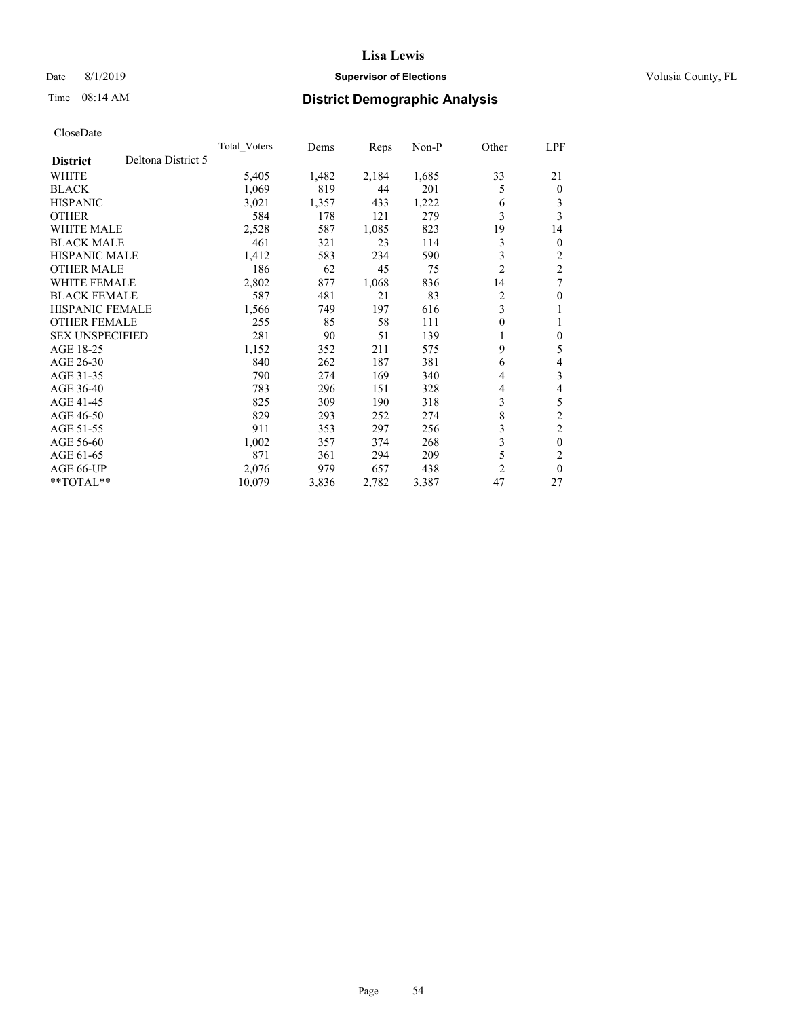## Date 8/1/2019 **Supervisor of Elections Supervisor of Elections** Volusia County, FL

# Time 08:14 AM **District Demographic Analysis**

|                        |                    | <b>Total Voters</b> | Dems  | Reps  | $Non-P$ | Other          | LPF            |
|------------------------|--------------------|---------------------|-------|-------|---------|----------------|----------------|
| <b>District</b>        | Deltona District 5 |                     |       |       |         |                |                |
| <b>WHITE</b>           |                    | 5,405               | 1,482 | 2,184 | 1,685   | 33             | 21             |
| <b>BLACK</b>           |                    | 1,069               | 819   | 44    | 201     | 5              | $\theta$       |
| <b>HISPANIC</b>        |                    | 3,021               | 1,357 | 433   | 1,222   | 6              | 3              |
| <b>OTHER</b>           |                    | 584                 | 178   | 121   | 279     | 3              | 3              |
| <b>WHITE MALE</b>      |                    | 2,528               | 587   | 1,085 | 823     | 19             | 14             |
| <b>BLACK MALE</b>      |                    | 461                 | 321   | 23    | 114     | 3              | $\mathbf{0}$   |
| <b>HISPANIC MALE</b>   |                    | 1,412               | 583   | 234   | 590     | 3              | 2              |
| <b>OTHER MALE</b>      |                    | 186                 | 62    | 45    | 75      | $\overline{2}$ | $\overline{2}$ |
| <b>WHITE FEMALE</b>    |                    | 2,802               | 877   | 1,068 | 836     | 14             | 7              |
| <b>BLACK FEMALE</b>    |                    | 587                 | 481   | 21    | 83      | 2              | $\theta$       |
| <b>HISPANIC FEMALE</b> |                    | 1,566               | 749   | 197   | 616     | 3              | 1              |
| <b>OTHER FEMALE</b>    |                    | 255                 | 85    | 58    | 111     | 0              | 1              |
| <b>SEX UNSPECIFIED</b> |                    | 281                 | 90    | 51    | 139     | 1              | $\theta$       |
| AGE 18-25              |                    | 1,152               | 352   | 211   | 575     | 9              | 5              |
| AGE 26-30              |                    | 840                 | 262   | 187   | 381     | 6              | 4              |
| AGE 31-35              |                    | 790                 | 274   | 169   | 340     | 4              | 3              |
| AGE 36-40              |                    | 783                 | 296   | 151   | 328     | 4              | 4              |
| AGE 41-45              |                    | 825                 | 309   | 190   | 318     | 3              | 5              |
| AGE 46-50              |                    | 829                 | 293   | 252   | 274     | 8              | $\overline{2}$ |
| AGE 51-55              |                    | 911                 | 353   | 297   | 256     | 3              | $\overline{c}$ |
| AGE 56-60              |                    | 1,002               | 357   | 374   | 268     | 3              | $\theta$       |
| AGE 61-65              |                    | 871                 | 361   | 294   | 209     | 5              | $\overline{c}$ |
| AGE 66-UP              |                    | 2,076               | 979   | 657   | 438     | 2              | $\theta$       |
| $*$ TOTAL $*$          |                    | 10,079              | 3,836 | 2,782 | 3,387   | 47             | 27             |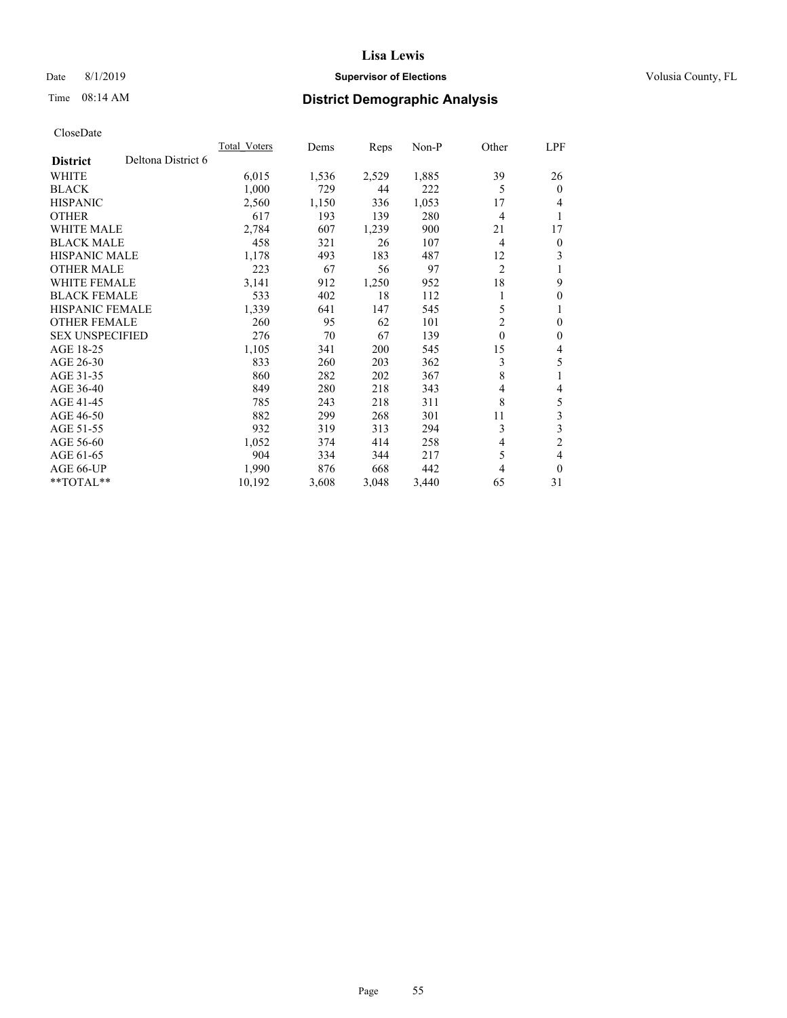## Date 8/1/2019 **Supervisor of Elections Supervisor of Elections** Volusia County, FL

# Time 08:14 AM **District Demographic Analysis**

|                                       | Total Voters | Dems  | Reps  | $Non-P$ | Other          | LPF            |
|---------------------------------------|--------------|-------|-------|---------|----------------|----------------|
| Deltona District 6<br><b>District</b> |              |       |       |         |                |                |
| WHITE                                 | 6,015        | 1,536 | 2,529 | 1,885   | 39             | 26             |
| <b>BLACK</b>                          | 1,000        | 729   | 44    | 222     | 5              | $\theta$       |
| <b>HISPANIC</b>                       | 2,560        | 1,150 | 336   | 1,053   | 17             | 4              |
| <b>OTHER</b>                          | 617          | 193   | 139   | 280     | 4              | 1              |
| <b>WHITE MALE</b>                     | 2,784        | 607   | 1,239 | 900     | 21             | 17             |
| <b>BLACK MALE</b>                     | 458          | 321   | 26    | 107     | 4              | $\mathbf{0}$   |
| <b>HISPANIC MALE</b>                  | 1,178        | 493   | 183   | 487     | 12             | 3              |
| <b>OTHER MALE</b>                     | 223          | 67    | 56    | 97      | $\overline{c}$ | 1              |
| <b>WHITE FEMALE</b>                   | 3,141        | 912   | 1,250 | 952     | 18             | 9              |
| <b>BLACK FEMALE</b>                   | 533          | 402   | 18    | 112     |                | $\mathbf{0}$   |
| <b>HISPANIC FEMALE</b>                | 1,339        | 641   | 147   | 545     | 5              | 1              |
| <b>OTHER FEMALE</b>                   | 260          | 95    | 62    | 101     | 2              | $\mathbf{0}$   |
| <b>SEX UNSPECIFIED</b>                | 276          | 70    | 67    | 139     | $\theta$       | $\mathbf{0}$   |
| AGE 18-25                             | 1,105        | 341   | 200   | 545     | 15             | 4              |
| AGE 26-30                             | 833          | 260   | 203   | 362     | 3              | 5              |
| AGE 31-35                             | 860          | 282   | 202   | 367     | 8              | 1              |
| AGE 36-40                             | 849          | 280   | 218   | 343     | 4              | 4              |
| AGE 41-45                             | 785          | 243   | 218   | 311     | 8              | 5              |
| AGE 46-50                             | 882          | 299   | 268   | 301     | 11             | 3              |
| AGE 51-55                             | 932          | 319   | 313   | 294     | 3              | $\mathfrak{Z}$ |
| AGE 56-60                             | 1,052        | 374   | 414   | 258     | 4              | $\overline{2}$ |
| AGE 61-65                             | 904          | 334   | 344   | 217     | 5              | 4              |
| AGE 66-UP                             | 1,990        | 876   | 668   | 442     | 4              | $\theta$       |
| $*$ TOTAL $*$                         | 10,192       | 3,608 | 3,048 | 3,440   | 65             | 31             |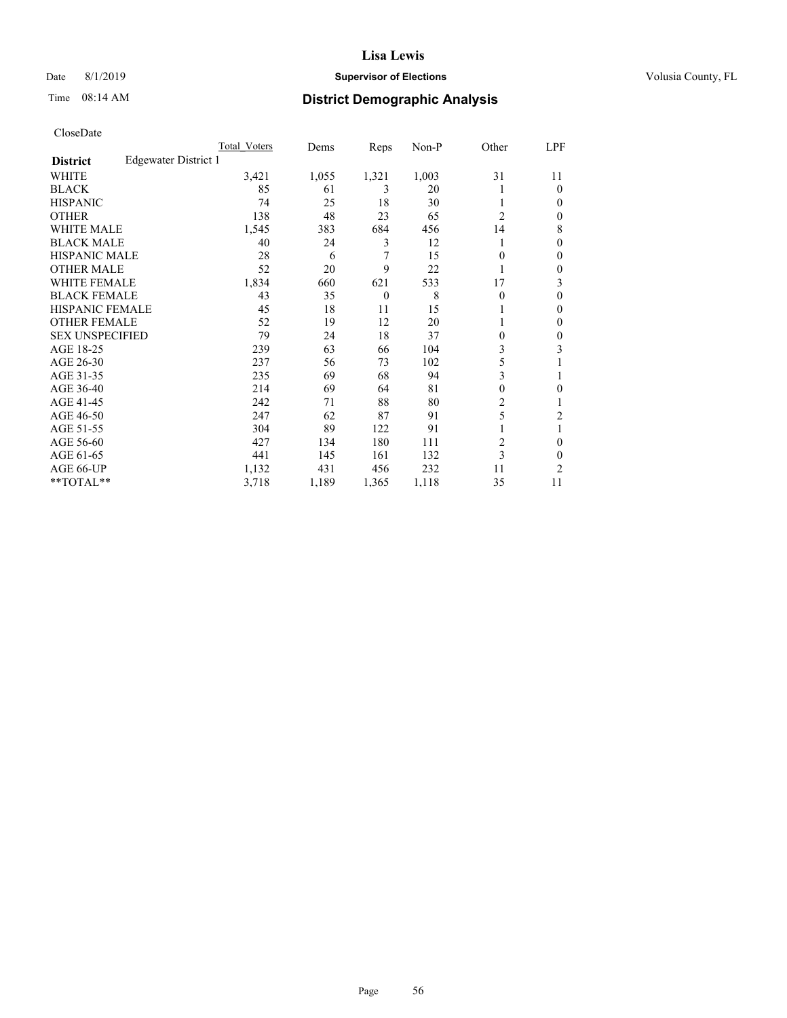## Date 8/1/2019 **Supervisor of Elections Supervisor of Elections** Volusia County, FL

# Time 08:14 AM **District Demographic Analysis**

|                        |                      | Total Voters | Dems  | Reps     | Non-P | Other          | LPF            |
|------------------------|----------------------|--------------|-------|----------|-------|----------------|----------------|
| <b>District</b>        | Edgewater District 1 |              |       |          |       |                |                |
| WHITE                  |                      | 3,421        | 1,055 | 1,321    | 1,003 | 31             | 11             |
| <b>BLACK</b>           |                      | 85           | 61    | 3        | 20    |                | $\Omega$       |
| <b>HISPANIC</b>        |                      | 74           | 25    | 18       | 30    |                | $\Omega$       |
| <b>OTHER</b>           |                      | 138          | 48    | 23       | 65    | $\overline{2}$ | $\Omega$       |
| WHITE MALE             |                      | 1,545        | 383   | 684      | 456   | 14             | 8              |
| <b>BLACK MALE</b>      |                      | 40           | 24    | 3        | 12    |                | $\mathbf{0}$   |
| <b>HISPANIC MALE</b>   |                      | 28           | 6     | 7        | 15    | 0              | 0              |
| <b>OTHER MALE</b>      |                      | 52           | 20    | 9        | 22    | 1              | $\mathbf{0}$   |
| WHITE FEMALE           |                      | 1,834        | 660   | 621      | 533   | 17             | 3              |
| <b>BLACK FEMALE</b>    |                      | 43           | 35    | $\theta$ | 8     | 0              | $\theta$       |
| <b>HISPANIC FEMALE</b> |                      | 45           | 18    | 11       | 15    |                | $\Omega$       |
| <b>OTHER FEMALE</b>    |                      | 52           | 19    | 12       | 20    |                | $\Omega$       |
| <b>SEX UNSPECIFIED</b> |                      | 79           | 24    | 18       | 37    | 0              | $\theta$       |
| AGE 18-25              |                      | 239          | 63    | 66       | 104   | 3              | 3              |
| AGE 26-30              |                      | 237          | 56    | 73       | 102   | 5              |                |
| AGE 31-35              |                      | 235          | 69    | 68       | 94    | 3              |                |
| AGE 36-40              |                      | 214          | 69    | 64       | 81    | 0              | 0              |
| AGE 41-45              |                      | 242          | 71    | 88       | 80    | $\overline{2}$ |                |
| AGE 46-50              |                      | 247          | 62    | 87       | 91    | 5              | $\overline{c}$ |
| AGE 51-55              |                      | 304          | 89    | 122      | 91    |                |                |
| AGE 56-60              |                      | 427          | 134   | 180      | 111   | $\overline{c}$ | $\theta$       |
| AGE 61-65              |                      | 441          | 145   | 161      | 132   | 3              | $\theta$       |
| AGE 66-UP              |                      | 1,132        | 431   | 456      | 232   | 11             | $\overline{c}$ |
| **TOTAL**              |                      | 3,718        | 1,189 | 1,365    | 1,118 | 35             | 11             |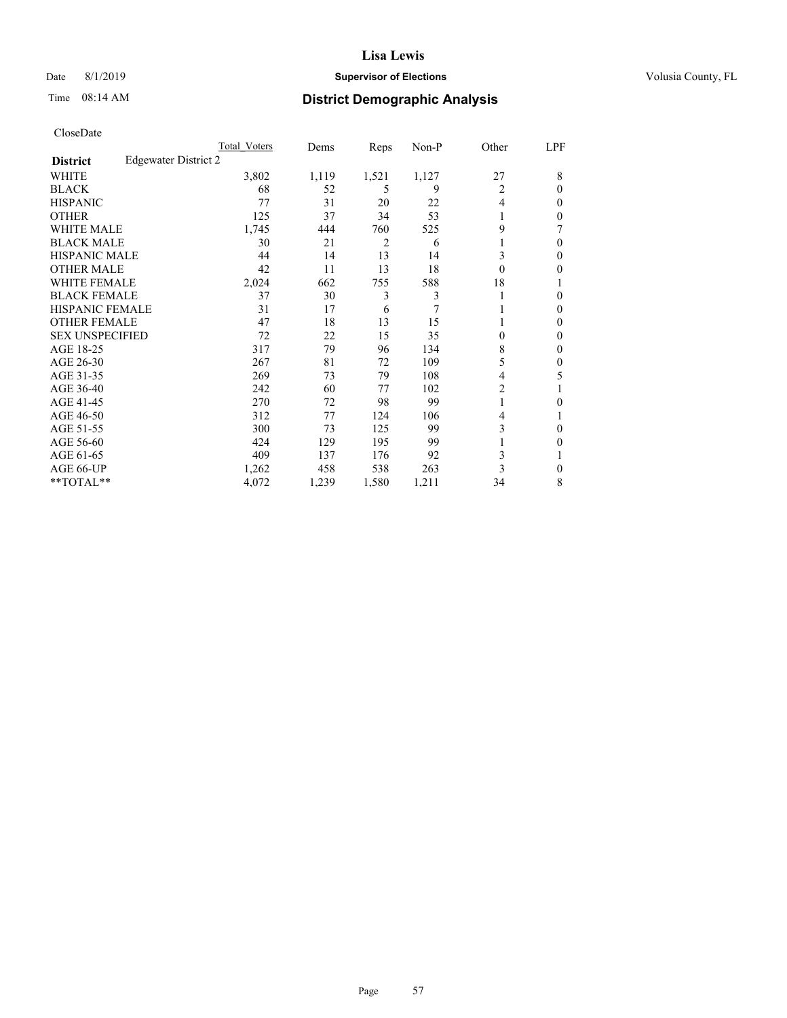## Date 8/1/2019 **Supervisor of Elections Supervisor of Elections** Volusia County, FL

# Time 08:14 AM **District Demographic Analysis**

|                        |                      | Total Voters | Dems  | Reps  | Non-P | Other    | LPF          |
|------------------------|----------------------|--------------|-------|-------|-------|----------|--------------|
| <b>District</b>        | Edgewater District 2 |              |       |       |       |          |              |
| WHITE                  |                      | 3,802        | 1,119 | 1,521 | 1,127 | 27       | 8            |
| <b>BLACK</b>           |                      | 68           | 52    | 5     | 9     | 2        | 0            |
| <b>HISPANIC</b>        |                      | 77           | 31    | 20    | 22    | 4        | 0            |
| <b>OTHER</b>           |                      | 125          | 37    | 34    | 53    |          | 0            |
| WHITE MALE             |                      | 1,745        | 444   | 760   | 525   | 9        |              |
| <b>BLACK MALE</b>      |                      | 30           | 21    | 2     | 6     |          | 0            |
| <b>HISPANIC MALE</b>   |                      | 44           | 14    | 13    | 14    | 3        | 0            |
| <b>OTHER MALE</b>      |                      | 42           | 11    | 13    | 18    | $\theta$ | 0            |
| WHITE FEMALE           |                      | 2,024        | 662   | 755   | 588   | 18       |              |
| <b>BLACK FEMALE</b>    |                      | 37           | 30    | 3     | 3     |          | 0            |
| <b>HISPANIC FEMALE</b> |                      | 31           | 17    | 6     | 7     |          | 0            |
| <b>OTHER FEMALE</b>    |                      | 47           | 18    | 13    | 15    |          | 0            |
| <b>SEX UNSPECIFIED</b> |                      | 72           | 22    | 15    | 35    | 0        | 0            |
| AGE 18-25              |                      | 317          | 79    | 96    | 134   | 8        | 0            |
| AGE 26-30              |                      | 267          | 81    | 72    | 109   | 5        | $\mathbf{0}$ |
| AGE 31-35              |                      | 269          | 73    | 79    | 108   | 4        | 5            |
| AGE 36-40              |                      | 242          | 60    | 77    | 102   | 2        |              |
| AGE 41-45              |                      | 270          | 72    | 98    | 99    |          | 0            |
| AGE 46-50              |                      | 312          | 77    | 124   | 106   | 4        |              |
| AGE 51-55              |                      | 300          | 73    | 125   | 99    | 3        | 0            |
| AGE 56-60              |                      | 424          | 129   | 195   | 99    |          | 0            |
| AGE 61-65              |                      | 409          | 137   | 176   | 92    | 3        |              |
| AGE 66-UP              |                      | 1,262        | 458   | 538   | 263   | 3        | 0            |
| **TOTAL**              |                      | 4,072        | 1,239 | 1,580 | 1,211 | 34       | 8            |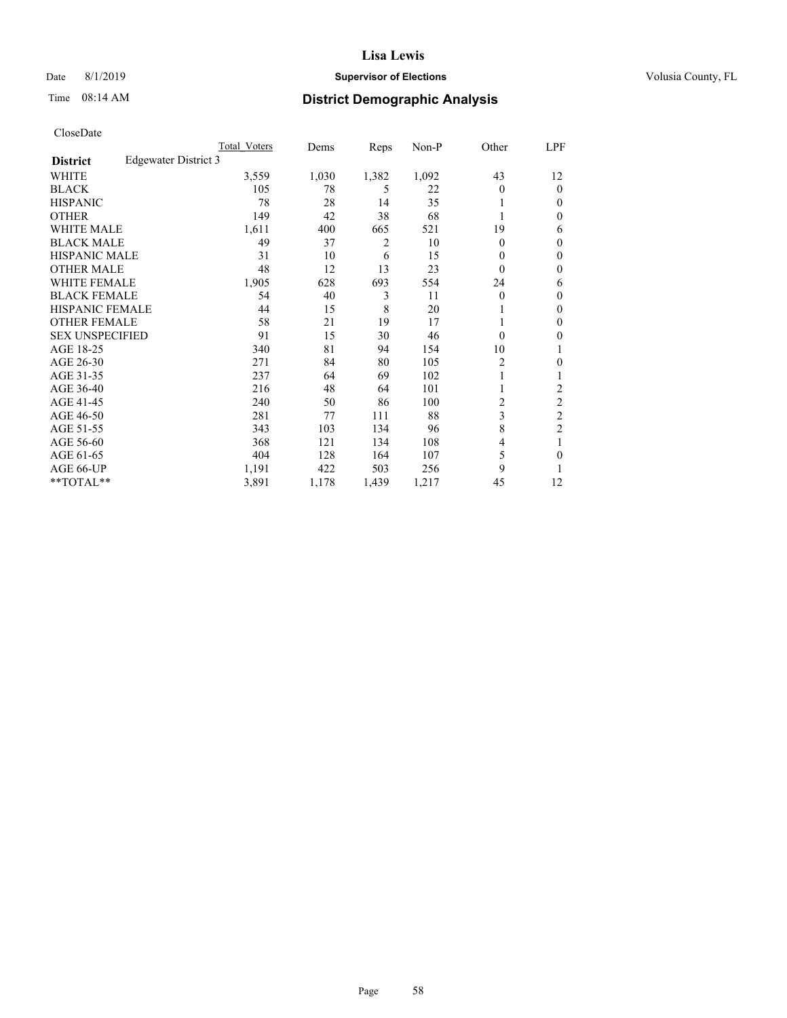## Date 8/1/2019 **Supervisor of Elections Supervisor of Elections** Volusia County, FL

# Time 08:14 AM **District Demographic Analysis**

|                        |                      | Total Voters | Dems  | Reps  | Non-P | Other | LPF            |
|------------------------|----------------------|--------------|-------|-------|-------|-------|----------------|
| <b>District</b>        | Edgewater District 3 |              |       |       |       |       |                |
| WHITE                  |                      | 3,559        | 1,030 | 1,382 | 1,092 | 43    | 12             |
| <b>BLACK</b>           |                      | 105          | 78    | 5     | 22    | 0     | $\mathbf{0}$   |
| <b>HISPANIC</b>        |                      | 78           | 28    | 14    | 35    |       | $\Omega$       |
| <b>OTHER</b>           |                      | 149          | 42    | 38    | 68    |       | 0              |
| <b>WHITE MALE</b>      |                      | 1,611        | 400   | 665   | 521   | 19    | 6              |
| <b>BLACK MALE</b>      |                      | 49           | 37    | 2     | 10    | 0     | $\mathbf{0}$   |
| <b>HISPANIC MALE</b>   |                      | 31           | 10    | 6     | 15    | 0     | $\theta$       |
| <b>OTHER MALE</b>      |                      | 48           | 12    | 13    | 23    | 0     | $\mathbf{0}$   |
| WHITE FEMALE           |                      | 1,905        | 628   | 693   | 554   | 24    | 6              |
| <b>BLACK FEMALE</b>    |                      | 54           | 40    | 3     | 11    | 0     | $\mathbf{0}$   |
| <b>HISPANIC FEMALE</b> |                      | 44           | 15    | 8     | 20    |       | 0              |
| <b>OTHER FEMALE</b>    |                      | 58           | 21    | 19    | 17    |       | 0              |
| <b>SEX UNSPECIFIED</b> |                      | 91           | 15    | 30    | 46    | 0     | 0              |
| AGE 18-25              |                      | 340          | 81    | 94    | 154   | 10    | 1              |
| AGE 26-30              |                      | 271          | 84    | 80    | 105   | 2     | 0              |
| AGE 31-35              |                      | 237          | 64    | 69    | 102   |       |                |
| AGE 36-40              |                      | 216          | 48    | 64    | 101   |       | 2              |
| AGE 41-45              |                      | 240          | 50    | 86    | 100   | 2     | 2              |
| AGE 46-50              |                      | 281          | 77    | 111   | 88    | 3     | $\overline{c}$ |
| AGE 51-55              |                      | 343          | 103   | 134   | 96    | 8     | $\overline{c}$ |
| AGE 56-60              |                      | 368          | 121   | 134   | 108   | 4     |                |
| AGE 61-65              |                      | 404          | 128   | 164   | 107   | 5     | 0              |
| AGE 66-UP              |                      | 1,191        | 422   | 503   | 256   | 9     |                |
| **TOTAL**              |                      | 3,891        | 1,178 | 1,439 | 1,217 | 45    | 12             |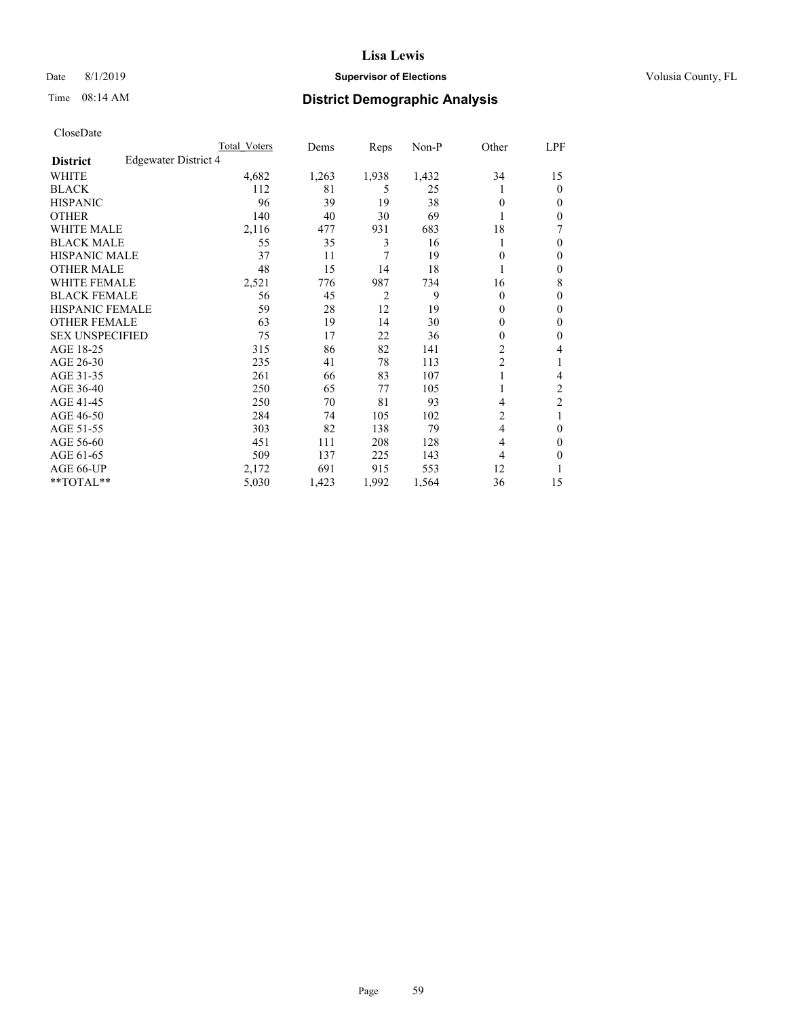## Date 8/1/2019 **Supervisor of Elections Supervisor of Elections** Volusia County, FL

# Time 08:14 AM **District Demographic Analysis**

|                        |                      | Total Voters | Dems  | Reps           | Non-P | Other          | LPF            |
|------------------------|----------------------|--------------|-------|----------------|-------|----------------|----------------|
| <b>District</b>        | Edgewater District 4 |              |       |                |       |                |                |
| WHITE                  |                      | 4,682        | 1,263 | 1,938          | 1,432 | 34             | 15             |
| <b>BLACK</b>           |                      | 112          | 81    | 5              | 25    |                | $\mathbf{0}$   |
| <b>HISPANIC</b>        |                      | 96           | 39    | 19             | 38    | 0              | $\Omega$       |
| <b>OTHER</b>           |                      | 140          | 40    | 30             | 69    |                | 0              |
| <b>WHITE MALE</b>      |                      | 2,116        | 477   | 931            | 683   | 18             | 7              |
| <b>BLACK MALE</b>      |                      | 55           | 35    | 3              | 16    |                | $\theta$       |
| <b>HISPANIC MALE</b>   |                      | 37           | 11    | 7              | 19    | 0              | $\theta$       |
| <b>OTHER MALE</b>      |                      | 48           | 15    | 14             | 18    | 1              | $\mathbf{0}$   |
| WHITE FEMALE           |                      | 2,521        | 776   | 987            | 734   | 16             | 8              |
| <b>BLACK FEMALE</b>    |                      | 56           | 45    | $\overline{2}$ | 9     | 0              | $\theta$       |
| <b>HISPANIC FEMALE</b> |                      | 59           | 28    | 12             | 19    | 0              | 0              |
| <b>OTHER FEMALE</b>    |                      | 63           | 19    | 14             | 30    | 0              | $\theta$       |
| <b>SEX UNSPECIFIED</b> |                      | 75           | 17    | 22             | 36    | 0              | $\theta$       |
| AGE 18-25              |                      | 315          | 86    | 82             | 141   | $\overline{c}$ | 4              |
| AGE 26-30              |                      | 235          | 41    | 78             | 113   | $\overline{c}$ | 1              |
| AGE 31-35              |                      | 261          | 66    | 83             | 107   |                | 4              |
| AGE 36-40              |                      | 250          | 65    | 77             | 105   |                | $\overline{c}$ |
| AGE 41-45              |                      | 250          | 70    | 81             | 93    | 4              | $\overline{c}$ |
| AGE 46-50              |                      | 284          | 74    | 105            | 102   | 2              | 1              |
| AGE 51-55              |                      | 303          | 82    | 138            | 79    | 4              | 0              |
| AGE 56-60              |                      | 451          | 111   | 208            | 128   | 4              | $\theta$       |
| AGE 61-65              |                      | 509          | 137   | 225            | 143   | 4              | 0              |
| AGE 66-UP              |                      | 2,172        | 691   | 915            | 553   | 12             |                |
| **TOTAL**              |                      | 5,030        | 1,423 | 1,992          | 1,564 | 36             | 15             |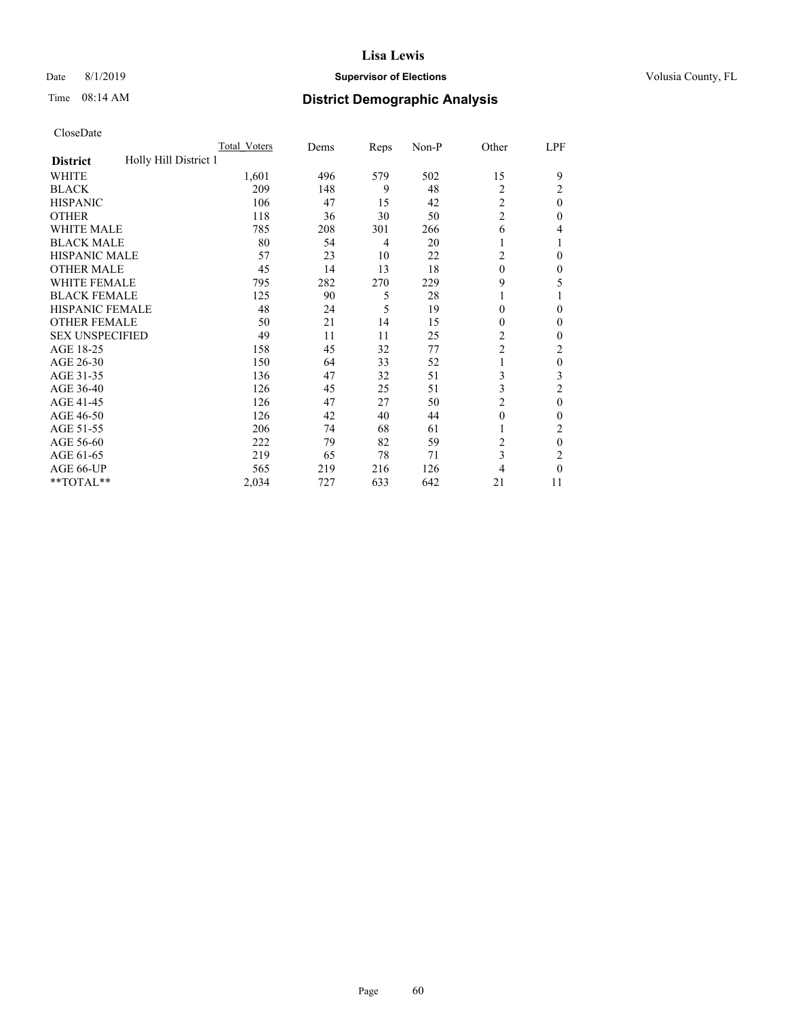## Date 8/1/2019 **Supervisor of Elections Supervisor of Elections** Volusia County, FL

# Time 08:14 AM **District Demographic Analysis**

|                                          | Total Voters | Dems | Reps | Non-P | Other          | LPF          |
|------------------------------------------|--------------|------|------|-------|----------------|--------------|
| Holly Hill District 1<br><b>District</b> |              |      |      |       |                |              |
| WHITE                                    | 1,601        | 496  | 579  | 502   | 15             | 9            |
| <b>BLACK</b>                             | 209          | 148  | 9    | 48    | 2              | 2            |
| <b>HISPANIC</b>                          | 106          | 47   | 15   | 42    | 2              | $\theta$     |
| <b>OTHER</b>                             | 118          | 36   | 30   | 50    | $\overline{c}$ | 0            |
| WHITE MALE                               | 785          | 208  | 301  | 266   | 6              | 4            |
| <b>BLACK MALE</b>                        | 80           | 54   | 4    | 20    | 1              |              |
| <b>HISPANIC MALE</b>                     | 57           | 23   | 10   | 22    | 2              | $\theta$     |
| <b>OTHER MALE</b>                        | 45           | 14   | 13   | 18    | $\theta$       | $\mathbf{0}$ |
| <b>WHITE FEMALE</b>                      | 795          | 282  | 270  | 229   | 9              | 5            |
| <b>BLACK FEMALE</b>                      | 125          | 90   | 5    | 28    | 1              |              |
| <b>HISPANIC FEMALE</b>                   | 48           | 24   | 5    | 19    | $\theta$       | 0            |
| <b>OTHER FEMALE</b>                      | 50           | 21   | 14   | 15    | $\theta$       | $\Omega$     |
| <b>SEX UNSPECIFIED</b>                   | 49           | 11   | 11   | 25    | 2              | 0            |
| AGE 18-25                                | 158          | 45   | 32   | 77    | $\overline{c}$ | 2            |
| AGE 26-30                                | 150          | 64   | 33   | 52    | 1              | $\theta$     |
| AGE 31-35                                | 136          | 47   | 32   | 51    | 3              | 3            |
| AGE 36-40                                | 126          | 45   | 25   | 51    | 3              | 2            |
| AGE 41-45                                | 126          | 47   | 27   | 50    | 2              | $\theta$     |
| AGE 46-50                                | 126          | 42   | 40   | 44    | $\theta$       | 0            |
| AGE 51-55                                | 206          | 74   | 68   | 61    | 1              | 2            |
| AGE 56-60                                | 222          | 79   | 82   | 59    | 2              | $\theta$     |
| AGE 61-65                                | 219          | 65   | 78   | 71    | 3              | 2            |
| AGE 66-UP                                | 565          | 219  | 216  | 126   | 4              | 0            |
| **TOTAL**                                | 2,034        | 727  | 633  | 642   | 21             | 11           |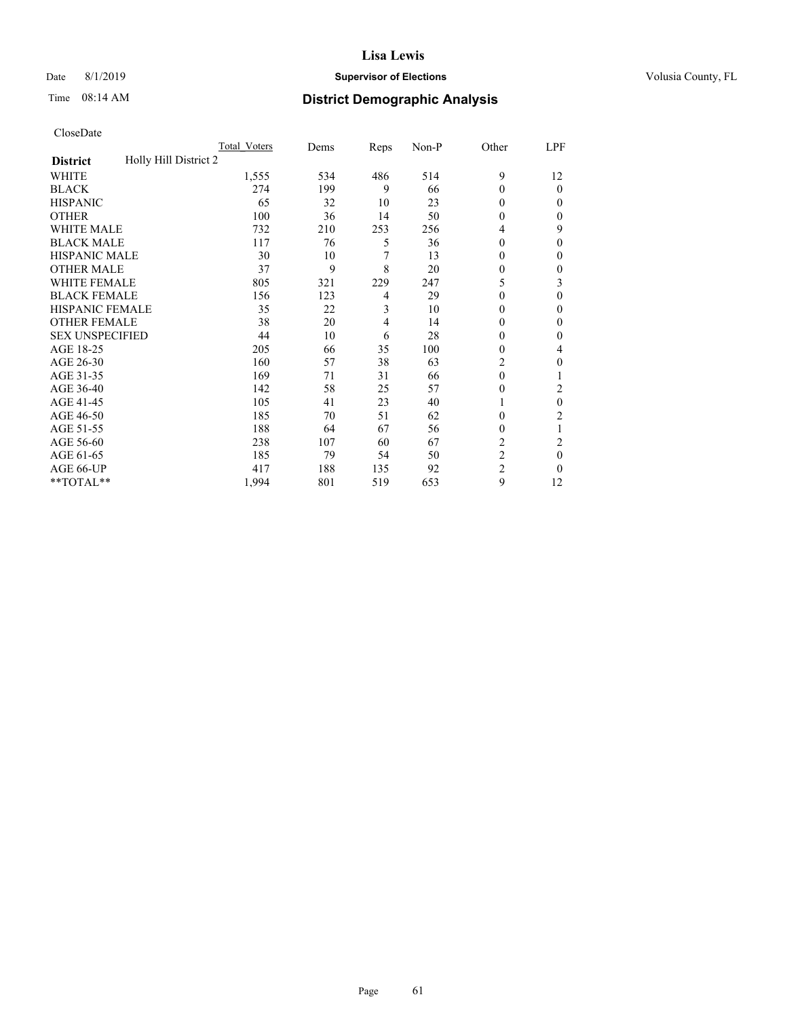## Date 8/1/2019 **Supervisor of Elections Supervisor of Elections** Volusia County, FL

# Time 08:14 AM **District Demographic Analysis**

|                                          | Total Voters | Dems | Reps | Non-P | Other          | LPF    |
|------------------------------------------|--------------|------|------|-------|----------------|--------|
| Holly Hill District 2<br><b>District</b> |              |      |      |       |                |        |
| WHITE                                    | 1,555        | 534  | 486  | 514   | 9              | 12     |
| <b>BLACK</b>                             | 274          | 199  | 9    | 66    | $\Omega$       | 0      |
| <b>HISPANIC</b>                          | 65           | 32   | 10   | 23    | $\Omega$       | $_{0}$ |
| <b>OTHER</b>                             | 100          | 36   | 14   | 50    | 0              | 0      |
| WHITE MALE                               | 732          | 210  | 253  | 256   | 4              | 9      |
| <b>BLACK MALE</b>                        | 117          | 76   | 5    | 36    | $\Omega$       | 0      |
| <b>HISPANIC MALE</b>                     | 30           | 10   | 7    | 13    | 0              | 0      |
| <b>OTHER MALE</b>                        | 37           | 9    | 8    | 20    | 0              | 0      |
| WHITE FEMALE                             | 805          | 321  | 229  | 247   | 5              | 3      |
| <b>BLACK FEMALE</b>                      | 156          | 123  | 4    | 29    | 0              | 0      |
| <b>HISPANIC FEMALE</b>                   | 35           | 22   | 3    | 10    | 0              | 0      |
| <b>OTHER FEMALE</b>                      | 38           | 20   | 4    | 14    | 0              | 0      |
| <b>SEX UNSPECIFIED</b>                   | 44           | 10   | 6    | 28    | 0              | 0      |
| AGE 18-25                                | 205          | 66   | 35   | 100   | 0              | 4      |
| AGE 26-30                                | 160          | 57   | 38   | 63    | 2              | 0      |
| AGE 31-35                                | 169          | 71   | 31   | 66    | $\theta$       |        |
| AGE 36-40                                | 142          | 58   | 25   | 57    | 0              | 2      |
| AGE 41-45                                | 105          | 41   | 23   | 40    |                | 0      |
| AGE 46-50                                | 185          | 70   | 51   | 62    | 0              | 2      |
| AGE 51-55                                | 188          | 64   | 67   | 56    | 0              | 1      |
| AGE 56-60                                | 238          | 107  | 60   | 67    | $\overline{c}$ | 2      |
| AGE 61-65                                | 185          | 79   | 54   | 50    | $\overline{2}$ | 0      |
| AGE 66-UP                                | 417          | 188  | 135  | 92    | $\overline{2}$ | 0      |
| **TOTAL**                                | 1,994        | 801  | 519  | 653   | 9              | 12     |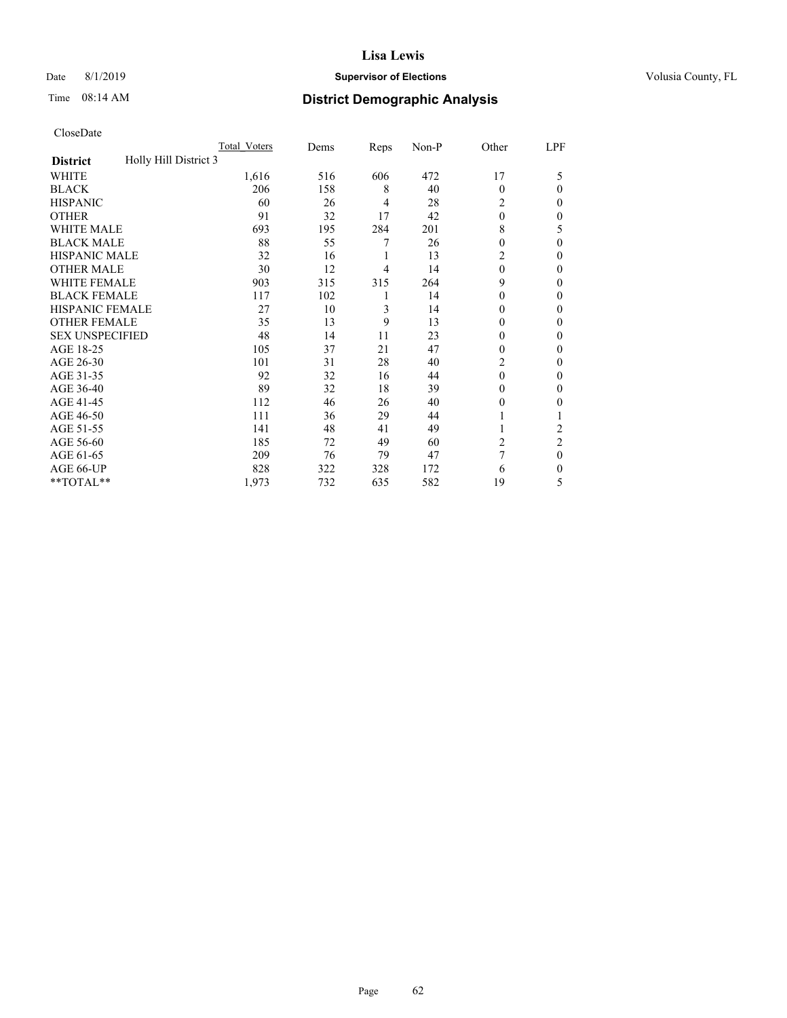## Date 8/1/2019 **Supervisor of Elections Supervisor of Elections** Volusia County, FL

# Time 08:14 AM **District Demographic Analysis**

|                                          | Total Voters | Dems | Reps | Non-P | Other          | LPF            |
|------------------------------------------|--------------|------|------|-------|----------------|----------------|
| Holly Hill District 3<br><b>District</b> |              |      |      |       |                |                |
| WHITE                                    | 1,616        | 516  | 606  | 472   | 17             | 5              |
| <b>BLACK</b>                             | 206          | 158  | 8    | 40    | $\Omega$       | 0              |
| <b>HISPANIC</b>                          | 60           | 26   | 4    | 28    | 2              | $_{0}$         |
| <b>OTHER</b>                             | 91           | 32   | 17   | 42    | $\theta$       | 0              |
| WHITE MALE                               | 693          | 195  | 284  | 201   | 8              | 5              |
| <b>BLACK MALE</b>                        | 88           | 55   | 7    | 26    | 0              | 0              |
| <b>HISPANIC MALE</b>                     | 32           | 16   | 1    | 13    | 2              | 0              |
| <b>OTHER MALE</b>                        | 30           | 12   | 4    | 14    | $\Omega$       | 0              |
| WHITE FEMALE                             | 903          | 315  | 315  | 264   | 9              | 0              |
| <b>BLACK FEMALE</b>                      | 117          | 102  | 1    | 14    | 0              | 0              |
| <b>HISPANIC FEMALE</b>                   | 27           | 10   | 3    | 14    | 0              | 0              |
| <b>OTHER FEMALE</b>                      | 35           | 13   | 9    | 13    | 0              | 0              |
| <b>SEX UNSPECIFIED</b>                   | 48           | 14   | 11   | 23    | 0              | 0              |
| AGE 18-25                                | 105          | 37   | 21   | 47    | 0              | 0              |
| AGE 26-30                                | 101          | 31   | 28   | 40    | 2              | 0              |
| AGE 31-35                                | 92           | 32   | 16   | 44    | $\Omega$       | 0              |
| AGE 36-40                                | 89           | 32   | 18   | 39    | 0              | 0              |
| AGE 41-45                                | 112          | 46   | 26   | 40    | $_{0}$         | 0              |
| AGE 46-50                                | 111          | 36   | 29   | 44    |                |                |
| AGE 51-55                                | 141          | 48   | 41   | 49    |                | $\overline{c}$ |
| AGE 56-60                                | 185          | 72   | 49   | 60    | $\overline{c}$ | $\overline{2}$ |
| AGE 61-65                                | 209          | 76   | 79   | 47    | 7              | 0              |
| AGE 66-UP                                | 828          | 322  | 328  | 172   | 6              | 0              |
| **TOTAL**                                | 1,973        | 732  | 635  | 582   | 19             | 5              |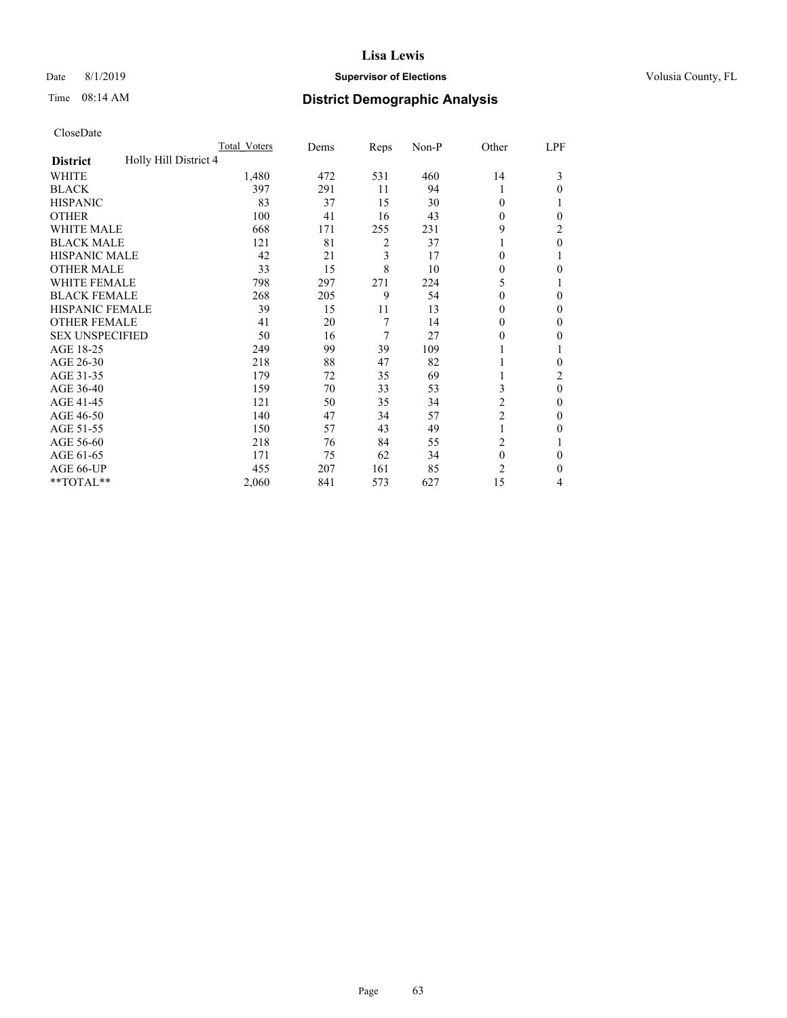## Date 8/1/2019 **Supervisor of Elections Supervisor of Elections** Volusia County, FL

# Time 08:14 AM **District Demographic Analysis**

|                                          | Total Voters | Dems | Reps | Non-P | Other          | LPF      |
|------------------------------------------|--------------|------|------|-------|----------------|----------|
| Holly Hill District 4<br><b>District</b> |              |      |      |       |                |          |
| WHITE                                    | 1,480        | 472  | 531  | 460   | 14             | 3        |
| <b>BLACK</b>                             | 397          | 291  | 11   | 94    | 1              | 0        |
| <b>HISPANIC</b>                          | 83           | 37   | 15   | 30    | $\Omega$       |          |
| <b>OTHER</b>                             | 100          | 41   | 16   | 43    | 0              | 0        |
| WHITE MALE                               | 668          | 171  | 255  | 231   | 9              | 2        |
| <b>BLACK MALE</b>                        | 121          | 81   | 2    | 37    |                | 0        |
| <b>HISPANIC MALE</b>                     | 42           | 21   | 3    | 17    | 0              |          |
| <b>OTHER MALE</b>                        | 33           | 15   | 8    | 10    | $\theta$       | 0        |
| <b>WHITE FEMALE</b>                      | 798          | 297  | 271  | 224   | 5              |          |
| <b>BLACK FEMALE</b>                      | 268          | 205  | 9    | 54    | $\theta$       | 0        |
| <b>HISPANIC FEMALE</b>                   | 39           | 15   | 11   | 13    | 0              | 0        |
| <b>OTHER FEMALE</b>                      | 41           | 20   | 7    | 14    | $\Omega$       | 0        |
| <b>SEX UNSPECIFIED</b>                   | 50           | 16   | 7    | 27    | 0              | 0        |
| AGE 18-25                                | 249          | 99   | 39   | 109   |                |          |
| AGE 26-30                                | 218          | 88   | 47   | 82    |                | 0        |
| AGE 31-35                                | 179          | 72   | 35   | 69    |                | 2        |
| AGE 36-40                                | 159          | 70   | 33   | 53    | 3              | $\theta$ |
| AGE 41-45                                | 121          | 50   | 35   | 34    | 2              | 0        |
| AGE 46-50                                | 140          | 47   | 34   | 57    | $\overline{2}$ | 0        |
| AGE 51-55                                | 150          | 57   | 43   | 49    | 1              | 0        |
| AGE 56-60                                | 218          | 76   | 84   | 55    | $\overline{2}$ |          |
| AGE 61-65                                | 171          | 75   | 62   | 34    | $\mathbf{0}$   | 0        |
| AGE 66-UP                                | 455          | 207  | 161  | 85    | $\overline{c}$ | 0        |
| **TOTAL**                                | 2,060        | 841  | 573  | 627   | 15             | 4        |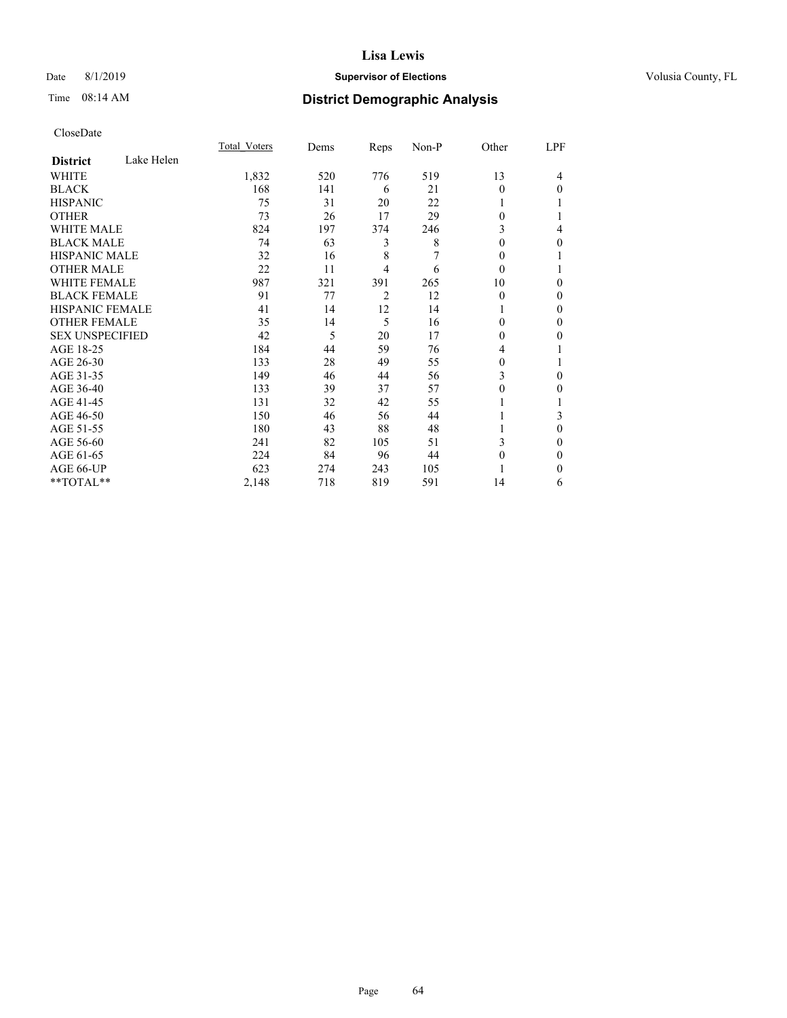## Date 8/1/2019 **Supervisor of Elections Supervisor of Elections** Volusia County, FL

# Time 08:14 AM **District Demographic Analysis**

|                        |            | Total Voters | Dems | Reps           | $Non-P$ | Other    | LPF      |
|------------------------|------------|--------------|------|----------------|---------|----------|----------|
| <b>District</b>        | Lake Helen |              |      |                |         |          |          |
| WHITE                  |            | 1,832        | 520  | 776            | 519     | 13       | 4        |
| <b>BLACK</b>           |            | 168          | 141  | 6              | 21      | $\Omega$ | $\Omega$ |
| <b>HISPANIC</b>        |            | 75           | 31   | 20             | 22      |          |          |
| <b>OTHER</b>           |            | 73           | 26   | 17             | 29      | $\theta$ |          |
| WHITE MALE             |            | 824          | 197  | 374            | 246     | 3        | 4        |
| <b>BLACK MALE</b>      |            | 74           | 63   | 3              | 8       | $\theta$ | $\Omega$ |
| <b>HISPANIC MALE</b>   |            | 32           | 16   | 8              |         | 0        |          |
| <b>OTHER MALE</b>      |            | 22           | 11   | 4              | 6       | $\theta$ |          |
| <b>WHITE FEMALE</b>    |            | 987          | 321  | 391            | 265     | 10       | $\Omega$ |
| <b>BLACK FEMALE</b>    |            | 91           | 77   | $\overline{2}$ | 12      | $\theta$ | $\Omega$ |
| <b>HISPANIC FEMALE</b> |            | 41           | 14   | 12             | 14      |          | $\Omega$ |
| <b>OTHER FEMALE</b>    |            | 35           | 14   | 5              | 16      | 0        | $\theta$ |
| <b>SEX UNSPECIFIED</b> |            | 42           | 5    | 20             | 17      | $\theta$ | $\theta$ |
| AGE 18-25              |            | 184          | 44   | 59             | 76      | 4        |          |
| AGE 26-30              |            | 133          | 28   | 49             | 55      | 0        |          |
| AGE 31-35              |            | 149          | 46   | 44             | 56      | 3        | $\Omega$ |
| AGE 36-40              |            | 133          | 39   | 37             | 57      | $\theta$ | $\Omega$ |
| AGE 41-45              |            | 131          | 32   | 42             | 55      |          |          |
| AGE 46-50              |            | 150          | 46   | 56             | 44      |          | 3        |
| AGE 51-55              |            | 180          | 43   | 88             | 48      |          | $\theta$ |
| AGE 56-60              |            | 241          | 82   | 105            | 51      | 3        | 0        |
| AGE 61-65              |            | 224          | 84   | 96             | 44      | $\theta$ | $\Omega$ |
| AGE 66-UP              |            | 623          | 274  | 243            | 105     |          | $\Omega$ |
| **TOTAL**              |            | 2,148        | 718  | 819            | 591     | 14       | 6        |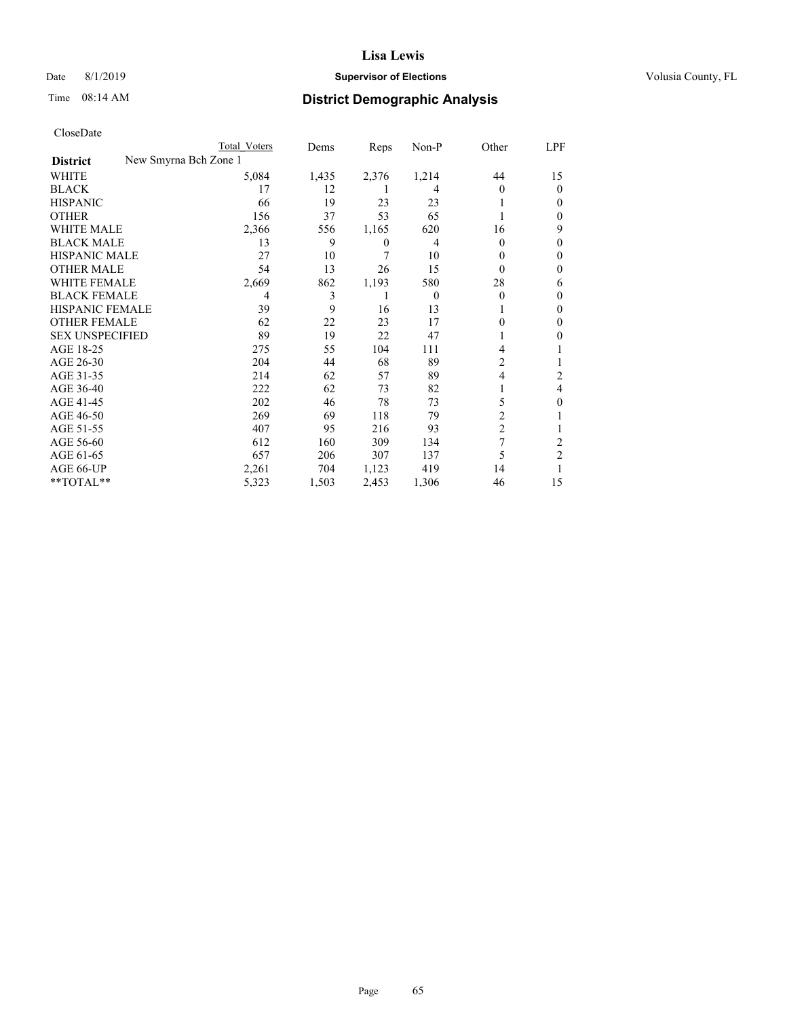## Date 8/1/2019 **Supervisor of Elections Supervisor of Elections** Volusia County, FL

|                                          | Total Voters | Dems  | Reps  | Non-P    | Other          | LPF            |
|------------------------------------------|--------------|-------|-------|----------|----------------|----------------|
| New Smyrna Bch Zone 1<br><b>District</b> |              |       |       |          |                |                |
| WHITE                                    | 5,084        | 1,435 | 2,376 | 1,214    | 44             | 15             |
| <b>BLACK</b>                             | 17           | 12    |       | 4        | 0              | 0              |
| <b>HISPANIC</b>                          | 66           | 19    | 23    | 23       |                | 0              |
| <b>OTHER</b>                             | 156          | 37    | 53    | 65       |                | 0              |
| <b>WHITE MALE</b>                        | 2,366        | 556   | 1,165 | 620      | 16             | 9              |
| <b>BLACK MALE</b>                        | 13           | 9     | 0     | 4        | 0              | 0              |
| <b>HISPANIC MALE</b>                     | 27           | 10    | 7     | 10       | 0              | 0              |
| <b>OTHER MALE</b>                        | 54           | 13    | 26    | 15       | $\Omega$       | 0              |
| <b>WHITE FEMALE</b>                      | 2,669        | 862   | 1,193 | 580      | 28             | 6              |
| <b>BLACK FEMALE</b>                      | 4            | 3     |       | $\Omega$ | 0              | $_{0}$         |
| HISPANIC FEMALE                          | 39           | 9     | 16    | 13       |                | 0              |
| <b>OTHER FEMALE</b>                      | 62           | 22    | 23    | 17       | 0              | 0              |
| <b>SEX UNSPECIFIED</b>                   | 89           | 19    | 22    | 47       |                | 0              |
| AGE 18-25                                | 275          | 55    | 104   | 111      | 4              |                |
| AGE 26-30                                | 204          | 44    | 68    | 89       | 2              |                |
| AGE 31-35                                | 214          | 62    | 57    | 89       | 4              | 2              |
| AGE 36-40                                | 222          | 62    | 73    | 82       |                | 4              |
| AGE 41-45                                | 202          | 46    | 78    | 73       | 5              | 0              |
| AGE 46-50                                | 269          | 69    | 118   | 79       | $\overline{c}$ |                |
| AGE 51-55                                | 407          | 95    | 216   | 93       | $\overline{c}$ |                |
| AGE 56-60                                | 612          | 160   | 309   | 134      | 7              | 2              |
| AGE 61-65                                | 657          | 206   | 307   | 137      | 5              | $\overline{2}$ |
| AGE 66-UP                                | 2,261        | 704   | 1,123 | 419      | 14             |                |
| **TOTAL**                                | 5,323        | 1,503 | 2,453 | 1,306    | 46             | 15             |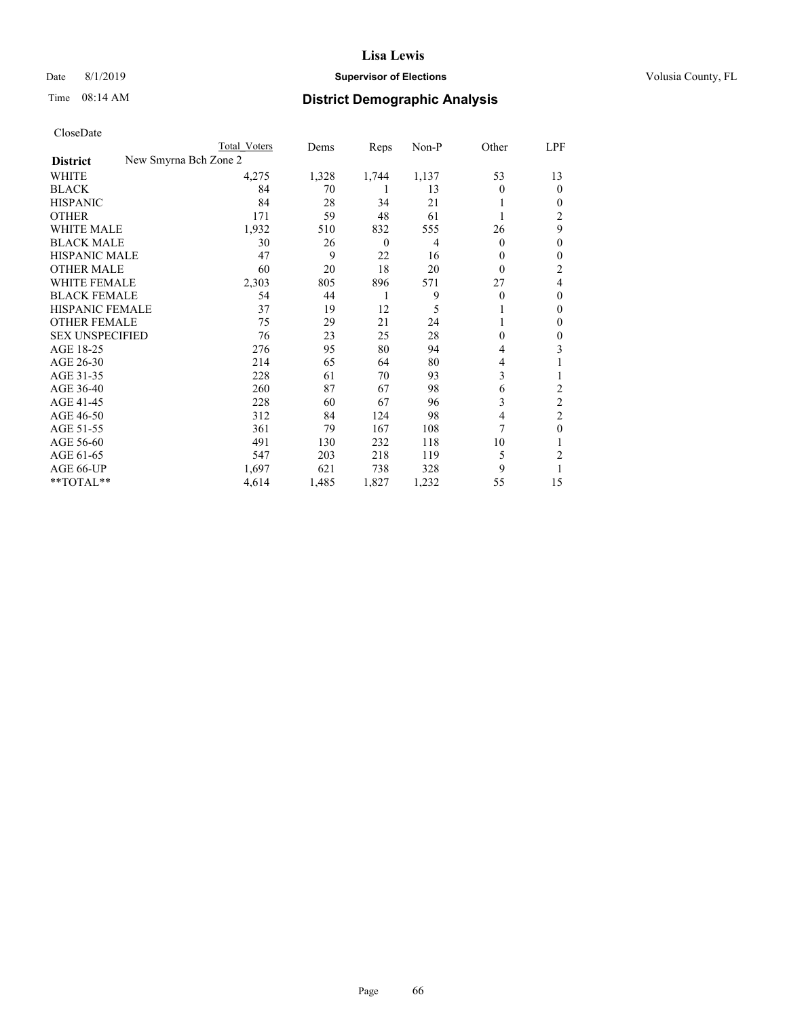#### Date 8/1/2019 **Supervisor of Elections Supervisor of Elections** Volusia County, FL

| CloseDate              |                       |                     |       |          |       |              |                         |
|------------------------|-----------------------|---------------------|-------|----------|-------|--------------|-------------------------|
|                        |                       | <b>Total Voters</b> | Dems  | Reps     | Non-P | Other        | LPF                     |
| <b>District</b>        | New Smyrna Bch Zone 2 |                     |       |          |       |              |                         |
| WHITE                  |                       | 4,275               | 1,328 | 1,744    | 1,137 | 53           | 13                      |
| <b>BLACK</b>           |                       | 84                  | 70    | 1        | 13    | $\mathbf{0}$ | $\mathbf{0}$            |
| <b>HISPANIC</b>        |                       | 84                  | 28    | 34       | 21    |              | $\boldsymbol{0}$        |
| <b>OTHER</b>           |                       | 171                 | 59    | 48       | 61    |              | $\overline{2}$          |
| <b>WHITE MALE</b>      |                       | 1,932               | 510   | 832      | 555   | 26           | 9                       |
| <b>BLACK MALE</b>      |                       | 30                  | 26    | $\theta$ | 4     | $\theta$     | $\boldsymbol{0}$        |
| <b>HISPANIC MALE</b>   |                       | 47                  | 9     | 22       | 16    | $\theta$     | $\boldsymbol{0}$        |
| <b>OTHER MALE</b>      |                       | 60                  | 20    | 18       | 20    | $\theta$     | $\boldsymbol{2}$        |
| WHITE FEMALE           |                       | 2,303               | 805   | 896      | 571   | 27           | $\overline{4}$          |
| <b>BLACK FEMALE</b>    |                       | 54                  | 44    | 1        | 9     | $\theta$     | $\boldsymbol{0}$        |
| HISPANIC FEMALE        |                       | 37                  | 19    | 12       | 5     |              | $\boldsymbol{0}$        |
| <b>OTHER FEMALE</b>    |                       | 75                  | 29    | 21       | 24    |              | $\boldsymbol{0}$        |
| <b>SEX UNSPECIFIED</b> |                       | 76                  | 23    | 25       | 28    | $\theta$     | $\boldsymbol{0}$        |
| AGE 18-25              |                       | 276                 | 95    | 80       | 94    | 4            | 3                       |
| AGE 26-30              |                       | 214                 | 65    | 64       | 80    | 4            |                         |
| AGE 31-35              |                       | 228                 | 61    | 70       | 93    | 3            | 1                       |
| AGE 36-40              |                       | 260                 | 87    | 67       | 98    | 6            | $\overline{c}$          |
| AGE 41-45              |                       | 228                 | 60    | 67       | 96    | 3            | $\overline{\mathbf{c}}$ |
| AGE 46-50              |                       | 312                 | 84    | 124      | 98    | 4            | $\overline{c}$          |
| AGE 51-55              |                       | 361                 | 79    | 167      | 108   | 7            | $\boldsymbol{0}$        |
| AGE 56-60              |                       | 491                 | 130   | 232      | 118   | 10           | 1                       |
| AGE 61-65              |                       | 547                 | 203   | 218      | 119   | 5            | $\overline{\mathbf{c}}$ |
| AGE 66-UP              |                       | 1,697               | 621   | 738      | 328   | 9            |                         |
| **TOTAL**              |                       | 4,614               | 1,485 | 1,827    | 1,232 | 55           | 15                      |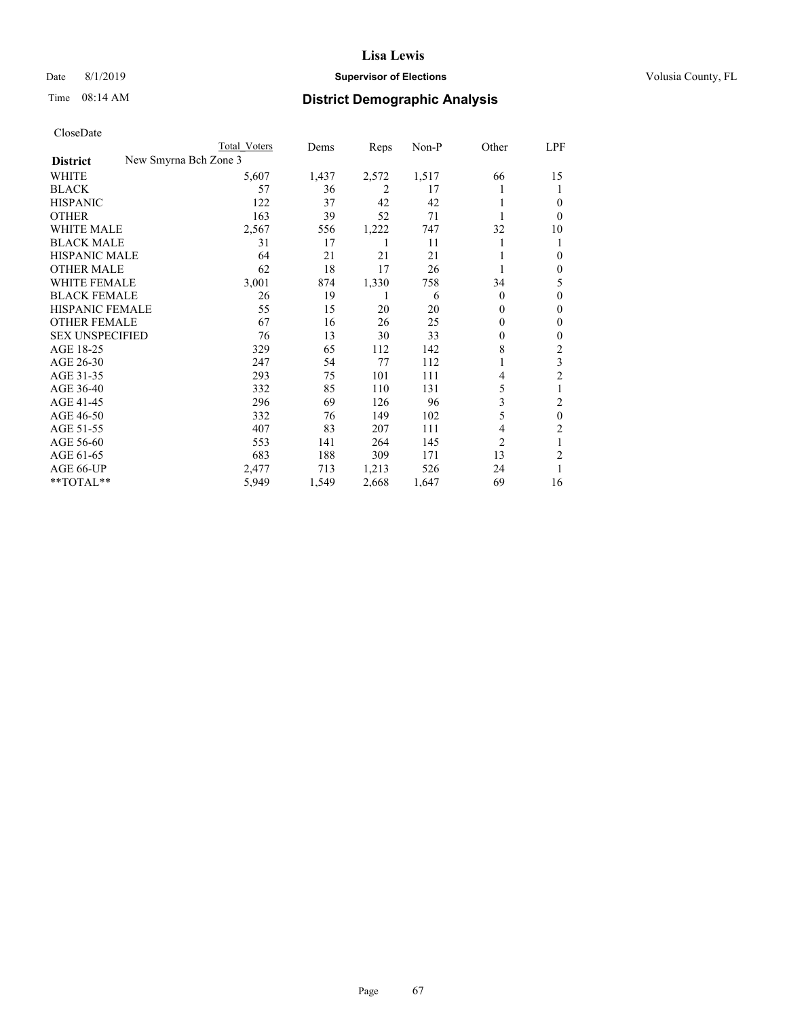## Date 8/1/2019 **Supervisor of Elections Supervisor of Elections** Volusia County, FL

|                                          | Total Voters | Dems  | Reps  | Non-P | Other          | LPF                     |
|------------------------------------------|--------------|-------|-------|-------|----------------|-------------------------|
| New Smyrna Bch Zone 3<br><b>District</b> |              |       |       |       |                |                         |
| WHITE                                    | 5,607        | 1,437 | 2,572 | 1,517 | 66             | 15                      |
| <b>BLACK</b>                             | 57           | 36    | 2     | 17    |                | 1                       |
| <b>HISPANIC</b>                          | 122          | 37    | 42    | 42    |                | 0                       |
| <b>OTHER</b>                             | 163          | 39    | 52    | 71    |                | $\Omega$                |
| <b>WHITE MALE</b>                        | 2,567        | 556   | 1,222 | 747   | 32             | 10                      |
| <b>BLACK MALE</b>                        | 31           | 17    | 1     | 11    |                | 1                       |
| <b>HISPANIC MALE</b>                     | 64           | 21    | 21    | 21    |                | 0                       |
| <b>OTHER MALE</b>                        | 62           | 18    | 17    | 26    | 1              | $\mathbf{0}$            |
| <b>WHITE FEMALE</b>                      | 3,001        | 874   | 1,330 | 758   | 34             | 5                       |
| <b>BLACK FEMALE</b>                      | 26           | 19    | 1     | 6     | $\Omega$       | 0                       |
| <b>HISPANIC FEMALE</b>                   | 55           | 15    | 20    | 20    | $\Omega$       | 0                       |
| <b>OTHER FEMALE</b>                      | 67           | 16    | 26    | 25    | $\Omega$       | $\mathbf{0}$            |
| <b>SEX UNSPECIFIED</b>                   | 76           | 13    | 30    | 33    | $\Omega$       | 0                       |
| AGE 18-25                                | 329          | 65    | 112   | 142   | 8              | 2                       |
| AGE 26-30                                | 247          | 54    | 77    | 112   | 1              | 3                       |
| AGE 31-35                                | 293          | 75    | 101   | 111   | 4              | $\overline{\mathbf{c}}$ |
| AGE 36-40                                | 332          | 85    | 110   | 131   | 5              |                         |
| AGE 41-45                                | 296          | 69    | 126   | 96    | 3              | 2                       |
| AGE 46-50                                | 332          | 76    | 149   | 102   | 5              | $\theta$                |
| AGE 51-55                                | 407          | 83    | 207   | 111   | 4              | 2                       |
| AGE 56-60                                | 553          | 141   | 264   | 145   | $\overline{2}$ |                         |
| AGE 61-65                                | 683          | 188   | 309   | 171   | 13             | 2                       |
| AGE 66-UP                                | 2,477        | 713   | 1,213 | 526   | 24             |                         |
| **TOTAL**                                | 5,949        | 1,549 | 2,668 | 1,647 | 69             | 16                      |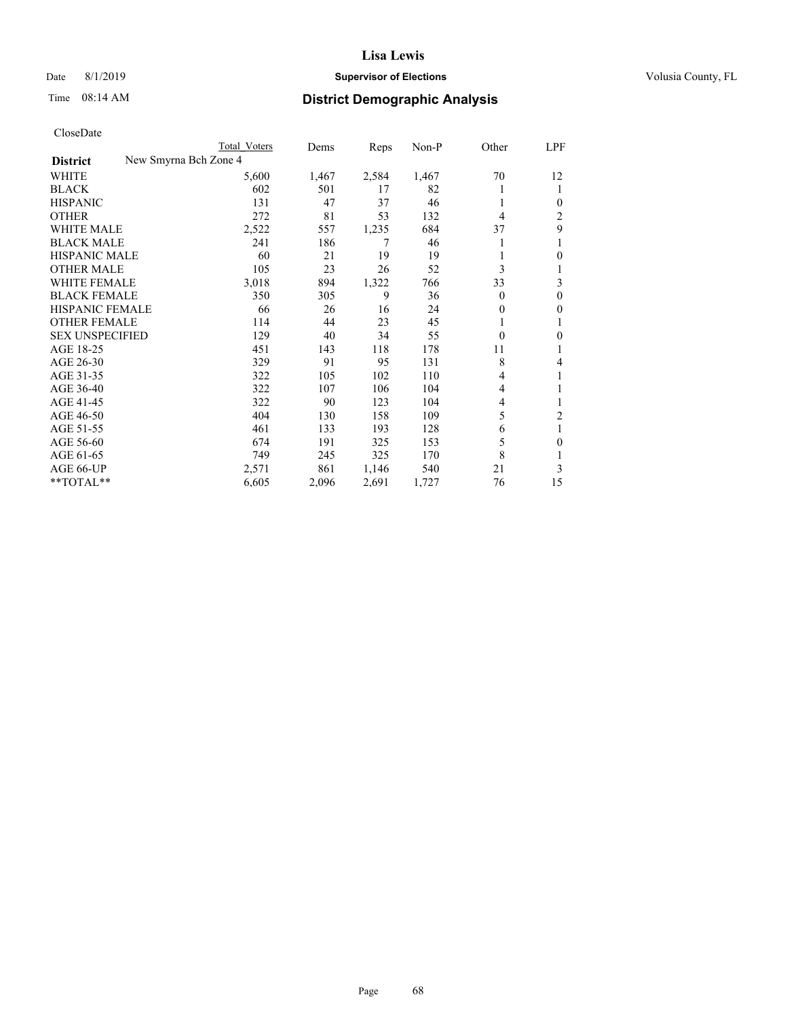## Date 8/1/2019 **Supervisor of Elections Supervisor of Elections** Volusia County, FL

| Total Voters          | Dems  | Reps  | Non-P | Other    | LPF            |
|-----------------------|-------|-------|-------|----------|----------------|
| New Smyrna Bch Zone 4 |       |       |       |          |                |
| 5,600                 | 1,467 | 2,584 | 1,467 | 70       | 12             |
| 602                   | 501   | 17    | 82    |          | 1              |
| 131                   | 47    | 37    | 46    | 1        | 0              |
| 272                   | 81    | 53    | 132   | 4        | 2              |
| 2,522                 | 557   | 1,235 | 684   | 37       | 9              |
| 241                   | 186   | 7     | 46    |          | 1              |
| 60                    | 21    | 19    | 19    |          | 0              |
| 105                   | 23    | 26    | 52    | 3        |                |
| 3,018                 | 894   | 1,322 | 766   | 33       | 3              |
| 350                   | 305   | 9     | 36    | $\theta$ | $\theta$       |
| 66                    | 26    | 16    | 24    | 0        | 0              |
| 114                   | 44    | 23    | 45    |          |                |
| 129                   | 40    | 34    | 55    | $\theta$ | 0              |
| 451                   | 143   | 118   | 178   | 11       |                |
| 329                   | 91    | 95    | 131   | 8        | 4              |
| 322                   | 105   | 102   | 110   | 4        | 1              |
| 322                   | 107   | 106   | 104   | 4        | 1              |
| 322                   | 90    | 123   | 104   | 4        |                |
| 404                   | 130   | 158   | 109   | 5        | $\overline{2}$ |
| 461                   | 133   | 193   | 128   | 6        | 1              |
| 674                   | 191   | 325   | 153   | 5        | 0              |
| 749                   | 245   | 325   | 170   | 8        | 1              |
| 2,571                 | 861   | 1,146 | 540   | 21       | 3              |
| 6,605                 | 2,096 | 2,691 | 1,727 | 76       | 15             |
|                       |       |       |       |          |                |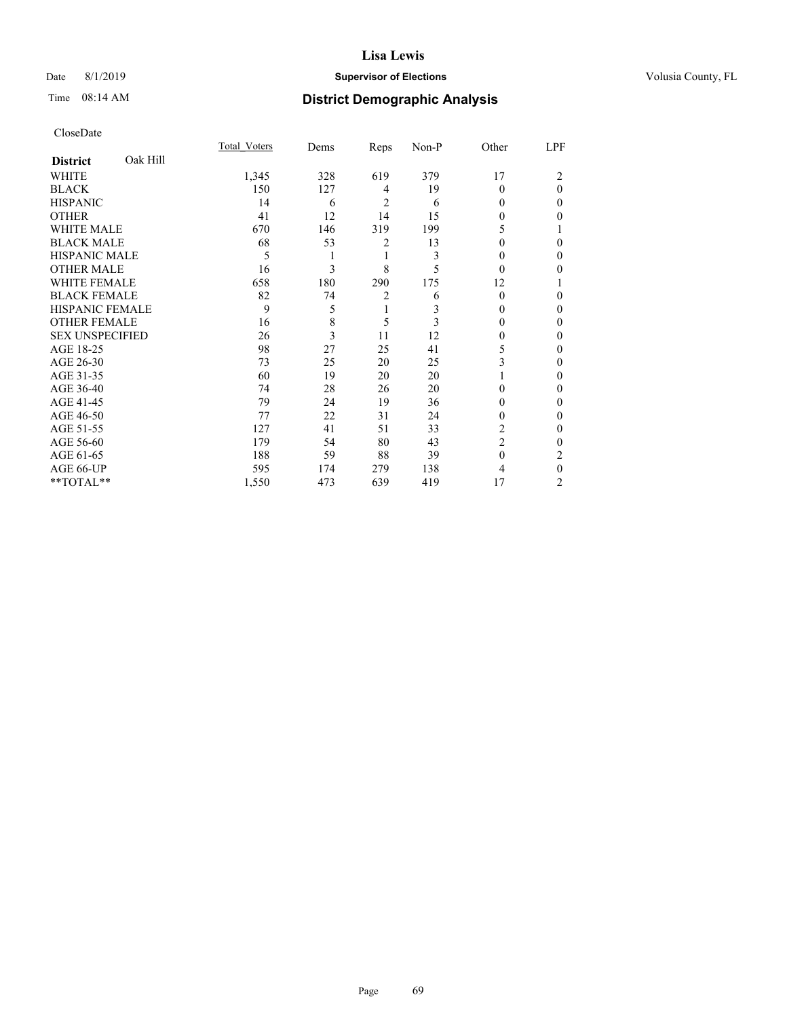## Date 8/1/2019 **Supervisor of Elections Supervisor of Elections** Volusia County, FL

# Time 08:14 AM **District Demographic Analysis**

|                        |          | Total Voters | Dems | Reps           | Non-P | Other          | LPF          |
|------------------------|----------|--------------|------|----------------|-------|----------------|--------------|
| <b>District</b>        | Oak Hill |              |      |                |       |                |              |
| WHITE                  |          | 1,345        | 328  | 619            | 379   | 17             | 2            |
| <b>BLACK</b>           |          | 150          | 127  | 4              | 19    | $\Omega$       | $\theta$     |
| <b>HISPANIC</b>        |          | 14           | 6    | 2              | 6     | 0              | 0            |
| <b>OTHER</b>           |          | 41           | 12   | 14             | 15    | 0              | 0            |
| WHITE MALE             |          | 670          | 146  | 319            | 199   | 5              |              |
| <b>BLACK MALE</b>      |          | 68           | 53   | 2              | 13    | 0              | 0            |
| <b>HISPANIC MALE</b>   |          | 5            | 1    | 1              | 3     | 0              | 0            |
| <b>OTHER MALE</b>      |          | 16           | 3    | 8              | 5     | $\theta$       | 0            |
| WHITE FEMALE           |          | 658          | 180  | 290            | 175   | 12             |              |
| <b>BLACK FEMALE</b>    |          | 82           | 74   | $\overline{2}$ | 6     | $\theta$       | 0            |
| <b>HISPANIC FEMALE</b> |          | 9            | 5    | 1              | 3     | 0              | 0            |
| <b>OTHER FEMALE</b>    |          | 16           | 8    | 5              | 3     | 0              | 0            |
| <b>SEX UNSPECIFIED</b> |          | 26           | 3    | 11             | 12    | 0              | 0            |
| AGE 18-25              |          | 98           | 27   | 25             | 41    | 5              | 0            |
| AGE 26-30              |          | 73           | 25   | 20             | 25    | 3              | 0            |
| AGE 31-35              |          | 60           | 19   | 20             | 20    |                | 0            |
| AGE 36-40              |          | 74           | 28   | 26             | 20    | $\Omega$       | 0            |
| AGE 41-45              |          | 79           | 24   | 19             | 36    | 0              | 0            |
| AGE 46-50              |          | 77           | 22   | 31             | 24    | 0              | 0            |
| AGE 51-55              |          | 127          | 41   | 51             | 33    | 2              | $\mathbf{0}$ |
| AGE 56-60              |          | 179          | 54   | 80             | 43    | $\overline{2}$ | 0            |
| AGE 61-65              |          | 188          | 59   | 88             | 39    | $\theta$       | 2            |
| AGE 66-UP              |          | 595          | 174  | 279            | 138   | 4              | $\theta$     |
| **TOTAL**              |          | 1,550        | 473  | 639            | 419   | 17             | 2            |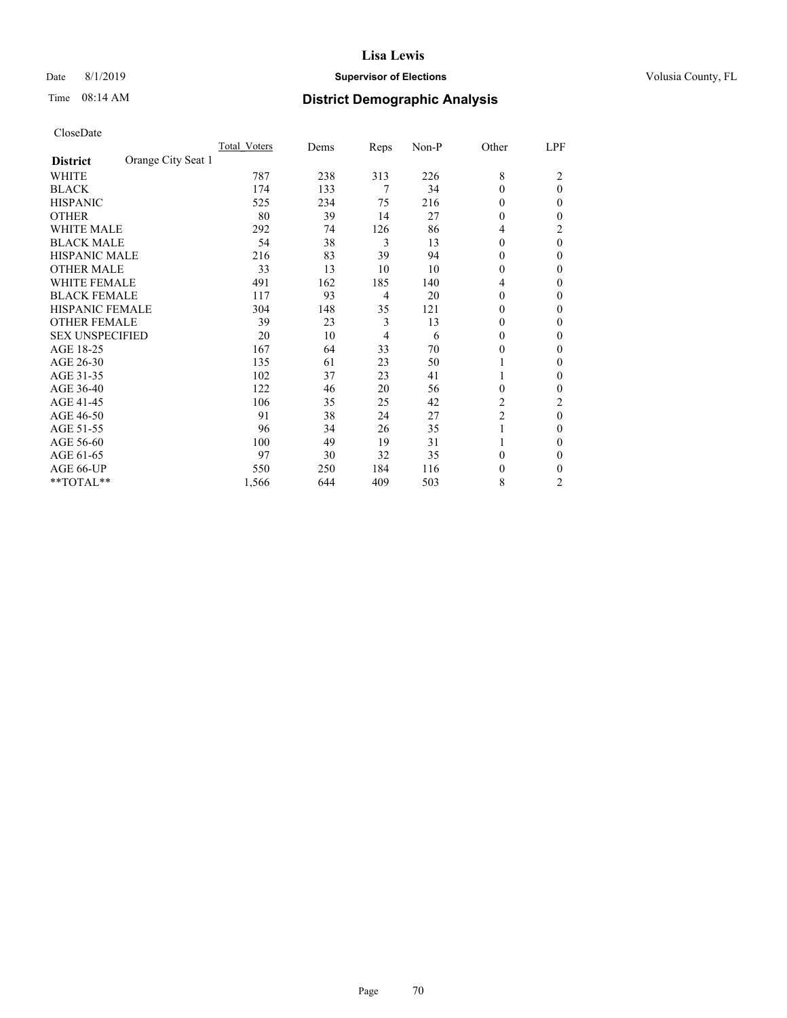## Date 8/1/2019 **Supervisor of Elections Supervisor of Elections** Volusia County, FL

# Time 08:14 AM **District Demographic Analysis**

|                        |                    | Total Voters | Dems | Reps | Non-P | Other    | LPF            |
|------------------------|--------------------|--------------|------|------|-------|----------|----------------|
| <b>District</b>        | Orange City Seat 1 |              |      |      |       |          |                |
| WHITE                  |                    | 787          | 238  | 313  | 226   | 8        | $\overline{c}$ |
| <b>BLACK</b>           |                    | 174          | 133  | 7    | 34    | 0        | $\theta$       |
| <b>HISPANIC</b>        |                    | 525          | 234  | 75   | 216   | 0        | 0              |
| <b>OTHER</b>           |                    | 80           | 39   | 14   | 27    | 0        | 0              |
| WHITE MALE             |                    | 292          | 74   | 126  | 86    | 4        | 2              |
| <b>BLACK MALE</b>      |                    | 54           | 38   | 3    | 13    | 0        | $\theta$       |
| <b>HISPANIC MALE</b>   |                    | 216          | 83   | 39   | 94    | $\Omega$ | 0              |
| <b>OTHER MALE</b>      |                    | 33           | 13   | 10   | 10    | $\theta$ | 0              |
| WHITE FEMALE           |                    | 491          | 162  | 185  | 140   | 4        | 0              |
| <b>BLACK FEMALE</b>    |                    | 117          | 93   | 4    | 20    | 0        | 0              |
| <b>HISPANIC FEMALE</b> |                    | 304          | 148  | 35   | 121   | 0        | 0              |
| <b>OTHER FEMALE</b>    |                    | 39           | 23   | 3    | 13    | $\theta$ | 0              |
| <b>SEX UNSPECIFIED</b> |                    | 20           | 10   | 4    | 6     | $\Omega$ | 0              |
| AGE 18-25              |                    | 167          | 64   | 33   | 70    | 0        | 0              |
| AGE 26-30              |                    | 135          | 61   | 23   | 50    | 1        | 0              |
| AGE 31-35              |                    | 102          | 37   | 23   | 41    |          | 0              |
| AGE 36-40              |                    | 122          | 46   | 20   | 56    | 0        | 0              |
| AGE 41-45              |                    | 106          | 35   | 25   | 42    | 2        | 2              |
| AGE 46-50              |                    | 91           | 38   | 24   | 27    | 2        | $\theta$       |
| AGE 51-55              |                    | 96           | 34   | 26   | 35    | 1        | 0              |
| AGE 56-60              |                    | 100          | 49   | 19   | 31    |          | 0              |
| AGE 61-65              |                    | 97           | 30   | 32   | 35    | 0        | 0              |
| AGE 66-UP              |                    | 550          | 250  | 184  | 116   | 0        | 0              |
| **TOTAL**              |                    | 1,566        | 644  | 409  | 503   | 8        | $\overline{c}$ |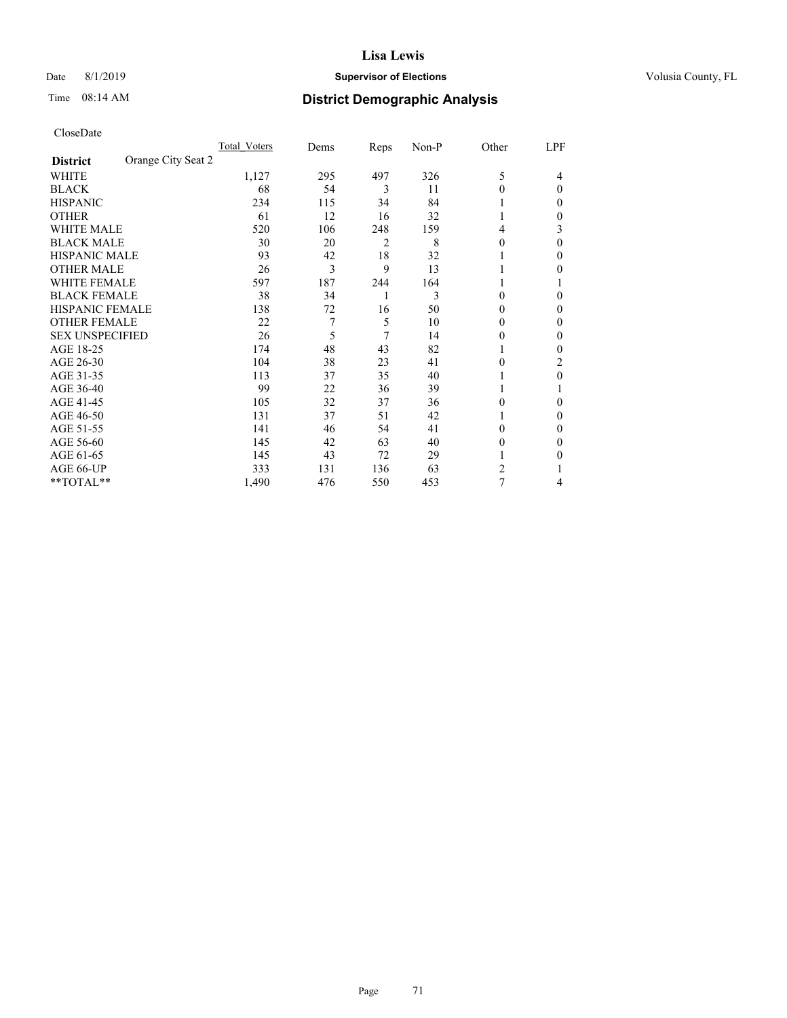## Date 8/1/2019 **Supervisor of Elections Supervisor of Elections** Volusia County, FL

# Time 08:14 AM **District Demographic Analysis**

|                                       | Total Voters | Dems | Reps | Non-P | Other    | LPF      |
|---------------------------------------|--------------|------|------|-------|----------|----------|
| Orange City Seat 2<br><b>District</b> |              |      |      |       |          |          |
| WHITE                                 | 1,127        | 295  | 497  | 326   | 5        | 4        |
| <b>BLACK</b>                          | 68           | 54   | 3    | 11    | $\Omega$ | $\Omega$ |
| <b>HISPANIC</b>                       | 234          | 115  | 34   | 84    | 1        | 0        |
| <b>OTHER</b>                          | 61           | 12   | 16   | 32    |          | 0        |
| <b>WHITE MALE</b>                     | 520          | 106  | 248  | 159   | 4        | 3        |
| <b>BLACK MALE</b>                     | 30           | 20   | 2    | 8     | $\theta$ | $\Omega$ |
| HISPANIC MALE                         | 93           | 42   | 18   | 32    |          | 0        |
| <b>OTHER MALE</b>                     | 26           | 3    | 9    | 13    | 1        | 0        |
| <b>WHITE FEMALE</b>                   | 597          | 187  | 244  | 164   |          |          |
| <b>BLACK FEMALE</b>                   | 38           | 34   | 1    | 3     | $\theta$ | 0        |
| <b>HISPANIC FEMALE</b>                | 138          | 72   | 16   | 50    | $\Omega$ | 0        |
| <b>OTHER FEMALE</b>                   | 22           | 7    | 5    | 10    | $\Omega$ | 0        |
| <b>SEX UNSPECIFIED</b>                | 26           | 5    | 7    | 14    | $\theta$ | 0        |
| AGE 18-25                             | 174          | 48   | 43   | 82    |          | 0        |
| AGE 26-30                             | 104          | 38   | 23   | 41    | $\theta$ | 2        |
| AGE 31-35                             | 113          | 37   | 35   | 40    |          | 0        |
| AGE 36-40                             | 99           | 22   | 36   | 39    | 1        |          |
| AGE 41-45                             | 105          | 32   | 37   | 36    | $\Omega$ | 0        |
| AGE 46-50                             | 131          | 37   | 51   | 42    | 1        | 0        |
| AGE 51-55                             | 141          | 46   | 54   | 41    | $\Omega$ | 0        |
| AGE 56-60                             | 145          | 42   | 63   | 40    | $\theta$ | 0        |
| AGE 61-65                             | 145          | 43   | 72   | 29    |          | 0        |
| AGE 66-UP                             | 333          | 131  | 136  | 63    | 2        |          |
| **TOTAL**                             | 1,490        | 476  | 550  | 453   | 7        | 4        |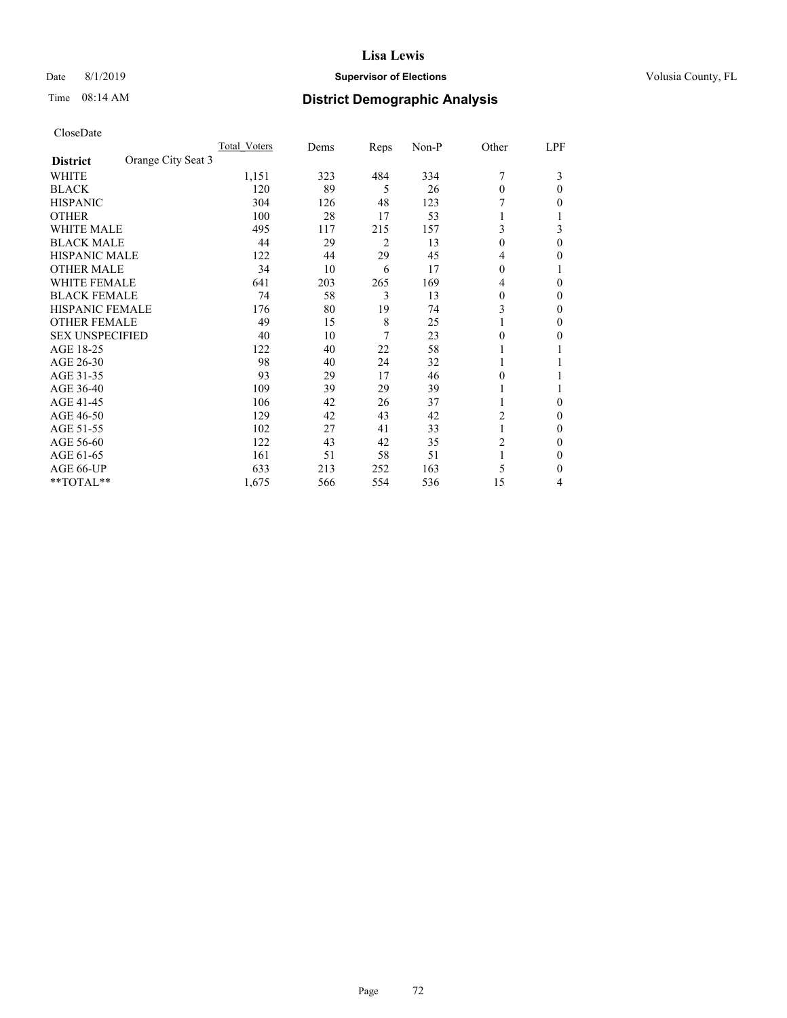## Date 8/1/2019 **Supervisor of Elections Supervisor of Elections** Volusia County, FL

# Time 08:14 AM **District Demographic Analysis**

|                        |                    | Total Voters | Dems | Reps | Non-P | Other    | LPF      |
|------------------------|--------------------|--------------|------|------|-------|----------|----------|
| <b>District</b>        | Orange City Seat 3 |              |      |      |       |          |          |
| WHITE                  |                    | 1,151        | 323  | 484  | 334   | 7        | 3        |
| <b>BLACK</b>           |                    | 120          | 89   | 5    | 26    | $\theta$ | 0        |
| <b>HISPANIC</b>        |                    | 304          | 126  | 48   | 123   |          | 0        |
| <b>OTHER</b>           |                    | 100          | 28   | 17   | 53    |          |          |
| WHITE MALE             |                    | 495          | 117  | 215  | 157   | 3        | 3        |
| <b>BLACK MALE</b>      |                    | 44           | 29   | 2    | 13    | $\theta$ | $\Omega$ |
| <b>HISPANIC MALE</b>   |                    | 122          | 44   | 29   | 45    | 4        | 0        |
| <b>OTHER MALE</b>      |                    | 34           | 10   | 6    | 17    | $\Omega$ |          |
| WHITE FEMALE           |                    | 641          | 203  | 265  | 169   | 4        | 0        |
| <b>BLACK FEMALE</b>    |                    | 74           | 58   | 3    | 13    | $\Omega$ | 0        |
| <b>HISPANIC FEMALE</b> |                    | 176          | 80   | 19   | 74    | 3        | 0        |
| <b>OTHER FEMALE</b>    |                    | 49           | 15   | 8    | 25    |          | 0        |
| <b>SEX UNSPECIFIED</b> |                    | 40           | 10   | 7    | 23    | $\Omega$ | 0        |
| AGE 18-25              |                    | 122          | 40   | 22   | 58    |          |          |
| AGE 26-30              |                    | 98           | 40   | 24   | 32    | 1        |          |
| AGE 31-35              |                    | 93           | 29   | 17   | 46    | 0        |          |
| AGE 36-40              |                    | 109          | 39   | 29   | 39    | 1        |          |
| AGE 41-45              |                    | 106          | 42   | 26   | 37    |          | 0        |
| AGE 46-50              |                    | 129          | 42   | 43   | 42    | 2        | 0        |
| AGE 51-55              |                    | 102          | 27   | 41   | 33    | 1        | 0        |
| AGE 56-60              |                    | 122          | 43   | 42   | 35    | 2        | 0        |
| AGE 61-65              |                    | 161          | 51   | 58   | 51    | 1        | 0        |
| AGE 66-UP              |                    | 633          | 213  | 252  | 163   | 5        | 0        |
| **TOTAL**              |                    | 1,675        | 566  | 554  | 536   | 15       | 4        |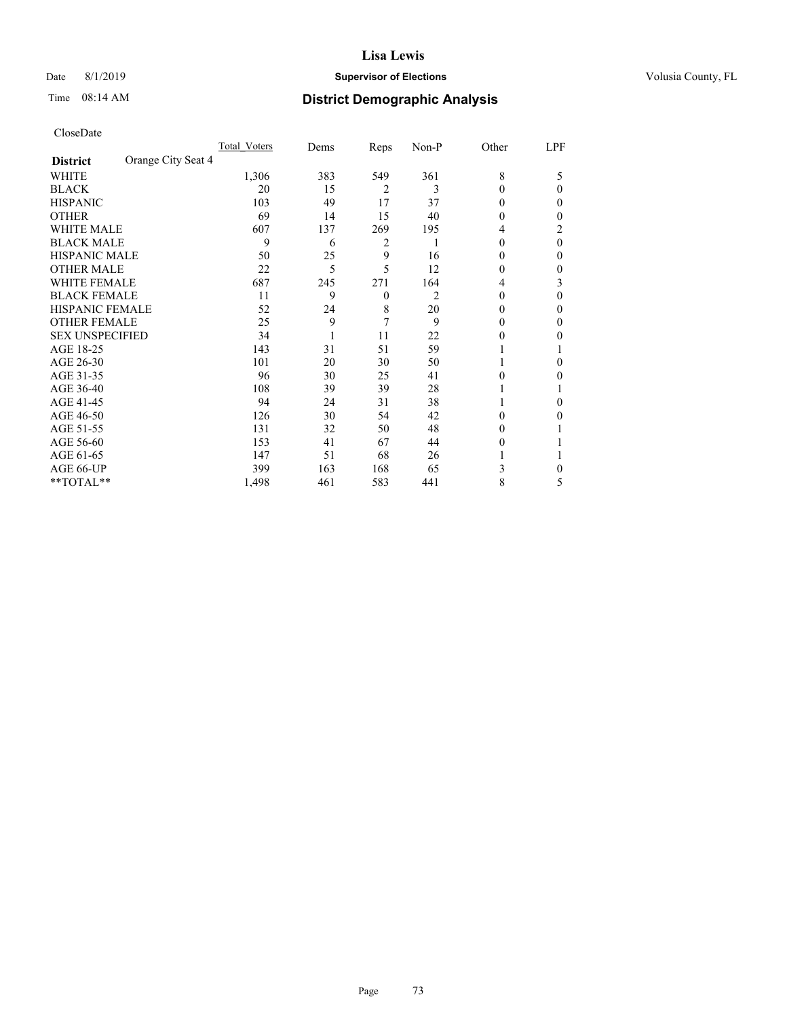# Date 8/1/2019 **Supervisor of Elections Supervisor of Elections** Volusia County, FL

# Time 08:14 AM **District Demographic Analysis**

|                        | Total Voters       | Dems | Reps           | Non-P | Other    | LPF |
|------------------------|--------------------|------|----------------|-------|----------|-----|
| <b>District</b>        | Orange City Seat 4 |      |                |       |          |     |
| WHITE                  | 1,306              | 383  | 549            | 361   | 8        | 5   |
| <b>BLACK</b>           | 20                 | 15   | $\overline{2}$ | 3     | $\Omega$ | 0   |
| <b>HISPANIC</b>        | 103                | 49   | 17             | 37    | $\theta$ | 0   |
| <b>OTHER</b>           | 69                 | 14   | 15             | 40    | 0        | 0   |
| <b>WHITE MALE</b>      | 607                | 137  | 269            | 195   | 4        | 2   |
| <b>BLACK MALE</b>      | 9                  | 6    | 2              |       | $\theta$ | 0   |
| <b>HISPANIC MALE</b>   | 50                 | 25   | 9              | 16    | $_{0}$   | 0   |
| <b>OTHER MALE</b>      | 22                 | 5    | 5              | 12    | 0        | 0   |
| <b>WHITE FEMALE</b>    | 687                | 245  | 271            | 164   | 4        | 3   |
| <b>BLACK FEMALE</b>    | 11                 | 9    | $\theta$       | 2     | 0        | 0   |
| <b>HISPANIC FEMALE</b> | 52                 | 24   | 8              | 20    | 0        | 0   |
| <b>OTHER FEMALE</b>    | 25                 | 9    | 7              | 9     | $_{0}$   | 0   |
| <b>SEX UNSPECIFIED</b> | 34                 |      | 11             | 22    | 0        | 0   |
| AGE 18-25              | 143                | 31   | 51             | 59    |          |     |
| AGE 26-30              | 101                | 20   | 30             | 50    |          | 0   |
| AGE 31-35              | 96                 | 30   | 25             | 41    | 0        | 0   |
| AGE 36-40              | 108                | 39   | 39             | 28    |          |     |
| AGE 41-45              | 94                 | 24   | 31             | 38    |          | 0   |
| AGE 46-50              | 126                | 30   | 54             | 42    | 0        | 0   |
| AGE 51-55              | 131                | 32   | 50             | 48    | $_{0}$   |     |
| AGE 56-60              | 153                | 41   | 67             | 44    | $_{0}$   |     |
| AGE 61-65              | 147                | 51   | 68             | 26    |          |     |
| AGE 66-UP              | 399                | 163  | 168            | 65    | 3        | 0   |
| **TOTAL**              | 1,498              | 461  | 583            | 441   | 8        | 5   |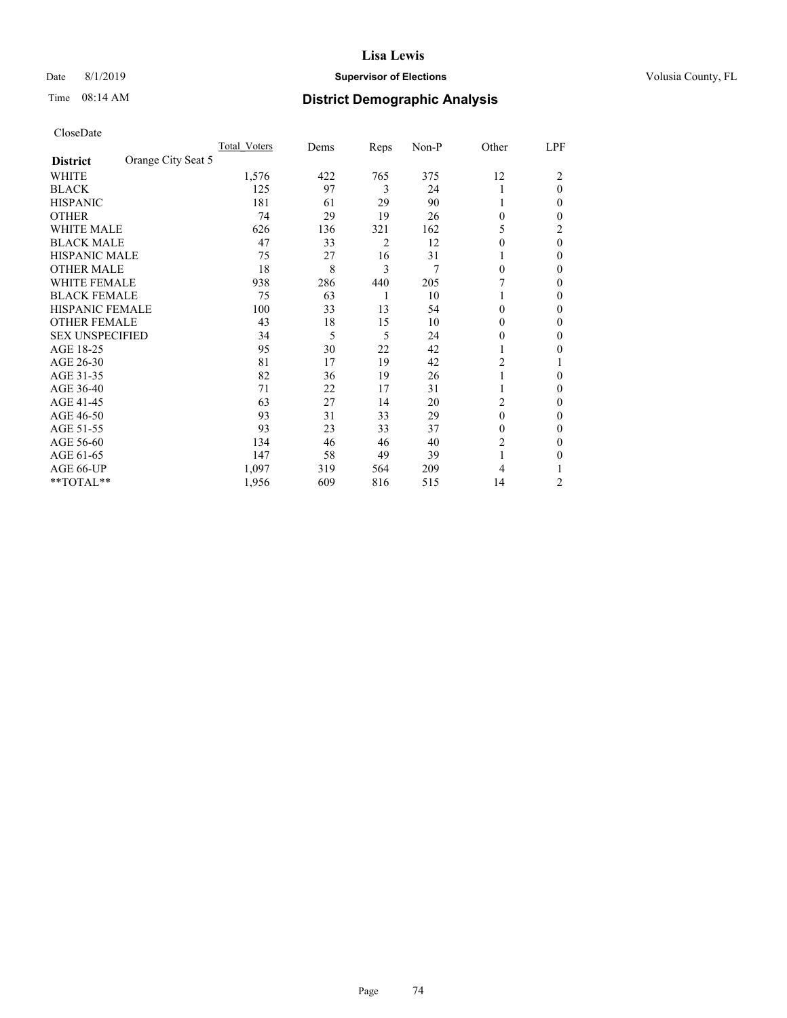# Date 8/1/2019 **Supervisor of Elections Supervisor of Elections** Volusia County, FL

# Time 08:14 AM **District Demographic Analysis**

|                                       | Total Voters | Dems | Reps | Non-P | Other          | LPF      |
|---------------------------------------|--------------|------|------|-------|----------------|----------|
| Orange City Seat 5<br><b>District</b> |              |      |      |       |                |          |
| WHITE                                 | 1,576        | 422  | 765  | 375   | 12             | 2        |
| <b>BLACK</b>                          | 125          | 97   | 3    | 24    |                | $\theta$ |
| <b>HISPANIC</b>                       | 181          | 61   | 29   | 90    | 1              | 0        |
| <b>OTHER</b>                          | 74           | 29   | 19   | 26    | $\Omega$       | 0        |
| WHITE MALE                            | 626          | 136  | 321  | 162   | 5              | 2        |
| <b>BLACK MALE</b>                     | 47           | 33   | 2    | 12    | $\Omega$       | $\theta$ |
| <b>HISPANIC MALE</b>                  | 75           | 27   | 16   | 31    |                | 0        |
| <b>OTHER MALE</b>                     | 18           | 8    | 3    | 7     | $\Omega$       | 0        |
| WHITE FEMALE                          | 938          | 286  | 440  | 205   |                | 0        |
| <b>BLACK FEMALE</b>                   | 75           | 63   | 1    | 10    |                | 0        |
| <b>HISPANIC FEMALE</b>                | 100          | 33   | 13   | 54    | $\Omega$       | 0        |
| <b>OTHER FEMALE</b>                   | 43           | 18   | 15   | 10    | $\Omega$       | 0        |
| <b>SEX UNSPECIFIED</b>                | 34           | 5    | 5    | 24    | 0              | 0        |
| AGE 18-25                             | 95           | 30   | 22   | 42    |                | 0        |
| AGE 26-30                             | 81           | 17   | 19   | 42    | $\overline{c}$ |          |
| AGE 31-35                             | 82           | 36   | 19   | 26    | 1              | 0        |
| AGE 36-40                             | 71           | 22   | 17   | 31    | 1              | 0        |
| AGE 41-45                             | 63           | 27   | 14   | 20    | 2              | 0        |
| AGE 46-50                             | 93           | 31   | 33   | 29    | $\theta$       | 0        |
| AGE 51-55                             | 93           | 23   | 33   | 37    | $\Omega$       | 0        |
| AGE 56-60                             | 134          | 46   | 46   | 40    | 2              | 0        |
| AGE 61-65                             | 147          | 58   | 49   | 39    | 1              | 0        |
| AGE 66-UP                             | 1,097        | 319  | 564  | 209   | 4              |          |
| **TOTAL**                             | 1,956        | 609  | 816  | 515   | 14             | 2        |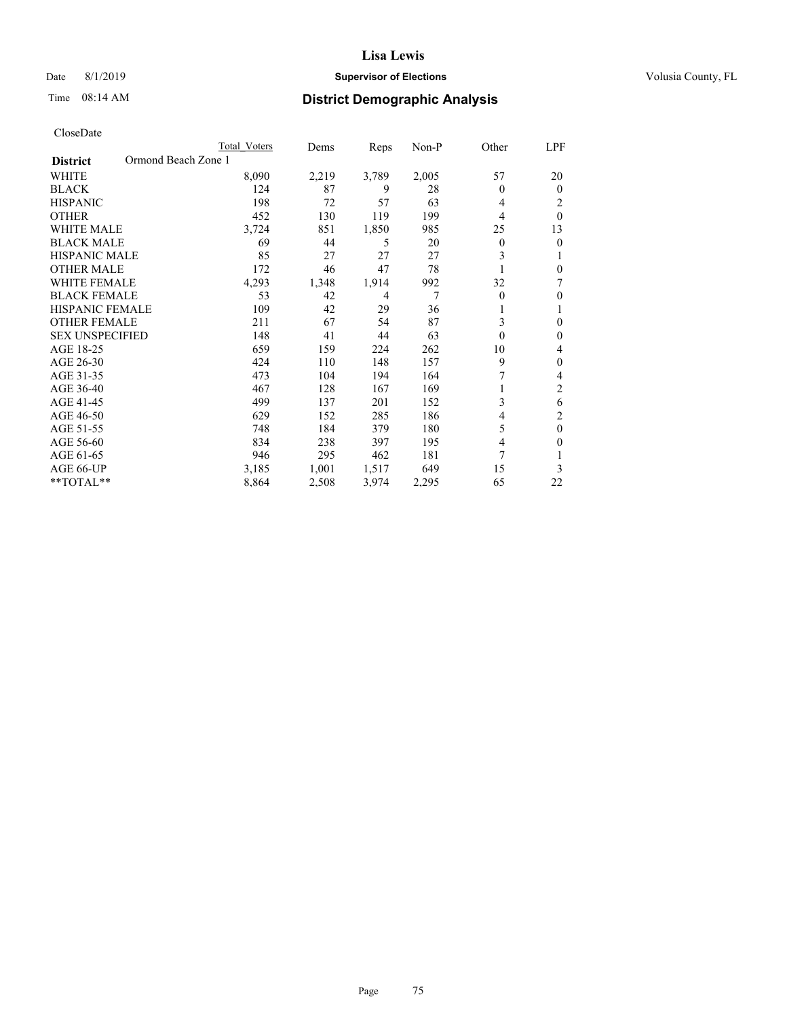# Date 8/1/2019 **Supervisor of Elections Supervisor of Elections** Volusia County, FL

# Time 08:14 AM **District Demographic Analysis**

|                                        | Total Voters | Dems  | Reps           | $Non-P$ | Other    | LPF              |
|----------------------------------------|--------------|-------|----------------|---------|----------|------------------|
| Ormond Beach Zone 1<br><b>District</b> |              |       |                |         |          |                  |
| <b>WHITE</b>                           | 8,090        | 2,219 | 3,789          | 2,005   | 57       | 20               |
| <b>BLACK</b>                           | 124          | 87    | 9              | 28      | 0        | $\theta$         |
| <b>HISPANIC</b>                        | 198          | 72    | 57             | 63      | 4        | 2                |
| <b>OTHER</b>                           | 452          | 130   | 119            | 199     | 4        | $\theta$         |
| <b>WHITE MALE</b>                      | 3,724        | 851   | 1,850          | 985     | 25       | 13               |
| <b>BLACK MALE</b>                      | 69           | 44    | 5              | 20      | 0        | 0                |
| HISPANIC MALE                          | 85           | 27    | 27             | 27      | 3        | 1                |
| <b>OTHER MALE</b>                      | 172          | 46    | 47             | 78      |          | $\theta$         |
| <b>WHITE FEMALE</b>                    | 4,293        | 1,348 | 1,914          | 992     | 32       | 7                |
| <b>BLACK FEMALE</b>                    | 53           | 42    | $\overline{4}$ | 7       | 0        | $\theta$         |
| <b>HISPANIC FEMALE</b>                 | 109          | 42    | 29             | 36      | 1        | 1                |
| <b>OTHER FEMALE</b>                    | 211          | 67    | 54             | 87      | 3        | $\theta$         |
| <b>SEX UNSPECIFIED</b>                 | 148          | 41    | 44             | 63      | $\theta$ | $\boldsymbol{0}$ |
| AGE 18-25                              | 659          | 159   | 224            | 262     | 10       | 4                |
| AGE 26-30                              | 424          | 110   | 148            | 157     | 9        | $\theta$         |
| AGE 31-35                              | 473          | 104   | 194            | 164     | 7        | 4                |
| AGE 36-40                              | 467          | 128   | 167            | 169     |          | $\overline{2}$   |
| AGE 41-45                              | 499          | 137   | 201            | 152     | 3        | 6                |
| AGE 46-50                              | 629          | 152   | 285            | 186     | 4        | $\overline{c}$   |
| AGE 51-55                              | 748          | 184   | 379            | 180     | 5        | $\theta$         |
| AGE 56-60                              | 834          | 238   | 397            | 195     | 4        | 0                |
| AGE 61-65                              | 946          | 295   | 462            | 181     | 7        |                  |
| AGE 66-UP                              | 3,185        | 1,001 | 1,517          | 649     | 15       | 3                |
| $*$ TOTAL $*$                          | 8,864        | 2,508 | 3,974          | 2,295   | 65       | 22               |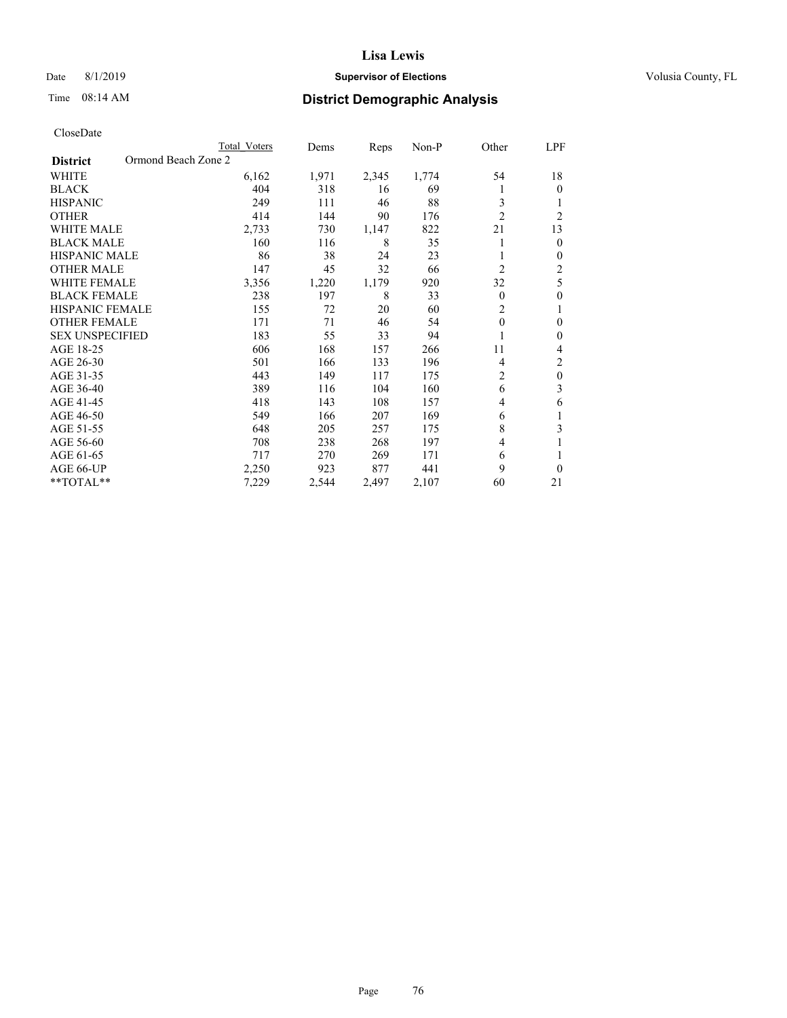# Date 8/1/2019 **Supervisor of Elections Supervisor of Elections** Volusia County, FL

# Time 08:14 AM **District Demographic Analysis**

|                                        | Total Voters | Dems  | Reps  | Non-P | Other          | LPF            |
|----------------------------------------|--------------|-------|-------|-------|----------------|----------------|
| Ormond Beach Zone 2<br><b>District</b> |              |       |       |       |                |                |
| WHITE                                  | 6,162        | 1,971 | 2,345 | 1,774 | 54             | 18             |
| <b>BLACK</b>                           | 404          | 318   | 16    | 69    |                | $\theta$       |
| <b>HISPANIC</b>                        | 249          | 111   | 46    | 88    | 3              | 1              |
| <b>OTHER</b>                           | 414          | 144   | 90    | 176   | $\overline{2}$ | $\overline{2}$ |
| <b>WHITE MALE</b>                      | 2,733        | 730   | 1,147 | 822   | 21             | 13             |
| <b>BLACK MALE</b>                      | 160          | 116   | 8     | 35    |                | $\mathbf{0}$   |
| <b>HISPANIC MALE</b>                   | 86           | 38    | 24    | 23    |                | $\mathbf{0}$   |
| <b>OTHER MALE</b>                      | 147          | 45    | 32    | 66    | $\overline{2}$ | 2              |
| WHITE FEMALE                           | 3,356        | 1,220 | 1,179 | 920   | 32             | 5              |
| <b>BLACK FEMALE</b>                    | 238          | 197   | 8     | 33    | $\theta$       | $\theta$       |
| <b>HISPANIC FEMALE</b>                 | 155          | 72    | 20    | 60    | $\overline{2}$ | 1              |
| <b>OTHER FEMALE</b>                    | 171          | 71    | 46    | 54    | $\theta$       | $\theta$       |
| <b>SEX UNSPECIFIED</b>                 | 183          | 55    | 33    | 94    |                | $\theta$       |
| AGE 18-25                              | 606          | 168   | 157   | 266   | 11             | 4              |
| AGE 26-30                              | 501          | 166   | 133   | 196   | 4              | $\overline{2}$ |
| AGE 31-35                              | 443          | 149   | 117   | 175   | $\overline{c}$ | $\theta$       |
| AGE 36-40                              | 389          | 116   | 104   | 160   | 6              | 3              |
| AGE 41-45                              | 418          | 143   | 108   | 157   | 4              | 6              |
| AGE 46-50                              | 549          | 166   | 207   | 169   | 6              | 1              |
| AGE 51-55                              | 648          | 205   | 257   | 175   | 8              | 3              |
| AGE 56-60                              | 708          | 238   | 268   | 197   | 4              |                |
| AGE 61-65                              | 717          | 270   | 269   | 171   | 6              | 1              |
| AGE 66-UP                              | 2,250        | 923   | 877   | 441   | 9              | $\theta$       |
| **TOTAL**                              | 7,229        | 2,544 | 2,497 | 2,107 | 60             | 21             |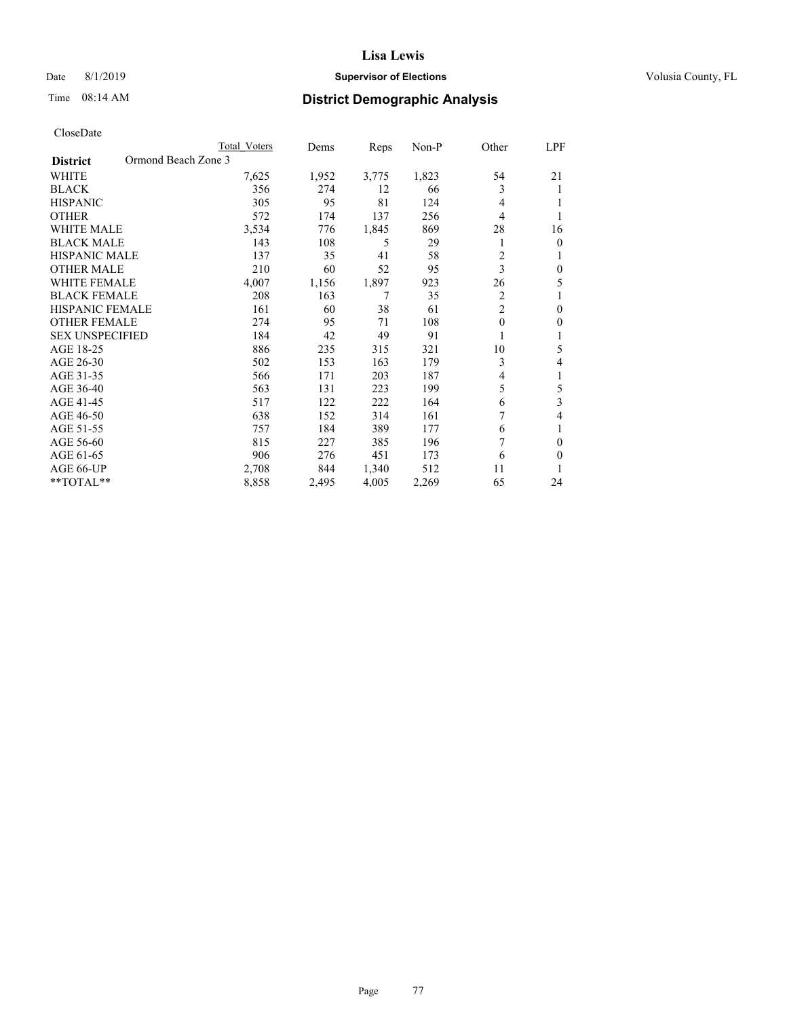# Date 8/1/2019 **Supervisor of Elections Supervisor of Elections** Volusia County, FL

# Time 08:14 AM **District Demographic Analysis**

|                                        | Total Voters | Dems  | Reps  | $Non-P$ | Other          | LPF            |
|----------------------------------------|--------------|-------|-------|---------|----------------|----------------|
| Ormond Beach Zone 3<br><b>District</b> |              |       |       |         |                |                |
| <b>WHITE</b>                           | 7,625        | 1,952 | 3,775 | 1,823   | 54             | 21             |
| <b>BLACK</b>                           | 356          | 274   | 12    | 66      | 3              | 1              |
| <b>HISPANIC</b>                        | 305          | 95    | 81    | 124     | 4              |                |
| <b>OTHER</b>                           | 572          | 174   | 137   | 256     | 4              |                |
| <b>WHITE MALE</b>                      | 3,534        | 776   | 1,845 | 869     | 28             | 16             |
| <b>BLACK MALE</b>                      | 143          | 108   | 5     | 29      | 1              | $\overline{0}$ |
| HISPANIC MALE                          | 137          | 35    | 41    | 58      | 2              | 1              |
| <b>OTHER MALE</b>                      | 210          | 60    | 52    | 95      | 3              | $\theta$       |
| <b>WHITE FEMALE</b>                    | 4,007        | 1,156 | 1,897 | 923     | 26             | 5              |
| <b>BLACK FEMALE</b>                    | 208          | 163   | 7     | 35      | $\mathfrak{2}$ |                |
| <b>HISPANIC FEMALE</b>                 | 161          | 60    | 38    | 61      | 2              | $\theta$       |
| <b>OTHER FEMALE</b>                    | 274          | 95    | 71    | 108     | 0              | $\mathbf{0}$   |
| <b>SEX UNSPECIFIED</b>                 | 184          | 42    | 49    | 91      |                | 1              |
| AGE 18-25                              | 886          | 235   | 315   | 321     | 10             | 5              |
| AGE 26-30                              | 502          | 153   | 163   | 179     | 3              | 4              |
| AGE 31-35                              | 566          | 171   | 203   | 187     | 4              | 1              |
| AGE 36-40                              | 563          | 131   | 223   | 199     | 5              | 5              |
| AGE 41-45                              | 517          | 122   | 222   | 164     | 6              | 3              |
| AGE 46-50                              | 638          | 152   | 314   | 161     | 7              | 4              |
| AGE 51-55                              | 757          | 184   | 389   | 177     | 6              | 1              |
| AGE 56-60                              | 815          | 227   | 385   | 196     | 7              | $\theta$       |
| AGE 61-65                              | 906          | 276   | 451   | 173     | 6              | $\theta$       |
| AGE 66-UP                              | 2,708        | 844   | 1,340 | 512     | 11             | 1              |
| $*$ TOTAL $*$                          | 8,858        | 2,495 | 4,005 | 2,269   | 65             | 24             |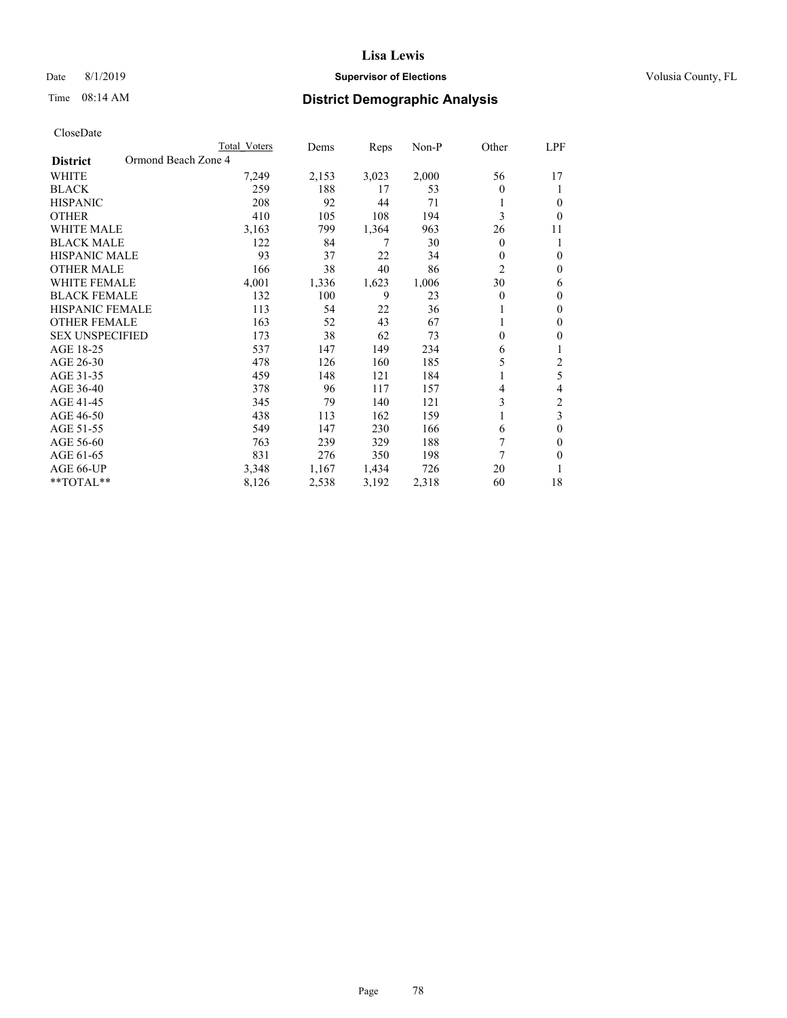# Date 8/1/2019 **Supervisor of Elections Supervisor of Elections** Volusia County, FL

# Time 08:14 AM **District Demographic Analysis**

|                                        | Total Voters | Dems  | Reps  | Non-P | Other | LPF            |
|----------------------------------------|--------------|-------|-------|-------|-------|----------------|
| Ormond Beach Zone 4<br><b>District</b> |              |       |       |       |       |                |
| WHITE                                  | 7,249        | 2,153 | 3,023 | 2,000 | 56    | 17             |
| <b>BLACK</b>                           | 259          | 188   | 17    | 53    | 0     | 1              |
| <b>HISPANIC</b>                        | 208          | 92    | 44    | 71    |       | 0              |
| <b>OTHER</b>                           | 410          | 105   | 108   | 194   | 3     | $\Omega$       |
| <b>WHITE MALE</b>                      | 3,163        | 799   | 1,364 | 963   | 26    | 11             |
| <b>BLACK MALE</b>                      | 122          | 84    | 7     | 30    | 0     | 1              |
| <b>HISPANIC MALE</b>                   | 93           | 37    | 22    | 34    | 0     | $\theta$       |
| <b>OTHER MALE</b>                      | 166          | 38    | 40    | 86    | 2     | $\mathbf{0}$   |
| <b>WHITE FEMALE</b>                    | 4,001        | 1,336 | 1,623 | 1,006 | 30    | 6              |
| <b>BLACK FEMALE</b>                    | 132          | 100   | 9     | 23    | 0     | $\mathbf{0}$   |
| <b>HISPANIC FEMALE</b>                 | 113          | 54    | 22    | 36    |       | $\Omega$       |
| <b>OTHER FEMALE</b>                    | 163          | 52    | 43    | 67    |       | $\theta$       |
| <b>SEX UNSPECIFIED</b>                 | 173          | 38    | 62    | 73    | 0     | 0              |
| AGE 18-25                              | 537          | 147   | 149   | 234   | 6     | 1              |
| AGE 26-30                              | 478          | 126   | 160   | 185   | 5     | $\overline{2}$ |
| AGE 31-35                              | 459          | 148   | 121   | 184   |       | 5              |
| AGE 36-40                              | 378          | 96    | 117   | 157   | 4     | 4              |
| AGE 41-45                              | 345          | 79    | 140   | 121   | 3     | 2              |
| AGE 46-50                              | 438          | 113   | 162   | 159   |       | 3              |
| AGE 51-55                              | 549          | 147   | 230   | 166   | 6     | $\theta$       |
| AGE 56-60                              | 763          | 239   | 329   | 188   | 7     | $\theta$       |
| AGE 61-65                              | 831          | 276   | 350   | 198   | 7     | $\theta$       |
| AGE 66-UP                              | 3,348        | 1,167 | 1,434 | 726   | 20    |                |
| **TOTAL**                              | 8,126        | 2,538 | 3,192 | 2,318 | 60    | 18             |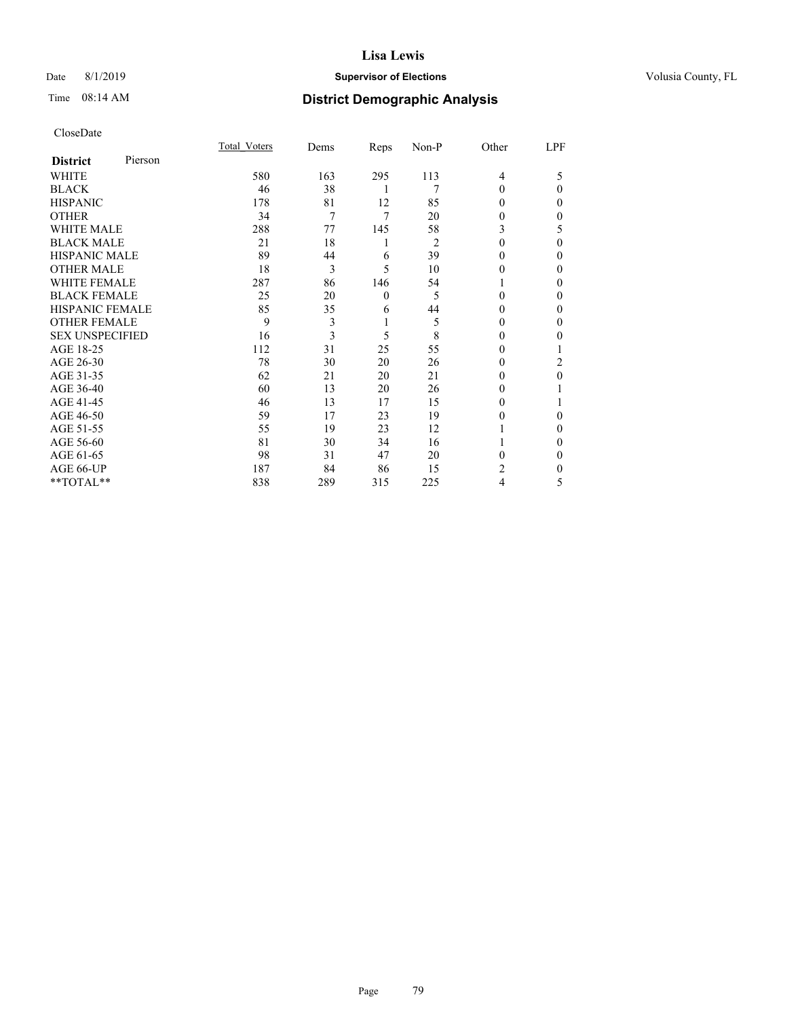# Date 8/1/2019 **Supervisor of Elections Supervisor of Elections** Volusia County, FL

# Time 08:14 AM **District Demographic Analysis**

|                        |         | Total Voters | Dems | Reps     | Non-P | Other  | LPF |
|------------------------|---------|--------------|------|----------|-------|--------|-----|
| <b>District</b>        | Pierson |              |      |          |       |        |     |
| WHITE                  |         | 580          | 163  | 295      | 113   | 4      | 5   |
| <b>BLACK</b>           |         | 46           | 38   | 1        | 7     | 0      | 0   |
| <b>HISPANIC</b>        |         | 178          | 81   | 12       | 85    | 0      | 0   |
| <b>OTHER</b>           |         | 34           | 7    | 7        | 20    | 0      | 0   |
| <b>WHITE MALE</b>      |         | 288          | 77   | 145      | 58    | 3      | 5   |
| <b>BLACK MALE</b>      |         | 21           | 18   | 1        | 2     | 0      | 0   |
| <b>HISPANIC MALE</b>   |         | 89           | 44   | 6        | 39    | 0      | 0   |
| <b>OTHER MALE</b>      |         | 18           | 3    | 5        | 10    | $_{0}$ | 0   |
| <b>WHITE FEMALE</b>    |         | 287          | 86   | 146      | 54    |        | 0   |
| <b>BLACK FEMALE</b>    |         | 25           | 20   | $\theta$ | 5     | 0      | 0   |
| <b>HISPANIC FEMALE</b> |         | 85           | 35   | 6        | 44    | 0      | 0   |
| <b>OTHER FEMALE</b>    |         | 9            | 3    | 1        | 5     | 0      | 0   |
| <b>SEX UNSPECIFIED</b> |         | 16           | 3    | 5        | 8     | $_{0}$ | 0   |
| AGE 18-25              |         | 112          | 31   | 25       | 55    | 0      |     |
| AGE 26-30              |         | 78           | 30   | 20       | 26    | $_{0}$ | 2   |
| AGE 31-35              |         | 62           | 21   | 20       | 21    | 0      | 0   |
| AGE 36-40              |         | 60           | 13   | 20       | 26    | 0      |     |
| AGE 41-45              |         | 46           | 13   | 17       | 15    | 0      |     |
| AGE 46-50              |         | 59           | 17   | 23       | 19    | 0      | 0   |
| AGE 51-55              |         | 55           | 19   | 23       | 12    |        | 0   |
| AGE 56-60              |         | 81           | 30   | 34       | 16    |        | 0   |
| AGE 61-65              |         | 98           | 31   | 47       | 20    | 0      | 0   |
| AGE 66-UP              |         | 187          | 84   | 86       | 15    | 2      | 0   |
| **TOTAL**              |         | 838          | 289  | 315      | 225   | 4      | 5   |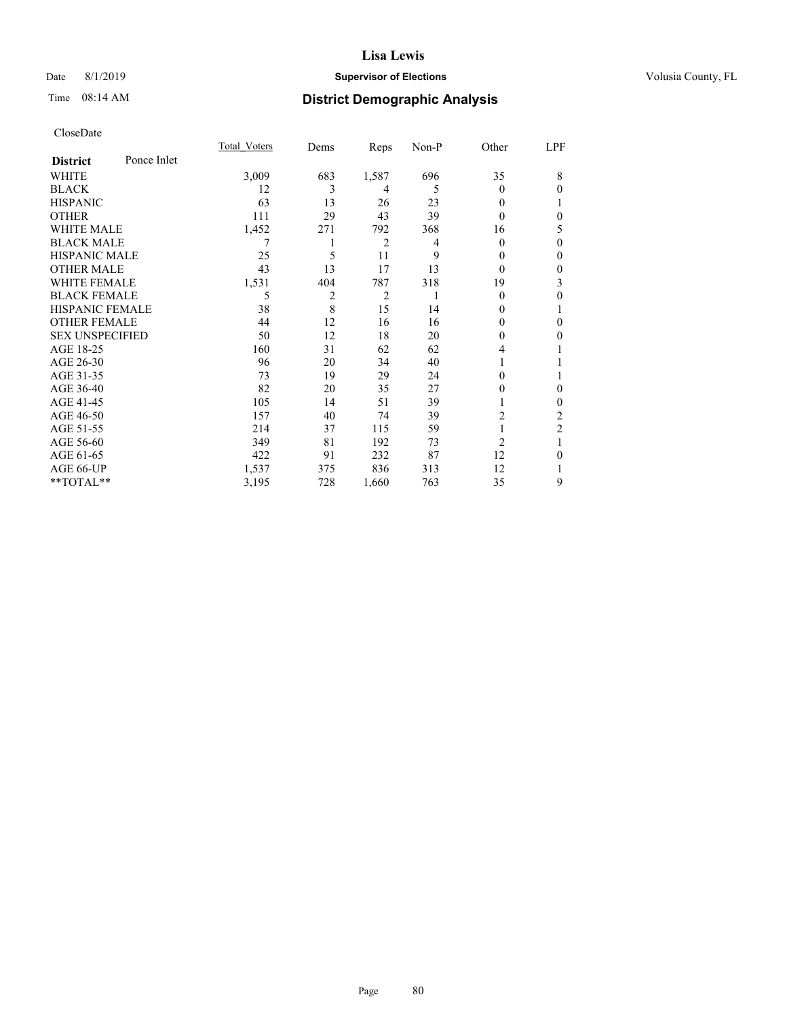# Date 8/1/2019 **Supervisor of Elections Supervisor of Elections** Volusia County, FL

# Time 08:14 AM **District Demographic Analysis**

|                        |             | Total Voters | Dems | Reps           | Non-P | Other          | LPF            |
|------------------------|-------------|--------------|------|----------------|-------|----------------|----------------|
| <b>District</b>        | Ponce Inlet |              |      |                |       |                |                |
| WHITE                  |             | 3,009        | 683  | 1,587          | 696   | 35             | 8              |
| <b>BLACK</b>           |             | 12           | 3    | 4              | 5     | 0              | $\theta$       |
| <b>HISPANIC</b>        |             | 63           | 13   | 26             | 23    | 0              |                |
| <b>OTHER</b>           |             | 111          | 29   | 43             | 39    | 0              | $\theta$       |
| <b>WHITE MALE</b>      |             | 1,452        | 271  | 792            | 368   | 16             | 5              |
| <b>BLACK MALE</b>      |             | 7            |      | 2              | 4     | 0              | $\mathbf{0}$   |
| <b>HISPANIC MALE</b>   |             | 25           | 5    | 11             | 9     | 0              | $\mathbf{0}$   |
| <b>OTHER MALE</b>      |             | 43           | 13   | 17             | 13    | 0              | $\mathbf{0}$   |
| <b>WHITE FEMALE</b>    |             | 1,531        | 404  | 787            | 318   | 19             | 3              |
| <b>BLACK FEMALE</b>    |             | 5            | 2    | $\overline{2}$ |       | 0              | $\theta$       |
| HISPANIC FEMALE        |             | 38           | 8    | 15             | 14    | 0              | 1              |
| <b>OTHER FEMALE</b>    |             | 44           | 12   | 16             | 16    | 0              | $\theta$       |
| <b>SEX UNSPECIFIED</b> |             | 50           | 12   | 18             | 20    | 0              | $\theta$       |
| AGE 18-25              |             | 160          | 31   | 62             | 62    | 4              | 1              |
| AGE 26-30              |             | 96           | 20   | 34             | 40    |                | 1              |
| AGE 31-35              |             | 73           | 19   | 29             | 24    | 0              | 1              |
| AGE 36-40              |             | 82           | 20   | 35             | 27    | 0              | $\mathbf{0}$   |
| AGE 41-45              |             | 105          | 14   | 51             | 39    |                | $\mathbf{0}$   |
| AGE 46-50              |             | 157          | 40   | 74             | 39    | 2              | 2              |
| AGE 51-55              |             | 214          | 37   | 115            | 59    |                | $\overline{c}$ |
| AGE 56-60              |             | 349          | 81   | 192            | 73    | $\overline{c}$ |                |
| AGE 61-65              |             | 422          | 91   | 232            | 87    | 12             | $\theta$       |
| AGE 66-UP              |             | 1,537        | 375  | 836            | 313   | 12             | 1              |
| **TOTAL**              |             | 3,195        | 728  | 1,660          | 763   | 35             | 9              |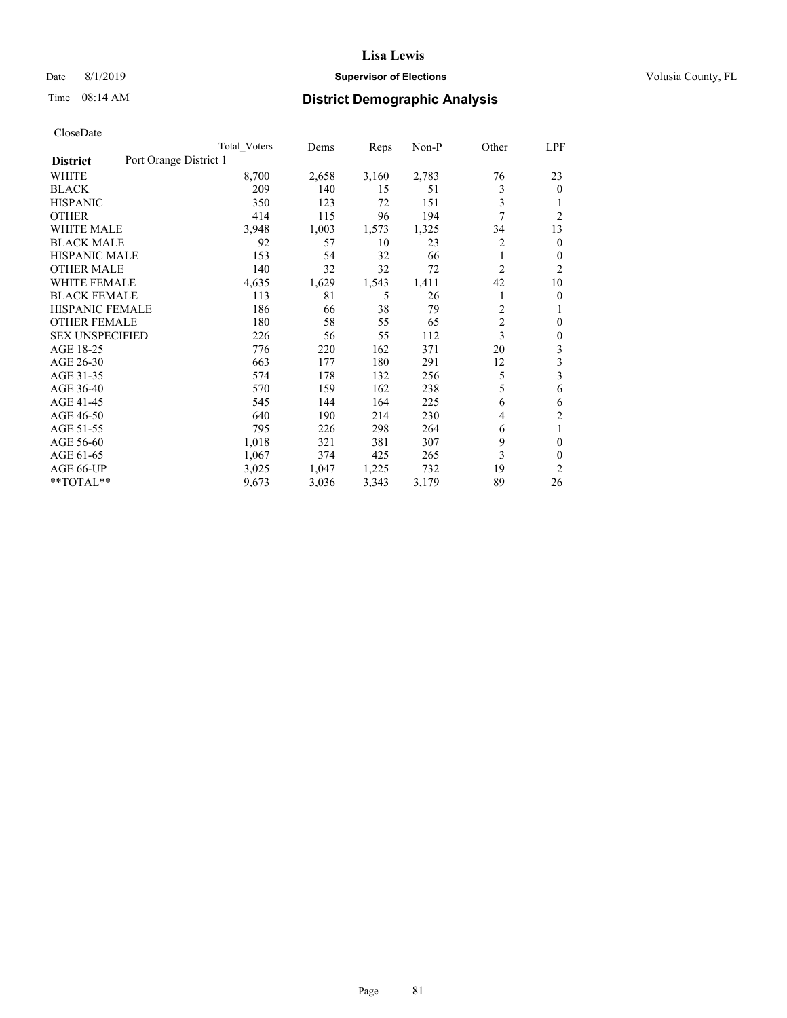# Date 8/1/2019 **Supervisor of Elections Supervisor of Elections** Volusia County, FL

# Time 08:14 AM **District Demographic Analysis**

|                        |                        | Total Voters | Dems  | Reps  | Non-P | Other          | LPF            |
|------------------------|------------------------|--------------|-------|-------|-------|----------------|----------------|
| <b>District</b>        | Port Orange District 1 |              |       |       |       |                |                |
| WHITE                  |                        | 8,700        | 2,658 | 3,160 | 2,783 | 76             | 23             |
| <b>BLACK</b>           |                        | 209          | 140   | 15    | 51    | 3              | $\mathbf{0}$   |
| <b>HISPANIC</b>        |                        | 350          | 123   | 72    | 151   | 3              | 1              |
| <b>OTHER</b>           |                        | 414          | 115   | 96    | 194   | 7              | $\overline{2}$ |
| <b>WHITE MALE</b>      |                        | 3,948        | 1,003 | 1,573 | 1,325 | 34             | 13             |
| <b>BLACK MALE</b>      |                        | 92           | 57    | 10    | 23    | 2              | $\mathbf{0}$   |
| <b>HISPANIC MALE</b>   |                        | 153          | 54    | 32    | 66    | 1              | $\mathbf{0}$   |
| <b>OTHER MALE</b>      |                        | 140          | 32    | 32    | 72    | 2              | $\overline{2}$ |
| WHITE FEMALE           |                        | 4,635        | 1,629 | 1,543 | 1,411 | 42             | 10             |
| <b>BLACK FEMALE</b>    |                        | 113          | 81    | 5     | 26    |                | 0              |
| <b>HISPANIC FEMALE</b> |                        | 186          | 66    | 38    | 79    | 2              | 1              |
| <b>OTHER FEMALE</b>    |                        | 180          | 58    | 55    | 65    | $\overline{c}$ | 0              |
| <b>SEX UNSPECIFIED</b> |                        | 226          | 56    | 55    | 112   | 3              | $\theta$       |
| AGE 18-25              |                        | 776          | 220   | 162   | 371   | 20             | 3              |
| AGE 26-30              |                        | 663          | 177   | 180   | 291   | 12             | 3              |
| AGE 31-35              |                        | 574          | 178   | 132   | 256   | 5              | 3              |
| AGE 36-40              |                        | 570          | 159   | 162   | 238   | 5              | 6              |
| AGE 41-45              |                        | 545          | 144   | 164   | 225   | 6              | 6              |
| AGE 46-50              |                        | 640          | 190   | 214   | 230   | 4              | $\overline{c}$ |
| AGE 51-55              |                        | 795          | 226   | 298   | 264   | 6              | 1              |
| AGE 56-60              |                        | 1,018        | 321   | 381   | 307   | 9              | $\theta$       |
| AGE 61-65              |                        | 1,067        | 374   | 425   | 265   | 3              | $\theta$       |
| AGE 66-UP              |                        | 3,025        | 1,047 | 1,225 | 732   | 19             | $\overline{2}$ |
| **TOTAL**              |                        | 9,673        | 3,036 | 3,343 | 3,179 | 89             | 26             |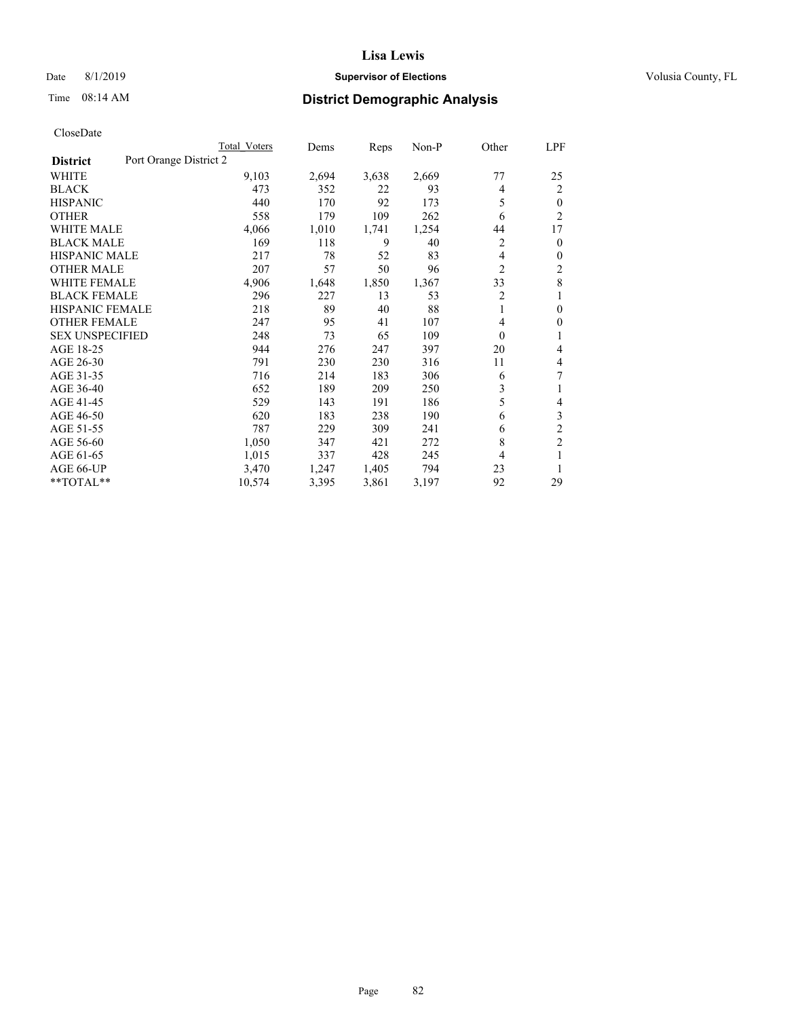# Date 8/1/2019 **Supervisor of Elections Supervisor of Elections** Volusia County, FL

# Time 08:14 AM **District Demographic Analysis**

|                                           | Total Voters | Dems  | Reps  | $Non-P$ | Other          | LPF            |
|-------------------------------------------|--------------|-------|-------|---------|----------------|----------------|
| Port Orange District 2<br><b>District</b> |              |       |       |         |                |                |
| WHITE                                     | 9,103        | 2,694 | 3,638 | 2,669   | 77             | 25             |
| <b>BLACK</b>                              | 473          | 352   | 22    | 93      | 4              | $\overline{2}$ |
| <b>HISPANIC</b>                           | 440          | 170   | 92    | 173     | 5              | $\theta$       |
| <b>OTHER</b>                              | 558          | 179   | 109   | 262     | 6              | $\overline{2}$ |
| <b>WHITE MALE</b>                         | 4,066        | 1,010 | 1,741 | 1,254   | 44             | 17             |
| <b>BLACK MALE</b>                         | 169          | 118   | 9     | 40      | 2              | $\mathbf{0}$   |
| <b>HISPANIC MALE</b>                      | 217          | 78    | 52    | 83      | 4              | $\mathbf{0}$   |
| <b>OTHER MALE</b>                         | 207          | 57    | 50    | 96      | 2              | 2              |
| <b>WHITE FEMALE</b>                       | 4,906        | 1,648 | 1,850 | 1,367   | 33             | 8              |
| <b>BLACK FEMALE</b>                       | 296          | 227   | 13    | 53      | $\overline{2}$ | 1              |
| <b>HISPANIC FEMALE</b>                    | 218          | 89    | 40    | 88      | 1              | $\theta$       |
| <b>OTHER FEMALE</b>                       | 247          | 95    | 41    | 107     | 4              | 0              |
| <b>SEX UNSPECIFIED</b>                    | 248          | 73    | 65    | 109     | $\theta$       | 1              |
| AGE 18-25                                 | 944          | 276   | 247   | 397     | 20             | 4              |
| AGE 26-30                                 | 791          | 230   | 230   | 316     | 11             | 4              |
| AGE 31-35                                 | 716          | 214   | 183   | 306     | 6              | 7              |
| AGE 36-40                                 | 652          | 189   | 209   | 250     | 3              |                |
| AGE 41-45                                 | 529          | 143   | 191   | 186     | 5              | 4              |
| AGE 46-50                                 | 620          | 183   | 238   | 190     | 6              | 3              |
| AGE 51-55                                 | 787          | 229   | 309   | 241     | 6              | $\overline{c}$ |
| AGE 56-60                                 | 1,050        | 347   | 421   | 272     | 8              | $\overline{c}$ |
| AGE 61-65                                 | 1,015        | 337   | 428   | 245     | 4              |                |
| AGE 66-UP                                 | 3,470        | 1,247 | 1,405 | 794     | 23             | 1              |
| **TOTAL**                                 | 10,574       | 3,395 | 3,861 | 3,197   | 92             | 29             |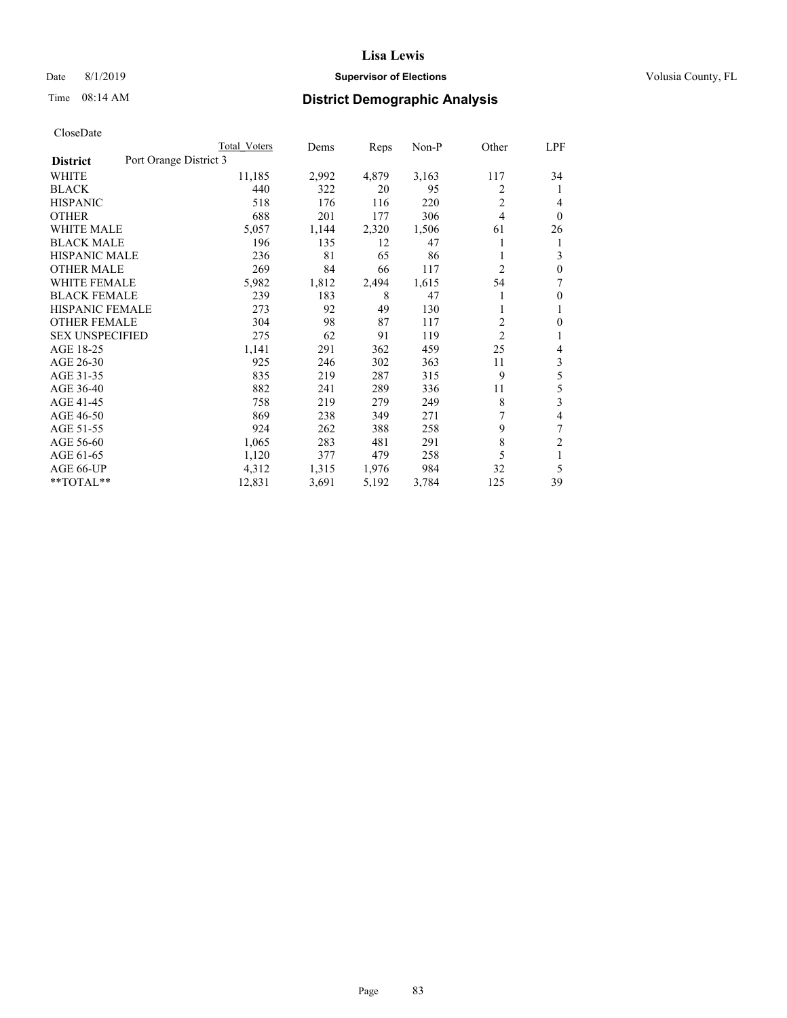# Date 8/1/2019 **Supervisor of Elections Supervisor of Elections** Volusia County, FL

# Time 08:14 AM **District Demographic Analysis**

|                                           | Total Voters | Dems  | Reps  | Non-P | Other          | LPF            |
|-------------------------------------------|--------------|-------|-------|-------|----------------|----------------|
| Port Orange District 3<br><b>District</b> |              |       |       |       |                |                |
| WHITE                                     | 11,185       | 2,992 | 4,879 | 3,163 | 117            | 34             |
| <b>BLACK</b>                              | 440          | 322   | 20    | 95    | 2              | 1              |
| <b>HISPANIC</b>                           | 518          | 176   | 116   | 220   | $\overline{2}$ | 4              |
| <b>OTHER</b>                              | 688          | 201   | 177   | 306   | 4              | $\theta$       |
| <b>WHITE MALE</b>                         | 5,057        | 1,144 | 2,320 | 1,506 | 61             | 26             |
| <b>BLACK MALE</b>                         | 196          | 135   | 12    | 47    | 1              | 1              |
| <b>HISPANIC MALE</b>                      | 236          | 81    | 65    | 86    |                | 3              |
| <b>OTHER MALE</b>                         | 269          | 84    | 66    | 117   | $\overline{c}$ | $\theta$       |
| <b>WHITE FEMALE</b>                       | 5,982        | 1,812 | 2,494 | 1,615 | 54             | 7              |
| <b>BLACK FEMALE</b>                       | 239          | 183   | 8     | 47    |                | $\theta$       |
| <b>HISPANIC FEMALE</b>                    | 273          | 92    | 49    | 130   | 1              | 1              |
| <b>OTHER FEMALE</b>                       | 304          | 98    | 87    | 117   | 2              | $\theta$       |
| <b>SEX UNSPECIFIED</b>                    | 275          | 62    | 91    | 119   | $\overline{2}$ | 1              |
| AGE 18-25                                 | 1,141        | 291   | 362   | 459   | 25             | 4              |
| AGE 26-30                                 | 925          | 246   | 302   | 363   | 11             | 3              |
| AGE 31-35                                 | 835          | 219   | 287   | 315   | 9              | 5              |
| AGE 36-40                                 | 882          | 241   | 289   | 336   | 11             | 5              |
| AGE 41-45                                 | 758          | 219   | 279   | 249   | 8              | 3              |
| AGE 46-50                                 | 869          | 238   | 349   | 271   | 7              | 4              |
| AGE 51-55                                 | 924          | 262   | 388   | 258   | 9              | 7              |
| AGE 56-60                                 | 1,065        | 283   | 481   | 291   | 8              | $\overline{2}$ |
| AGE 61-65                                 | 1,120        | 377   | 479   | 258   | 5              | 1              |
| AGE 66-UP                                 | 4,312        | 1,315 | 1,976 | 984   | 32             | 5              |
| **TOTAL**                                 | 12,831       | 3,691 | 5,192 | 3,784 | 125            | 39             |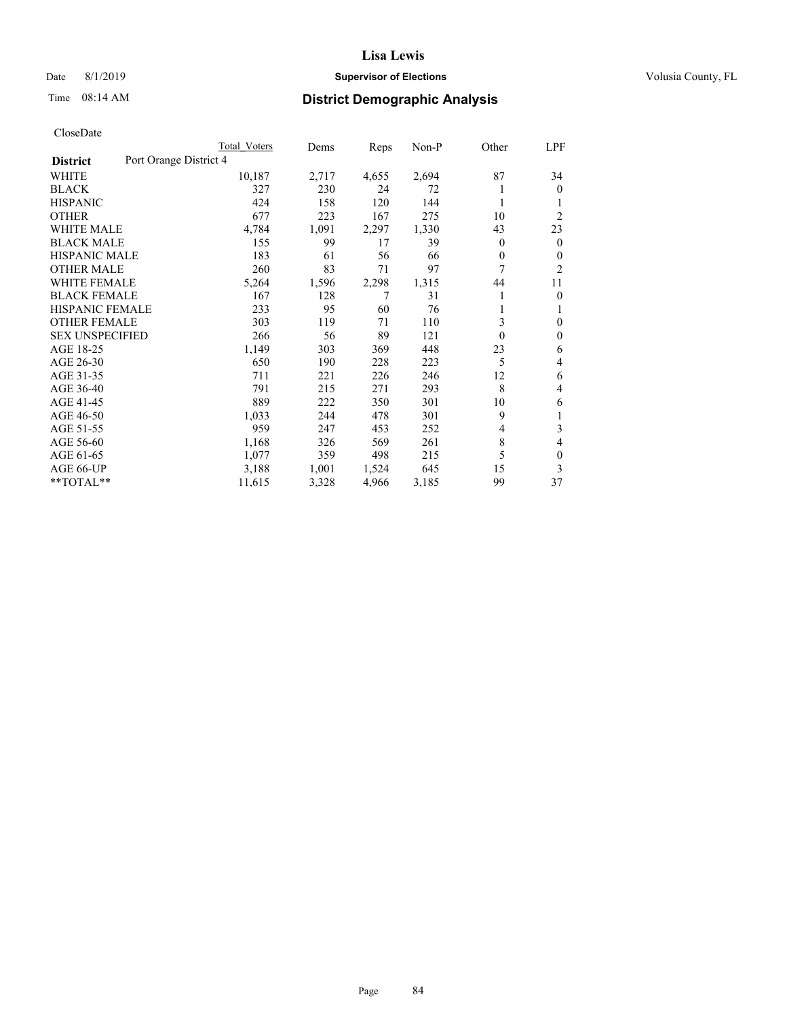# Date 8/1/2019 **Supervisor of Elections Supervisor of Elections** Volusia County, FL

# Time 08:14 AM **District Demographic Analysis**

|                                           | Total Voters | Dems  | Reps  | $Non-P$ | Other    | LPF            |
|-------------------------------------------|--------------|-------|-------|---------|----------|----------------|
| Port Orange District 4<br><b>District</b> |              |       |       |         |          |                |
| WHITE                                     | 10,187       | 2,717 | 4,655 | 2,694   | 87       | 34             |
| <b>BLACK</b>                              | 327          | 230   | 24    | 72      |          | $\theta$       |
| <b>HISPANIC</b>                           | 424          | 158   | 120   | 144     |          |                |
| <b>OTHER</b>                              | 677          | 223   | 167   | 275     | 10       | $\overline{2}$ |
| <b>WHITE MALE</b>                         | 4,784        | 1,091 | 2,297 | 1,330   | 43       | 23             |
| <b>BLACK MALE</b>                         | 155          | 99    | 17    | 39      | 0        | $\overline{0}$ |
| <b>HISPANIC MALE</b>                      | 183          | 61    | 56    | 66      | 0        | 0              |
| <b>OTHER MALE</b>                         | 260          | 83    | 71    | 97      | 7        | $\overline{2}$ |
| <b>WHITE FEMALE</b>                       | 5,264        | 1,596 | 2,298 | 1,315   | 44       | 11             |
| <b>BLACK FEMALE</b>                       | 167          | 128   | 7     | 31      |          | $\mathbf{0}$   |
| <b>HISPANIC FEMALE</b>                    | 233          | 95    | 60    | 76      | 1        | 1              |
| <b>OTHER FEMALE</b>                       | 303          | 119   | 71    | 110     | 3        | 0              |
| <b>SEX UNSPECIFIED</b>                    | 266          | 56    | 89    | 121     | $\theta$ | 0              |
| AGE 18-25                                 | 1,149        | 303   | 369   | 448     | 23       | 6              |
| AGE 26-30                                 | 650          | 190   | 228   | 223     | 5        | 4              |
| AGE 31-35                                 | 711          | 221   | 226   | 246     | 12       | 6              |
| AGE 36-40                                 | 791          | 215   | 271   | 293     | 8        | 4              |
| AGE 41-45                                 | 889          | 222   | 350   | 301     | 10       | 6              |
| AGE 46-50                                 | 1,033        | 244   | 478   | 301     | 9        |                |
| AGE 51-55                                 | 959          | 247   | 453   | 252     | 4        | 3              |
| AGE 56-60                                 | 1,168        | 326   | 569   | 261     | 8        | 4              |
| AGE 61-65                                 | 1,077        | 359   | 498   | 215     | 5        | 0              |
| AGE 66-UP                                 | 3,188        | 1,001 | 1,524 | 645     | 15       | 3              |
| **TOTAL**                                 | 11,615       | 3,328 | 4,966 | 3,185   | 99       | 37             |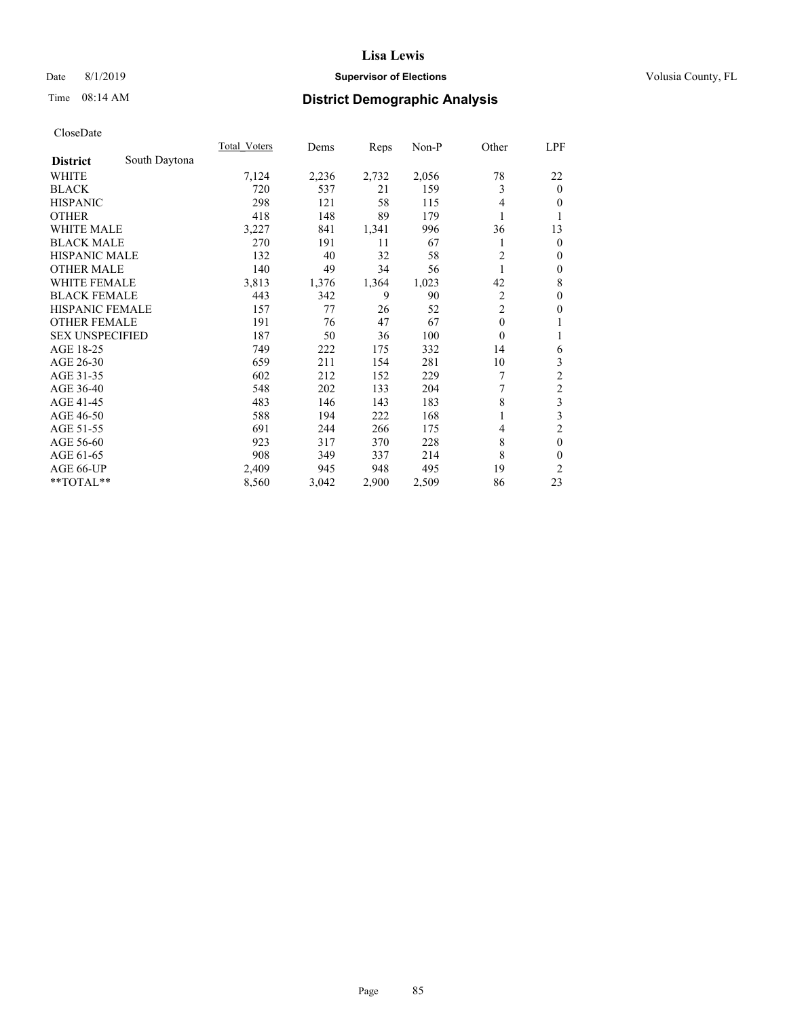# Date 8/1/2019 **Supervisor of Elections Supervisor of Elections** Volusia County, FL

# Time 08:14 AM **District Demographic Analysis**

|                        |               | Total Voters | Dems  | Reps  | Non-P | Other          | LPF                     |
|------------------------|---------------|--------------|-------|-------|-------|----------------|-------------------------|
| <b>District</b>        | South Daytona |              |       |       |       |                |                         |
| WHITE                  |               | 7,124        | 2,236 | 2,732 | 2,056 | 78             | 22                      |
| <b>BLACK</b>           |               | 720          | 537   | 21    | 159   | 3              | $\mathbf{0}$            |
| <b>HISPANIC</b>        |               | 298          | 121   | 58    | 115   | 4              | $\overline{0}$          |
| <b>OTHER</b>           |               | 418          | 148   | 89    | 179   |                | 1                       |
| WHITE MALE             |               | 3,227        | 841   | 1,341 | 996   | 36             | 13                      |
| <b>BLACK MALE</b>      |               | 270          | 191   | 11    | 67    |                | $\mathbf{0}$            |
| <b>HISPANIC MALE</b>   |               | 132          | 40    | 32    | 58    | $\overline{c}$ | $\theta$                |
| <b>OTHER MALE</b>      |               | 140          | 49    | 34    | 56    | 1              | $\mathbf{0}$            |
| <b>WHITE FEMALE</b>    |               | 3,813        | 1,376 | 1,364 | 1,023 | 42             | 8                       |
| <b>BLACK FEMALE</b>    |               | 443          | 342   | 9     | 90    | 2              | $\mathbf{0}$            |
| <b>HISPANIC FEMALE</b> |               | 157          | 77    | 26    | 52    | $\overline{2}$ | $\mathbf{0}$            |
| <b>OTHER FEMALE</b>    |               | 191          | 76    | 47    | 67    | $\mathbf{0}$   | 1                       |
| <b>SEX UNSPECIFIED</b> |               | 187          | 50    | 36    | 100   | $\theta$       | 1                       |
| AGE 18-25              |               | 749          | 222   | 175   | 332   | 14             | 6                       |
| AGE 26-30              |               | 659          | 211   | 154   | 281   | 10             | 3                       |
| AGE 31-35              |               | 602          | 212   | 152   | 229   | 7              | $\overline{c}$          |
| AGE 36-40              |               | 548          | 202   | 133   | 204   | 7              | $\overline{\mathbf{c}}$ |
| AGE 41-45              |               | 483          | 146   | 143   | 183   | 8              | 3                       |
| AGE 46-50              |               | 588          | 194   | 222   | 168   |                | 3                       |
| AGE 51-55              |               | 691          | 244   | 266   | 175   | 4              | $\overline{c}$          |
| AGE 56-60              |               | 923          | 317   | 370   | 228   | 8              | $\mathbf{0}$            |
| AGE 61-65              |               | 908          | 349   | 337   | 214   | 8              | $\theta$                |
| AGE 66-UP              |               | 2,409        | 945   | 948   | 495   | 19             | 2                       |
| **TOTAL**              |               | 8,560        | 3,042 | 2,900 | 2,509 | 86             | 23                      |